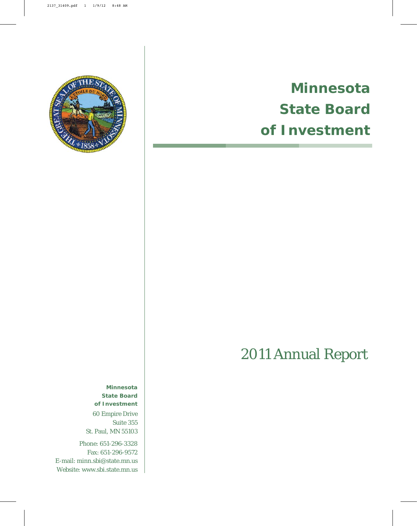

# **Minnesota State Board of Investment**

# 2011 Annual Report

60 Empire Drive **Minnesota State Board of Investment** 

Suite 355 St. Paul, MN 55103

Phone: 651-296-3328 Fax: 651-296-9572 E-mail: minn.sbi@state.mn.us Website: www.sbi.state.mn.us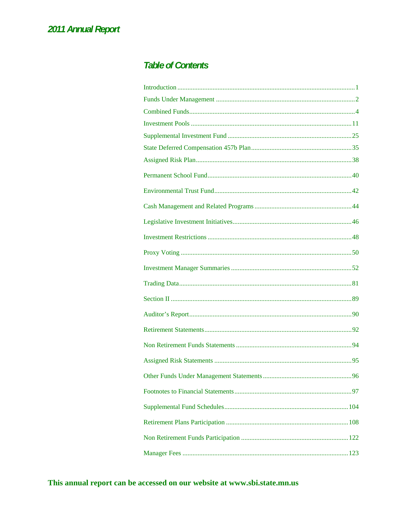# **Table of Contents**

This annual report can be accessed on our website at www.sbi.state.mn.us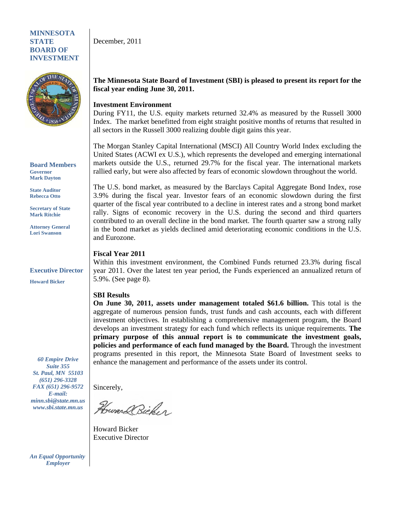### **MINNESOTA STATE BOARD OF INVESTMENT**

December, 2011



**Board Members Governor Mark Dayton** 

**State Auditor Rebecca Otto** 

**Secretary of State Mark Ritchie** 

**Attorney General Lori Swanson** 

#### **Executive Director**

**Howard Bicker**

*60 Empire Drive Suite 355 St. Paul, MN 55103 (651) 296-3328 FAX (651) 296-9572 E-mail: minn.sbi@state.mn.us www.sbi.state.mn.us* 

*An Equal Opportunity Employer*

### **The Minnesota State Board of Investment (SBI) is pleased to present its report for the fiscal year ending June 30, 2011.**

### **Investment Environment**

During FY11, the U.S. equity markets returned 32.4% as measured by the Russell 3000 Index. The market benefitted from eight straight positive months of returns that resulted in all sectors in the Russell 3000 realizing double digit gains this year.

The Morgan Stanley Capital International (MSCI) All Country World Index excluding the United States (ACWI ex U.S.), which represents the developed and emerging international markets outside the U.S., returned 29.7% for the fiscal year. The international markets rallied early, but were also affected by fears of economic slowdown throughout the world.

The U.S. bond market, as measured by the Barclays Capital Aggregate Bond Index, rose 3.9% during the fiscal year. Investor fears of an economic slowdown during the first quarter of the fiscal year contributed to a decline in interest rates and a strong bond market rally. Signs of economic recovery in the U.S. during the second and third quarters contributed to an overall decline in the bond market. The fourth quarter saw a strong rally in the bond market as yields declined amid deteriorating economic conditions in the U.S. and Eurozone.

### **Fiscal Year 2011**

Within this investment environment, the Combined Funds returned 23.3% during fiscal year 2011. Over the latest ten year period, the Funds experienced an annualized return of 5.9%. (See page 8).

### **SBI Results**

**On June 30, 2011, assets under management totaled \$61.6 billion.** This total is the aggregate of numerous pension funds, trust funds and cash accounts, each with different investment objectives. In establishing a comprehensive management program, the Board develops an investment strategy for each fund which reflects its unique requirements. **The primary purpose of this annual report is to communicate the investment goals, policies and performance of each fund managed by the Board.** Through the investment programs presented in this report, the Minnesota State Board of Investment seeks to enhance the management and performance of the assets under its control.

Sincerely,

Howard Bicker

Howard Bicker Executive Director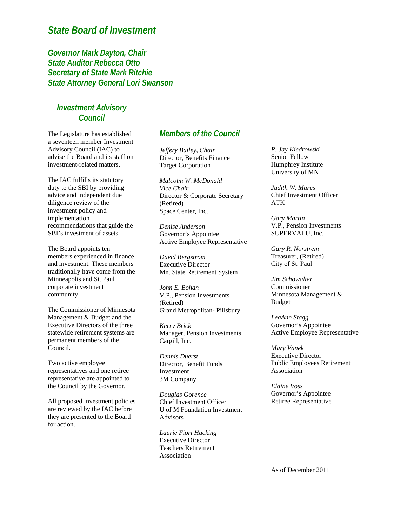# *State Board of Investment*

*Governor Mark Dayton, Chair State Auditor Rebecca Otto Secretary of State Mark Ritchie State Attorney General Lori Swanson* 

### *Investment Advisory Council*

The Legislature has established a seventeen member Investment Advisory Council (IAC) to advise the Board and its staff on investment-related matters.

The IAC fulfills its statutory duty to the SBI by providing advice and independent due diligence review of the investment policy and implementation recommendations that guide the SBI's investment of assets.

The Board appoints ten members experienced in finance and investment. These members traditionally have come from the Minneapolis and St. Paul corporate investment community.

The Commissioner of Minnesota Management & Budget and the Executive Directors of the three statewide retirement systems are permanent members of the Council.

Two active employee representatives and one retiree representative are appointed to the Council by the Governor.

All proposed investment policies are reviewed by the IAC before they are presented to the Board for action.

### *Members of the Council*

*Jeffery Bailey, Chair* Director, Benefits Finance Target Corporation

*Malcolm W. McDonald Vice Chair*  Director & Corporate Secretary (Retired) Space Center, Inc.

*Denise Anderson* Governor's Appointee Active Employee Representative

*David Bergstrom*  Executive Director Mn. State Retirement System

*John E. Bohan* V.P., Pension Investments (Retired) Grand Metropolitan- Pillsbury

*Kerry Brick*  Manager, Pension Investments Cargill, Inc.

*Dennis Duerst*  Director, Benefit Funds Investment 3M Company

*Douglas Gorence*  Chief Investment Officer U of M Foundation Investment Advisors

*Laurie Fiori Hacking*  Executive Director Teachers Retirement Association

*P. Jay Kiedrowski*  Senior Fellow Humphrey Institute University of MN

*Judith W. Mares*  Chief Investment Officer ATK

*Gary Martin*  V.P., Pension Investments SUPERVALU, Inc.

*Gary R. Norstrem*  Treasurer, (Retired) City of St. Paul

*Jim Schowalter*  Commissioner Minnesota Management & Budget

*LeaAnn Stagg*  Governor's Appointee Active Employee Representative

*Mary Vanek*  Executive Director Public Employees Retirement Association

*Elaine Voss*  Governor's Appointee Retiree Representative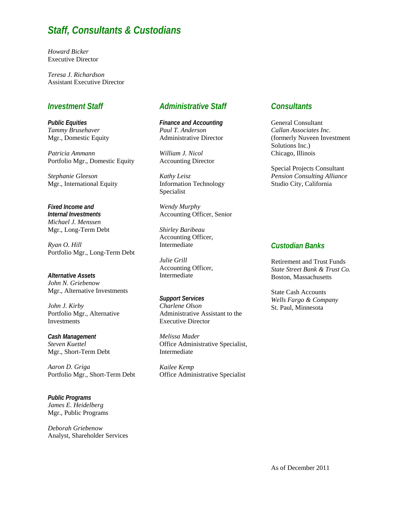# *Staff, Consultants & Custodians*

*Howard Bicker* Executive Director

*Teresa J. Richardson*  Assistant Executive Director

### *Investment Staff*

*Public Equities Tammy Brusehaver*  Mgr., Domestic Equity

*Patricia Ammann* Portfolio Mgr., Domestic Equity

*Stephanie Gleeson*  Mgr., International Equity

*Fixed Income and Internal Investments Michael J. Menssen* Mgr., Long-Term Debt

*Ryan O. Hill* Portfolio Mgr., Long-Term Debt

*Alternative Assets John N. Griebenow* Mgr., Alternative Investments

*John J. Kirby*  Portfolio Mgr., Alternative Investments

*Cash Management Steven Kuettel* Mgr., Short-Term Debt

*Aaron D. Griga* Portfolio Mgr., Short-Term Debt

*Public Programs James E. Heidelberg* Mgr., Public Programs

*Deborah Griebenow* Analyst, Shareholder Services

### *Administrative Staff*

*Finance and Accounting Paul T. Anderson* Administrative Director

*William J. Nicol* Accounting Director

*Kathy Leisz* Information Technology Specialist

*Wendy Murphy* Accounting Officer, Senior

*Shirley Baribeau*  Accounting Officer, Intermediate

*Julie Grill* Accounting Officer, Intermediate

*Support Services Charlene Olson* Administrative Assistant to the Executive Director

*Melissa Mader* Office Administrative Specialist, Intermediate

*Kailee Kemp*  Office Administrative Specialist

### *Consultants*

General Consultant *Callan Associates Inc.*  (formerly Nuveen Investment Solutions Inc.) Chicago, Illinois

Special Projects Consultant *Pension Consulting Alliance*  Studio City, California

### *Custodian Banks*

Retirement and Trust Funds *State Street Bank & Trust Co.*  Boston, Massachusetts

State Cash Accounts *Wells Fargo & Company*  St. Paul, Minnesota

As of December 2011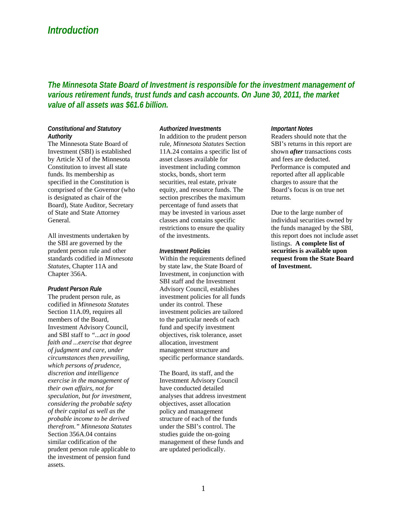# *Introduction*

### *The Minnesota State Board of Investment is responsible for the investment management of various retirement funds, trust funds and cash accounts. On June 30, 2011, the market value of all assets was \$61.6 billion.*

### *Constitutional and Statutory Authority*

The Minnesota State Board of Investment (SBI) is established by Article XI of the Minnesota Constitution to invest all state funds. Its membership as specified in the Constitution is comprised of the Governor (who is designated as chair of the Board), State Auditor, Secretary of State and State Attorney General.

All investments undertaken by the SBI are governed by the prudent person rule and other standards codified in *Minnesota Statutes*, Chapter 11A and Chapter 356A.

#### *Prudent Person Rule*

The prudent person rule, as codified in *Minnesota Statutes* Section 11A.09, requires all members of the Board, Investment Advisory Council, and SBI staff to *"...act in good faith and ...exercise that degree of judgment and care, under circumstances then prevailing, which persons of prudence, discretion and intelligence exercise in the management of their own affairs, not for speculation, but for investment, considering the probable safety of their capital as well as the probable income to be derived therefrom." Minnesota Statutes* Section 356A.04 contains similar codification of the prudent person rule applicable to the investment of pension fund assets.

#### *Authorized Investments*

In addition to the prudent person rule, *Minnesota Statutes* Section 11A.24 contains a specific list of asset classes available for investment including common stocks, bonds, short term securities, real estate, private equity, and resource funds. The section prescribes the maximum percentage of fund assets that may be invested in various asset classes and contains specific restrictions to ensure the quality of the investments.

#### *Investment Policies*

Within the requirements defined by state law, the State Board of Investment, in conjunction with SBI staff and the Investment Advisory Council, establishes investment policies for all funds under its control. These investment policies are tailored to the particular needs of each fund and specify investment objectives, risk tolerance, asset allocation, investment management structure and specific performance standards.

The Board, its staff, and the Investment Advisory Council have conducted detailed analyses that address investment objectives, asset allocation policy and management structure of each of the funds under the SBI's control. The studies guide the on-going management of these funds and are updated periodically.

#### *Important Notes*

Readers should note that the SBI's returns in this report are shown *after* transactions costs and fees are deducted. Performance is computed and reported after all applicable charges to assure that the Board's focus is on true net returns.

Due to the large number of individual securities owned by the funds managed by the SBI, this report does not include asset listings. **A complete list of securities is available upon request from the State Board of Investment.**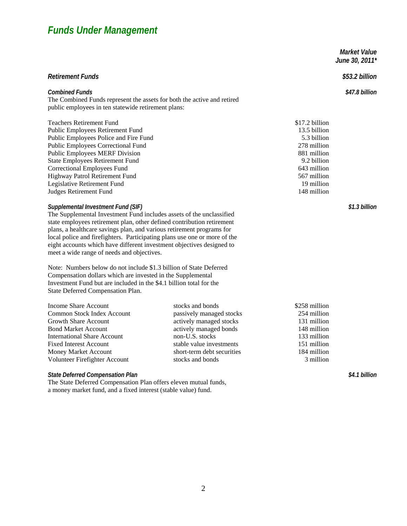# *Funds Under Management*

|                                                                                                                                                                                                                                                                                                                                                                                                                                                                                                                                                                                           |                                                                                                                                                       | Market Value<br>June 30, 2011* |
|-------------------------------------------------------------------------------------------------------------------------------------------------------------------------------------------------------------------------------------------------------------------------------------------------------------------------------------------------------------------------------------------------------------------------------------------------------------------------------------------------------------------------------------------------------------------------------------------|-------------------------------------------------------------------------------------------------------------------------------------------------------|--------------------------------|
|                                                                                                                                                                                                                                                                                                                                                                                                                                                                                                                                                                                           |                                                                                                                                                       | \$53.2 billion                 |
| The Combined Funds represent the assets for both the active and retired<br>public employees in ten statewide retirement plans:                                                                                                                                                                                                                                                                                                                                                                                                                                                            |                                                                                                                                                       | \$47.8 billion                 |
|                                                                                                                                                                                                                                                                                                                                                                                                                                                                                                                                                                                           | \$17.2 billion<br>13.5 billion<br>5.3 billion<br>278 million<br>881 million<br>9.2 billion<br>643 million<br>567 million<br>19 million<br>148 million |                                |
| The Supplemental Investment Fund includes assets of the unclassified<br>state employees retirement plan, other defined contribution retirement<br>plans, a healthcare savings plan, and various retirement programs for<br>local police and firefighters. Participating plans use one or more of the<br>eight accounts which have different investment objectives designed to<br>Note: Numbers below do not include \$1.3 billion of State Deferred<br>Compensation dollars which are invested in the Supplemental<br>Investment Fund but are included in the \$4.1 billion total for the |                                                                                                                                                       | \$1.3 billion                  |
| stocks and bonds<br>passively managed stocks<br>actively managed stocks<br>actively managed bonds<br>non-U.S. stocks<br>stable value investments<br>short-term debt securities<br>stocks and bonds                                                                                                                                                                                                                                                                                                                                                                                        | \$258 million<br>254 million<br>131 million<br>148 million<br>133 million<br>151 million<br>184 million<br>3 million                                  |                                |
|                                                                                                                                                                                                                                                                                                                                                                                                                                                                                                                                                                                           |                                                                                                                                                       |                                |

#### *State Deferred Compensation Plan \$4.1 billion*

The State Deferred Compensation Plan offers eleven mutual funds, a money market fund, and a fixed interest (stable value) fund.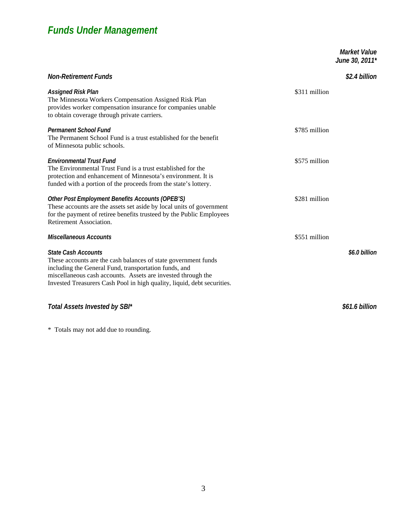# *Funds Under Management*

|                                                                                                                                                                                                                                                                                                  |               | Market Value<br>June 30, 2011* |
|--------------------------------------------------------------------------------------------------------------------------------------------------------------------------------------------------------------------------------------------------------------------------------------------------|---------------|--------------------------------|
| <b>Non-Retirement Funds</b>                                                                                                                                                                                                                                                                      |               | \$2.4 billion                  |
| <b>Assigned Risk Plan</b><br>The Minnesota Workers Compensation Assigned Risk Plan<br>provides worker compensation insurance for companies unable<br>to obtain coverage through private carriers.                                                                                                | \$311 million |                                |
| <b>Permanent School Fund</b><br>The Permanent School Fund is a trust established for the benefit<br>of Minnesota public schools.                                                                                                                                                                 | \$785 million |                                |
| <b>Environmental Trust Fund</b><br>The Environmental Trust Fund is a trust established for the<br>protection and enhancement of Minnesota's environment. It is<br>funded with a portion of the proceeds from the state's lottery.                                                                | \$575 million |                                |
| Other Post Employment Benefits Accounts (OPEB'S)<br>These accounts are the assets set aside by local units of government<br>for the payment of retiree benefits trusteed by the Public Employees<br>Retirement Association.                                                                      | \$281 million |                                |
| <b>Miscellaneous Accounts</b>                                                                                                                                                                                                                                                                    | \$551 million |                                |
| <b>State Cash Accounts</b><br>These accounts are the cash balances of state government funds<br>including the General Fund, transportation funds, and<br>miscellaneous cash accounts. Assets are invested through the<br>Invested Treasurers Cash Pool in high quality, liquid, debt securities. |               | \$6.0 billion                  |
| Total Assets Invested by SBI*                                                                                                                                                                                                                                                                    |               | \$61.6 billion                 |

\* Totals may not add due to rounding.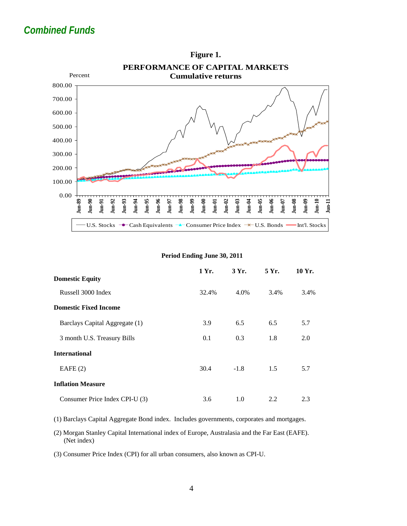

**Figure 1.** 

**Period Ending June 30, 2011** 

|                                | 1 Yr. | 3 Yr.  | 5 Yr. | 10 Yr. |
|--------------------------------|-------|--------|-------|--------|
| <b>Domestic Equity</b>         |       |        |       |        |
| Russell 3000 Index             | 32.4% | 4.0%   | 3.4%  | 3.4%   |
| <b>Domestic Fixed Income</b>   |       |        |       |        |
| Barclays Capital Aggregate (1) | 3.9   | 6.5    | 6.5   | 5.7    |
| 3 month U.S. Treasury Bills    | 0.1   | 0.3    | 1.8   | 2.0    |
| <b>International</b>           |       |        |       |        |
| EAFE $(2)$                     | 30.4  | $-1.8$ | 1.5   | 5.7    |
| <b>Inflation Measure</b>       |       |        |       |        |
| Consumer Price Index CPI-U (3) | 3.6   | 1.0    | 2.2   | 2.3    |

(1) Barclays Capital Aggregate Bond index. Includes governments, corporates and mortgages.

(2) Morgan Stanley Capital International index of Europe, Australasia and the Far East (EAFE). (Net index)

(3) Consumer Price Index (CPI) for all urban consumers, also known as CPI-U.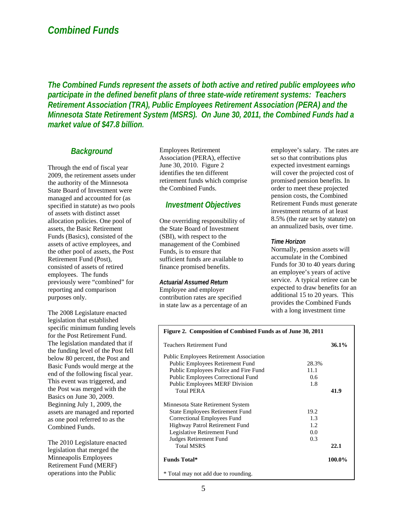*The Combined Funds represent the assets of both active and retired public employees who participate in the defined benefit plans of three state-wide retirement systems: Teachers Retirement Association (TRA), Public Employees Retirement Association (PERA) and the Minnesota State Retirement System (MSRS). On June 30, 2011, the Combined Funds had a market value of \$47.8 billion.* 

### *Background*

Through the end of fiscal year 2009, the retirement assets under the authority of the Minnesota State Board of Investment were managed and accounted for (as specified in statute) as two pools of assets with distinct asset allocation policies. One pool of assets, the Basic Retirement Funds (Basics), consisted of the assets of active employees, and the other pool of assets, the Post Retirement Fund (Post), consisted of assets of retired employees. The funds previously were "combined" for reporting and comparison purposes only.

The 2008 Legislature enacted legislation that established specific minimum funding levels for the Post Retirement Fund. The legislation mandated that if the funding level of the Post fell below 80 percent, the Post and Basic Funds would merge at the end of the following fiscal year. This event was triggered, and the Post was merged with the Basics on June 30, 2009. Beginning July 1, 2009, the assets are managed and reported as one pool referred to as the Combined Funds.

The 2010 Legislature enacted legislation that merged the Minneapolis Employees Retirement Fund (MERF) operations into the Public

Employees Retirement Association (PERA), effective June 30, 2010. Figure 2 identifies the ten different retirement funds which comprise the Combined Funds.

### *Investment Objectives*

One overriding responsibility of the State Board of Investment (SBI), with respect to the management of the Combined Funds, is to ensure that sufficient funds are available to finance promised benefits.

#### *Actuarial Assumed Return*

Employee and employer contribution rates are specified in state law as a percentage of an employee's salary. The rates are set so that contributions plus expected investment earnings will cover the projected cost of promised pension benefits. In order to meet these projected pension costs, the Combined Retirement Funds must generate investment returns of at least 8.5% (the rate set by statute) on an annualized basis, over time.

#### *Time Horizon*

Normally, pension assets will accumulate in the Combined Funds for 30 to 40 years during an employee's years of active service. A typical retiree can be expected to draw benefits for an additional 15 to 20 years. This provides the Combined Funds with a long investment time

| Figure 2. Composition of Combined Funds as of June 30, 2011 |       |          |  |  |  |
|-------------------------------------------------------------|-------|----------|--|--|--|
| Teachers Retirement Fund                                    |       | $36.1\%$ |  |  |  |
| <b>Public Employees Retirement Association</b>              |       |          |  |  |  |
| <b>Public Employees Retirement Fund</b>                     | 28.3% |          |  |  |  |
| Public Employees Police and Fire Fund                       | 11.1  |          |  |  |  |
| <b>Public Employees Correctional Fund</b>                   | 0.6   |          |  |  |  |
| <b>Public Employees MERF Division</b>                       | 1.8   |          |  |  |  |
| <b>Total PERA</b>                                           |       | 41.9     |  |  |  |
| Minnesota State Retirement System                           |       |          |  |  |  |
| <b>State Employees Retirement Fund</b>                      | 19.2  |          |  |  |  |
| Correctional Employees Fund                                 | 1.3   |          |  |  |  |
| Highway Patrol Retirement Fund                              | 1.2   |          |  |  |  |
| Legislative Retirement Fund                                 | 0.0   |          |  |  |  |
| <b>Judges Retirement Fund</b>                               | 0.3   |          |  |  |  |
| <b>Total MSRS</b>                                           |       | 22.1     |  |  |  |
| <b>Funds Total*</b>                                         |       | 100.0%   |  |  |  |
| * Total may not add due to rounding.                        |       |          |  |  |  |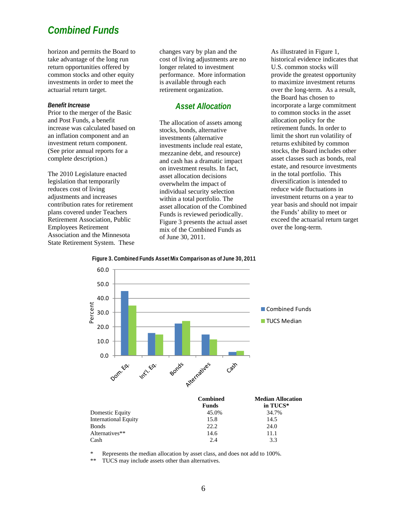horizon and permits the Board to take advantage of the long run return opportunities offered by common stocks and other equity investments in order to meet the actuarial return target.

#### *Benefit Increase*

Prior to the merger of the Basic and Post Funds, a benefit increase was calculated based on an inflation component and an investment return component. (See prior annual reports for a complete description.)

The 2010 Legislature enacted legislation that temporarily reduces cost of living adjustments and increases contribution rates for retirement plans covered under Teachers Retirement Association, Public Employees Retirement Association and the Minnesota State Retirement System. These changes vary by plan and the cost of living adjustments are no longer related to investment performance. More information is available through each retirement organization.

### *Asset Allocation*

The allocation of assets among stocks, bonds, alternative investments (alternative investments include real estate, mezzanine debt, and resource) and cash has a dramatic impact on investment results. In fact, asset allocation decisions overwhelm the impact of individual security selection within a total portfolio. The asset allocation of the Combined Funds is reviewed periodically. Figure 3 presents the actual asset mix of the Combined Funds as of June 30, 2011.

As illustrated in Figure 1, historical evidence indicates that U.S. common stocks will provide the greatest opportunity to maximize investment returns over the long-term. As a result, the Board has chosen to incorporate a large commitment to common stocks in the asset allocation policy for the retirement funds. In order to limit the short run volatility of returns exhibited by common stocks, the Board includes other asset classes such as bonds, real estate, and resource investments in the total portfolio. This diversification is intended to reduce wide fluctuations in investment returns on a year to year basis and should not impair the Funds' ability to meet or exceed the actuarial return target over the long-term.

**Figure 3. Combined Funds Asset Mix Comparison as of June 30, 2011**



\* Represents the median allocation by asset class, and does not add to 100%.

TUCS may include assets other than alternatives.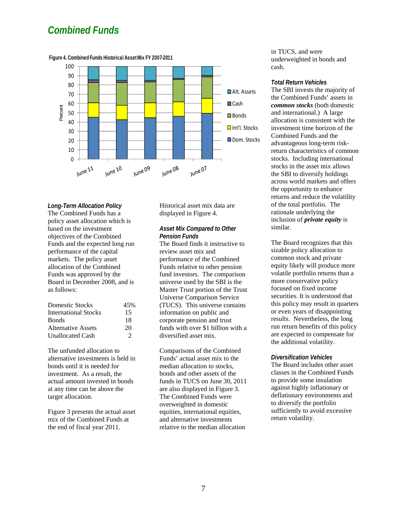



#### *Long-Term Allocation Policy*

The Combined Funds has a policy asset allocation which is based on the investment objectives of the Combined Funds and the expected long run performance of the capital markets. The policy asset allocation of the Combined Funds was approved by the Board in December 2008, and is as follows:

| <b>Domestic Stocks</b>      | 45% |
|-----------------------------|-----|
| <b>International Stocks</b> | 15  |
| <b>Bonds</b>                | 18  |
| <b>Alternative Assets</b>   | 20  |
| <b>Unallocated Cash</b>     |     |

The unfunded allocation to alternative investments is held in bonds until it is needed for investment. As a result, the actual amount invested in bonds at any time can be above the target allocation.

Figure 3 presents the actual asset mix of the Combined Funds at the end of fiscal year 2011.

Historical asset mix data are displayed in Figure 4.

#### *Asset Mix Compared to Other Pension Funds*

The Board finds it instructive to review asset mix and performance of the Combined Funds relative to other pension fund investors. The comparison universe used by the SBI is the Master Trust portion of the Trust Universe Comparison Service (TUCS). This universe contains information on public and corporate pension and trust funds with over \$1 billion with a diversified asset mix.

Comparisons of the Combined Funds' actual asset mix to the median allocation to stocks, bonds and other assets of the funds in TUCS on June 30, 2011 are also displayed in Figure 3. The Combined Funds were overweighted in domestic equities, international equities, and alternative investments relative to the median allocation

in TUCS, and were underweighted in bonds and cash.

#### *Total Return Vehicles*

The SBI invests the majority of the Combined Funds' assets in *common stocks* (both domestic and international.) A large allocation is consistent with the investment time horizon of the Combined Funds and the advantageous long-term riskreturn characteristics of common stocks. Including international stocks in the asset mix allows the SBI to diversify holdings across world markets and offers the opportunity to enhance returns and reduce the volatility of the total portfolio. The rationale underlying the inclusion of *private equity* is similar.

The Board recognizes that this sizable policy allocation to common stock and private equity likely will produce more volatile portfolio returns than a more conservative policy focused on fixed income securities. It is understood that this policy may result in quarters or even years of disappointing results. Nevertheless, the long run return benefits of this policy are expected to compensate for the additional volatility.

#### *Diversification Vehicles*

The Board includes other asset classes in the Combined Funds to provide some insulation against highly inflationary or deflationary environments and to diversify the portfolio sufficiently to avoid excessive return volatility.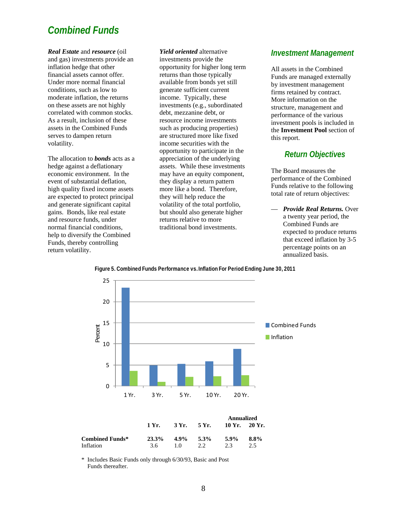*Real Estate* and *resource* (oil and gas) investments provide an inflation hedge that other financial assets cannot offer. Under more normal financial conditions, such as low to moderate inflation, the returns on these assets are not highly correlated with common stocks. As a result, inclusion of these assets in the Combined Funds serves to dampen return volatility.

The allocation to *bonds* acts as a hedge against a deflationary economic environment. In the event of substantial deflation, high quality fixed income assets are expected to protect principal and generate significant capital gains. Bonds, like real estate and resource funds, under normal financial conditions, help to diversify the Combined Funds, thereby controlling return volatility.

*Yield oriented* alternative investments provide the opportunity for higher long term returns than those typically available from bonds yet still generate sufficient current income. Typically, these investments (e.g., subordinated debt, mezzanine debt, or resource income investments such as producing properties) are structured more like fixed income securities with the opportunity to participate in the appreciation of the underlying assets. While these investments may have an equity component, they display a return pattern more like a bond. Therefore, they will help reduce the volatility of the total portfolio, but should also generate higher returns relative to more traditional bond investments.

### *Investment Management*

All assets in the Combined Funds are managed externally by investment management firms retained by contract. More information on the structure, management and performance of the various investment pools is included in the **Investment Pool** section of this report.

## *Return Objectives*

The Board measures the performance of the Combined Funds relative to the following total rate of return objectives:

— *Provide Real Returns.* Over a twenty year period, the Combined Funds are expected to produce returns that exceed inflation by 3-5 percentage points on an annualized basis.

**Figure 5. Combined Funds Performance vs. Inflation For Period Ending June 30, 2011**



\* Includes Basic Funds only through 6/30/93, Basic and Post Funds thereafter.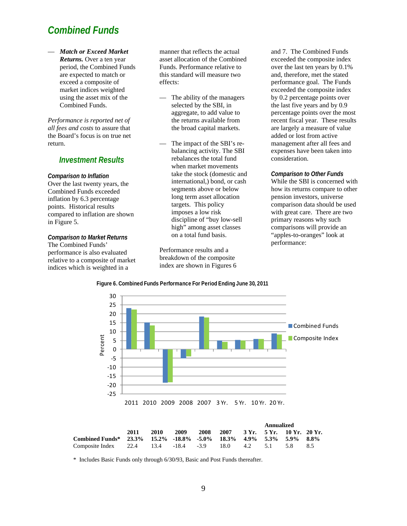— *Match or Exceed Market Returns.* Over a ten year period, the Combined Funds are expected to match or exceed a composite of market indices weighted using the asset mix of the Combined Funds.

*Performance is reported net of all fees and costs* to assure that the Board's focus is on true net return.

### *Investment Results*

#### *Comparison to Inflation*

Over the last twenty years, the Combined Funds exceeded inflation by 6.3 percentage points. Historical results compared to inflation are shown in Figure 5.

#### *Comparison to Market Returns*

The Combined Funds' performance is also evaluated relative to a composite of market indices which is weighted in a

manner that reflects the actual asset allocation of the Combined Funds. Performance relative to this standard will measure two effects:

- The ability of the managers selected by the SBI, in aggregate, to add value to the returns available from the broad capital markets.
- The impact of the SBI's rebalancing activity. The SBI rebalances the total fund when market movements take the stock (domestic and international,) bond, or cash segments above or below long term asset allocation targets. This policy imposes a low risk discipline of "buy low-sell high" among asset classes on a total fund basis.

Performance results and a breakdown of the composite index are shown in Figures 6 and 7. The Combined Funds exceeded the composite index over the last ten years by 0.1% and, therefore, met the stated performance goal. The Funds exceeded the composite index by 0.2 percentage points over the last five years and by 0.9 percentage points over the most recent fiscal year. These results are largely a measure of value added or lost from active management after all fees and expenses have been taken into consideration.

#### *Comparison to Other Funds*

While the SBI is concerned with how its returns compare to other pension investors, universe comparison data should be used with great care. There are two primary reasons why such comparisons will provide an "apples-to-oranges" look at performance:

**Figure 6. Combined Funds Performance For Period Ending June 30, 2011**



|                                                                    |      |       |       |                                     | Annualized |  |    |  |
|--------------------------------------------------------------------|------|-------|-------|-------------------------------------|------------|--|----|--|
|                                                                    | 2011 | -2010 | -2009 | 2008 2007 3 Yr. 5 Yr. 10 Yr. 20 Yr. |            |  |    |  |
| Combined Funds* 23.3% 15.2% -18.8% -5.0% 18.3% 4.9% 5.3% 5.9% 8.8% |      |       |       |                                     |            |  |    |  |
| Composite Index 22.4 13.4 -18.4 -3.9 18.0 4.2 5.1 5.8              |      |       |       |                                     |            |  | 85 |  |

\* Includes Basic Funds only through 6/30/93, Basic and Post Funds thereafter.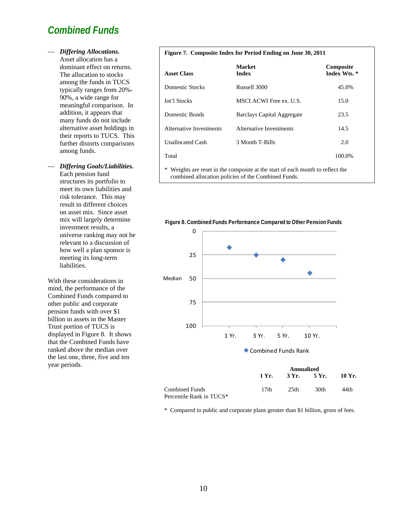- *Differing Allocations.* Asset allocation has a dominant effect on returns. The allocation to stocks among the funds in TUCS typically ranges from 20%- 90%, a wide range for meaningful comparison. In addition, it appears that many funds do not include alternative asset holdings in their reports to TUCS. This further distorts comparisons among funds.
- *Differing Goals/Liabilities.*  Each pension fund structures its portfolio to meet its own liabilities and risk tolerance. This may result in different choices on asset mix. Since asset mix will largely determine investment results, a universe ranking may not be relevant to a discussion of how well a plan sponsor is meeting its long-term liabilities.

With these considerations in mind, the performance of the Combined Funds compared to other public and corporate pension funds with over \$1 billion in assets in the Master Trust portion of TUCS is displayed in Figure 8. It shows that the Combined Funds have ranked above the median over the last one, three, five and ten year periods.

#### **Figure 7. Composite Index for Period Ending on June 30, 2011**

| <b>Asset Class</b>      | Market<br><b>Index</b>                                                         | Composite<br>Index Wts. * |
|-------------------------|--------------------------------------------------------------------------------|---------------------------|
| Domestic Stocks         | Russell 3000                                                                   | 45.0%                     |
| Int'l Stocks            | MSCI ACWI Free ex. U.S.                                                        | 15.0                      |
| Domestic Bonds          | <b>Barclays Capital Aggregate</b>                                              | 23.5                      |
| Alternative Investments | <b>Alternative Investments</b>                                                 | 14.5                      |
| <b>Unallocated Cash</b> | 3 Month T-Bills                                                                | 2.0                       |
| Total                   |                                                                                | 100.0%                    |
|                         | * Weights are reset in the composite at the start of each month to reflect the |                           |

combined allocation policies of the Combined Funds.



**Figure 8. Combined Funds Performance Compared to Other Pension Funds**

\* Compared to public and corporate plans greater than \$1 billion, gross of fees.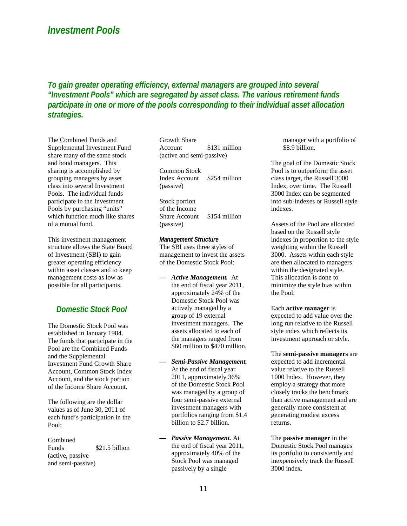*To gain greater operating efficiency, external managers are grouped into several "Investment Pools" which are segregated by asset class. The various retirement funds participate in one or more of the pools corresponding to their individual asset allocation strategies.* 

The Combined Funds and Supplemental Investment Fund share many of the same stock and bond managers. This sharing is accomplished by grouping managers by asset class into several Investment Pools. The individual funds participate in the Investment Pools by purchasing "units" which function much like shares of a mutual fund.

This investment management structure allows the State Board of Investment (SBI) to gain greater operating efficiency within asset classes and to keep management costs as low as possible for all participants.

### *Domestic Stock Pool*

The Domestic Stock Pool was established in January 1984. The funds that participate in the Pool are the Combined Funds and the Supplemental Investment Fund Growth Share Account, Common Stock Index Account, and the stock portion of the Income Share Account.

The following are the dollar values as of June 30, 2011 of each fund's participation in the Pool:

Combined Funds \$21.5 billion (active, passive and semi-passive)

Growth Share Account \$131 million (active and semi-passive)

Common Stock Index Account \$254 million (passive)

Stock portion of the Income Share Account \$154 million (passive)

*Management Structure*  The SBI uses three styles of management to invest the assets of the Domestic Stock Pool:

- *Active Management.* At the end of fiscal year 2011, approximately 24% of the Domestic Stock Pool was actively managed by a group of 19 external investment managers. The assets allocated to each of the managers ranged from \$60 million to \$470 million.
- *Semi-Passive Management.* At the end of fiscal year 2011, approximately 36% of the Domestic Stock Pool was managed by a group of four semi-passive external investment managers with portfolios ranging from \$1.4 billion to \$2.7 billion.
- *Passive Management.* At the end of fiscal year 2011, approximately 40% of the Stock Pool was managed passively by a single

manager with a portfolio of \$8.9 billion.

The goal of the Domestic Stock Pool is to outperform the asset class target, the Russell 3000 Index, over time. The Russell 3000 Index can be segmented into sub-indexes or Russell style indexes.

Assets of the Pool are allocated based on the Russell style indexes in proportion to the style weighting within the Russell 3000. Assets within each style are then allocated to managers within the designated style. This allocation is done to minimize the style bias within the Pool.

Each **active manager** is expected to add value over the long run relative to the Russell style index which reflects its investment approach or style.

The **semi-passive managers** are expected to add incremental value relative to the Russell 1000 Index. However, they employ a strategy that more closely tracks the benchmark than active management and are generally more consistent at generating modest excess returns.

The **passive manager** in the Domestic Stock Pool manages its portfolio to consistently and inexpensively track the Russell 3000 index.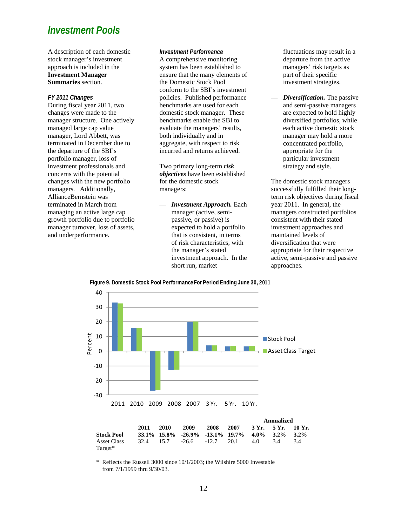A description of each domestic stock manager's investment approach is included in the **Investment Manager Summaries** section.

#### *FY 2011 Changes*

During fiscal year 2011, two changes were made to the manager structure. One actively managed large cap value manager, Lord Abbett, was terminated in December due to the departure of the SBI's portfolio manager, loss of investment professionals and concerns with the potential changes with the new portfolio managers.Additionally, AllianceBernstein was terminated in March from managing an active large cap growth portfolio due to portfolio manager turnover, loss of assets, and underperformance.

#### *Investment Performance*

A comprehensive monitoring system has been established to ensure that the many elements of the Domestic Stock Pool conform to the SBI's investment policies. Published performance benchmarks are used for each domestic stock manager. These benchmarks enable the SBI to evaluate the managers' results, both individually and in aggregate, with respect to risk incurred and returns achieved.

Two primary long-term *risk objectives* have been established for the domestic stock managers:

*— Investment Approach.* Each manager (active, semipassive, or passive) is expected to hold a portfolio that is consistent, in terms of risk characteristics, with the manager's stated investment approach. In the short run, market

fluctuations may result in a departure from the active managers' risk targets as part of their specific investment strategies.

*Diversification*. The passive and semi-passive managers are expected to hold highly diversified portfolios, while each active domestic stock manager may hold a more concentrated portfolio, appropriate for the particular investment strategy and style.

The domestic stock managers successfully fulfilled their longterm risk objectives during fiscal year 2011. In general, the managers constructed portfolios consistent with their stated investment approaches and maintained levels of diversification that were appropriate for their respective active, semi-passive and passive approaches.

**Figure 9. Domestic Stock Pool Performance For Period Ending June 30, 2011**



|                   |      |        |                                                                        |                              | Annualized |  |  |  |
|-------------------|------|--------|------------------------------------------------------------------------|------------------------------|------------|--|--|--|
|                   | 2011 | - 2010 | 2009                                                                   | 2008 2007 3 Yr. 5 Yr. 10 Yr. |            |  |  |  |
| <b>Stock Pool</b> |      |        | $33.1\%$ $15.8\%$ $-26.9\%$ $-13.1\%$ $19.7\%$ $4.0\%$ $3.2\%$ $3.2\%$ |                              |            |  |  |  |
| Asset Class       |      |        | 32.4 15.7 -26.6 -12.7 20.1 4.0 3.4 3.4                                 |                              |            |  |  |  |
| Target*           |      |        |                                                                        |                              |            |  |  |  |

\* Reflects the Russell 3000 since 10/1/2003; the Wilshire 5000 Investable from 7/1/1999 thru 9/30/03.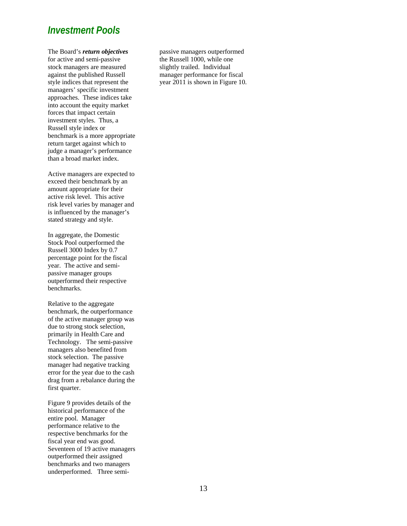The Board's *return objectives* for active and semi-passive stock managers are measured against the published Russell style indices that represent the managers' specific investment approaches. These indices take into account the equity market forces that impact certain investment styles. Thus, a Russell style index or benchmark is a more appropriate return target against which to judge a manager's performance than a broad market index.

Active managers are expected to exceed their benchmark by an amount appropriate for their active risk level. This active risk level varies by manager and is influenced by the manager's stated strategy and style.

In aggregate, the Domestic Stock Pool outperformed the Russell 3000 Index by 0.7 percentage point for the fiscal year. The active and semipassive manager groups outperformed their respective benchmarks.

Relative to the aggregate benchmark, the outperformance of the active manager group was due to strong stock selection, primarily in Health Care and Technology. The semi-passive managers also benefited from stock selection. The passive manager had negative tracking error for the year due to the cash drag from a rebalance during the first quarter.

Figure 9 provides details of the historical performance of the entire pool. Manager performance relative to the respective benchmarks for the fiscal year end was good. Seventeen of 19 active managers outperformed their assigned benchmarks and two managers underperformed. Three semipassive managers outperformed the Russell 1000, while one slightly trailed. Individual manager performance for fiscal year 2011 is shown in Figure 10.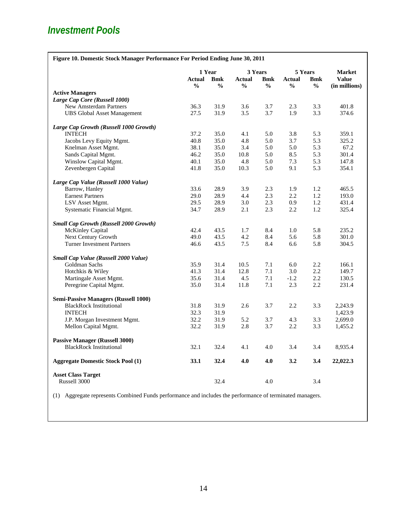| Figure 10. Domestic Stock Manager Performance For Period Ending June 30, 2011 |                         |                                       |                         |                                        |                         |                                        |                                                |
|-------------------------------------------------------------------------------|-------------------------|---------------------------------------|-------------------------|----------------------------------------|-------------------------|----------------------------------------|------------------------------------------------|
|                                                                               | Actual<br>$\frac{0}{0}$ | 1 Year<br><b>Bmk</b><br>$\frac{0}{0}$ | Actual<br>$\frac{0}{0}$ | 3 Years<br><b>Bmk</b><br>$\frac{0}{0}$ | Actual<br>$\frac{6}{6}$ | 5 Years<br><b>Bmk</b><br>$\frac{0}{0}$ | <b>Market</b><br><b>Value</b><br>(in millions) |
| <b>Active Managers</b>                                                        |                         |                                       |                         |                                        |                         |                                        |                                                |
| Large Cap Core (Russell 1000)                                                 |                         |                                       |                         |                                        |                         |                                        |                                                |
| New Amsterdam Partners                                                        | 36.3                    | 31.9                                  | 3.6                     | 3.7                                    | 2.3                     | 3.3                                    | 401.8                                          |
| <b>UBS Global Asset Management</b>                                            | 27.5                    | 31.9                                  | 3.5                     | 3.7                                    | 1.9                     | 3.3                                    | 374.6                                          |
| Large Cap Growth (Russell 1000 Growth)                                        |                         |                                       |                         |                                        |                         |                                        |                                                |
| <b>INTECH</b>                                                                 | 37.2                    | 35.0                                  | 4.1                     | 5.0                                    | 3.8                     | 5.3                                    | 359.1                                          |
| Jacobs Levy Equity Mgmt.                                                      | 40.8                    | 35.0                                  | 4.8                     | 5.0                                    | 3.7                     | 5.3                                    | 325.2                                          |
| Knelman Asset Mgmt.                                                           | 38.1                    | 35.0                                  | 3.4                     | 5.0                                    | 5.0                     | 5.3                                    | 67.2                                           |
| Sands Capital Mgmt.                                                           | 46.2                    | 35.0                                  | 10.8                    | 5.0                                    | 8.5                     | 5.3                                    | 301.4                                          |
| Winslow Capital Mgmt.                                                         | 40.1                    | 35.0                                  | 4.8                     | 5.0                                    | 7.3                     | 5.3                                    | 147.8                                          |
| Zevenbergen Capital                                                           | 41.8                    | 35.0                                  | 10.3                    | 5.0                                    | 9.1                     | 5.3                                    | 354.1                                          |
| Large Cap Value (Russell 1000 Value)                                          |                         |                                       |                         |                                        |                         |                                        |                                                |
| Barrow, Hanley                                                                | 33.6                    | 28.9                                  | 3.9                     | 2.3                                    | 1.9                     | 1.2                                    | 465.5                                          |
| <b>Earnest Partners</b>                                                       | 29.0                    | 28.9                                  | 4.4                     | 2.3                                    | 2.2                     | 1.2                                    | 193.0                                          |
| LSV Asset Mgmt.                                                               | 29.5                    | 28.9                                  | 3.0                     | 2.3                                    | 0.9                     | 1.2                                    | 431.4                                          |
| Systematic Financial Mgmt.                                                    | 34.7                    | 28.9                                  | 2.1                     | 2.3                                    | 2.2                     | 1.2                                    | 325.4                                          |
| Small Cap Growth (Russell 2000 Growth)                                        |                         |                                       |                         |                                        |                         |                                        |                                                |
| McKinley Capital                                                              | 42.4                    | 43.5                                  | 1.7                     | 8.4                                    | 1.0                     | 5.8                                    | 235.2                                          |
| Next Century Growth                                                           | 49.0                    | 43.5                                  | 4.2                     | 8.4                                    | 5.6                     | 5.8                                    | 301.0                                          |
| <b>Turner Investment Partners</b>                                             | 46.6                    | 43.5                                  | 7.5                     | 8.4                                    | 6.6                     | 5.8                                    | 304.5                                          |
| <b>Small Cap Value (Russell 2000 Value)</b>                                   |                         |                                       |                         |                                        |                         |                                        |                                                |
| Goldman Sachs                                                                 | 35.9                    | 31.4                                  | 10.5                    | 7.1                                    | 6.0                     | 2.2                                    | 166.1                                          |
| Hotchkis & Wiley                                                              | 41.3                    | 31.4                                  | 12.8                    | 7.1                                    | 3.0                     | 2.2                                    | 149.7                                          |
| Martingale Asset Mgmt.                                                        | 35.6                    | 31.4                                  | 4.5                     | 7.1                                    | $-1.2$                  | 2.2                                    | 130.5                                          |
| Peregrine Capital Mgmt.                                                       | 35.0                    | 31.4                                  | 11.8                    | 7.1                                    | 2.3                     | 2.2                                    | 231.4                                          |
| <b>Semi-Passive Managers (Russell 1000)</b>                                   |                         |                                       |                         |                                        |                         |                                        |                                                |
| <b>BlackRock Institutional</b>                                                | 31.8                    | 31.9                                  | 2.6                     | 3.7                                    | 2.2                     | 3.3                                    | 2,243.9                                        |
| <b>INTECH</b>                                                                 | 32.3                    | 31.9                                  |                         |                                        |                         |                                        | 1,423.9                                        |
| J.P. Morgan Investment Mgmt.                                                  | 32.2                    | 31.9                                  | 5.2                     | 3.7                                    | 4.3                     | 3.3                                    | 2,699.0                                        |
| Mellon Capital Mgmt.                                                          | 32.2                    | 31.9                                  | 2.8                     | 3.7                                    | 2.2                     | 3.3                                    | 1,455.2                                        |
| <b>Passive Manager (Russell 3000)</b>                                         |                         |                                       |                         |                                        |                         |                                        |                                                |
| <b>BlackRock Institutional</b>                                                | 32.1                    | 32.4                                  | 4.1                     | 4.0                                    | 3.4                     | 3.4                                    | 8,935.4                                        |
| <b>Aggregate Domestic Stock Pool (1)</b>                                      | 33.1                    | 32.4                                  | 4.0                     | 4.0                                    | 3.2                     | 3.4                                    | 22,022.3                                       |
| <b>Asset Class Target</b>                                                     |                         |                                       |                         |                                        |                         |                                        |                                                |
| Russell 3000                                                                  |                         | 32.4                                  |                         | 4.0                                    |                         | 3.4                                    |                                                |

(1) Aggregate represents Combined Funds performance and includes the performance of terminated managers.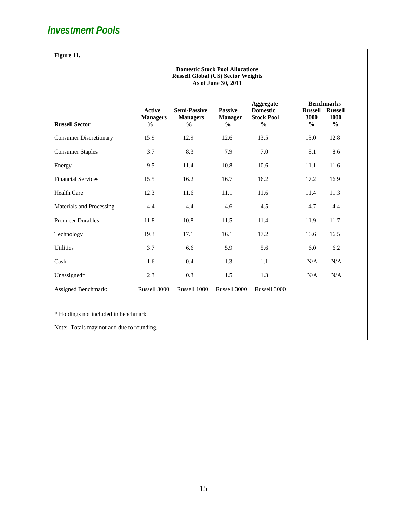**Figure 11.** 

#### **Domestic Stock Pool Allocations Russell Global (US) Sector Weights As of June 30, 2011**

| <b>Russell Sector</b>         | <b>Active</b><br><b>Managers</b><br>$\frac{0}{0}$ | <b>Semi-Passive</b><br><b>Managers</b><br>$\frac{0}{0}$ | <b>Passive</b><br><b>Manager</b><br>$\frac{0}{0}$ | Aggregate<br><b>Domestic</b><br><b>Stock Pool</b><br>$\frac{0}{0}$ | <b>Russell</b><br>3000<br>$\frac{6}{6}$ | <b>Benchmarks</b><br><b>Russell</b><br>1000<br>$\frac{6}{9}$ |
|-------------------------------|---------------------------------------------------|---------------------------------------------------------|---------------------------------------------------|--------------------------------------------------------------------|-----------------------------------------|--------------------------------------------------------------|
| <b>Consumer Discretionary</b> | 15.9                                              | 12.9                                                    | 12.6                                              | 13.5                                                               | 13.0                                    | 12.8                                                         |
| <b>Consumer Staples</b>       | 3.7                                               | 8.3                                                     | 7.9                                               | 7.0                                                                | 8.1                                     | 8.6                                                          |
| Energy                        | 9.5                                               | 11.4                                                    | 10.8                                              | 10.6                                                               | 11.1                                    | 11.6                                                         |
| <b>Financial Services</b>     | 15.5                                              | 16.2                                                    | 16.7                                              | 16.2                                                               | 17.2                                    | 16.9                                                         |
| Health Care                   | 12.3                                              | 11.6                                                    | 11.1                                              | 11.6                                                               | 11.4                                    | 11.3                                                         |
| Materials and Processing      | 4.4                                               | 4.4                                                     | 4.6                                               | 4.5                                                                | 4.7                                     | 4.4                                                          |
| <b>Producer Durables</b>      | 11.8                                              | 10.8                                                    | 11.5                                              | 11.4                                                               | 11.9                                    | 11.7                                                         |
| Technology                    | 19.3                                              | 17.1                                                    | 16.1                                              | 17.2                                                               | 16.6                                    | 16.5                                                         |
| <b>Utilities</b>              | 3.7                                               | 6.6                                                     | 5.9                                               | 5.6                                                                | 6.0                                     | 6.2                                                          |
| Cash                          | 1.6                                               | 0.4                                                     | 1.3                                               | 1.1                                                                | N/A                                     | N/A                                                          |
| Unassigned*                   | 2.3                                               | 0.3                                                     | 1.5                                               | 1.3                                                                | N/A                                     | N/A                                                          |
| Assigned Benchmark:           | Russell 3000                                      | Russell 1000                                            | Russell 3000                                      | Russell 3000                                                       |                                         |                                                              |

\* Holdings not included in benchmark.

Note: Totals may not add due to rounding.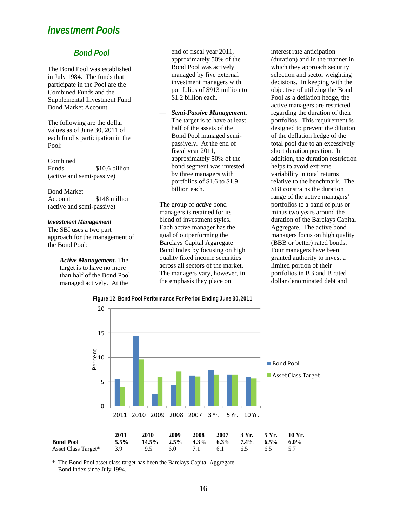### *Bond Pool*

The Bond Pool was established in July 1984. The funds that participate in the Pool are the Combined Funds and the Supplemental Investment Fund Bond Market Account.

The following are the dollar values as of June 30, 2011 of each fund's participation in the Pool:

Combined Funds \$10.6 billion (active and semi-passive)

Bond Market Account \$148 million (active and semi-passive)

#### *Investment Management*

The SBI uses a two part approach for the management of the Bond Pool:

— *Active Management.* The target is to have no more than half of the Bond Pool managed actively. At the

end of fiscal year 2011, approximately 50% of the Bond Pool was actively managed by five external investment managers with portfolios of \$913 million to \$1.2 billion each.

— *Semi-Passive Management.* The target is to have at least half of the assets of the Bond Pool managed semipassively. At the end of fiscal year 2011, approximately 50% of the bond segment was invested by three managers with portfolios of \$1.6 to \$1.9 billion each.

The group of *active* bond managers is retained for its blend of investment styles. Each active manager has the goal of outperforming the Barclays Capital Aggregate Bond Index by focusing on high quality fixed income securities across all sectors of the market. The managers vary, however, in the emphasis they place on

interest rate anticipation (duration) and in the manner in which they approach security selection and sector weighting decisions. In keeping with the objective of utilizing the Bond Pool as a deflation hedge, the active managers are restricted regarding the duration of their portfolios. This requirement is designed to prevent the dilution of the deflation hedge of the total pool due to an excessively short duration position. In addition, the duration restriction helps to avoid extreme variability in total returns relative to the benchmark. The SBI constrains the duration range of the active managers' portfolios to a band of plus or minus two years around the duration of the Barclays Capital Aggregate. The active bond managers focus on high quality (BBB or better) rated bonds. Four managers have been granted authority to invest a limited portion of their portfolios in BB and B rated dollar denominated debt and



\* The Bond Pool asset class target has been the Barclays Capital Aggregate Bond Index since July 1994.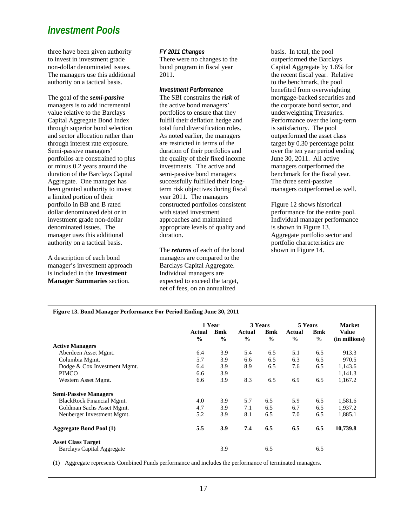three have been given authority to invest in investment grade non-dollar denominated issues. The managers use this additional authority on a tactical basis.

The goal of the *semi-passive* managers is to add incremental value relative to the Barclays Capital Aggregate Bond Index through superior bond selection and sector allocation rather than through interest rate exposure. Semi-passive managers' portfolios are constrained to plus or minus 0.2 years around the duration of the Barclays Capital Aggregate. One manager has been granted authority to invest a limited portion of their portfolio in BB and B rated dollar denominated debt or in investment grade non-dollar denominated issues. The manager uses this additional authority on a tactical basis.

A description of each bond manager's investment approach is included in the **Investment Manager Summaries** section.

#### *FY 2011 Changes*

There were no changes to the bond program in fiscal year 2011.

*Investment Performance*  The SBI constrains the *risk* of the active bond managers' portfolios to ensure that they fulfill their deflation hedge and total fund diversification roles. As noted earlier, the managers are restricted in terms of the duration of their portfolios and the quality of their fixed income investments. The active and semi-passive bond managers successfully fulfilled their longterm risk objectives during fiscal year 2011. The managers constructed portfolios consistent with stated investment approaches and maintained appropriate levels of quality and duration.

The *returns* of each of the bond managers are compared to the Barclays Capital Aggregate. Individual managers are expected to exceed the target, net of fees, on an annualized

basis. In total, the pool outperformed the Barclays Capital Aggregate by 1.6% for the recent fiscal year. Relative to the benchmark, the pool benefited from overweighting mortgage-backed securities and the corporate bond sector, and underweighting Treasuries. Performance over the long-term is satisfactory. The pool outperformed the asset class target by 0.30 percentage point over the ten year period ending June 30, 2011. All active managers outperformed the benchmark for the fiscal year. The three semi-passive managers outperformed as well.

Figure 12 shows historical performance for the entire pool. Individual manager performance is shown in Figure 13. Aggregate portfolio sector and portfolio characteristics are shown in Figure 14.

| Figure 13. Bond Manager Performance For Period Ending June 30, 2011 |                         |                             |                         |                             |                         |                             |                               |
|---------------------------------------------------------------------|-------------------------|-----------------------------|-------------------------|-----------------------------|-------------------------|-----------------------------|-------------------------------|
|                                                                     |                         | 1 Year                      |                         | 3 Years                     |                         | 5 Years                     | <b>Market</b>                 |
|                                                                     | Actual<br>$\frac{0}{0}$ | <b>Bmk</b><br>$\frac{0}{0}$ | Actual<br>$\frac{0}{0}$ | <b>Bmk</b><br>$\frac{0}{0}$ | Actual<br>$\frac{0}{0}$ | <b>Bmk</b><br>$\frac{0}{0}$ | <b>Value</b><br>(in millions) |
| <b>Active Managers</b>                                              |                         |                             |                         |                             |                         |                             |                               |
| Aberdeen Asset Mgmt.                                                | 6.4                     | 3.9                         | 5.4                     | 6.5                         | 5.1                     | 6.5                         | 913.3                         |
| Columbia Mgmt.                                                      | 5.7                     | 3.9                         | 6.6                     | 6.5                         | 6.3                     | 6.5                         | 970.5                         |
| Dodge & Cox Investment Mgmt.                                        | 6.4                     | 3.9                         | 8.9                     | 6.5                         | 7.6                     | 6.5                         | 1,143.6                       |
| <b>PIMCO</b>                                                        | 6.6                     | 3.9                         |                         |                             |                         |                             | 1,141.3                       |
| Western Asset Mgmt.                                                 | 6.6                     | 3.9                         | 8.3                     | 6.5                         | 6.9                     | 6.5                         | 1,167.2                       |
| <b>Semi-Passive Managers</b>                                        |                         |                             |                         |                             |                         |                             |                               |
| <b>BlackRock Financial Mgmt.</b>                                    | 4.0                     | 3.9                         | 5.7                     | 6.5                         | 5.9                     | 6.5                         | 1,581.6                       |
| Goldman Sachs Asset Mgmt.                                           | 4.7                     | 3.9                         | 7.1                     | 6.5                         | 6.7                     | 6.5                         | 1,937.2                       |
| Neuberger Investment Mgmt.                                          | 5.2                     | 3.9                         | 8.1                     | 6.5                         | 7.0                     | 6.5                         | 1,885.1                       |
| <b>Aggregate Bond Pool (1)</b>                                      | 5.5                     | 3.9                         | 7.4                     | 6.5                         | 6.5                     | 6.5                         | 10,739.8                      |
| <b>Asset Class Target</b>                                           |                         |                             |                         |                             |                         |                             |                               |
| <b>Barclays Capital Aggregate</b>                                   |                         | 3.9                         |                         | 6.5                         |                         | 6.5                         |                               |

(1) Aggregate represents Combined Funds performance and includes the performance of terminated managers.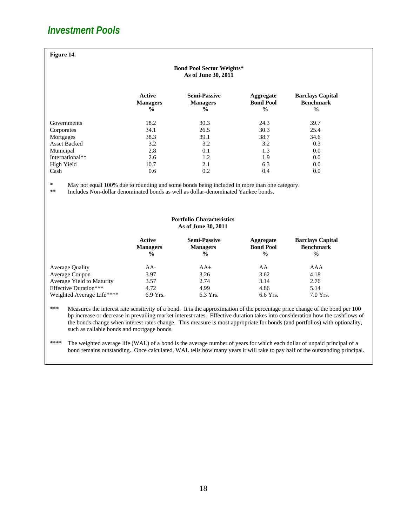| <b>Bond Pool Sector Weights*</b><br>As of June 30, 2011 |                                                   |                                                         |                                                |                                                              |  |  |  |  |
|---------------------------------------------------------|---------------------------------------------------|---------------------------------------------------------|------------------------------------------------|--------------------------------------------------------------|--|--|--|--|
|                                                         | <b>Active</b><br><b>Managers</b><br>$\frac{0}{0}$ | <b>Semi-Passive</b><br><b>Managers</b><br>$\frac{0}{0}$ | Aggregate<br><b>Bond Pool</b><br>$\frac{6}{6}$ | <b>Barclays Capital</b><br><b>Benchmark</b><br>$\frac{0}{0}$ |  |  |  |  |
| Governments                                             | 18.2                                              | 30.3                                                    | 24.3                                           | 39.7                                                         |  |  |  |  |
| Corporates                                              | 34.1                                              | 26.5                                                    | 30.3                                           | 25.4                                                         |  |  |  |  |
| Mortgages                                               | 38.3                                              | 39.1                                                    | 38.7                                           | 34.6                                                         |  |  |  |  |
| <b>Asset Backed</b>                                     | 3.2                                               | 3.2                                                     | 3.2                                            | 0.3                                                          |  |  |  |  |
| Municipal                                               | 2.8                                               | 0.1                                                     | 1.3                                            | 0.0                                                          |  |  |  |  |
| International**                                         | 2.6                                               | 1.2                                                     | 1.9                                            | 0.0                                                          |  |  |  |  |
| High Yield                                              | 10.7                                              | 2.1                                                     | 6.3                                            | 0.0                                                          |  |  |  |  |
| Cash                                                    | 0.6                                               | 0.2                                                     | 0.4                                            | 0.0                                                          |  |  |  |  |

\* May not equal 100% due to rounding and some bonds being included in more than one category.<br>\*\* Includes Non-dollar denominated bonds as well as dollar-denominated Yankee bonds.

Includes Non-dollar denominated bonds as well as dollar-denominated Yankee bonds.

#### **Portfolio Characteristics As of June 30, 2011**

|                               | Active<br><b>Managers</b><br>$\frac{0}{0}$ | <b>Semi-Passive</b><br><b>Managers</b><br>$\frac{0}{0}$ | Aggregate<br><b>Bond Pool</b><br>$\frac{0}{0}$ | <b>Barclays Capital</b><br><b>Benchmark</b><br>$\frac{0}{0}$ |
|-------------------------------|--------------------------------------------|---------------------------------------------------------|------------------------------------------------|--------------------------------------------------------------|
| <b>Average Quality</b>        | $AA-$                                      | $AA+$                                                   | AА                                             | AAA                                                          |
| Average Coupon                | 3.97                                       | 3.26                                                    | 3.62                                           | 4.18                                                         |
| Average Yield to Maturity     | 3.57                                       | 2.74                                                    | 3.14                                           | 2.76                                                         |
| <b>Effective Duration</b> *** | 4.72                                       | 4.99                                                    | 4.86                                           | 5.14                                                         |
| Weighted Average Life****     | $6.9$ Yrs.                                 | 6.3 Yrs.                                                | 6.6 Yrs.                                       | 7.0 Yrs.                                                     |

\*\*\* Measures the interest rate sensitivity of a bond. It is the approximation of the percentage price change of the bond per 100 bp increase or decrease in prevailing market interest rates. Effective duration takes into consideration how the cashflows of the bonds change when interest rates change. This measure is most appropriate for bonds (and portfolios) with optionality, such as callable bonds and mortgage bonds.

\*\*\*\* The weighted average life (WAL) of a bond is the average number of years for which each dollar of unpaid principal of a bond remains outstanding. Once calculated, WAL tells how many years it will take to pay half of the outstanding principal.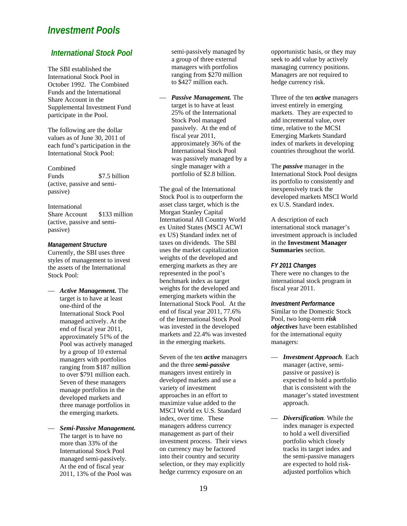### *International Stock Pool*

The SBI established the International Stock Pool in October 1992. The Combined Funds and the International Share Account in the Supplemental Investment Fund participate in the Pool.

The following are the dollar values as of June 30, 2011 of each fund's participation in the International Stock Pool:

Combined Funds \$7.5 billion (active, passive and semipassive)

International Share Account \$133 million (active, passive and semipassive)

#### *Management Structure*

Currently, the SBI uses three styles of management to invest the assets of the International Stock Pool:

— *Active Management.* The target is to have at least one-third of the International Stock Pool managed actively. At the end of fiscal year 2011, approximately 51% of the Pool was actively managed by a group of 10 external managers with portfolios ranging from \$187 million to over \$791 million each. Seven of these managers manage portfolios in the developed markets and three manage portfolios in the emerging markets.

— *Semi-Passive Management.*  The target is to have no more than 33% of the International Stock Pool managed semi-passively. At the end of fiscal year 2011, 13% of the Pool was

semi-passively managed by a group of three external managers with portfolios ranging from \$270 million to \$427 million each.

— *Passive Management.* The target is to have at least 25% of the International Stock Pool managed passively. At the end of fiscal year 2011, approximately 36% of the International Stock Pool was passively managed by a single manager with a portfolio of \$2.8 billion.

The goal of the International Stock Pool is to outperform the asset class target, which is the Morgan Stanley Capital International All Country World ex United States (MSCI ACWI ex US) Standard index net of taxes on dividends. The SBI uses the market capitalization weights of the developed and emerging markets as they are represented in the pool's benchmark index as target weights for the developed and emerging markets within the International Stock Pool. At the end of fiscal year 2011, 77.6% of the International Stock Pool was invested in the developed markets and 22.4% was invested in the emerging markets.

Seven of the ten *active* managers and the three *semi-passive* managers invest entirely in developed markets and use a variety of investment approaches in an effort to maximize value added to the MSCI World ex U.S. Standard index, over time. These managers address currency management as part of their investment process. Their views on currency may be factored into their country and security selection, or they may explicitly hedge currency exposure on an

opportunistic basis, or they may seek to add value by actively managing currency positions. Managers are not required to hedge currency risk.

Three of the ten *active* managers invest entirely in emerging markets. They are expected to add incremental value, over time, relative to the MCSI Emerging Markets Standard index of markets in developing countries throughout the world.

The *passive* manager in the International Stock Pool designs its portfolio to consistently and inexpensively track the developed markets MSCI World ex U.S. Standard index.

A description of each international stock manager's investment approach is included in the **Investment Manager Summaries** section.

#### *FY 2011 Changes*

There were no changes to the international stock program in fiscal year 2011.

*Investment Performance*  Similar to the Domestic Stock Pool, two long-term *risk objectives* have been established for the international equity managers:

- *Investment Approach.* Each manager (active, semipassive or passive) is expected to hold a portfolio that is consistent with the manager's stated investment approach.
- *Diversification.* While the index manager is expected to hold a well diversified portfolio which closely tracks its target index and the semi-passive managers are expected to hold riskadjusted portfolios which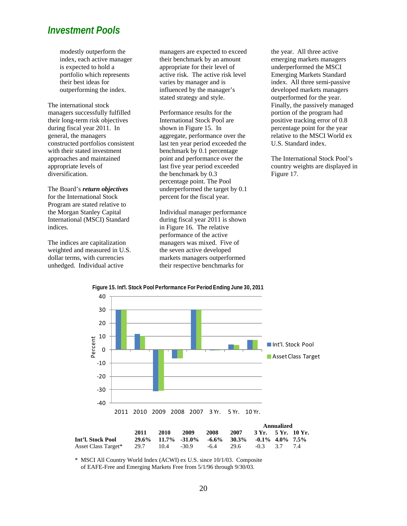modestly outperform the index, each active manager is expected to hold a portfolio which represents their best ideas for outperforming the index.

The international stock managers successfully fulfilled their long-term risk objectives during fiscal year 2011. In general, the managers constructed portfolios consistent with their stated investment approaches and maintained appropriate levels of diversification.

The Board's *return objectives* for the International Stock Program are stated relative to the Morgan Stanley Capital International (MSCI) Standard indices.

The indices are capitalization weighted and measured in U.S. dollar terms, with currencies unhedged. Individual active

managers are expected to exceed their benchmark by an amount appropriate for their level of active risk. The active risk level varies by manager and is influenced by the manager's stated strategy and style.

Performance results for the International Stock Pool are shown in Figure 15. In aggregate, performance over the last ten year period exceeded the benchmark by 0.1 percentage point and performance over the last five year period exceeded the benchmark by 0.3 percentage point. The Pool underperformed the target by 0.1 percent for the fiscal year.

Individual manager performance during fiscal year 2011 is shown in Figure 16. The relative performance of the active managers was mixed. Five of the seven active developed markets managers outperformed their respective benchmarks for

the year. All three active emerging markets managers underperformed the MSCI Emerging Markets Standard index. All three semi-passive developed markets managers outperformed for the year. Finally, the passively managed portion of the program had positive tracking error of 0.8 percentage point for the year relative to the MSCI World ex U.S. Standard index.

The International Stock Pool's country weights are displayed in Figure 17.



\* MSCI All Country World Index (ACWI) ex U.S. since 10/1/03. Composite of EAFE-Free and Emerging Markets Free from 5/1/96 through 9/30/03.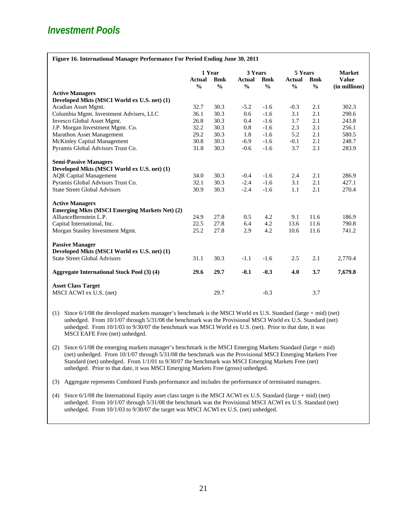|                                                      | <b>Actual</b><br>$\frac{0}{0}$ | 1 Year<br><b>Bmk</b><br>$\frac{0}{0}$ | 3 Years<br><b>Actual</b><br>$\frac{0}{0}$ | <b>Bmk</b><br>$\frac{0}{0}$ | 5 Years<br><b>Actual</b><br>$\frac{0}{0}$ | <b>Bmk</b><br>$\frac{0}{0}$ | <b>Market</b><br><b>Value</b><br>(in millions) |  |
|------------------------------------------------------|--------------------------------|---------------------------------------|-------------------------------------------|-----------------------------|-------------------------------------------|-----------------------------|------------------------------------------------|--|
| <b>Active Managers</b>                               |                                |                                       |                                           |                             |                                           |                             |                                                |  |
| Developed Mkts (MSCI World ex U.S. net) (1)          |                                |                                       |                                           |                             |                                           |                             |                                                |  |
| Acadian Asset Mgmt.                                  | 32.7                           | 30.3                                  | $-5.2$                                    | $-1.6$                      | $-0.3$                                    | 2.1                         | 302.3                                          |  |
| Columbia Mgmt. Investment Advisers, LLC              | 36.1                           | 30.3                                  | 0.6                                       | $-1.6$                      | 3.1                                       | 2.1                         | 290.6                                          |  |
| Invesco Global Asset Mgmt.                           | 26.8                           | 30.3                                  | 0.4                                       | $-1.6$                      | 1.7                                       | 2.1                         | 243.8                                          |  |
| J.P. Morgan Investment Mgmt. Co.                     | 32.2                           | 30.3                                  | 0.8                                       | $-1.6$                      | 2.3                                       | 2.1                         | 256.1                                          |  |
| <b>Marathon Asset Management</b>                     | 29.2                           | 30.3                                  | 1.8                                       | $-1.6$                      | 5.2                                       | 2.1                         | 580.5                                          |  |
| McKinley Capital Management                          | 30.8                           | 30.3                                  | $-6.9$                                    | $-1.6$                      | $-0.1$                                    | 2.1                         | 248.7                                          |  |
| Pyramis Global Advisors Trust Co.                    | 31.8                           | 30.3                                  | $-0.6$                                    | $-1.6$                      | 3.7                                       | 2.1                         | 283.9                                          |  |
| <b>Semi-Passive Managers</b>                         |                                |                                       |                                           |                             |                                           |                             |                                                |  |
| Developed Mkts (MSCI World ex U.S. net) (1)          |                                |                                       |                                           |                             |                                           |                             |                                                |  |
| <b>AOR Capital Management</b>                        | 34.0                           | 30.3                                  | $-0.4$                                    | $-1.6$                      | 2.4                                       | 2.1                         | 286.9                                          |  |
| Pyramis Global Advisors Trust Co.                    | 32.1                           | 30.3                                  | $-2.4$                                    | $-1.6$                      | 3.1                                       | 2.1                         | 427.1                                          |  |
| <b>State Street Global Advisors</b>                  | 30.9                           | 30.3                                  | $-2.4$                                    | $-1.6$                      | 1.1                                       | 2.1                         | 270.4                                          |  |
| <b>Active Managers</b>                               |                                |                                       |                                           |                             |                                           |                             |                                                |  |
| <b>Emerging Mkts (MSCI Emerging Markets Net) (2)</b> |                                |                                       |                                           |                             |                                           |                             |                                                |  |
| AllianceBernstein L.P.                               | 24.9                           | 27.8                                  | 0.5                                       | 4.2                         | 9.1                                       | 11.6                        | 186.9                                          |  |
| Capital International, Inc.                          | 22.5                           | 27.8                                  | 6.4                                       | 4.2                         | 13.6                                      | 11.6                        | 790.8                                          |  |
| Morgan Stanley Investment Mgmt.                      | 25.2                           | 27.8                                  | 2.9                                       | 4.2                         | 10.6                                      | 11.6                        | 741.2                                          |  |
| <b>Passive Manager</b>                               |                                |                                       |                                           |                             |                                           |                             |                                                |  |
| Developed Mkts (MSCI World ex U.S. net) (1)          |                                |                                       |                                           |                             |                                           |                             |                                                |  |
| <b>State Street Global Advisors</b>                  | 31.1                           | 30.3                                  | $-1.1$                                    | $-1.6$                      | 2.5                                       | 2.1                         | 2,770.4                                        |  |
| <b>Aggregate International Stock Pool (3) (4)</b>    | 29.6                           | 29.7                                  | $-0.1$                                    | $-0.3$                      | 4.0                                       | 3.7                         | 7,679.8                                        |  |
| <b>Asset Class Target</b>                            |                                |                                       |                                           |                             |                                           |                             |                                                |  |
| MSCI ACWI ex U.S. (net)                              |                                | 29.7                                  |                                           | $-0.3$                      |                                           | 3.7                         |                                                |  |

(1) Since 6/1/08 the developed markets manager's benchmark is the MSCI World ex U.S. Standard (large + mid) (net) unhedged. From 10/1/07 through 5/31/08 the benchmark was the Provisional MSCI World ex U.S. Standard (net) unhedged. From 10/1/03 to 9/30/07 the benchmark was MSCI World ex U.S. (net). Prior to that date, it was MSCI EAFE Free (net) unhedged.

(2) Since 6/1/08 the emerging markets manager's benchmark is the MSCI Emerging Markets Standard (large + mid) (net) unhedged. From 10/1/07 through 5/31/08 the benchmark was the Provisional MSCI Emerging Markets Free Standard (net) unhedged. From 1/1/01 to 9/30/07 the benchmark was MSCI Emerging Markets Free (net) unhedged. Prior to that date, it was MSCI Emerging Markets Free (gross) unhedged.

(3) Aggregate represents Combined Funds performance and includes the performance of terminated managers.

(4) Since 6/1/08 the International Equity asset class target is the MSCI ACWI ex U.S. Standard (large + mid) (net) unhedged. From 10/1/07 through 5/31/08 the benchmark was the Provisional MSCI ACWI ex U.S. Standard (net) unhedged. From 10/1/03 to 9/30/07 the target was MSCI ACWI ex U.S. (net) unhedged.

21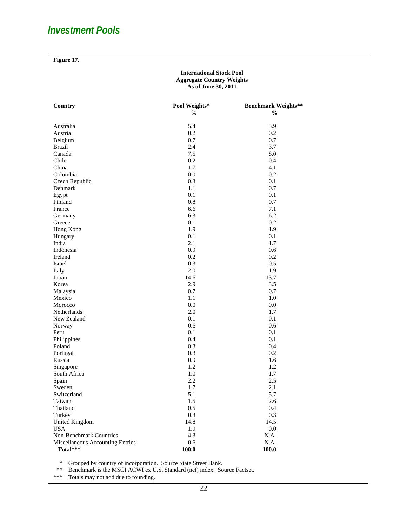**Figure 17.** 

#### **International Stock Pool Aggregate Country Weights As of June 30, 2011**

| Country                          | Pool Weights* | <b>Benchmark Weights**</b> |  |  |
|----------------------------------|---------------|----------------------------|--|--|
|                                  | $\frac{6}{6}$ | $\frac{0}{0}$              |  |  |
|                                  |               |                            |  |  |
| Australia                        | 5.4           | 5.9                        |  |  |
| Austria                          | 0.2           | 0.2                        |  |  |
| Belgium                          | 0.7           | 0.7                        |  |  |
| <b>Brazil</b>                    | 2.4           | 3.7                        |  |  |
| Canada                           | 7.5           | 8.0                        |  |  |
| Chile                            | 0.2           | 0.4                        |  |  |
| China                            | 1.7           | 4.1                        |  |  |
| Colombia                         | 0.0           | 0.2                        |  |  |
| Czech Republic                   | 0.3           | 0.1                        |  |  |
| Denmark                          | 1.1           | 0.7                        |  |  |
| Egypt                            | 0.1           | 0.1                        |  |  |
| Finland                          | 0.8           | 0.7                        |  |  |
| France                           | 6.6           | 7.1                        |  |  |
| Germany                          | 6.3           | 6.2                        |  |  |
| Greece                           | 0.1           | 0.2                        |  |  |
| Hong Kong                        | 1.9           | 1.9                        |  |  |
| Hungary                          | 0.1           | 0.1                        |  |  |
| India                            | 2.1           | 1.7                        |  |  |
| Indonesia                        | 0.9           | 0.6                        |  |  |
| Ireland                          | 0.2           | 0.2                        |  |  |
| Israel                           | 0.3           | 0.5                        |  |  |
| Italy                            | 2.0           | 1.9                        |  |  |
| Japan                            | 14.6          | 13.7                       |  |  |
| Korea                            | 2.9           | 3.5                        |  |  |
| Malaysia                         | 0.7           | 0.7                        |  |  |
| Mexico                           | 1.1           | 1.0                        |  |  |
| Morocco                          | 0.0           | 0.0                        |  |  |
| Netherlands                      | 2.0           | 1.7                        |  |  |
| New Zealand                      | 0.1           | 0.1                        |  |  |
| Norway                           | 0.6           | 0.6                        |  |  |
| Peru                             | 0.1           | 0.1                        |  |  |
| Philippines                      | 0.4           | 0.1                        |  |  |
| Poland                           | 0.3           | 0.4                        |  |  |
|                                  | 0.3           | 0.2                        |  |  |
| Portugal<br>Russia               | 0.9           | 1.6                        |  |  |
|                                  | 1.2           | 1.2                        |  |  |
| Singapore                        | 1.0           | 1.7                        |  |  |
| South Africa                     | 2.2           |                            |  |  |
| Spain<br>Sweden                  | 1.7           | 2.5<br>2.1                 |  |  |
|                                  |               |                            |  |  |
| Switzerland                      | 5.1           | 5.7                        |  |  |
| Taiwan                           | $1.5\,$       | $2.6\,$                    |  |  |
| Thailand                         | 0.5           | 0.4                        |  |  |
| Turkey                           | 0.3           | 0.3                        |  |  |
| United Kingdom                   | 14.8          | 14.5                       |  |  |
| <b>USA</b>                       | 1.9           | $0.0\,$                    |  |  |
| Non-Benchmark Countries          | 4.3           | N.A.                       |  |  |
| Miscellaneous Accounting Entries | 0.6           | N.A.                       |  |  |
| Total***                         | 100.0         | 100.0                      |  |  |

\* Grouped by country of incorporation. Source State Street Bank.<br>\*\* Benchmark is the MSCI ACWI ex U.S. Standard (net) index. So

Benchmark is the MSCI ACWI ex U.S. Standard (net) index. Source Factset.

\*\*\* Totals may not add due to rounding.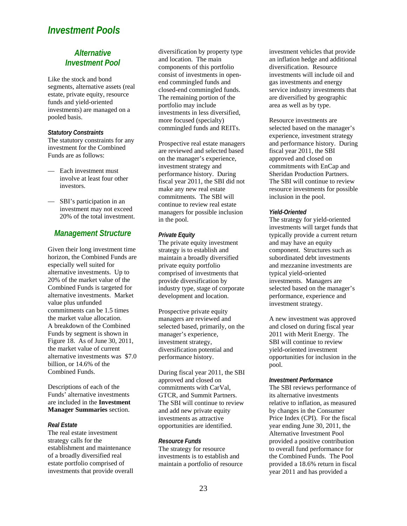### *Alternative Investment Pool*

Like the stock and bond segments, alternative assets (real estate, private equity, resource funds and yield-oriented investments) are managed on a pooled basis.

#### *Statutory Constraints*

The statutory constraints for any investment for the Combined Funds are as follows:

- Each investment must involve at least four other investors.
- SBI's participation in an investment may not exceed 20% of the total investment.

### *Management Structure*

Given their long investment time horizon, the Combined Funds are especially well suited for alternative investments. Up to 20% of the market value of the Combined Funds is targeted for alternative investments. Market value plus unfunded commitments can be 1.5 times the market value allocation. A breakdown of the Combined Funds by segment is shown in Figure 18. As of June 30, 2011, the market value of current alternative investments was \$7.0 billion, or 14.6% of the Combined Funds.

Descriptions of each of the Funds' alternative investments are included in the **Investment Manager Summaries** section.

#### *Real Estate*

The real estate investment strategy calls for the establishment and maintenance of a broadly diversified real estate portfolio comprised of investments that provide overall

diversification by property type and location. The main components of this portfolio consist of investments in openend commingled funds and closed-end commingled funds. The remaining portion of the portfolio may include investments in less diversified, more focused (specialty) commingled funds and REITs.

Prospective real estate managers are reviewed and selected based on the manager's experience, investment strategy and performance history. During fiscal year 2011, the SBI did not make any new real estate commitments. The SBI will continue to review real estate managers for possible inclusion in the pool.

#### *Private Equity*

The private equity investment strategy is to establish and maintain a broadly diversified private equity portfolio comprised of investments that provide diversification by industry type, stage of corporate development and location.

Prospective private equity managers are reviewed and selected based, primarily, on the manager's experience, investment strategy, diversification potential and performance history.

During fiscal year 2011, the SBI approved and closed on commitments with CarVal, GTCR, and Summit Partners. The SBI will continue to review and add new private equity investments as attractive opportunities are identified.

#### *Resource Funds*

The strategy for resource investments is to establish and maintain a portfolio of resource

investment vehicles that provide an inflation hedge and additional diversification. Resource investments will include oil and gas investments and energy service industry investments that are diversified by geographic area as well as by type.

Resource investments are selected based on the manager's experience, investment strategy and performance history. During fiscal year 2011, the SBI approved and closed on commitments with EnCap and Sheridan Production Partners. The SBI will continue to review resource investments for possible inclusion in the pool.

#### *Yield-Oriented*

The strategy for yield-oriented investments will target funds that typically provide a current return and may have an equity component. Structures such as subordinated debt investments and mezzanine investments are typical yield-oriented investments. Managers are selected based on the manager's performance, experience and investment strategy.

A new investment was approved and closed on during fiscal year 2011 with Merit Energy. The SBI will continue to review yield-oriented investment opportunities for inclusion in the pool.

#### *Investment Performance*

The SBI reviews performance of its alternative investments relative to inflation, as measured by changes in the Consumer Price Index (CPI). For the fiscal year ending June 30, 2011, the Alternative Investment Pool provided a positive contribution to overall fund performance for the Combined Funds. The Pool provided a 18.6% return in fiscal year 2011 and has provided a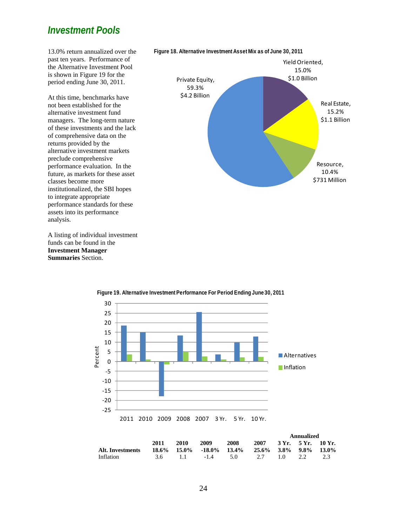13.0% return annualized over the past ten years. Performance of the Alternative Investment Pool is shown in Figure 19 for the period ending June 30, 2011.

At this time, benchmarks have not been established for the alternative investment fund managers. The long-term nature of these investments and the lack of comprehensive data on the returns provided by the alternative investment markets preclude comprehensive performance evaluation. In the future, as markets for these asset classes become more institutionalized, the SBI hopes to integrate appropriate performance standards for these assets into its performance analysis.

A listing of individual investment funds can be found in the **Investment Manager Summaries** Section.

> ‐25 ‐20 ‐15 ‐10 ‐5



0 5 10 15 20 25 30 Percent **Alternatives Inflation** 

2011 2010 2009 2008 2007 3 Yr. 5 Yr. 10 Yr.

#### **Figure 19. Alternative Investment Performance For Period Ending June 30, 2011**

|                  |      |       |                                                                        |      |                         | Annualized |     |
|------------------|------|-------|------------------------------------------------------------------------|------|-------------------------|------------|-----|
|                  | 2011 | -2010 | 2009                                                                   | 2008 | 2007 3 Yr. 5 Yr. 10 Yr. |            |     |
| Alt. Investments |      |       | $18.6\%$ $15.0\%$ $-18.0\%$ $13.4\%$ $25.6\%$ $3.8\%$ $9.8\%$ $13.0\%$ |      |                         |            |     |
| Inflation        |      |       | 3.6 1.1 -1.4 5.0 2.7 1.0 2.2                                           |      |                         |            | 2.3 |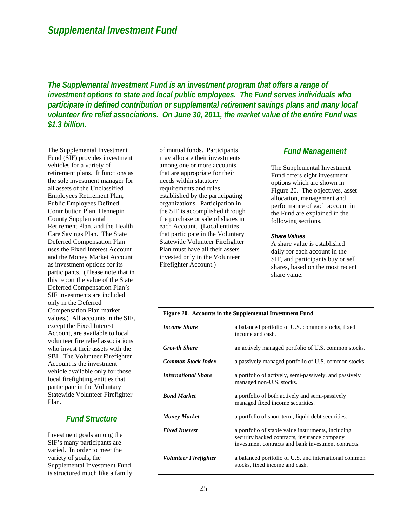*The Supplemental Investment Fund is an investment program that offers a range of investment options to state and local public employees. The Fund serves individuals who participate in defined contribution or supplemental retirement savings plans and many local volunteer fire relief associations. On June 30, 2011, the market value of the entire Fund was \$1.3 billion.* 

The Supplemental Investment Fund (SIF) provides investment vehicles for a variety of retirement plans. It functions as the sole investment manager for all assets of the Unclassified Employees Retirement Plan, Public Employees Defined Contribution Plan, Hennepin County Supplemental Retirement Plan, and the Health Care Savings Plan. The State Deferred Compensation Plan uses the Fixed Interest Account and the Money Market Account as investment options for its participants. (Please note that in this report the value of the State Deferred Compensation Plan's SIF investments are included only in the Deferred Compensation Plan market values.) All accounts in the SIF, except the Fixed Interest Account, are available to local volunteer fire relief associations who invest their assets with the SBI. The Volunteer Firefighter Account is the investment vehicle available only for those local firefighting entities that participate in the Voluntary Statewide Volunteer Firefighter Plan.

### *Fund Structure*

Investment goals among the SIF's many participants are varied. In order to meet the variety of goals, the Supplemental Investment Fund is structured much like a family of mutual funds. Participants may allocate their investments among one or more accounts that are appropriate for their needs within statutory requirements and rules established by the participating organizations. Participation in the SIF is accomplished through the purchase or sale of shares in each Account. (Local entities that participate in the Voluntary Statewide Volunteer Firefighter Plan must have all their assets invested only in the Volunteer Firefighter Account.)

### *Fund Management*

The Supplemental Investment Fund offers eight investment options which are shown in Figure 20. The objectives, asset allocation, management and performance of each account in the Fund are explained in the following sections.

#### *Share Values*

A share value is established daily for each account in the SIF, and participants buy or sell shares, based on the most recent share value.

| Figure 20. Accounts in the Supplemental Investment Fund |                                                                                                                                                           |  |  |  |  |  |  |
|---------------------------------------------------------|-----------------------------------------------------------------------------------------------------------------------------------------------------------|--|--|--|--|--|--|
| <b>Income Share</b>                                     | a balanced portfolio of U.S. common stocks, fixed<br>income and cash.                                                                                     |  |  |  |  |  |  |
| <b>Growth Share</b>                                     | an actively managed portfolio of U.S. common stocks.                                                                                                      |  |  |  |  |  |  |
| <b>Common Stock Index</b>                               | a passively managed portfolio of U.S. common stocks.                                                                                                      |  |  |  |  |  |  |
| <b>International Share</b>                              | a portfolio of actively, semi-passively, and passively<br>managed non-U.S. stocks.                                                                        |  |  |  |  |  |  |
| <b>Bond Market</b>                                      | a portfolio of both actively and semi-passively<br>managed fixed income securities.                                                                       |  |  |  |  |  |  |
| <b>Money Market</b>                                     | a portfolio of short-term, liquid debt securities.                                                                                                        |  |  |  |  |  |  |
| <b>Fixed Interest</b>                                   | a portfolio of stable value instruments, including<br>security backed contracts, insurance company<br>investment contracts and bank investment contracts. |  |  |  |  |  |  |
| Volunteer Firefighter                                   | a balanced portfolio of U.S. and international common<br>stocks, fixed income and cash.                                                                   |  |  |  |  |  |  |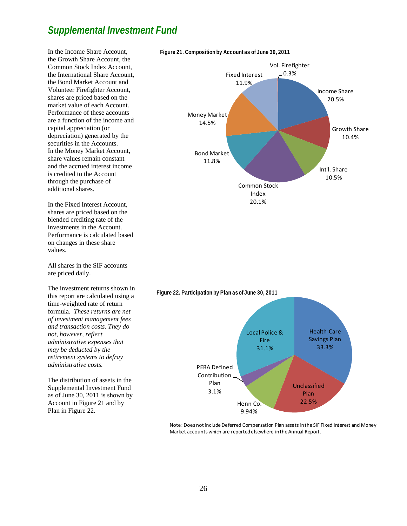In the Income Share Account, the Growth Share Account, the Common Stock Index Account, the International Share Account, the Bond Market Account and Volunteer Firefighter Account, shares are priced based on the market value of each Account. Performance of these accounts are a function of the income and capital appreciation (or depreciation) generated by the securities in the Accounts. In the Money Market Account, share values remain constant and the accrued interest income is credited to the Account through the purchase of additional shares.

In the Fixed Interest Account, shares are priced based on the blended crediting rate of the investments in the Account. Performance is calculated based on changes in these share values.

All shares in the SIF accounts are priced daily.

The investment returns shown in this report are calculated using a time-weighted rate of return formula. *These returns are net of investment management fees and transaction costs. They do not, however, reflect administrative expenses that may be deducted by the retirement systems to defray administrative costs.* 

The distribution of assets in the Supplemental Investment Fund as of June 30, 2011 is shown by Account in Figure 21 and by Plan in Figure 22.





9.94% Note: Does not includeDeferred Compensation Plan assetsinthe SIF Fixed Interest and Money

Henn Co. 22.5%

Market accounts which are reportedelsewhere intheAnnual Report.

#### **Figure 21. Composition by Account as of June 30, 2011**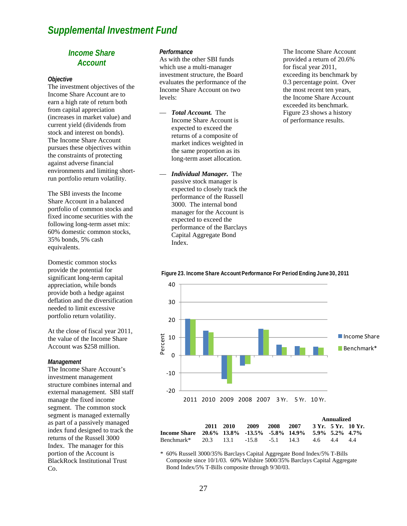### *Income Share Account*

#### *Objective*

The investment objectives of the Income Share Account are to earn a high rate of return both from capital appreciation (increases in market value) and current yield (dividends from stock and interest on bonds). The Income Share Account pursues these objectives within the constraints of protecting against adverse financial environments and limiting shortrun portfolio return volatility.

The SBI invests the Income Share Account in a balanced portfolio of common stocks and fixed income securities with the following long-term asset mix: 60% domestic common stocks, 35% bonds, 5% cash equivalents.

Domestic common stocks provide the potential for significant long-term capital appreciation, while bonds provide both a hedge against deflation and the diversification needed to limit excessive portfolio return volatility.

At the close of fiscal year 2011, the value of the Income Share Account was \$258 million.

#### *Management*

The Income Share Account's investment management structure combines internal and external management. SBI staff manage the fixed income segment. The common stock segment is managed externally as part of a passively managed index fund designed to track the returns of the Russell 3000 Index. The manager for this portion of the Account is BlackRock Institutional Trust Co.

#### *Performance*

As with the other SBI funds which use a multi-manager investment structure, the Board evaluates the performance of the Income Share Account on two levels:

- — *Total Account.* The Income Share Account is expected to exceed the returns of a composite of market indices weighted in the same proportion as its long-term asset allocation.
- — *Individual Manager.* The passive stock manager is expected to closely track the performance of the Russell 3000. The internal bond manager for the Account is expected to exceed the performance of the Barclays Capital Aggregate Bond Index.

The Income Share Account provided a return of 20.6% for fiscal year 2011, exceeding its benchmark by 0.3 percentage point. Over the most recent ten years, the Income Share Account exceeded its benchmark. Figure 23 shows a history of performance results.



#### **Figure 23. Income Share Account Performance For Period Ending June 30, 2011**

|                                                               |           |  |                                   | Annualized |  |
|---------------------------------------------------------------|-----------|--|-----------------------------------|------------|--|
|                                                               | 2011 2010 |  | 2009 2008 2007 3 Yr. 5 Yr. 10 Yr. |            |  |
| Income Share $20.6\%$ 13.8% -13.5% -5.8% 14.9% 5.9% 5.2% 4.7% |           |  |                                   |            |  |
| Benchmark* 20.3 13.1 -15.8 -5.1 14.3 4.6 4.4 4.4              |           |  |                                   |            |  |

\* 60% Russell 3000/35% Barclays Capital Aggregate Bond Index/5% T-Bills Composite since 10/1/03. 60% Wilshire 5000/35% Barclays Capital Aggregate Bond Index/5% T-Bills composite through 9/30/03.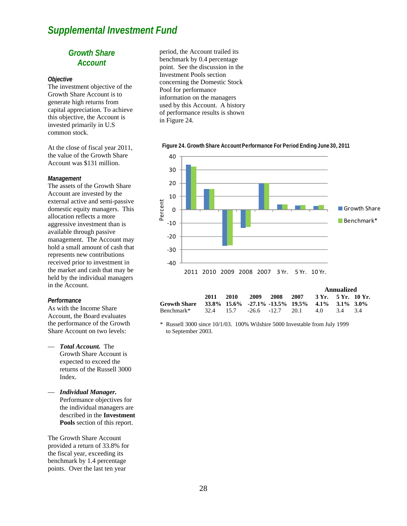## *Growth Share Account*

#### *Objective*

The investment objective of the Growth Share Account is to generate high returns from capital appreciation. To achieve this objective, the Account is invested primarily in U.S common stock.

At the close of fiscal year 2011, the value of the Growth Share Account was \$131 million.

#### *Management*

The assets of the Growth Share Account are invested by the external active and semi-passive domestic equity managers. This allocation reflects a more aggressive investment than is available through passive management. The Account may hold a small amount of cash that represents new contributions received prior to investment in the market and cash that may be held by the individual managers in the Account.

#### *Performance*

As with the Income Share Account, the Board evaluates the performance of the Growth Share Account on two levels:

- *Total Account.* The Growth Share Account is expected to exceed the returns of the Russell 3000 Index.
- *Individual Manager.* Performance objectives for the individual managers are described in the **Investment Pools** section of this report.

The Growth Share Account provided a return of 33.8% for the fiscal year, exceeding its benchmark by 1.4 percentage points. Over the last ten year

period, the Account trailed its benchmark by 0.4 percentage point. See the discussion in the Investment Pools section concerning the Domestic Stock Pool for performance information on the managers used by this Account. A history of performance results is shown in Figure 24.





|              |      |        |                                                                        |           |                         |          | Annualized |  |
|--------------|------|--------|------------------------------------------------------------------------|-----------|-------------------------|----------|------------|--|
|              | 2011 | - 2010 |                                                                        | 2009 2008 | 2007 3 Yr. 5 Yr. 10 Yr. |          |            |  |
| Growth Share |      |        | $33.8\%$ $15.6\%$ $-27.1\%$ $-13.5\%$ $19.5\%$ $4.1\%$ $3.1\%$ $3.0\%$ |           |                         |          |            |  |
| Benchmark*   |      |        | $32.4$ $15.7$ $-26.6$ $-12.7$ $20.1$                                   |           |                         | 40 34 34 |            |  |

\* Russell 3000 since 10/1/03. 100% Wilshire 5000 Investable from July 1999 to September 2003.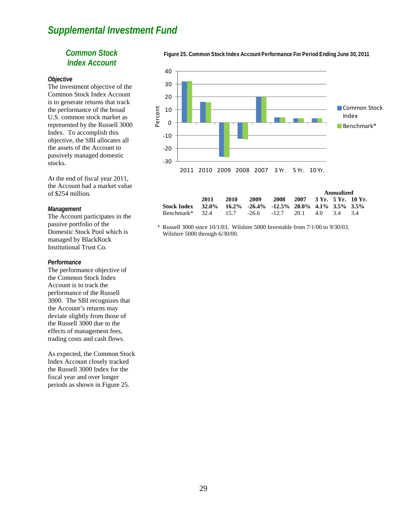## *Common Stock Index Account*

#### *Objective*

The investment objective of the Common Stock Index Account is to generate returns that track the performance of the broad U.S. common stock market as represented by the Russell 3000 Index. To accomplish this objective, the SBI allocates all the assets of the Account to passively managed domestic stocks.

At the end of fiscal year 2011, the Account had a market value of \$254 million.

#### *Management*

The Account participates in the passive portfolio of the Domestic Stock Pool which is managed by BlackRock Institutional Trust Co.

#### *Performance*

The performance objective of the Common Stock Index Account is to track the performance of the Russell 3000. The SBI recognizes that the Account's returns may deviate slightly from those of the Russell 3000 due to the effects of management fees, trading costs and cash flows.

As expected, the Common Stock Index Account closely tracked the Russell 3000 Index for the fiscal year and over longer periods as shown in Figure 25.

**Figure 25. Common Stock Index Account Performance For Period Ending June 30, 2011**



|                                                            |      |       |                                                 |                              | Annualized |  |
|------------------------------------------------------------|------|-------|-------------------------------------------------|------------------------------|------------|--|
|                                                            | 2011 | -2010 | -2009                                           | 2008 2007 3 Yr. 5 Yr. 10 Yr. |            |  |
| Stock Index 32.0% 16.2% -26.4% -12.5% 20.0% 4.1% 3.5% 3.5% |      |       |                                                 |                              |            |  |
| Benchmark* 32.4                                            |      |       | $15.7$ $-26.6$ $-12.7$ $20.1$ $4.0$ $3.4$ $3.4$ |                              |            |  |

\* Russell 3000 since 10/1/03. Wilshire 5000 Investable from 7/1/00 to 9/30/03. Wilshire 5000 through 6/30/00.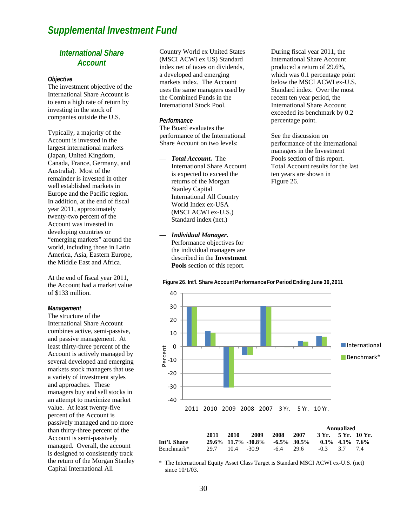## *International Share Account*

#### *Objective*

The investment objective of the International Share Account is to earn a high rate of return by investing in the stock of companies outside the U.S.

Typically, a majority of the Account is invested in the largest international markets (Japan, United Kingdom, Canada, France, Germany, and Australia). Most of the remainder is invested in other well established markets in Europe and the Pacific region. In addition, at the end of fiscal year 2011, approximately twenty-two percent of the Account was invested in developing countries or "emerging markets" around the world, including those in Latin America, Asia, Eastern Europe, the Middle East and Africa.

At the end of fiscal year 2011, the Account had a market value of \$133 million.

#### *Management*

The structure of the International Share Account combines active, semi-passive, and passive management. At least thirty-three percent of the Account is actively managed by several developed and emerging markets stock managers that use a variety of investment styles and approaches. These managers buy and sell stocks in an attempt to maximize market value. At least twenty-five percent of the Account is passively managed and no more than thirty-three percent of the Account is semi-passively managed. Overall, the account is designed to consistently track the return of the Morgan Stanley Capital International All

Country World ex United States (MSCI ACWI ex US) Standard index net of taxes on dividends, a developed and emerging markets index. The Account uses the same managers used by the Combined Funds in the International Stock Pool.

#### *Performance*

The Board evaluates the performance of the International Share Account on two levels:

- *Total Account***.** The International Share Account is expected to exceed the returns of the Morgan Stanley Capital International All Country World Index ex-USA (MSCI ACWI ex-U.S.) Standard index (net.)
	- *Individual Manager.* Performance objectives for the individual managers are described in the **Investment Pools** section of this report.

During fiscal year 2011, the International Share Account produced a return of 29.6%, which was 0.1 percentage point below the MSCI ACWI ex-U.S. Standard index. Over the most recent ten year period, the International Share Account exceeded its benchmark by 0.2 percentage point.

See the discussion on performance of the international managers in the Investment Pools section of this report. Total Account results for the last ten years are shown in Figure 26.

**Figure 26. Int'l. Share Account Performance For Period Ending June 30, 2011** 



\* The International Equity Asset Class Target is Standard MSCI ACWI ex-U.S. (net) since 10/1/03.

Benchmark\* 29.7 10.4 -30.9 -6.4 29.6 -0.3 3.7 7.4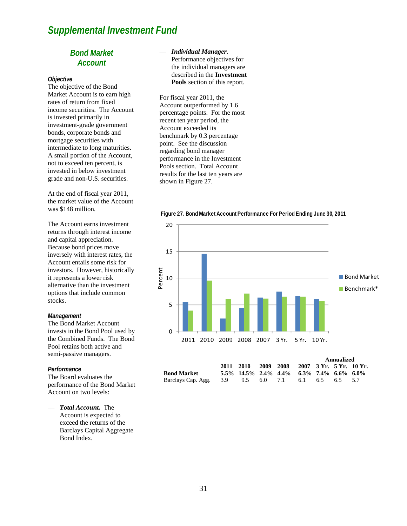## *Bond Market Account*

#### *Objective*

The objective of the Bond Market Account is to earn high rates of return from fixed income securities. The Account is invested primarily in investment-grade government bonds, corporate bonds and mortgage securities with intermediate to long maturities. A small portion of the Account, not to exceed ten percent, is invested in below investment grade and non-U.S. securities.

At the end of fiscal year 2011, the market value of the Account was \$148 million.

The Account earns investment returns through interest income and capital appreciation. Because bond prices move inversely with interest rates, the Account entails some risk for investors. However, historically it represents a lower risk alternative than the investment options that include common stocks.

#### *Management*

The Bond Market Account invests in the Bond Pool used by the Combined Funds. The Bond Pool retains both active and semi-passive managers.

#### *Performance*

The Board evaluates the performance of the Bond Market Account on two levels:

— *Total Account.* The Account is expected to exceed the returns of the Barclays Capital Aggregate Bond Index.

#### — *Individual Manager.* Performance objectives for the individual managers are described in the **Investment Pools** section of this report.

For fiscal year 2011, the Account outperformed by 1.6 percentage points. For the most recent ten year period, the Account exceeded its benchmark by 0.3 percentage point. See the discussion regarding bond manager performance in the Investment Pools section. Total Account results for the last ten years are shown in Figure 27.





|                                                    |  | 2011 2010 2009 2008 2007 3 Yr. 5 Yr. 10 Yr. |  |  |
|----------------------------------------------------|--|---------------------------------------------|--|--|
| <b>Bond Market</b>                                 |  | $5.5\%$ 14.5% 2.4% 4.4% 6.3% 7.4% 6.6% 6.0% |  |  |
| Barclays Cap. Agg. 3.9 9.5 6.0 7.1 6.1 6.5 6.5 5.7 |  |                                             |  |  |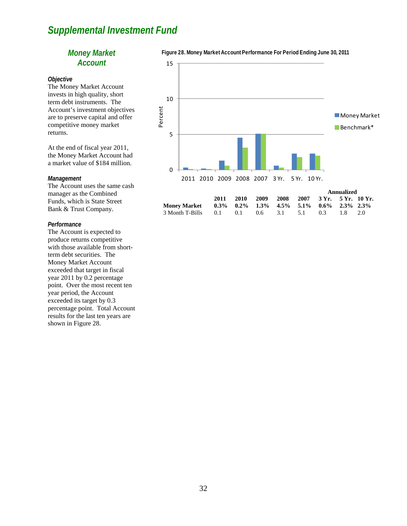## *Money Market Account*

#### *Objective*

The Money Market Account invests in high quality, short term debt instruments. The Account's investment objectives are to preserve capital and offer competitive money market returns.

At the end of fiscal year 2011, the Money Market Account had a market value of \$184 million.

#### *Management*

The Account uses the same cash manager as the Combined Funds, which is State Street Bank & Trust Company.

#### *Performance*

The Account is expected to produce returns competitive with those available from shortterm debt securities. The Money Market Account exceeded that target in fiscal year 2011 by 0.2 percentage point. Over the most recent ten year period, the Account exceeded its target by 0.3 percentage point. Total Account results for the last ten years are shown in Figure 28.



#### **Figure 28. Money Market Account Performance For Period Ending June 30, 2011**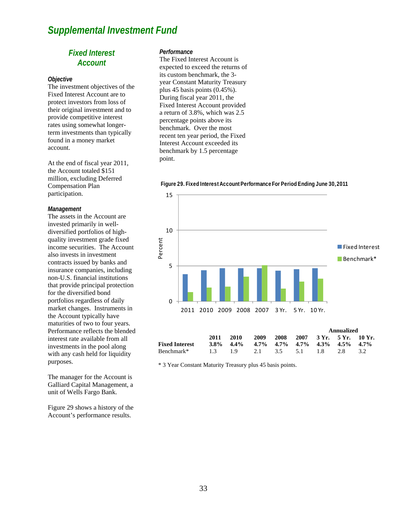## *Fixed Interest Account*

#### *Objective*

The investment objectives of the Fixed Interest Account are to protect investors from loss of their original investment and to provide competitive interest rates using somewhat longerterm investments than typically found in a money market account.

At the end of fiscal year 2011, the Account totaled \$151 million, excluding Deferred Compensation Plan participation.

#### *Management*

The assets in the Account are invested primarily in welldiversified portfolios of highquality investment grade fixed income securities. The Account also invests in investment contracts issued by banks and insurance companies, including non-U.S. financial institutions that provide principal protection for the diversified bond portfolios regardless of daily market changes. Instruments in the Account typically have maturities of two to four years. Performance reflects the blended interest rate available from all investments in the pool along with any cash held for liquidity purposes.

The manager for the Account is Galliard Capital Management, a unit of Wells Fargo Bank.

Figure 29 shows a history of the Account's performance results.

#### *Performance*

The Fixed Interest Account is expected to exceed the returns of its custom benchmark, the 3 year Constant Maturity Treasury plus 45 basis points (0.45%). During fiscal year 2011, the Fixed Interest Account provided a return of 3.8%, which was 2.5 percentage points above its benchmark. Over the most recent ten year period, the Fixed Interest Account exceeded its benchmark by 1.5 percentage point.





\* 3 Year Constant Maturity Treasury plus 45 basis points.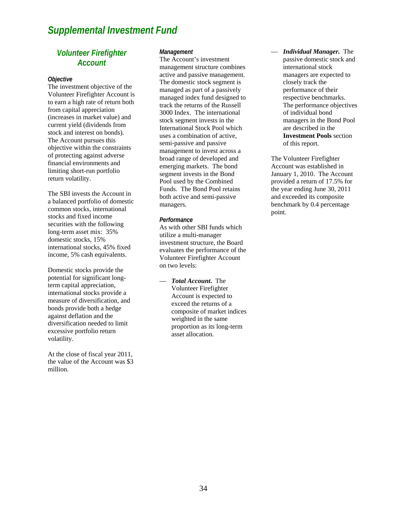### *Volunteer Firefighter Account*

#### *Objective*

The investment objective of the Volunteer Firefighter Account is to earn a high rate of return both from capital appreciation (increases in market value) and current yield (dividends from stock and interest on bonds). The Account pursues this objective within the constraints of protecting against adverse financial environments and limiting short-run portfolio return volatility.

The SBI invests the Account in a balanced portfolio of domestic common stocks, international stocks and fixed income securities with the following long-term asset mix: 35% domestic stocks, 15% international stocks, 45% fixed income, 5% cash equivalents.

Domestic stocks provide the potential for significant longterm capital appreciation, international stocks provide a measure of diversification, and bonds provide both a hedge against deflation and the diversification needed to limit excessive portfolio return volatility.

At the close of fiscal year 2011, the value of the Account was \$3 million.

#### *Management*

The Account's investment management structure combines active and passive management. The domestic stock segment is managed as part of a passively managed index fund designed to track the returns of the Russell 3000 Index. The international stock segment invests in the International Stock Pool which uses a combination of active, semi-passive and passive management to invest across a broad range of developed and emerging markets. The bond segment invests in the Bond Pool used by the Combined Funds. The Bond Pool retains both active and semi-passive managers.

#### *Performance*

As with other SBI funds which utilize a multi-manager investment structure, the Board evaluates the performance of the Volunteer Firefighter Account on two levels:

— *Total Account***.** The Volunteer Firefighter Account is expected to exceed the returns of a composite of market indices weighted in the same proportion as its long-term asset allocation.

— *Individual Manager.* The passive domestic stock and international stock managers are expected to closely track the performance of their respective benchmarks. The performance objectives of individual bond managers in the Bond Pool are described in the **Investment Pools** section of this report.

The Volunteer Firefighter Account was established in January 1, 2010. The Account provided a return of 17.5% for the year ending June 30, 2011 and exceeded its composite benchmark by 0.4 percentage point.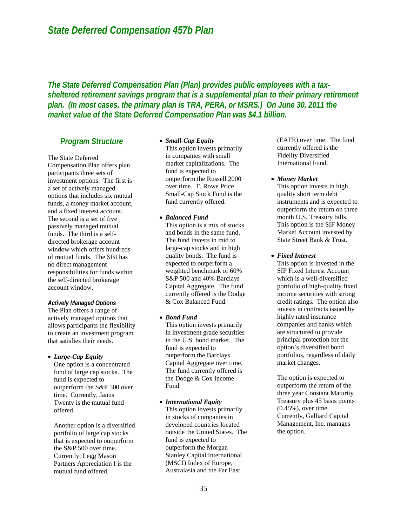*The State Deferred Compensation Plan (Plan) provides public employees with a taxsheltered retirement savings program that is a supplemental plan to their primary retirement*  plan. (In most cases, the primary plan is TRA, PERA, or MSRS.) On June 30, 2011 the *market value of the State Deferred Compensation Plan was \$4.1 billion.* 

### *Program Structure*

The State Deferred Compensation Plan offers plan participants three sets of investment options. The first is a set of actively managed options that includes six mutual funds, a money market account, and a fixed interest account. The second is a set of five passively managed mutual funds. The third is a selfdirected brokerage account window which offers hundreds of mutual funds. The SBI has no direct management responsibilities for funds within the self-directed brokerage account window.

#### *Actively Managed Options*

The Plan offers a range of actively managed options that allows participants the flexibility to create an investment program that satisfies their needs.

#### *Large-Cap Equity*

One option is a concentrated fund of large cap stocks. The fund is expected to outperform the S&P 500 over time. Currently, Janus Twenty is the mutual fund offered.

Another option is a diversified portfolio of large cap stocks that is expected to outperform the S&P 500 over time. Currently, Legg Mason Partners Appreciation I is the mutual fund offered.

### *Small-Cap Equity*

This option invests primarily in companies with small market capitalizations. The fund is expected to outperform the Russell 2000 over time. T. Rowe Price Small-Cap Stock Fund is the fund currently offered.

#### *Balanced Fund*

This option is a mix of stocks and bonds in the same fund. The fund invests in mid to large-cap stocks and in high quality bonds. The fund is expected to outperform a weighted benchmark of 60% S&P 500 and 40% Barclays Capital Aggregate. The fund currently offered is the Dodge & Cox Balanced Fund.

#### *Bond Fund*

This option invests primarily in investment grade securities in the U.S. bond market. The fund is expected to outperform the Barclays Capital Aggregate over time. The fund currently offered is the Dodge & Cox Income Fund.

 *International Equity* This option invests primarily in stocks of companies in developed countries located outside the United States. The fund is expected to outperform the Morgan Stanley Capital International (MSCI) Index of Europe, Australasia and the Far East

(EAFE) over time. The fund currently offered is the Fidelity Diversified International Fund.

#### *Money Market*

This option invests in high quality short term debt instruments and is expected to outperform the return on three month U.S. Treasury bills. This option is the SIF Money Market Account invested by State Street Bank & Trust.

#### *Fixed Interest*

This option is invested in the SIF Fixed Interest Account which is a well-diversified portfolio of high-quality fixed income securities with strong credit ratings. The option also invests in contracts issued by highly rated insurance companies and banks which are structured to provide principal protection for the option's diversified bond portfolios, regardless of daily market changes.

The option is expected to outperform the return of the three year Constant Maturity Treasury plus 45 basis points (0.45%), over time. Currently, Galliard Capital Management, Inc. manages the option.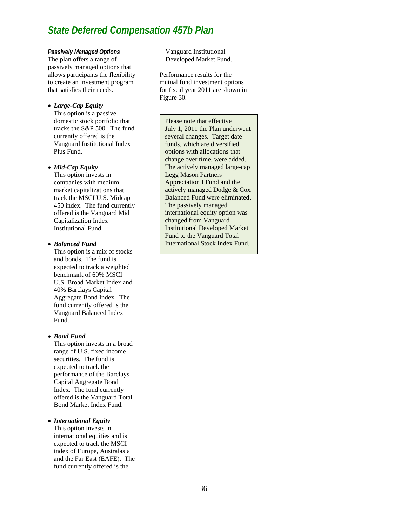# *State Deferred Compensation 457b Plan*

.

#### *Passively Managed Options*

The plan offers a range of passively managed options that allows participants the flexibility to create an investment program that satisfies their needs.

#### *Large-Cap Equity*

This option is a passive domestic stock portfolio that tracks the S&P 500. The fund currently offered is the Vanguard Institutional Index Plus Fund.

#### *Mid-Cap Equity*

This option invests in companies with medium market capitalizations that track the MSCI U.S. Midcap 450 index. The fund currently offered is the Vanguard Mid Capitalization Index Institutional Fund.

#### *Balanced Fund*

This option is a mix of stocks and bonds. The fund is expected to track a weighted benchmark of 60% MSCI U.S. Broad Market Index and 40% Barclays Capital Aggregate Bond Index. The fund currently offered is the Vanguard Balanced Index Fund.

#### *Bond Fund*

This option invests in a broad range of U.S. fixed income securities. The fund is expected to track the performance of the Barclays Capital Aggregate Bond Index. The fund currently offered is the Vanguard Total Bond Market Index Fund.

#### *International Equity*

This option invests in international equities and is expected to track the MSCI index of Europe, Australasia and the Far East (EAFE). The fund currently offered is the

Vanguard Institutional Developed Market Fund.

Performance results for the mutual fund investment options for fiscal year 2011 are shown in Figure 30.

Please note that effective July 1, 2011 the Plan underwent several changes. Target date funds, which are diversified options with allocations that change over time, were added. The actively managed large-cap Legg Mason Partners Appreciation I Fund and the actively managed Dodge & Cox Balanced Fund were eliminated. The passively managed international equity option was changed from Vanguard Institutional Developed Market Fund to the Vanguard Total International Stock Index Fund.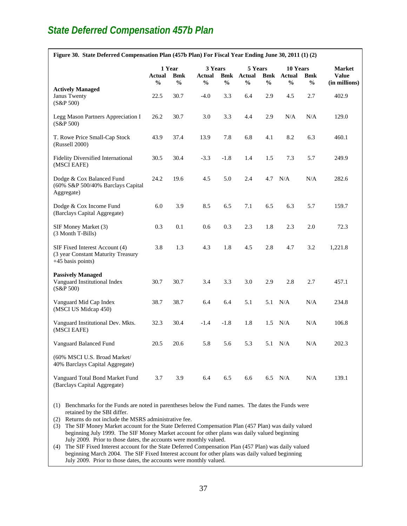|                                                                                            |                                |                                       | 3 Years<br>5 Years             |                             |                                |                             |                                            |                             |                                                |
|--------------------------------------------------------------------------------------------|--------------------------------|---------------------------------------|--------------------------------|-----------------------------|--------------------------------|-----------------------------|--------------------------------------------|-----------------------------|------------------------------------------------|
|                                                                                            | <b>Actual</b><br>$\frac{0}{0}$ | 1 Year<br><b>Bmk</b><br>$\frac{0}{0}$ | <b>Actual</b><br>$\frac{0}{0}$ | <b>Bmk</b><br>$\frac{0}{0}$ | <b>Actual</b><br>$\frac{0}{0}$ | <b>Bmk</b><br>$\frac{0}{0}$ | 10 Years<br><b>Actual</b><br>$\frac{0}{0}$ | <b>Bmk</b><br>$\frac{0}{0}$ | <b>Market</b><br><b>Value</b><br>(in millions) |
| <b>Actively Managed</b><br>Janus Twenty<br>$(S\&P 500)$                                    | 22.5                           | 30.7                                  | $-4.0$                         | 3.3                         | 6.4                            | 2.9                         | 4.5                                        | 2.7                         | 402.9                                          |
| Legg Mason Partners Appreciation I<br>$(S\&P 500)$                                         | 26.2                           | 30.7                                  | 3.0                            | 3.3                         | 4.4                            | 2.9                         | N/A                                        | N/A                         | 129.0                                          |
| T. Rowe Price Small-Cap Stock<br>(Russell 2000)                                            | 43.9                           | 37.4                                  | 13.9                           | 7.8                         | 6.8                            | 4.1                         | 8.2                                        | 6.3                         | 460.1                                          |
| <b>Fidelity Diversified International</b><br>(MSCI EAFE)                                   | 30.5                           | 30.4                                  | $-3.3$                         | $-1.8$                      | 1.4                            | 1.5                         | 7.3                                        | 5.7                         | 249.9                                          |
| Dodge & Cox Balanced Fund<br>(60% S&P 500/40% Barclays Capital<br>Aggregate)               | 24.2                           | 19.6                                  | 4.5                            | 5.0                         | 2.4                            | 4.7                         | N/A                                        | N/A                         | 282.6                                          |
| Dodge & Cox Income Fund<br>(Barclays Capital Aggregate)                                    | 6.0                            | 3.9                                   | 8.5                            | 6.5                         | 7.1                            | 6.5                         | 6.3                                        | 5.7                         | 159.7                                          |
| SIF Money Market (3)<br>(3 Month T-Bills)                                                  | 0.3                            | 0.1                                   | 0.6                            | 0.3                         | 2.3                            | 1.8                         | 2.3                                        | $2.0\,$                     | 72.3                                           |
| SIF Fixed Interest Account (4)<br>(3 year Constant Maturity Treasury)<br>+45 basis points) | 3.8                            | 1.3                                   | 4.3                            | 1.8                         | 4.5                            | 2.8                         | 4.7                                        | 3.2                         | 1,221.8                                        |
| <b>Passively Managed</b><br>Vanguard Institutional Index<br>(S&P 500)                      | 30.7                           | 30.7                                  | 3.4                            | 3.3                         | 3.0                            | 2.9                         | 2.8                                        | 2.7                         | 457.1                                          |
| Vanguard Mid Cap Index<br>(MSCI US Midcap 450)                                             | 38.7                           | 38.7                                  | 6.4                            | 6.4                         | 5.1                            |                             | $5.1$ N/A                                  | N/A                         | 234.8                                          |
| Vanguard Institutional Dev. Mkts.<br>(MSCI EAFE)                                           | 32.3                           | 30.4                                  | $-1.4$                         | $-1.8$                      | 1.8                            | 1.5                         | N/A                                        | N/A                         | 106.8                                          |
| Vanguard Balanced Fund                                                                     | 20.5                           | 20.6                                  | 5.8                            | 5.6                         | 5.3                            |                             | $5.1$ N/A                                  | N/A                         | 202.3                                          |
| (60% MSCI U.S. Broad Market/<br>40% Barclays Capital Aggregate)                            |                                |                                       |                                |                             |                                |                             |                                            |                             |                                                |
| Vanguard Total Bond Market Fund<br>(Barclays Capital Aggregate)                            | 3.7                            | 3.9                                   | 6.4                            | 6.5                         | 6.6                            |                             | $6.5$ N/A                                  | N/A                         | 139.1                                          |

(1) Benchmarks for the Funds are noted in parentheses below the Fund names. The dates the Funds were retained by the SBI differ.

(2) Returns do not include the MSRS administrative fee.

(3) The SIF Money Market account for the State Deferred Compensation Plan (457 Plan) was daily valued beginning July 1999. The SIF Money Market account for other plans was daily valued beginning July 2009. Prior to those dates, the accounts were monthly valued.

(4) The SIF Fixed Interest account for the State Deferred Compensation Plan (457 Plan) was daily valued beginning March 2004. The SIF Fixed Interest account for other plans was daily valued beginning July 2009. Prior to those dates, the accounts were monthly valued.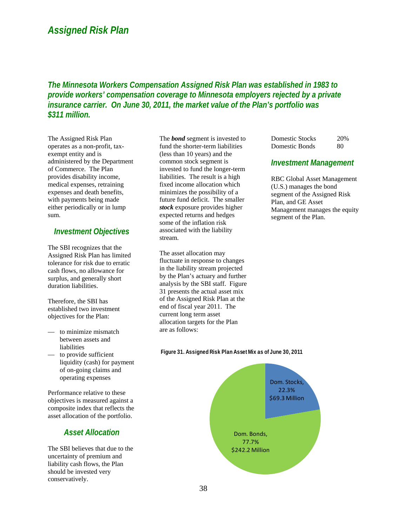## *Assigned Risk Plan*

## *The Minnesota Workers Compensation Assigned Risk Plan was established in 1983 to provide workers' compensation coverage to Minnesota employers rejected by a private insurance carrier. On June 30, 2011, the market value of the Plan's portfolio was \$311 million.*

The Assigned Risk Plan operates as a non-profit, taxexempt entity and is administered by the Department of Commerce. The Plan provides disability income, medical expenses, retraining expenses and death benefits, with payments being made either periodically or in lump sum.

### *Investment Objectives*

The SBI recognizes that the Assigned Risk Plan has limited tolerance for risk due to erratic cash flows, no allowance for surplus, and generally short duration liabilities.

Therefore, the SBI has established two investment objectives for the Plan:

- to minimize mismatch between assets and liabilities
- to provide sufficient liquidity (cash) for payment of on-going claims and operating expenses

Performance relative to these objectives is measured against a composite index that reflects the asset allocation of the portfolio.

## *Asset Allocation*

The SBI believes that due to the uncertainty of premium and liability cash flows, the Plan should be invested very conservatively.

The *bond* segment is invested to fund the shorter-term liabilities (less than 10 years) and the common stock segment is invested to fund the longer-term liabilities. The result is a high fixed income allocation which minimizes the possibility of a future fund deficit. The smaller *stock* exposure provides higher expected returns and hedges some of the inflation risk associated with the liability stream.

The asset allocation may fluctuate in response to changes in the liability stream projected by the Plan's actuary and further analysis by the SBI staff. Figure 31 presents the actual asset mix of the Assigned Risk Plan at the end of fiscal year 2011. The current long term asset allocation targets for the Plan are as follows:

Domestic Stocks 20% Domestic Bonds 80

### *Investment Management*

RBC Global Asset Management (U.S.) manages the bond segment of the Assigned Risk Plan, and GE Asset Management manages the equity segment of the Plan.

**Figure 31. Assigned Risk Plan Asset Mix as of June 30, 2011**

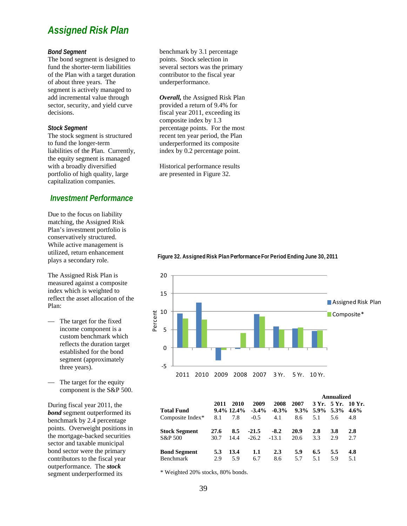## *Assigned Risk Plan*

#### *Bond Segment*

The bond segment is designed to fund the shorter-term liabilities of the Plan with a target duration of about three years. The segment is actively managed to add incremental value through sector, security, and yield curve decisions.

#### *Stock Segment*

The stock segment is structured to fund the longer-term liabilities of the Plan. Currently, the equity segment is managed with a broadly diversified portfolio of high quality, large capitalization companies.

## *Investment Performance*

Due to the focus on liability matching, the Assigned Risk Plan's investment portfolio is conservatively structured. While active management is utilized, return enhancement plays a secondary role.

The Assigned Risk Plan is measured against a composite index which is weighted to reflect the asset allocation of the Plan:

- The target for the fixed income component is a custom benchmark which reflects the duration target established for the bond segment (approximately three years).
- The target for the equity component is the S&P 500.

During fiscal year 2011, the *bond* segment outperformed its benchmark by 2.4 percentage points. Overweight positions in the mortgage-backed securities sector and taxable municipal bond sector were the primary contributors to the fiscal year outperformance. The *stock* segment underperformed its

benchmark by 3.1 percentage points. Stock selection in several sectors was the primary contributor to the fiscal year underperformance.

*Overall,* the Assigned Risk Plan provided a return of 9.4% for fiscal year 2011, exceeding its composite index by 1.3 percentage points. For the most recent ten year period, the Plan underperformed its composite index by 0.2 percentage point.

Historical performance results are presented in Figure 32.





|                      |      |               | 2009<br>2008<br>2010<br>2007 |          | Annualized |     |                        |                    |
|----------------------|------|---------------|------------------------------|----------|------------|-----|------------------------|--------------------|
|                      | 2011 |               |                              |          |            |     |                        | 3 Yr. 5 Yr. 10 Yr. |
| <b>Total Fund</b>    |      | $9.4\%$ 12.4% | $-3.4\%$                     | $-0.3\%$ |            |     | $9.3\%$ 5.9% 5.3% 4.6% |                    |
| Composite Index*     | 8.1  | 7.8           | $-0.5$                       | 4.1      | 8.6        | 5.1 | 5.6                    | 4.8                |
| <b>Stock Segment</b> | 27.6 | 8.5           | $-21.5$                      | $-8.2$   | 20.9       | 2.8 | 3.8                    | 2.8                |
| S&P 500              | 30.7 | 14.4          | $-26.2$                      | $-13.1$  | 20.6       | 3.3 | 2.9                    | 2.7                |
| <b>Bond Segment</b>  | 5.3  | 13.4          | 1.1                          | 2.3      | 5.9        | 6.5 | 5.5                    | 4.8                |
| Benchmark            | 2.9  | 5.9           | 6.7                          | 8.6      | 5.7        | 5.1 | 5.9                    | 5.1                |

\* Weighted 20% stocks, 80% bonds.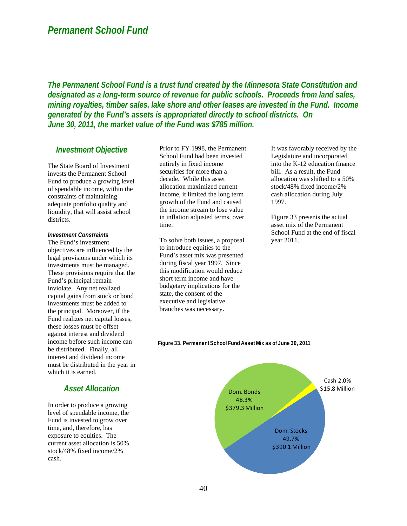*The Permanent School Fund is a trust fund created by the Minnesota State Constitution and designated as a long-term source of revenue for public schools. Proceeds from land sales, mining royalties, timber sales, lake shore and other leases are invested in the Fund. Income generated by the Fund's assets is appropriated directly to school districts. On June 30, 2011, the market value of the Fund was \$785 million.* 

### *Investment Objective*

The State Board of Investment invests the Permanent School Fund to produce a growing level of spendable income, within the constraints of maintaining adequate portfolio quality and liquidity, that will assist school districts.

#### *Investment Constraints*

The Fund's investment objectives are influenced by the legal provisions under which its investments must be managed. These provisions require that the Fund's principal remain inviolate. Any net realized capital gains from stock or bond investments must be added to the principal. Moreover, if the Fund realizes net capital losses, these losses must be offset against interest and dividend income before such income can be distributed. Finally, all interest and dividend income must be distributed in the year in which it is earned.

### *Asset Allocation*

In order to produce a growing level of spendable income, the Fund is invested to grow over time, and, therefore, has exposure to equities. The current asset allocation is 50% stock/48% fixed income/2% cash.

Prior to FY 1998, the Permanent School Fund had been invested entirely in fixed income securities for more than a decade. While this asset allocation maximized current income, it limited the long term growth of the Fund and caused the income stream to lose value in inflation adjusted terms, over time.

To solve both issues, a proposal to introduce equities to the Fund's asset mix was presented during fiscal year 1997. Since this modification would reduce short term income and have budgetary implications for the state, the consent of the executive and legislative branches was necessary.

It was favorably received by the Legislature and incorporated into the K-12 education finance bill. As a result, the Fund allocation was shifted to a 50% stock/48% fixed income/2% cash allocation during July 1997.

Figure 33 presents the actual asset mix of the Permanent School Fund at the end of fiscal year 2011.

#### **Figure 33. Permanent School Fund Asset Mix as of June 30, 2011**

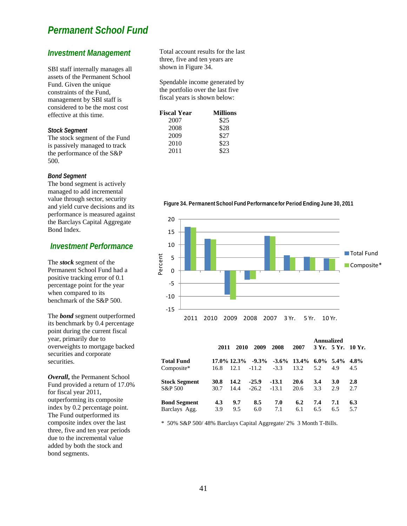## *Permanent School Fund*

### *Investment Management*

SBI staff internally manages all assets of the Permanent School Fund. Given the unique constraints of the Fund, management by SBI staff is considered to be the most cost effective at this time.

#### *Stock Segment*

The stock segment of the Fund is passively managed to track the performance of the S&P 500.

#### *Bond Segment*

The bond segment is actively managed to add incremental value through sector, security and yield curve decisions and its performance is measured against the Barclays Capital Aggregate Bond Index.

### *Investment Performance*

The *stock* segment of the Permanent School Fund had a positive tracking error of 0.1 percentage point for the year when compared to its benchmark of the S&P 500.

The *bond* segment outperformed its benchmark by 0.4 percentage point during the current fiscal year, primarily due to overweights to mortgage backed securities and corporate securities.

*Overall***,** the Permanent School Fund provided a return of 17.0% for fiscal year 2011, outperforming its composite index by 0.2 percentage point. The Fund outperformed its composite index over the last three, five and ten year periods due to the incremental value added by both the stock and bond segments.

Total account results for the last three, five and ten years are shown in Figure 34.

Spendable income generated by the portfolio over the last five fiscal years is shown below:

| <b>Fiscal Year</b> | <b>Millions</b> |
|--------------------|-----------------|
| 2007               | \$25            |
| 2008               | \$28            |
| 2009               | \$27            |
| 2010               | \$23            |
| 2011               | \$23            |

**Figure 34. Permanent School Fund Performance for Period Ending June 30, 2011**



|                      |      |      |                            |         | <b>Annualized</b>             |     |     |                    |
|----------------------|------|------|----------------------------|---------|-------------------------------|-----|-----|--------------------|
|                      | 2011 | 2010 | 2009                       | 2008    | 2007                          |     |     | 3 Yr. 5 Yr. 10 Yr. |
| <b>Total Fund</b>    |      |      | $17.0\%$ $12.3\%$ $-9.3\%$ |         | $-3.6\%$ 13.4% 6.0% 5.4% 4.8% |     |     |                    |
| Composite*           | 16.8 | 12.1 | $-11.2$                    | $-3.3$  | 13.2                          | 5.2 | 4.9 | 4.5                |
| <b>Stock Segment</b> | 30.8 | 14.2 | $-25.9$                    | $-13.1$ | 20.6                          | 3.4 | 3.0 | 2.8                |
| S&P 500              | 30.7 | 14.4 | $-26.2$                    | $-13.1$ | 20.6                          | 3.3 | 2.9 | 2.7                |
| <b>Bond Segment</b>  | 4.3  | 9.7  | 8.5                        | 7.0     | 6.2                           | 7.4 | 7.1 | 6.3                |
| Barclays Agg.        | 3.9  | 9.5  | 6.0                        | 7.1     | 6.1                           | 6.5 | 6.5 | 5.7                |

\* 50% S&P 500/ 48% Barclays Capital Aggregate/ 2% 3 Month T-Bills.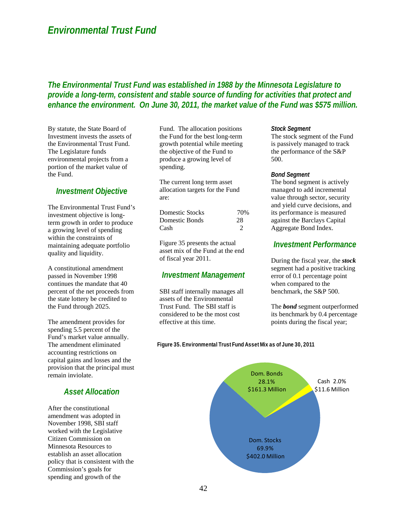## *Environmental Trust Fund*

## *The Environmental Trust Fund was established in 1988 by the Minnesota Legislature to provide a long-term, consistent and stable source of funding for activities that protect and enhance the environment. On June 30, 2011, the market value of the Fund was \$575 million.*

By statute, the State Board of Investment invests the assets of the Environmental Trust Fund. The Legislature funds environmental projects from a portion of the market value of the Fund.

### *Investment Objective*

The Environmental Trust Fund's investment objective is longterm growth in order to produce a growing level of spending within the constraints of maintaining adequate portfolio quality and liquidity.

A constitutional amendment passed in November 1998 continues the mandate that 40 percent of the net proceeds from the state lottery be credited to the Fund through 2025.

The amendment provides for spending 5.5 percent of the Fund's market value annually. The amendment eliminated accounting restrictions on capital gains and losses and the provision that the principal must remain inviolate.

### *Asset Allocation*

After the constitutional amendment was adopted in November 1998, SBI staff worked with the Legislative Citizen Commission on Minnesota Resources to establish an asset allocation policy that is consistent with the Commission's goals for spending and growth of the

Fund. The allocation positions the Fund for the best long-term growth potential while meeting the objective of the Fund to produce a growing level of spending.

The current long term asset allocation targets for the Fund are:

| <b>Domestic Stocks</b> | 70% |
|------------------------|-----|
| Domestic Bonds         | 28  |
| Cash                   |     |

Figure 35 presents the actual asset mix of the Fund at the end of fiscal year 2011.

### *Investment Management*

SBI staff internally manages all assets of the Environmental Trust Fund. The SBI staff is considered to be the most cost effective at this time.

#### *Stock Segment*

The stock segment of the Fund is passively managed to track the performance of the S&P 500.

#### *Bond Segment*

The bond segment is actively managed to add incremental value through sector, security and yield curve decisions, and its performance is measured against the Barclays Capital Aggregate Bond Index.

### *Investment Performance*

During the fiscal year, the *stock* segment had a positive tracking error of 0.1 percentage point when compared to the benchmark, the S&P 500.

The *bond* segment outperformed its benchmark by 0.4 percentage points during the fiscal year;

**Figure 35. Environmental Trust Fund Asset Mix as of June 30, 2011**

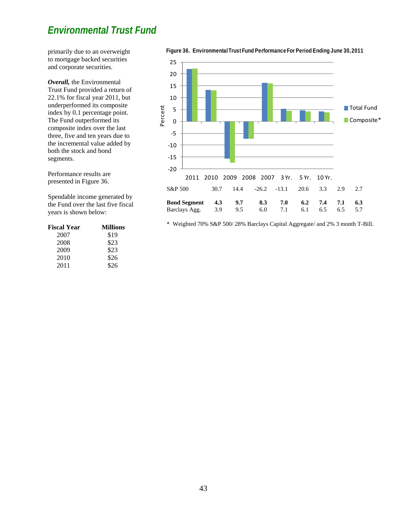# *Environmental Trust Fund*

primarily due to an overweight to mortgage backed securities and corporate securities.

*Overall,* the Environmental Trust Fund provided a return of 22.1% for fiscal year 2011, but underperformed its composite index by 0.1 percentage point. The Fund outperformed its composite index over the last three, five and ten years due to the incremental value added by both the stock and bond segments.

Performance results are presented in Figure 36.

Spendable income generated by the Fund over the last five fiscal years is shown below:

| <b>Fiscal Year</b> | <b>Millions</b> |
|--------------------|-----------------|
| 2007               | \$19            |
| 2008               | \$23            |
| 2009               | \$23            |
| 2010               | \$26            |
| 2011               | \$26            |





\* Weighted 70% S&P 500/ 28% Barclays Capital Aggregate/ and 2% 3 month T-Bill.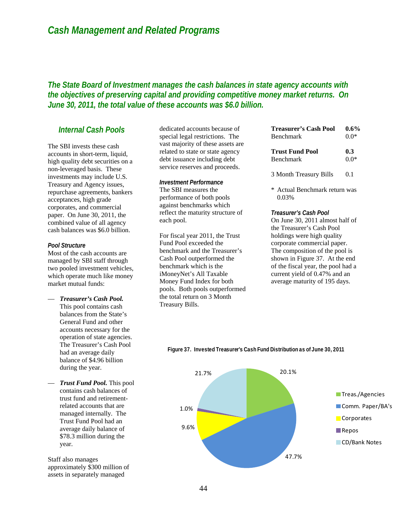## *Cash Management and Related Programs*

*The State Board of Investment manages the cash balances in state agency accounts with the objectives of preserving capital and providing competitive money market returns. On June 30, 2011, the total value of these accounts was \$6.0 billion.* 

### *Internal Cash Pools*

The SBI invests these cash accounts in short-term, liquid, high quality debt securities on a non-leveraged basis. These investments may include U.S. Treasury and Agency issues, repurchase agreements, bankers acceptances, high grade corporates, and commercial paper. On June 30, 2011, the combined value of all agency cash balances was \$6.0 billion.

#### *Pool Structure*

Most of the cash accounts are managed by SBI staff through two pooled investment vehicles, which operate much like money market mutual funds:

- *Treasurer's Cash Pool.* This pool contains cash balances from the State's General Fund and other accounts necessary for the operation of state agencies. The Treasurer's Cash Pool had an average daily balance of \$4.96 billion during the year.
- *Trust Fund Pool.* This pool contains cash balances of trust fund and retirementrelated accounts that are managed internally. The Trust Fund Pool had an average daily balance of \$78.3 million during the year.

Staff also manages approximately \$300 million of assets in separately managed

dedicated accounts because of special legal restrictions. The vast majority of these assets are related to state or state agency debt issuance including debt service reserves and proceeds.

#### *Investment Performance*

The SBI measures the performance of both pools against benchmarks which reflect the maturity structure of each pool.

For fiscal year 2011, the Trust Fund Pool exceeded the benchmark and the Treasurer's Cash Pool outperformed the benchmark which is the iMoneyNet's All Taxable Money Fund Index for both pools. Both pools outperformed the total return on 3 Month Treasury Bills.

| Treasurer's Cash Pool  | $0.6\%$ |
|------------------------|---------|
| Benchmark              | $0.0*$  |
| <b>Trust Fund Pool</b> | 0.3     |
| Benchmark              | $0.0*$  |
| 3 Month Treasury Bills | 0.1     |

\* Actual Benchmark return was 0.03%

#### *Treasurer's Cash Pool*

On June 30, 2011 almost half of the Treasurer's Cash Pool holdings were high quality corporate commercial paper. The composition of the pool is shown in Figure 37. At the end of the fiscal year, the pool had a current yield of 0.47% and an average maturity of 195 days.



#### **Figure 37. Invested Treasurer's Cash Fund Distribution as of June 30, 2011**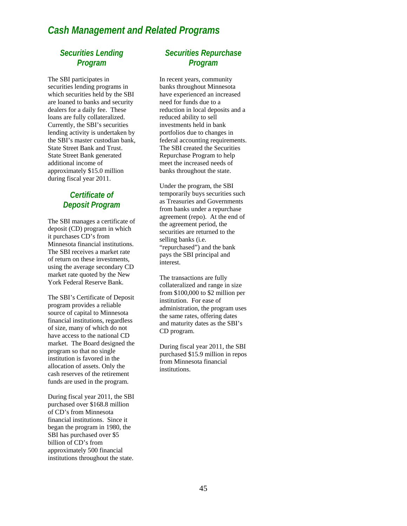## *Cash Management and Related Programs*

## *Securities Lending Program*

The SBI participates in securities lending programs in which securities held by the SBI are loaned to banks and security dealers for a daily fee. These loans are fully collateralized. Currently, the SBI's securities lending activity is undertaken by the SBI's master custodian bank, State Street Bank and Trust. State Street Bank generated additional income of approximately \$15.0 million during fiscal year 2011.

## *Certificate of Deposit Program*

The SBI manages a certificate of deposit (CD) program in which it purchases CD's from Minnesota financial institutions. The SBI receives a market rate of return on these investments, using the average secondary CD market rate quoted by the New York Federal Reserve Bank.

The SBI's Certificate of Deposit program provides a reliable source of capital to Minnesota financial institutions, regardless of size, many of which do not have access to the national CD market. The Board designed the program so that no single institution is favored in the allocation of assets. Only the cash reserves of the retirement funds are used in the program.

During fiscal year 2011, the SBI purchased over \$168.8 million of CD's from Minnesota financial institutions. Since it began the program in 1980, the SBI has purchased over \$5 billion of CD's from approximately 500 financial institutions throughout the state.

## *Securities Repurchase Program*

In recent years, community banks throughout Minnesota have experienced an increased need for funds due to a reduction in local deposits and a reduced ability to sell investments held in bank portfolios due to changes in federal accounting requirements. The SBI created the Securities Repurchase Program to help meet the increased needs of banks throughout the state.

Under the program, the SBI temporarily buys securities such as Treasuries and Governments from banks under a repurchase agreement (repo). At the end of the agreement period, the securities are returned to the selling banks (i.e. "repurchased") and the bank pays the SBI principal and interest.

The transactions are fully collateralized and range in size from \$100,000 to \$2 million per institution. For ease of administration, the program uses the same rates, offering dates and maturity dates as the SBI's CD program.

During fiscal year 2011, the SBI purchased \$15.9 million in repos from Minnesota financial institutions.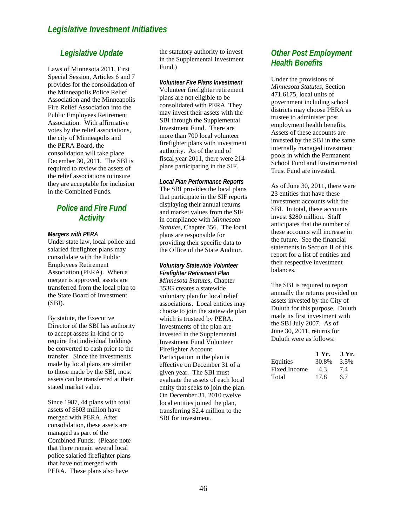## *Legislative Update*

Laws of Minnesota 2011, First Special Session, Articles 6 and 7 provides for the consolidation of the Minneapolis Police Relief Association and the Minneapolis Fire Relief Association into the Public Employees Retirement Association. With affirmative votes by the relief associations, the city of Minneapolis and the PERA Board, the consolidation will take place December 30, 2011. The SBI is required to review the assets of the relief associations to insure they are acceptable for inclusion in the Combined Funds.

## *Police and Fire Fund Activity*

#### *Mergers with PERA*

Under state law, local police and salaried firefighter plans may consolidate with the Public Employees Retirement Association (PERA). When a merger is approved, assets are transferred from the local plan to the State Board of Investment (SBI).

By statute, the Executive Director of the SBI has authority to accept assets in-kind or to require that individual holdings be converted to cash prior to the transfer. Since the investments made by local plans are similar to those made by the SBI, most assets can be transferred at their stated market value.

Since 1987, 44 plans with total assets of \$603 million have merged with PERA. After consolidation, these assets are managed as part of the Combined Funds. (Please note that there remain several local police salaried firefighter plans that have not merged with PERA. These plans also have

the statutory authority to invest in the Supplemental Investment Fund.)

*Volunteer Fire Plans Investment*  Volunteer firefighter retirement plans are not eligible to be consolidated with PERA. They may invest their assets with the SBI through the Supplemental Investment Fund. There are more than 700 local volunteer firefighter plans with investment authority. As of the end of fiscal year 2011, there were 214 plans participating in the SIF.

#### *Local Plan Performance Reports*

The SBI provides the local plans that participate in the SIF reports displaying their annual returns and market values from the SIF in compliance with *Minnesota Statutes*, Chapter 356. The local plans are responsible for providing their specific data to the Office of the State Auditor.

*Voluntary Statewide Volunteer Firefighter Retirement Plan Minnesota Statutes*, Chapter 353G creates a statewide voluntary plan for local relief associations. Local entities may choose to join the statewide plan which is trusteed by PERA. Investments of the plan are invested in the Supplemental Investment Fund Volunteer Firefighter Account. Participation in the plan is effective on December 31 of a given year. The SBI must evaluate the assets of each local entity that seeks to join the plan. On December 31, 2010 twelve local entities joined the plan, transferring \$2.4 million to the SBI for investment.

## *Other Post Employment Health Benefits*

Under the provisions of *Minnesota Statutes*, Section 471.6175, local units of government including school districts may choose PERA as trustee to administer post employment health benefits. Assets of these accounts are invested by the SBI in the same internally managed investment pools in which the Permanent School Fund and Environmental Trust Fund are invested.

As of June 30, 2011, there were 23 entities that have these investment accounts with the SBI. In total, these accounts invest \$280 million. Staff anticipates that the number of these accounts will increase in the future. See the financial statements in Section II of this report for a list of entities and their respective investment balances.

The SBI is required to report annually the returns provided on assets invested by the City of Duluth for this purpose. Duluth made its first investment with the SBI July 2007. As of June 30, 2011, returns for Duluth were as follows:

# **1 Yr.**  $3 Yr$ .<br> **20.904 2.504**

| Equities     | 30.8% | 3.5% |
|--------------|-------|------|
| Fixed Income | 4.3   | 7.4  |
| Total        | 17.8  | 6.7  |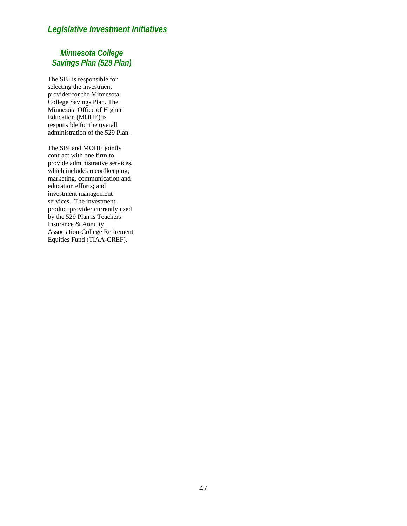## *Legislative Investment Initiatives*

## *Minnesota College Savings Plan (529 Plan)*

The SBI is responsible for selecting the investment provider for the Minnesota College Savings Plan. The Minnesota Office of Higher Education (MOHE) is responsible for the overall administration of the 529 Plan.

The SBI and MOHE jointly contract with one firm to provide administrative services, which includes recordkeeping; marketing, communication and education efforts; and investment management services. The investment product provider currently used by the 529 Plan is Teachers Insurance & Annuity Association-College Retirement Equities Fund (TIAA-CREF).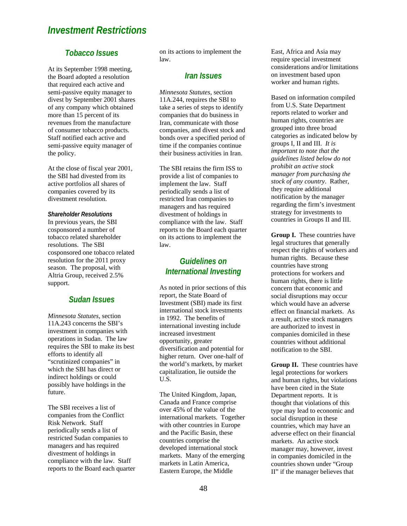## *Investment Restrictions*

### *Tobacco Issues*

At its September 1998 meeting, the Board adopted a resolution that required each active and semi-passive equity manager to divest by September 2001 shares of any company which obtained more than 15 percent of its revenues from the manufacture of consumer tobacco products. Staff notified each active and semi-passive equity manager of the policy.

At the close of fiscal year 2001, the SBI had divested from its active portfolios all shares of companies covered by its divestment resolution.

#### *Shareholder Resolutions*

In previous years, the SBI cosponsored a number of tobacco related shareholder resolutions. The SBI cosponsored one tobacco related resolution for the 2011 proxy season. The proposal, with Altria Group, received 2.5% support.

### *Sudan Issues*

*Minnesota Statutes*, section 11A.243 concerns the SBI's investment in companies with operations in Sudan. The law requires the SBI to make its best efforts to identify all "scrutinized companies" in which the SBI has direct or indirect holdings or could possibly have holdings in the future.

The SBI receives a list of companies from the Conflict Risk Network. Staff periodically sends a list of restricted Sudan companies to managers and has required divestment of holdings in compliance with the law. Staff reports to the Board each quarter on its actions to implement the law.

#### *Iran Issues*

*Minnesota Statutes*, section 11A.244, requires the SBI to take a series of steps to identify companies that do business in Iran, communicate with those companies, and divest stock and bonds over a specified period of time if the companies continue their business activities in Iran.

The SBI retains the firm ISS to provide a list of companies to implement the law. Staff periodically sends a list of restricted Iran companies to managers and has required divestment of holdings in compliance with the law. Staff reports to the Board each quarter on its actions to implement the law.

### *Guidelines on International Investing*

As noted in prior sections of this report, the State Board of Investment (SBI) made its first international stock investments in 1992. The benefits of international investing include increased investment opportunity, greater diversification and potential for higher return. Over one-half of the world's markets, by market capitalization, lie outside the U.S.

The United Kingdom, Japan, Canada and France comprise over 45% of the value of the international markets. Together with other countries in Europe and the Pacific Basin, these countries comprise the developed international stock markets. Many of the emerging markets in Latin America, Eastern Europe, the Middle

East, Africa and Asia may require special investment considerations and/or limitations on investment based upon worker and human rights.

Based on information compiled from U.S. State Department reports related to worker and human rights, countries are grouped into three broad categories as indicated below by groups I, II and III. *It is important to note that the guidelines listed below do not prohibit an active stock manager from purchasing the stock of any country*. Rather, they require additional notification by the manager regarding the firm's investment strategy for investments to countries in Groups II and III.

**Group I.** These countries have legal structures that generally respect the rights of workers and human rights. Because these countries have strong protections for workers and human rights, there is little concern that economic and social disruptions may occur which would have an adverse effect on financial markets. As a result, active stock managers are authorized to invest in companies domiciled in these countries without additional notification to the SBI.

**Group II.** These countries have legal protections for workers and human rights, but violations have been cited in the State Department reports. It is thought that violations of this type may lead to economic and social disruption in these countries, which may have an adverse effect on their financial markets. An active stock manager may, however, invest in companies domiciled in the countries shown under "Group II" if the manager believes that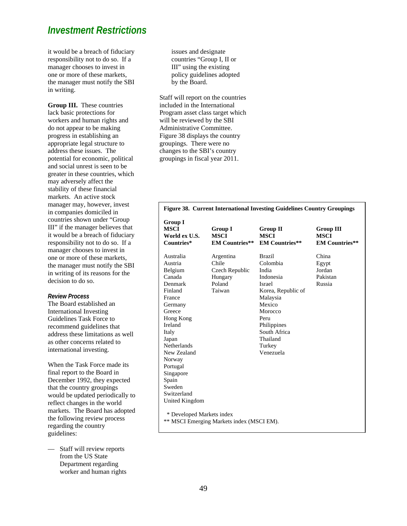## *Investment Restrictions*

it would be a breach of fiduciary responsibility not to do so. If a manager chooses to invest in one or more of these markets, the manager must notify the SBI in writing.

**Group III.** These countries lack basic protections for workers and human rights and do not appear to be making progress in establishing an appropriate legal structure to address these issues. The potential for economic, political and social unrest is seen to be greater in these countries, which may adversely affect the stability of these financial markets. An active stock manager may, however, invest in companies domiciled in countries shown under "Group III" if the manager believes that it would be a breach of fiduciary responsibility not to do so. If a manager chooses to invest in one or more of these markets, the manager must notify the SBI in writing of its reasons for the decision to do so.

#### *Review Process*

The Board established an International Investing Guidelines Task Force to recommend guidelines that address these limitations as well as other concerns related to international investing.

When the Task Force made its final report to the Board in December 1992, they expected that the country groupings would be updated periodically to reflect changes in the world markets. The Board has adopted the following review process regarding the country guidelines:

— Staff will review reports from the US State Department regarding worker and human rights issues and designate countries "Group I, II or III" using the existing policy guidelines adopted by the Board.

Staff will report on the countries included in the International Program asset class target which will be reviewed by the SBI Administrative Committee. Figure 38 displays the country groupings. There were no changes to the SBI's country groupings in fiscal year 2011.

| <b>Group I</b><br><b>MSCI</b><br>World ex U.S.<br>Countries*                                                                                                                                                                                                         | <b>Group I</b><br>MSCI<br><b>EM Countries**</b>                     | <b>Group II</b><br>MSCI<br><b>EM Countries**</b>                                                                                                                                                  | <b>Group III</b><br><b>MSCI</b><br><b>EM Countries**</b> |  |  |  |
|----------------------------------------------------------------------------------------------------------------------------------------------------------------------------------------------------------------------------------------------------------------------|---------------------------------------------------------------------|---------------------------------------------------------------------------------------------------------------------------------------------------------------------------------------------------|----------------------------------------------------------|--|--|--|
| Australia<br>Austria<br>Belgium<br>Canada<br>Denmark<br>Finland<br>France<br>Germany<br>Greece<br>Hong Kong<br>Ireland<br>Italy<br>Japan<br><b>Netherlands</b><br>New Zealand<br>Norway<br>Portugal<br>Singapore<br>Spain<br>Sweden<br>Switzerland<br>United Kingdom | Argentina<br>Chile<br>Czech Republic<br>Hungary<br>Poland<br>Taiwan | <b>Brazil</b><br>Colombia<br>India<br>Indonesia<br><b>Israel</b><br>Korea, Republic of<br>Malaysia<br>Mexico<br>Morocco<br>Peru<br>Philippines<br>South Africa<br>Thailand<br>Turkey<br>Venezuela | China<br>Egypt<br>Jordan<br>Pakistan<br>Russia           |  |  |  |
| * Developed Markets index<br>** MSCI Emerging Markets index (MSCI EM).                                                                                                                                                                                               |                                                                     |                                                                                                                                                                                                   |                                                          |  |  |  |

#### **Figure 38. Current International Investing Guidelines Country Groupings**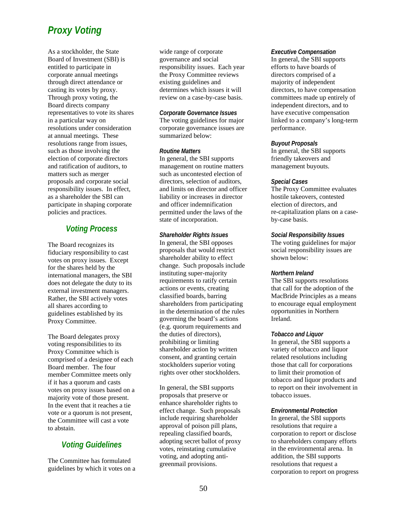# *Proxy Voting*

As a stockholder, the State Board of Investment (SBI) is entitled to participate in corporate annual meetings through direct attendance or casting its votes by proxy. Through proxy voting, the Board directs company representatives to vote its shares in a particular way on resolutions under consideration at annual meetings. These resolutions range from issues, such as those involving the election of corporate directors and ratification of auditors, to matters such as merger proposals and corporate social responsibility issues. In effect, as a shareholder the SBI can participate in shaping corporate policies and practices.

## *Voting Process*

The Board recognizes its fiduciary responsibility to cast votes on proxy issues. Except for the shares held by the international managers, the SBI does not delegate the duty to its external investment managers. Rather, the SBI actively votes all shares according to guidelines established by its Proxy Committee.

The Board delegates proxy voting responsibilities to its Proxy Committee which is comprised of a designee of each Board member. The four member Committee meets only if it has a quorum and casts votes on proxy issues based on a majority vote of those present. In the event that it reaches a tie vote or a quorum is not present, the Committee will cast a vote to abstain.

## *Voting Guidelines*

The Committee has formulated guidelines by which it votes on a

wide range of corporate governance and social responsibility issues. Each year the Proxy Committee reviews existing guidelines and determines which issues it will review on a case-by-case basis.

#### *Corporate Governance Issues*

The voting guidelines for major corporate governance issues are summarized below:

#### *Routine Matters*

In general, the SBI supports management on routine matters such as uncontested election of directors, selection of auditors, and limits on director and officer liability or increases in director and officer indemnification permitted under the laws of the state of incorporation.

#### *Shareholder Rights Issues*

In general, the SBI opposes proposals that would restrict shareholder ability to effect change. Such proposals include instituting super-majority requirements to ratify certain actions or events, creating classified boards, barring shareholders from participating in the determination of the rules governing the board's actions (e.g. quorum requirements and the duties of directors), prohibiting or limiting shareholder action by written consent, and granting certain stockholders superior voting rights over other stockholders.

In general, the SBI supports proposals that preserve or enhance shareholder rights to effect change. Such proposals include requiring shareholder approval of poison pill plans, repealing classified boards, adopting secret ballot of proxy votes, reinstating cumulative voting, and adopting antigreenmail provisions.

#### *Executive Compensation*

In general, the SBI supports efforts to have boards of directors comprised of a majority of independent directors, to have compensation committees made up entirely of independent directors, and to have executive compensation linked to a company's long-term performance.

#### *Buyout Proposals*

In general, the SBI supports friendly takeovers and management buyouts.

#### *Special Cases*

The Proxy Committee evaluates hostile takeovers, contested election of directors, and re-capitalization plans on a caseby-case basis.

#### *Social Responsibility Issues*

The voting guidelines for major social responsibility issues are shown below:

#### *Northern Ireland*

The SBI supports resolutions that call for the adoption of the MacBride Principles as a means to encourage equal employment opportunities in Northern Ireland.

#### *Tobacco and Liquor*

In general, the SBI supports a variety of tobacco and liquor related resolutions including those that call for corporations to limit their promotion of tobacco and liquor products and to report on their involvement in tobacco issues.

#### *Environmental Protection*

In general, the SBI supports resolutions that require a corporation to report or disclose to shareholders company efforts in the environmental arena. In addition, the SBI supports resolutions that request a corporation to report on progress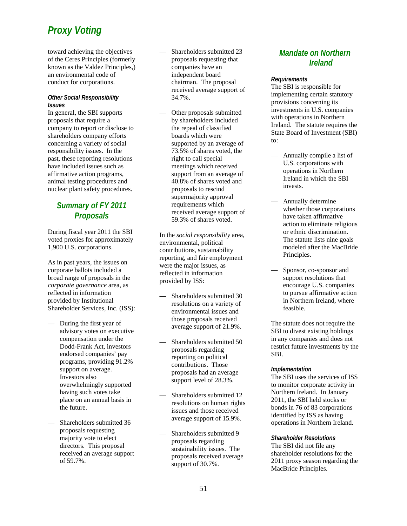# *Proxy Voting*

toward achieving the objectives of the Ceres Principles (formerly known as the Valdez Principles,) an environmental code of conduct for corporations.

#### *Other Social Responsibility Issues*

In general, the SBI supports proposals that require a company to report or disclose to shareholders company efforts concerning a variety of social responsibility issues. In the past, these reporting resolutions have included issues such as affirmative action programs, animal testing procedures and nuclear plant safety procedures.

## *Summary of FY 2011 Proposals*

During fiscal year 2011 the SBI voted proxies for approximately 1,900 U.S. corporations.

As in past years, the issues on corporate ballots included a broad range of proposals in the *corporate governance* area, as reflected in information provided by Institutional Shareholder Services, Inc. (ISS):

- During the first year of advisory votes on executive compensation under the Dodd-Frank Act, investors endorsed companies' pay programs, providing 91.2% support on average. Investors also overwhelmingly supported having such votes take place on an annual basis in the future.
- Shareholders submitted 36 proposals requesting majority vote to elect directors. This proposal received an average support of 59.7%.
- Shareholders submitted 23 proposals requesting that companies have an independent board chairman. The proposal received average support of 34.7%.
- Other proposals submitted by shareholders included the repeal of classified boards which were supported by an average of 73.5% of shares voted, the right to call special meetings which received support from an average of 40.8% of shares voted and proposals to rescind supermajority approval requirements which received average support of 59.3% of shares voted.

In the *social responsibility* area, environmental, political contributions, sustainability reporting, and fair employment were the major issues, as reflected in information provided by ISS:

- Shareholders submitted 30 resolutions on a variety of environmental issues and those proposals received average support of 21.9%.
- Shareholders submitted 50 proposals regarding reporting on political contributions. Those proposals had an average support level of 28.3%.
- Shareholders submitted 12 resolutions on human rights issues and those received average support of 15.9%.
- Shareholders submitted 9 proposals regarding sustainability issues. The proposals received average support of 30.7%.

## *Mandate on Northern Ireland*

#### *Requirements*

The SBI is responsible for implementing certain statutory provisions concerning its investments in U.S. companies with operations in Northern Ireland. The statute requires the State Board of Investment (SBI) to:

- Annually compile a list of U.S. corporations with operations in Northern Ireland in which the SBI invests.
- Annually determine whether those corporations have taken affirmative action to eliminate religious or ethnic discrimination. The statute lists nine goals modeled after the MacBride Principles.
- Sponsor, co-sponsor and support resolutions that encourage U.S. companies to pursue affirmative action in Northern Ireland, where feasible.

The statute does not require the SBI to divest existing holdings in any companies and does not restrict future investments by the SBI.

#### *Implementation*

The SBI uses the services of ISS to monitor corporate activity in Northern Ireland. In January 2011, the SBI held stocks or bonds in 76 of 83 corporations identified by ISS as having operations in Northern Ireland.

#### *Shareholder Resolutions*

The SBI did not file any shareholder resolutions for the 2011 proxy season regarding the MacBride Principles.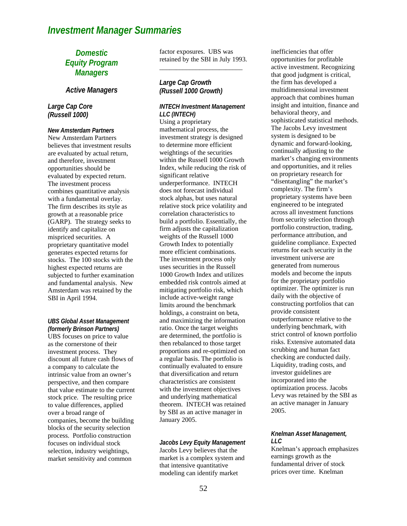## *Domestic Equity Program Managers*

#### *Active Managers*

### *Large Cap Core (Russell 1000)*

*New Amsterdam Partners*  New Amsterdam Partners believes that investment results are evaluated by actual return, and therefore, investment opportunities should be evaluated by expected return. The investment process combines quantitative analysis with a fundamental overlay. The firm describes its style as growth at a reasonable price (GARP). The strategy seeks to identify and capitalize on mispriced securities. A proprietary quantitative model generates expected returns for stocks. The 100 stocks with the highest expected returns are subjected to further examination and fundamental analysis. New Amsterdam was retained by the SBI in April 1994.

#### *UBS Global Asset Management (formerly Brinson Partners)*

UBS focuses on price to value as the cornerstone of their investment process. They discount all future cash flows of a company to calculate the intrinsic value from an owner's perspective, and then compare that value estimate to the current stock price. The resulting price to value differences, applied over a broad range of companies, become the building blocks of the security selection process. Portfolio construction focuses on individual stock selection, industry weightings, market sensitivity and common

factor exposures. UBS was retained by the SBI in July 1993. \_\_\_\_\_\_\_\_\_\_\_\_\_\_\_\_\_\_\_\_\_\_\_\_\_

### *Large Cap Growth (Russell 1000 Growth)*

#### *INTECH Investment Management LLC (INTECH)*

Using a proprietary mathematical process, the investment strategy is designed to determine more efficient weightings of the securities within the Russell 1000 Growth Index, while reducing the risk of significant relative underperformance. INTECH does not forecast individual stock alphas, but uses natural relative stock price volatility and correlation characteristics to build a portfolio. Essentially, the firm adjusts the capitalization weights of the Russell 1000 Growth Index to potentially more efficient combinations. The investment process only uses securities in the Russell 1000 Growth Index and utilizes embedded risk controls aimed at mitigating portfolio risk, which include active-weight range limits around the benchmark holdings, a constraint on beta, and maximizing the information ratio. Once the target weights are determined, the portfolio is then rebalanced to those target proportions and re-optimized on a regular basis. The portfolio is continually evaluated to ensure that diversification and return characteristics are consistent with the investment objectives and underlying mathematical theorem. INTECH was retained by SBI as an active manager in January 2005.

#### *Jacobs Levy Equity Management*

Jacobs Levy believes that the market is a complex system and that intensive quantitative modeling can identify market

inefficiencies that offer opportunities for profitable active investment. Recognizing that good judgment is critical, the firm has developed a multidimensional investment approach that combines human insight and intuition, finance and behavioral theory, and sophisticated statistical methods. The Jacobs Levy investment system is designed to be dynamic and forward-looking, continually adjusting to the market's changing environments and opportunities, and it relies on proprietary research for "disentangling" the market's complexity. The firm's proprietary systems have been engineered to be integrated across all investment functions from security selection through portfolio construction, trading, performance attribution, and guideline compliance. Expected returns for each security in the investment universe are generated from numerous models and become the inputs for the proprietary portfolio optimizer. The optimizer is run daily with the objective of constructing portfolios that can provide consistent outperformance relative to the underlying benchmark, with strict control of known portfolio risks. Extensive automated data scrubbing and human fact checking are conducted daily. Liquidity, trading costs, and investor guidelines are incorporated into the optimization process. Jacobs Levy was retained by the SBI as an active manager in January 2005.

#### *Knelman Asset Management, LLC*

Knelman's approach emphasizes earnings growth as the fundamental driver of stock prices over time. Knelman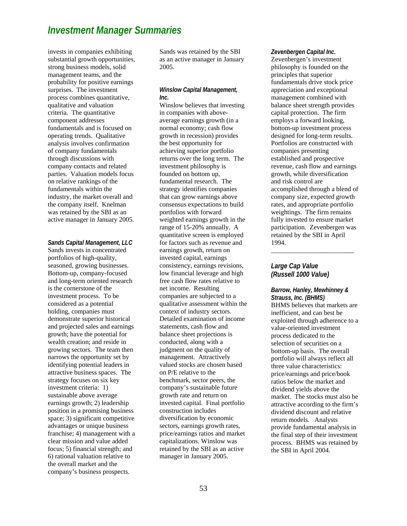invests in companies exhibiting substantial growth opportunities, strong business models, solid management teams, and the probability for positive earnings surprises. The investment process combines quantitative, qualitative and valuation criteria. The quantitative component addresses fundamentals and is focused on operating trends. Qualitative analysis involves confirmation of company fundamentals through discussions with company contacts and related parties. Valuation models focus on relative rankings of the fundamentals within the industry, the market overall and the company itself. Knelman was retained by the SBI as an active manager in January 2005.

#### *Sands Capital Management, LLC*

Sands invests in concentrated portfolios of high-quality, seasoned, growing businesses. Bottom-up, company-focused and long-term oriented research is the cornerstone of the investment process. To be considered as a potential holding, companies must demonstrate superior historical and projected sales and earnings growth; have the potential for wealth creation; and reside in growing sectors. The team then narrows the opportunity set by identifying potential leaders in attractive business spaces. The strategy focuses on six key investment criteria: 1) sustainable above average earnings growth; 2) leadership position in a promising business space; 3) significant competitive advantages or unique business franchise; 4) management with a clear mission and value added focus; 5) financial strength; and 6) rational valuation relative to the overall market and the company's business prospects.

Sands was retained by the SBI as an active manager in January 2005.

#### *Winslow Capital Management, Inc.*

Winslow believes that investing in companies with aboveaverage earnings growth (in a normal economy; cash flow growth in recession) provides the best opportunity for achieving superior portfolio returns over the long term. The investment philosophy is founded on bottom up, fundamental research. The strategy identifies companies that can grow earnings above consensus expectations to build portfolios with forward weighted earnings growth in the range of 15-20% annually. A quantitative screen is employed for factors such as revenue and earnings growth, return on invested capital, earnings consistency, earnings revisions, low financial leverage and high free cash flow rates relative to net income. Resulting companies are subjected to a qualitative assessment within the context of industry sectors. Detailed examination of income statements, cash flow and balance sheet projections is conducted, along with a judgment on the quality of management. Attractively valued stocks are chosen based on P/E relative to the benchmark, sector peers, the company's sustainable future growth rate and return on invested capital. Final portfolio construction includes diversification by economic sectors, earnings growth rates, price/earnings ratios and market capitalizations. Winslow was retained by the SBI as an active manager in January 2005.

#### *Zevenbergen Capital Inc.*

Zevenbergen's investment philosophy is founded on the principles that superior fundamentals drive stock price appreciation and exceptional management combined with balance sheet strength provides capital protection. The firm employs a forward looking, bottom-up investment process designed for long-term results. Portfolios are constructed with companies presenting established and prospective revenue, cash flow and earnings growth, while diversification and risk control are accomplished through a blend of company size, expected growth rates, and appropriate portfolio weightings. The firm remains fully invested to ensure market participation. Zevenbergen was retained by the SBI in April 1994.

#### *Large Cap Value (Russell 1000 Value)*

#### *Barrow, Hanley, Mewhinney & Strauss, Inc. (BHMS)*

\_\_\_\_\_\_\_\_\_\_\_\_\_\_\_\_\_\_\_\_\_\_\_\_\_

BHMS believes that markets are inefficient, and can best be exploited through adherence to a value-oriented investment process dedicated to the selection of securities on a bottom-up basis. The overall portfolio will always reflect all three value characteristics: price/earnings and price/book ratios below the market and dividend yields above the market. The stocks must also be attractive according to the firm's dividend discount and relative return models. Analysts provide fundamental analysis in the final step of their investment process. BHMS was retained by the SBI in April 2004.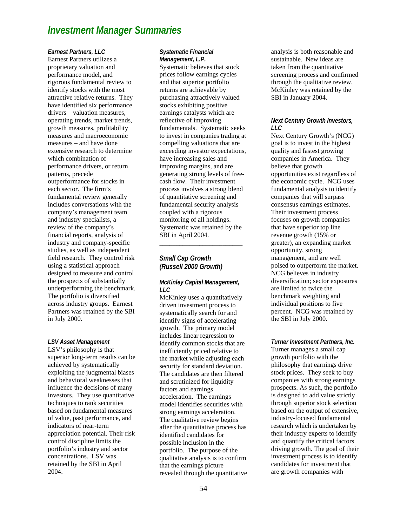#### *Earnest Partners, LLC*

Earnest Partners utilizes a proprietary valuation and performance model, and rigorous fundamental review to identify stocks with the most attractive relative returns. They have identified six performance drivers – valuation measures, operating trends, market trends, growth measures, profitability measures and macroeconomic measures – and have done extensive research to determine which combination of performance drivers, or return patterns, precede outperformance for stocks in each sector. The firm's fundamental review generally includes conversations with the company's management team and industry specialists, a review of the company's financial reports, analysis of industry and company-specific studies, as well as independent field research. They control risk using a statistical approach designed to measure and control the prospects of substantially underperforming the benchmark. The portfolio is diversified across industry groups. Earnest Partners was retained by the SBI in July 2000.

#### *LSV Asset Management*

LSV's philosophy is that superior long-term results can be achieved by systematically exploiting the judgmental biases and behavioral weaknesses that influence the decisions of many investors. They use quantitative techniques to rank securities based on fundamental measures of value, past performance, and indicators of near-term appreciation potential. Their risk control discipline limits the portfolio's industry and sector concentrations. LSV was retained by the SBI in April 2004.

#### *Systematic Financial Management, L.P.*

Systematic believes that stock prices follow earnings cycles and that superior portfolio returns are achievable by purchasing attractively valued stocks exhibiting positive earnings catalysts which are reflective of improving fundamentals. Systematic seeks to invest in companies trading at compelling valuations that are exceeding investor expectations, have increasing sales and improving margins, and are generating strong levels of freecash flow. Their investment process involves a strong blend of quantitative screening and fundamental security analysis coupled with a rigorous monitoring of all holdings. Systematic was retained by the SBI in April 2004.

### *Small Cap Growth (Russell 2000 Growth)*

#### *McKinley Capital Management, LLC*

\_\_\_\_\_\_\_\_\_\_\_\_\_\_\_\_\_\_\_\_\_\_\_\_\_

McKinley uses a quantitatively driven investment process to systematically search for and identify signs of accelerating growth. The primary model includes linear regression to identify common stocks that are inefficiently priced relative to the market while adjusting each security for standard deviation. The candidates are then filtered and scrutinized for liquidity factors and earnings acceleration. The earnings model identifies securities with strong earnings acceleration. The qualitative review begins after the quantitative process has identified candidates for possible inclusion in the portfolio. The purpose of the qualitative analysis is to confirm that the earnings picture revealed through the quantitative analysis is both reasonable and sustainable. New ideas are taken from the quantitative screening process and confirmed through the qualitative review. McKinley was retained by the SBI in January 2004.

#### *Next Century Growth Investors, LLC*

Next Century Growth's (NCG) goal is to invest in the highest quality and fastest growing companies in America. They believe that growth opportunities exist regardless of the economic cycle. NCG uses fundamental analysis to identify companies that will surpass consensus earnings estimates. Their investment process focuses on growth companies that have superior top line revenue growth (15% or greater), an expanding market opportunity, strong management, and are well poised to outperform the market. NCG believes in industry diversification; sector exposures are limited to twice the benchmark weighting and individual positions to five percent. NCG was retained by the SBI in July 2000.

*Turner Investment Partners, Inc.* Turner manages a small cap growth portfolio with the philosophy that earnings drive stock prices. They seek to buy companies with strong earnings prospects. As such, the portfolio is designed to add value strictly through superior stock selection based on the output of extensive, industry-focused fundamental research which is undertaken by their industry experts to identify and quantify the critical factors driving growth. The goal of their investment process is to identify candidates for investment that are growth companies with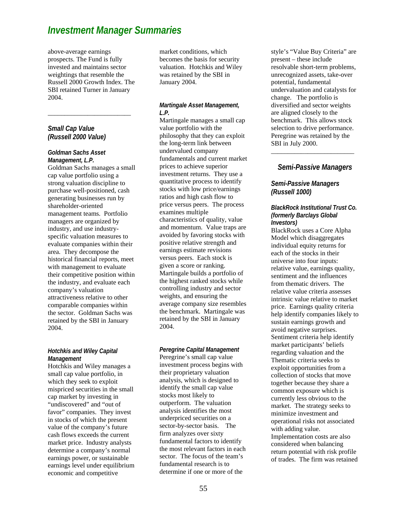above-average earnings prospects. The Fund is fully invested and maintains sector weightings that resemble the Russell 2000 Growth Index. The SBI retained Turner in January 2004.

\_\_\_\_\_\_\_\_\_\_\_\_\_\_\_\_\_\_\_\_\_\_\_\_\_

*Small Cap Value (Russell 2000 Value)* 

*Goldman Sachs Asset Management, L.P.* Goldman Sachs manages a small cap value portfolio using a strong valuation discipline to purchase well-positioned, cash generating businesses run by shareholder-oriented management teams. Portfolio managers are organized by industry, and use industryspecific valuation measures to evaluate companies within their area. They decompose the historical financial reports, meet with management to evaluate their competitive position within the industry, and evaluate each company's valuation attractiveness relative to other comparable companies within the sector. Goldman Sachs was retained by the SBI in January 2004.

#### *Hotchkis and Wiley Capital Management*

Hotchkis and Wiley manages a small cap value portfolio, in which they seek to exploit mispriced securities in the small cap market by investing in "undiscovered" and "out of favor" companies. They invest in stocks of which the present value of the company's future cash flows exceeds the current market price. Industry analysts determine a company's normal earnings power, or sustainable earnings level under equilibrium economic and competitive

market conditions, which becomes the basis for security valuation. Hotchkis and Wiley was retained by the SBI in January 2004.

#### *Martingale Asset Management, L.P.*

Martingale manages a small cap value portfolio with the philosophy that they can exploit the long-term link between undervalued company fundamentals and current market prices to achieve superior investment returns. They use a quantitative process to identify stocks with low price/earnings ratios and high cash flow to price versus peers. The process examines multiple characteristics of quality, value and momentum. Value traps are avoided by favoring stocks with positive relative strength and earnings estimate revisions versus peers. Each stock is given a score or ranking. Martingale builds a portfolio of the highest ranked stocks while controlling industry and sector weights, and ensuring the average company size resembles the benchmark. Martingale was retained by the SBI in January 2004.

#### *Peregrine Capital Management*

Peregrine's small cap value investment process begins with their proprietary valuation analysis, which is designed to identify the small cap value stocks most likely to outperform. The valuation analysis identifies the most underpriced securities on a sector-by-sector basis. The firm analyzes over sixty fundamental factors to identify the most relevant factors in each sector. The focus of the team's fundamental research is to determine if one or more of the

style's "Value Buy Criteria" are present – these include resolvable short-term problems, unrecognized assets, take-over potential, fundamental undervaluation and catalysts for change. The portfolio is diversified and sector weights are aligned closely to the benchmark. This allows stock selection to drive performance. Peregrine was retained by the SBI in July 2000.

#### *Semi-Passive Managers*

\_\_\_\_\_\_\_\_\_\_\_\_\_\_\_\_\_\_\_\_\_\_\_\_\_

### *Semi-Passive Managers (Russell 1000)*

#### *BlackRock Institutional Trust Co. (formerly Barclays Global Investors)*

BlackRock uses a Core Alpha Model which disaggregates individual equity returns for each of the stocks in their universe into four inputs: relative value, earnings quality, sentiment and the influences from thematic drivers. The relative value criteria assesses intrinsic value relative to market price. Earnings quality criteria help identify companies likely to sustain earnings growth and avoid negative surprises. Sentiment criteria help identify market participants' beliefs regarding valuation and the Thematic criteria seeks to exploit opportunities from a collection of stocks that move together because they share a common exposure which is currently less obvious to the market. The strategy seeks to minimize investment and operational risks not associated with adding value. Implementation costs are also considered when balancing return potential with risk profile of trades. The firm was retained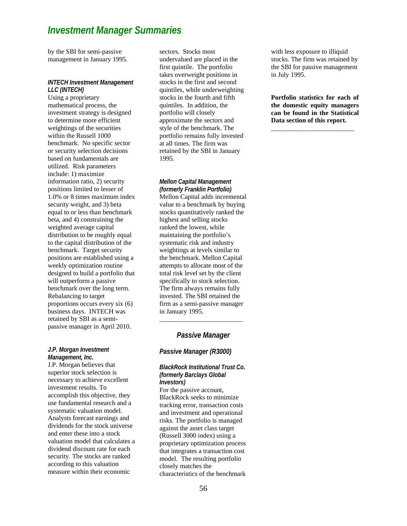by the SBI for semi-passive management in January 1995.

#### *INTECH Investment Management LLC (INTECH)*

Using a proprietary mathematical process, the investment strategy is designed to determine more efficient weightings of the securities within the Russell 1000 benchmark. No specific sector or security selection decisions based on fundamentals are utilized. Risk parameters include: 1) maximize information ratio, 2) security positions limited to lesser of 1.0% or 8 times maximum index security weight, and 3) beta equal to or less than benchmark beta, and 4) constraining the weighted average capital distribution to be roughly equal to the capital distribution of the benchmark. Target security positions are established using a weekly optimization routine designed to build a portfolio that will outperform a passive benchmark over the long term. Rebalancing to target proportions occurs every six (6) business days. INTECH was retained by SBI as a semipassive manager in April 2010.

#### *J.P. Morgan Investment Management, Inc.*

J.P. Morgan believes that superior stock selection is necessary to achieve excellent investment results. To accomplish this objective, they use fundamental research and a systematic valuation model. Analysts forecast earnings and dividends for the stock universe and enter these into a stock valuation model that calculates a dividend discount rate for each security. The stocks are ranked according to this valuation measure within their economic

sectors. Stocks most undervalued are placed in the first quintile. The portfolio takes overweight positions in stocks in the first and second quintiles, while underweighting stocks in the fourth and fifth quintiles. In addition, the portfolio will closely approximate the sectors and style of the benchmark. The portfolio remains fully invested at all times. The firm was retained by the SBI in January 1995.

#### *Mellon Capital Management (formerly Franklin Portfolio)*

Mellon Capital adds incremental value to a benchmark by buying stocks quantitatively ranked the highest and selling stocks ranked the lowest, while maintaining the portfolio's systematic risk and industry weightings at levels similar to the benchmark. Mellon Capital attempts to allocate most of the total risk level set by the client specifically to stock selection. The firm always remains fully invested. The SBI retained the firm as a semi-passive manager in January 1995. \_\_\_\_\_\_\_\_\_\_\_\_\_\_\_\_\_\_\_\_\_\_\_\_\_

#### *Passive Manager*

#### *Passive Manager (R3000)*

#### *BlackRock Institutional Trust Co. (formerly Barclays Global Investors)*

For the passive account, BlackRock seeks to minimize tracking error, transaction costs and investment and operational risks. The portfolio is managed against the asset class target (Russell 3000 index) using a proprietary optimization process that integrates a transaction cost model. The resulting portfolio closely matches the characteristics of the benchmark

with less exposure to illiquid stocks. The firm was retained by the SBI for passive management in July 1995.

**Portfolio statistics for each of the domestic equity managers can be found in the Statistical Data section of this report.** 

\_\_\_\_\_\_\_\_\_\_\_\_\_\_\_\_\_\_\_\_\_\_\_\_\_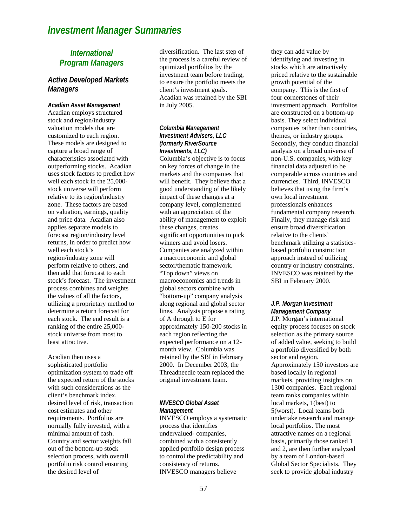## *International Program Managers*

### *Active Developed Markets Managers*

## *Acadian Asset Management*

Acadian employs structured stock and region/industry valuation models that are customized to each region. These models are designed to capture a broad range of characteristics associated with outperforming stocks. Acadian uses stock factors to predict how well each stock in the 25,000 stock universe will perform relative to its region/industry zone. These factors are based on valuation, earnings, quality and price data. Acadian also applies separate models to forecast region/industry level returns, in order to predict how well each stock's region/industry zone will perform relative to others, and then add that forecast to each stock's forecast. The investment process combines and weights the values of all the factors, utilizing a proprietary method to determine a return forecast for each stock. The end result is a ranking of the entire 25,000 stock universe from most to least attractive.

Acadian then uses a sophisticated portfolio optimization system to trade off the expected return of the stocks with such considerations as the client's benchmark index, desired level of risk, transaction cost estimates and other requirements. Portfolios are normally fully invested, with a minimal amount of cash. Country and sector weights fall out of the bottom-up stock selection process, with overall portfolio risk control ensuring the desired level of

diversification. The last step of the process is a careful review of optimized portfolios by the investment team before trading, to ensure the portfolio meets the client's investment goals. Acadian was retained by the SBI in July 2005.

### *Columbia Management Investment Advisers, LLC (formerly RiverSource Investments, LLC)*

Columbia's objective is to focus on key forces of change in the markets and the companies that will benefit. They believe that a good understanding of the likely impact of these changes at a company level, complemented with an appreciation of the ability of management to exploit these changes, creates significant opportunities to pick winners and avoid losers. Companies are analyzed within a macroeconomic and global sector/thematic framework. "Top down" views on macroeconomics and trends in global sectors combine with "bottom-up" company analysis along regional and global sector lines. Analysts propose a rating of A through to E for approximately 150-200 stocks in each region reflecting the expected performance on a 12 month view. Columbia was retained by the SBI in February 2000. In December 2003, the Threadneedle team replaced the original investment team.

#### *INVESCO Global Asset Management*

INVESCO employs a systematic process that identifies undervalued- companies, combined with a consistently applied portfolio design process to control the predictability and consistency of returns. INVESCO managers believe

they can add value by identifying and investing in stocks which are attractively priced relative to the sustainable growth potential of the company. This is the first of four cornerstones of their investment approach. Portfolios are constructed on a bottom-up basis. They select individual companies rather than countries, themes, or industry groups. Secondly, they conduct financial analysis on a broad universe of non-U.S. companies, with key financial data adjusted to be comparable across countries and currencies. Third, INVESCO believes that using the firm's own local investment professionals enhances fundamental company research. Finally, they manage risk and ensure broad diversification relative to the clients' benchmark utilizing a statisticsbased portfolio construction approach instead of utilizing country or industry constraints. INVESCO was retained by the SBI in February 2000.

#### *J.P. Morgan Investment Management Company*

J.P. Morgan's international equity process focuses on stock selection as the primary source of added value, seeking to build a portfolio diversified by both sector and region. Approximately 150 investors are based locally in regional markets, providing insights on 1300 companies. Each regional team ranks companies within local markets, 1(best) to 5(worst). Local teams both undertake research and manage local portfolios. The most attractive names on a regional basis, primarily those ranked 1 and 2, are then further analyzed by a team of London-based Global Sector Specialists. They seek to provide global industry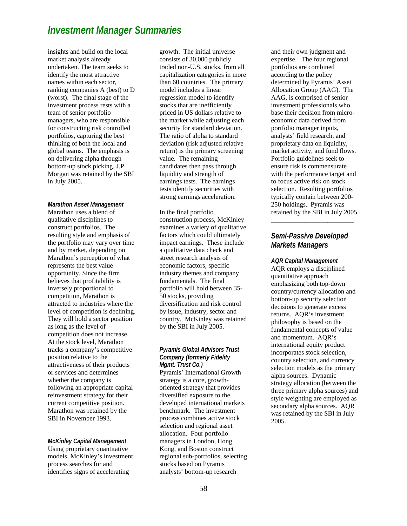insights and build on the local market analysis already undertaken. The team seeks to identify the most attractive names within each sector, ranking companies A (best) to D (worst). The final stage of the investment process rests with a team of senior portfolio managers, who are responsible for constructing risk controlled portfolios, capturing the best thinking of both the local and global teams. The emphasis is on delivering alpha through bottom-up stock picking. J.P. Morgan was retained by the SBI in July 2005.

#### *Marathon Asset Management*

Marathon uses a blend of qualitative disciplines to construct portfolios. The resulting style and emphasis of the portfolio may vary over time and by market, depending on Marathon's perception of what represents the best value opportunity. Since the firm believes that profitability is inversely proportional to competition, Marathon is attracted to industries where the level of competition is declining. They will hold a sector position as long as the level of competition does not increase. At the stock level, Marathon tracks a company's competitive position relative to the attractiveness of their products or services and determines whether the company is following an appropriate capital reinvestment strategy for their current competitive position. Marathon was retained by the SBI in November 1993.

#### *McKinley Capital Management*

Using proprietary quantitative models, McKinley's investment process searches for and identifies signs of accelerating

growth. The initial universe consists of 30,000 publicly traded non-U.S. stocks, from all capitalization categories in more than 60 countries. The primary model includes a linear regression model to identify stocks that are inefficiently priced in US dollars relative to the market while adjusting each security for standard deviation. The ratio of alpha to standard deviation (risk adjusted relative return) is the primary screening value. The remaining candidates then pass through liquidity and strength of earnings tests. The earnings tests identify securities with strong earnings acceleration.

In the final portfolio construction process, McKinley examines a variety of qualitative factors which could ultimately impact earnings. These include a qualitative data check and street research analysis of economic factors, specific industry themes and company fundamentals. The final portfolio will hold between 35- 50 stocks, providing diversification and risk control by issue, industry, sector and country. McKinley was retained by the SBI in July 2005.

#### *Pyramis Global Advisors Trust Company (formerly Fidelity Mgmt. Trust Co.)*

Pyramis' International Growth strategy is a core, growthoriented strategy that provides diversified exposure to the developed international markets benchmark. The investment process combines active stock selection and regional asset allocation. Four portfolio managers in London, Hong Kong, and Boston construct regional sub-portfolios, selecting stocks based on Pyramis analysts' bottom-up research

and their own judgment and expertise. The four regional portfolios are combined according to the policy determined by Pyramis' Asset Allocation Group (AAG). The AAG, is comprised of senior investment professionals who base their decision from microeconomic data derived from portfolio manager inputs, analysts' field research, and proprietary data on liquidity, market activity, and fund flows. Portfolio guidelines seek to ensure risk is commensurate with the performance target and to focus active risk on stock selection. Resulting portfolios typically contain between 200- 250 holdings. Pyramis was retained by the SBI in July 2005.

### *Semi-Passive Developed Markets Managers*

\_\_\_\_\_\_\_\_\_\_\_\_\_\_\_\_\_\_\_\_\_\_\_\_\_

#### *AQR Capital Management*

AQR employs a disciplined quantitative approach emphasizing both top-down country/currency allocation and bottom-up security selection decisions to generate excess returns. AQR's investment philosophy is based on the fundamental concepts of value and momentum. AQR's international equity product incorporates stock selection, country selection, and currency selection models as the primary alpha sources. Dynamic strategy allocation (between the three primary alpha sources) and style weighting are employed as secondary alpha sources. AQR was retained by the SBI in July 2005.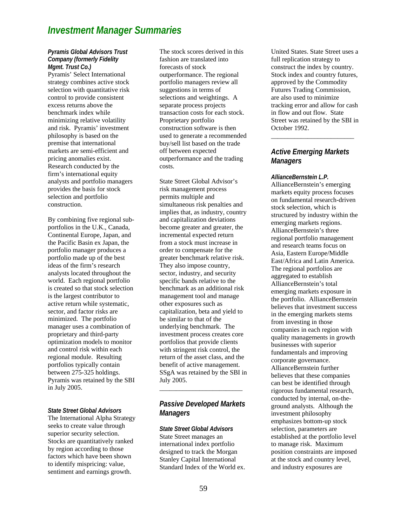#### *Pyramis Global Advisors Trust Company (formerly Fidelity Mgmt. Trust Co.)*

Pyramis' Select International strategy combines active stock selection with quantitative risk control to provide consistent excess returns above the benchmark index while minimizing relative volatility and risk. Pyramis' investment philosophy is based on the premise that international markets are semi-efficient and pricing anomalies exist. Research conducted by the firm's international equity analysts and portfolio managers provides the basis for stock selection and portfolio construction.

By combining five regional subportfolios in the U.K., Canada, Continental Europe, Japan, and the Pacific Basin ex Japan, the portfolio manager produces a portfolio made up of the best ideas of the firm's research analysts located throughout the world. Each regional portfolio is created so that stock selection is the largest contributor to active return while systematic, sector, and factor risks are minimized. The portfolio manager uses a combination of proprietary and third-party optimization models to monitor and control risk within each regional module. Resulting portfolios typically contain between 275-325 holdings. Pyramis was retained by the SBI in July 2005.

#### *State Street Global Advisors*

The International Alpha Strategy seeks to create value through superior security selection. Stocks are quantitatively ranked by region according to those factors which have been shown to identify mispricing: value, sentiment and earnings growth.

The stock scores derived in this fashion are translated into forecasts of stock outperformance. The regional portfolio managers review all suggestions in terms of selections and weightings. A separate process projects transaction costs for each stock. Proprietary portfolio construction software is then used to generate a recommended buy/sell list based on the trade off between expected outperformance and the trading costs.

State Street Global Advisor's risk management process permits multiple and simultaneous risk penalties and implies that, as industry, country and capitalization deviations become greater and greater, the incremental expected return from a stock must increase in order to compensate for the greater benchmark relative risk. They also impose country, sector, industry, and security specific bands relative to the benchmark as an additional risk management tool and manage other exposures such as capitalization, beta and yield to be similar to that of the underlying benchmark. The investment process creates core portfolios that provide clients with stringent risk control, the return of the asset class, and the benefit of active management. SSgA was retained by the SBI in July 2005. \_\_\_\_\_\_\_\_\_\_\_\_\_\_\_\_\_\_\_\_\_\_\_\_\_

## *Passive Developed Markets Managers*

*State Street Global Advisors* State Street manages an international index portfolio designed to track the Morgan Stanley Capital International Standard Index of the World ex. United States. State Street uses a full replication strategy to construct the index by country. Stock index and country futures, approved by the Commodity Futures Trading Commission, are also used to minimize tracking error and allow for cash in flow and out flow. State Street was retained by the SBI in October 1992.

### *Active Emerging Markets Managers*

\_\_\_\_\_\_\_\_\_\_\_\_\_\_\_\_\_\_\_\_\_\_\_\_\_

#### *AllianceBernstein L.P.*

AllianceBernstein's emerging markets equity process focuses on fundamental research-driven stock selection, which is structured by industry within the emerging markets regions. AllianceBernstein's three regional portfolio management and research teams focus on Asia, Eastern Europe/Middle East/Africa and Latin America. The regional portfolios are aggregated to establish AllianceBernstein's total emerging markets exposure in the portfolio. AllianceBernstein believes that investment success in the emerging markets stems from investing in those companies in each region with quality managements in growth businesses with superior fundamentals and improving corporate governance. AllianceBernstein further believes that these companies can best be identified through rigorous fundamental research, conducted by internal, on-theground analysts. Although the investment philosophy emphasizes bottom-up stock selection, parameters are established at the portfolio level to manage risk. Maximum position constraints are imposed at the stock and country level, and industry exposures are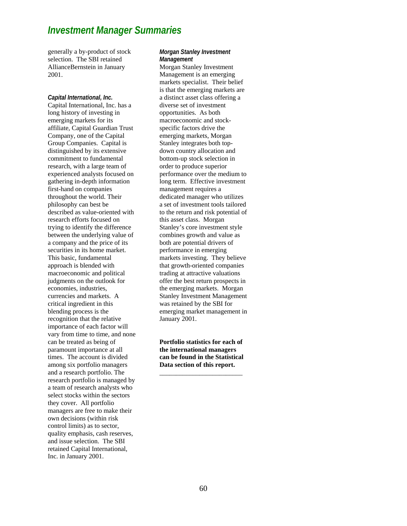generally a by-product of stock selection. The SBI retained AllianceBernstein in January 2001.

#### *Capital International, Inc.*

Capital International, Inc. has a long history of investing in emerging markets for its affiliate, Capital Guardian Trust Company, one of the Capital Group Companies. Capital is distinguished by its extensive commitment to fundamental research, with a large team of experienced analysts focused on gathering in-depth information first-hand on companies throughout the world. Their philosophy can best be described as value-oriented with research efforts focused on trying to identify the difference between the underlying value of a company and the price of its securities in its home market. This basic, fundamental approach is blended with macroeconomic and political judgments on the outlook for economies, industries, currencies and markets. A critical ingredient in this blending process is the recognition that the relative importance of each factor will vary from time to time, and none can be treated as being of paramount importance at all times. The account is divided among six portfolio managers and a research portfolio. The research portfolio is managed by a team of research analysts who select stocks within the sectors they cover. All portfolio managers are free to make their own decisions (within risk control limits) as to sector, quality emphasis, cash reserves, and issue selection. The SBI retained Capital International, Inc. in January 2001.

#### *Morgan Stanley Investment Management*

Morgan Stanley Investment Management is an emerging markets specialist. Their belief is that the emerging markets are a distinct asset class offering a diverse set of investment opportunities. As both macroeconomic and stockspecific factors drive the emerging markets, Morgan Stanley integrates both topdown country allocation and bottom-up stock selection in order to produce superior performance over the medium to long term. Effective investment management requires a dedicated manager who utilizes a set of investment tools tailored to the return and risk potential of this asset class. Morgan Stanley's core investment style combines growth and value as both are potential drivers of performance in emerging markets investing. They believe that growth-oriented companies trading at attractive valuations offer the best return prospects in the emerging markets. Morgan Stanley Investment Management was retained by the SBI for emerging market management in January 2001.

**Portfolio statistics for each of the international managers can be found in the Statistical Data section of this report.** 

\_\_\_\_\_\_\_\_\_\_\_\_\_\_\_\_\_\_\_\_\_\_\_\_\_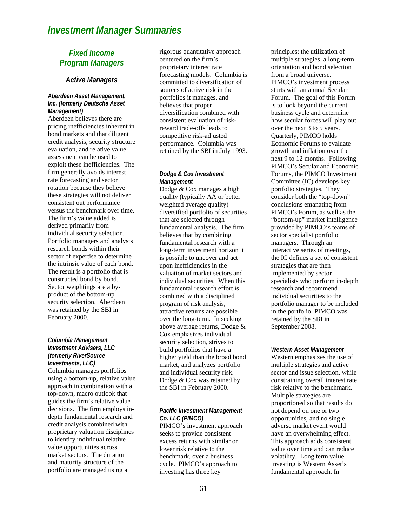## *Fixed Income Program Managers*

#### *Active Managers*

#### *Aberdeen Asset Management, Inc. (formerly Deutsche Asset Management)*

Aberdeen believes there are pricing inefficiencies inherent in bond markets and that diligent credit analysis, security structure evaluation, and relative value assessment can be used to exploit these inefficiencies. The firm generally avoids interest rate forecasting and sector rotation because they believe these strategies will not deliver consistent out performance versus the benchmark over time. The firm's value added is derived primarily from individual security selection. Portfolio managers and analysts research bonds within their sector of expertise to determine the intrinsic value of each bond. The result is a portfolio that is constructed bond by bond. Sector weightings are a byproduct of the bottom-up security selection. Aberdeen was retained by the SBI in February 2000.

#### *Columbia Management Investment Advisers, LLC (formerly RiverSource Investments, LLC)*

Columbia manages portfolios using a bottom-up, relative value approach in combination with a top-down, macro outlook that guides the firm's relative value decisions. The firm employs indepth fundamental research and credit analysis combined with proprietary valuation disciplines to identify individual relative value opportunities across market sectors. The duration and maturity structure of the portfolio are managed using a

rigorous quantitative approach centered on the firm's proprietary interest rate forecasting models. Columbia is committed to diversification of sources of active risk in the portfolios it manages, and believes that proper diversification combined with consistent evaluation of riskreward trade-offs leads to competitive risk-adjusted performance. Columbia was retained by the SBI in July 1993.

#### *Dodge & Cox Investment Management*

Dodge & Cox manages a high quality (typically AA or better weighted average quality) diversified portfolio of securities that are selected through fundamental analysis. The firm believes that by combining fundamental research with a long-term investment horizon it is possible to uncover and act upon inefficiencies in the valuation of market sectors and individual securities. When this fundamental research effort is combined with a disciplined program of risk analysis, attractive returns are possible over the long-term. In seeking above average returns, Dodge & Cox emphasizes individual security selection, strives to build portfolios that have a higher yield than the broad bond market, and analyzes portfolio and individual security risk. Dodge & Cox was retained by the SBI in February 2000.

#### *Pacific Investment Management Co. LLC (PIMCO)*

PIMCO's investment approach seeks to provide consistent excess returns with similar or lower risk relative to the benchmark, over a business cycle. PIMCO's approach to investing has three key

principles: the utilization of multiple strategies, a long-term orientation and bond selection from a broad universe. PIMCO's investment process starts with an annual Secular Forum. The goal of this Forum is to look beyond the current business cycle and determine how secular forces will play out over the next 3 to 5 years. Quarterly, PIMCO holds Economic Forums to evaluate growth and inflation over the next 9 to 12 months. Following PIMCO's Secular and Economic Forums, the PIMCO Investment Committee (IC) develops key portfolio strategies. They consider both the "top-down" conclusions emanating from PIMCO's Forum, as well as the "bottom-up" market intelligence provided by PIMCO's teams of sector specialist portfolio managers. Through an interactive series of meetings, the IC defines a set of consistent strategies that are then implemented by sector specialists who perform in-depth research and recommend individual securities to the portfolio manager to be included in the portfolio. PIMCO was retained by the SBI in September 2008.

#### *Western Asset Management*

Western emphasizes the use of multiple strategies and active sector and issue selection, while constraining overall interest rate risk relative to the benchmark. Multiple strategies are proportioned so that results do not depend on one or two opportunities, and no single adverse market event would have an overwhelming effect. This approach adds consistent value over time and can reduce volatility. Long term value investing is Western Asset's fundamental approach. In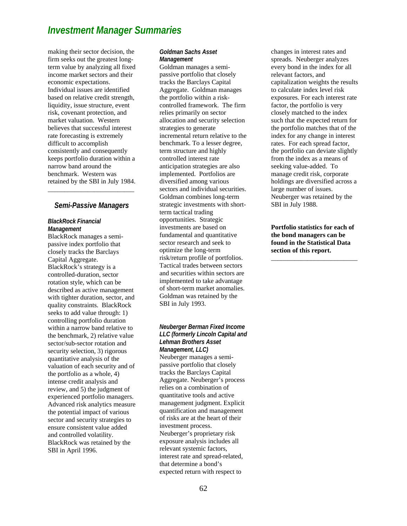making their sector decision, the firm seeks out the greatest longterm value by analyzing all fixed income market sectors and their economic expectations. Individual issues are identified based on relative credit strength, liquidity, issue structure, event risk, covenant protection, and market valuation. Western believes that successful interest rate forecasting is extremely difficult to accomplish consistently and consequently keeps portfolio duration within a narrow band around the benchmark. Western was retained by the SBI in July 1984. \_\_\_\_\_\_\_\_\_\_\_\_\_\_\_\_\_\_\_\_\_\_\_\_\_\_

### *Semi-Passive Managers*

#### *BlackRock Financial Management*

BlackRock manages a semipassive index portfolio that closely tracks the Barclays Capital Aggregate. BlackRock's strategy is a controlled-duration, sector rotation style, which can be described as active management with tighter duration, sector, and quality constraints. BlackRock seeks to add value through: 1) controlling portfolio duration within a narrow band relative to the benchmark, 2) relative value sector/sub-sector rotation and security selection, 3) rigorous quantitative analysis of the valuation of each security and of the portfolio as a whole, 4) intense credit analysis and review, and 5) the judgment of experienced portfolio managers. Advanced risk analytics measure the potential impact of various sector and security strategies to ensure consistent value added and controlled volatility. BlackRock was retained by the SBI in April 1996.

#### *Goldman Sachs Asset Management*

Goldman manages a semipassive portfolio that closely tracks the Barclays Capital Aggregate. Goldman manages the portfolio within a riskcontrolled framework. The firm relies primarily on sector allocation and security selection strategies to generate incremental return relative to the benchmark. To a lesser degree, term structure and highly controlled interest rate anticipation strategies are also implemented. Portfolios are diversified among various sectors and individual securities. Goldman combines long-term strategic investments with shortterm tactical trading opportunities. Strategic investments are based on fundamental and quantitative sector research and seek to optimize the long-term risk/return profile of portfolios. Tactical trades between sectors and securities within sectors are implemented to take advantage of short-term market anomalies. Goldman was retained by the SBI in July 1993.

*Neuberger Berman Fixed Income LLC (formerly Lincoln Capital and Lehman Brothers Asset Management, LLC)* Neuberger manages a semipassive portfolio that closely tracks the Barclays Capital Aggregate. Neuberger's process relies on a combination of quantitative tools and active management judgment. Explicit quantification and management of risks are at the heart of their investment process. Neuberger's proprietary risk exposure analysis includes all relevant systemic factors, interest rate and spread-related, that determine a bond's expected return with respect to

changes in interest rates and spreads. Neuberger analyzes every bond in the index for all relevant factors, and capitalization weights the results to calculate index level risk exposures. For each interest rate factor, the portfolio is very closely matched to the index such that the expected return for the portfolio matches that of the index for any change in interest rates. For each spread factor, the portfolio can deviate slightly from the index as a means of seeking value-added. To manage credit risk, corporate holdings are diversified across a large number of issues. Neuberger was retained by the SBI in July 1988.

**Portfolio statistics for each of the bond managers can be found in the Statistical Data section of this report.** 

\_\_\_\_\_\_\_\_\_\_\_\_\_\_\_\_\_\_\_\_\_\_\_\_\_\_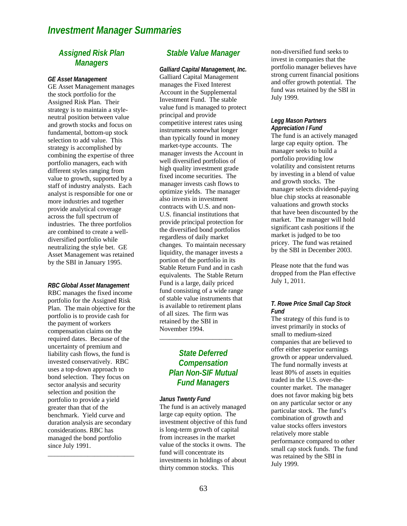## *Assigned Risk Plan Managers*

#### *GE Asset Management*

GE Asset Management manages the stock portfolio for the Assigned Risk Plan. Their strategy is to maintain a styleneutral position between value and growth stocks and focus on fundamental, bottom-up stock selection to add value. This strategy is accomplished by combining the expertise of three portfolio managers, each with different styles ranging from value to growth, supported by a staff of industry analysts. Each analyst is responsible for one or more industries and together provide analytical coverage across the full spectrum of industries. The three portfolios are combined to create a welldiversified portfolio while neutralizing the style bet. GE Asset Management was retained by the SBI in January 1995.

#### *RBC Global Asset Management*

RBC manages the fixed income portfolio for the Assigned Risk Plan. The main objective for the portfolio is to provide cash for the payment of workers compensation claims on the required dates. Because of the uncertainty of premium and liability cash flows, the fund is invested conservatively. RBC uses a top-down approach to bond selection. They focus on sector analysis and security selection and position the portfolio to provide a yield greater than that of the benchmark. Yield curve and duration analysis are secondary considerations. RBC has managed the bond portfolio since July 1991.

\_\_\_\_\_\_\_\_\_\_\_\_\_\_\_\_\_\_\_\_\_\_\_\_\_\_

### *Stable Value Manager*

#### *Galliard Capital Management, Inc.*

Galliard Capital Management manages the Fixed Interest Account in the Supplemental Investment Fund. The stable value fund is managed to protect principal and provide competitive interest rates using instruments somewhat longer than typically found in money market-type accounts. The manager invests the Account in well diversified portfolios of high quality investment grade fixed income securities. The manager invests cash flows to optimize yields. The manager also invests in investment contracts with U.S. and non-U.S. financial institutions that provide principal protection for the diversified bond portfolios regardless of daily market changes. To maintain necessary liquidity, the manager invests a portion of the portfolio in its Stable Return Fund and in cash equivalents. The Stable Return Fund is a large, daily priced fund consisting of a wide range of stable value instruments that is available to retirement plans of all sizes. The firm was retained by the SBI in November 1994. \_\_\_\_\_\_\_\_\_\_\_\_\_\_\_\_\_\_\_\_\_\_

## *State Deferred Compensation Plan Non-SIF Mutual Fund Managers*

#### *Janus Twenty Fund*

The fund is an actively managed large cap equity option. The investment objective of this fund is long-term growth of capital from increases in the market value of the stocks it owns. The fund will concentrate its investments in holdings of about thirty common stocks. This

non-diversified fund seeks to invest in companies that the portfolio manager believes have strong current financial positions and offer growth potential. The fund was retained by the SBI in July 1999.

#### *Legg Mason Partners Appreciation I Fund*

The fund is an actively managed large cap equity option. The manager seeks to build a portfolio providing low volatility and consistent returns by investing in a blend of value and growth stocks. The manager selects dividend-paying blue chip stocks at reasonable valuations and growth stocks that have been discounted by the market. The manager will hold significant cash positions if the market is judged to be too pricey. The fund was retained by the SBI in December 2003.

Please note that the fund was dropped from the Plan effective July 1, 2011.

#### *T. Rowe Price Small Cap Stock Fund*

The strategy of this fund is to invest primarily in stocks of small to medium-sized companies that are believed to offer either superior earnings growth or appear undervalued. The fund normally invests at least 80% of assets in equities traded in the U.S. over-thecounter market. The manager does not favor making big bets on any particular sector or any particular stock. The fund's combination of growth and value stocks offers investors relatively more stable performance compared to other small cap stock funds. The fund was retained by the SBI in July 1999.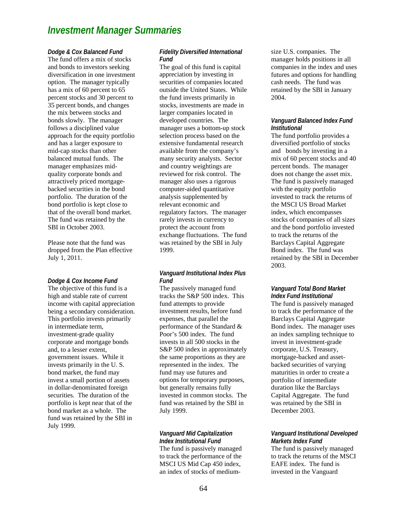#### *Dodge & Cox Balanced Fund*

The fund offers a mix of stocks and bonds to investors seeking diversification in one investment option. The manager typically has a mix of 60 percent to 65 percent stocks and 30 percent to 35 percent bonds, and changes the mix between stocks and bonds slowly. The manager follows a disciplined value approach for the equity portfolio and has a larger exposure to mid-cap stocks than other balanced mutual funds. The manager emphasizes midquality corporate bonds and attractively priced mortgagebacked securities in the bond portfolio. The duration of the bond portfolio is kept close to that of the overall bond market. The fund was retained by the SBI in October 2003.

Please note that the fund was dropped from the Plan effective July 1, 2011.

#### *Dodge & Cox Income Fund*

The objective of this fund is a high and stable rate of current income with capital appreciation being a secondary consideration. This portfolio invests primarily in intermediate term, investment-grade quality corporate and mortgage bonds and, to a lesser extent, government issues. While it invests primarily in the U. S. bond market, the fund may invest a small portion of assets in dollar-denominated foreign securities. The duration of the portfolio is kept near that of the bond market as a whole. The fund was retained by the SBI in July 1999.

#### *Fidelity Diversified International Fund*

The goal of this fund is capital appreciation by investing in securities of companies located outside the United States. While the fund invests primarily in stocks, investments are made in larger companies located in developed countries. The manager uses a bottom-up stock selection process based on the extensive fundamental research available from the company's many security analysts. Sector and country weightings are reviewed for risk control. The manager also uses a rigorous computer-aided quantitative analysis supplemented by relevant economic and regulatory factors. The manager rarely invests in currency to protect the account from exchange fluctuations. The fund was retained by the SBI in July 1999.

#### *Vanguard Institutional Index Plus Fund*

The passively managed fund tracks the S&P 500 index. This fund attempts to provide investment results, before fund expenses, that parallel the performance of the Standard & Poor's 500 index. The fund invests in all 500 stocks in the S&P 500 index in approximately the same proportions as they are represented in the index. The fund may use futures and options for temporary purposes, but generally remains fully invested in common stocks. The fund was retained by the SBI in July 1999.

### *Vanguard Mid Capitalization Index Institutional Fund*

The fund is passively managed to track the performance of the MSCI US Mid Cap 450 index, an index of stocks of mediumsize U.S. companies. The manager holds positions in all companies in the index and uses futures and options for handling cash needs. The fund was retained by the SBI in January 2004.

#### *Vanguard Balanced Index Fund Institutional*

The fund portfolio provides a diversified portfolio of stocks and bonds by investing in a mix of 60 percent stocks and 40 percent bonds. The manager does not change the asset mix. The fund is passively managed with the equity portfolio invested to track the returns of the MSCI US Broad Market index, which encompasses stocks of companies of all sizes and the bond portfolio invested to track the returns of the Barclays Capital Aggregate Bond index. The fund was retained by the SBI in December 2003.

#### *Vanguard Total Bond Market Index Fund Institutional*

The fund is passively managed to track the performance of the Barclays Capital Aggregate Bond index. The manager uses an index sampling technique to invest in investment-grade corporate, U.S. Treasury, mortgage-backed and assetbacked securities of varying maturities in order to create a portfolio of intermediate duration like the Barclays Capital Aggregate. The fund was retained by the SBI in December 2003.

#### *Vanguard Institutional Developed Markets Index Fund*

The fund is passively managed to track the returns of the MSCI EAFE index. The fund is invested in the Vanguard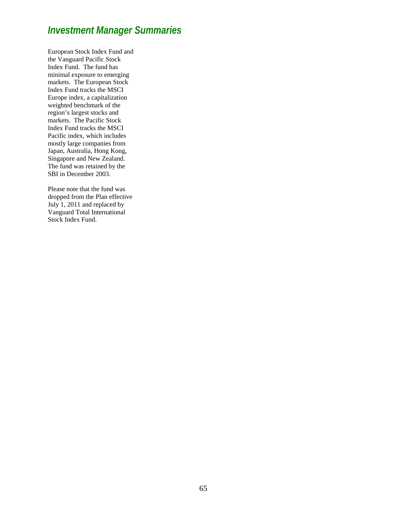European Stock Index Fund and the Vanguard Pacific Stock Index Fund. The fund has minimal exposure to emerging markets. The European Stock Index Fund tracks the MSCI Europe index, a capitalization weighted benchmark of the region's largest stocks and markets. The Pacific Stock Index Fund tracks the MSCI Pacific index, which includes mostly large companies from Japan, Australia, Hong Kong, Singapore and New Zealand. The fund was retained by the SBI in December 2003.

Please note that the fund was dropped from the Plan effective July 1, 2011 and replaced by Vanguard Total International Stock Index Fund.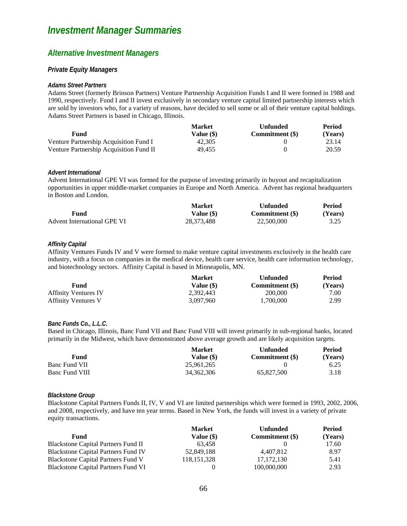### *Alternative Investment Managers*

#### *Private Equity Managers*

#### *Adams Street Partners*

Adams Street (formerly Brinson Partners) Venture Partnership Acquisition Funds I and II were formed in 1988 and 1990, respectively. Fund I and II invest exclusively in secondary venture capital limited partnership interests which are sold by investors who, for a variety of reasons, have decided to sell some or all of their venture capital holdings. Adams Street Partners is based in Chicago, Illinois.

|                                         | <b>Market</b>     | <b>Unfunded</b> | Period  |
|-----------------------------------------|-------------------|-----------------|---------|
| Fund                                    | <b>Value</b> (\$) | Commitment (\$) | (Years) |
| Venture Partnership Acquisition Fund I  | 42,305            |                 | 23.14   |
| Venture Partnership Acquisition Fund II | 49.455            |                 | 20.59   |

#### *Advent International*

Advent International GPE VI was formed for the purpose of investing primarily in buyout and recapitalization opportunities in upper middle-market companies in Europe and North America. Advent has regional headquarters in Boston and London.

|                             | <b>Market</b>     | <b>Unfunded</b> | <b>Period</b> |
|-----------------------------|-------------------|-----------------|---------------|
| Fund                        | <b>Value</b> (\$) | Commitment (\$) | (Years)       |
| Advent International GPE VI | 28.373.488        | 22,500,000      | 3.25          |

#### *Affinity Capital*

Affinity Ventures Funds IV and V were formed to make venture capital investments exclusively in the health care industry, with a focus on companies in the medical device, health care service, health care information technology, and biotechnology sectors. Affinity Capital is based in Minneapolis, MN.

| Fund                       | <b>Market</b><br><b>Value</b> (\$) | <b>Unfunded</b><br>Commitment (\$) | Period<br>(Years) |
|----------------------------|------------------------------------|------------------------------------|-------------------|
|                            |                                    |                                    |                   |
| <b>Affinity Ventures V</b> | 3.097.960                          | 1.700.000                          | 2.99              |

#### *Banc Funds Co., L.L.C.*

Based in Chicago, Illinois, Banc Fund VII and Banc Fund VIII will invest primarily in sub-regional banks, located primarily in the Midwest, which have demonstrated above average growth and are likely acquisition targets.

|                | <b>Market</b> | Unfunded        | Period  |
|----------------|---------------|-----------------|---------|
| Fund           | Value (\$)    | Commitment (\$) | (Years) |
| Banc Fund VII  | 25.961.265    |                 | 6.25    |
| Banc Fund VIII | 34.362.306    | 65.827.500      | 3.18    |

#### *Blackstone Group*

Blackstone Capital Partners Funds II, IV, V and VI are limited partnerships which were formed in 1993, 2002, 2006, and 2008, respectively, and have ten year terms. Based in New York, the funds will invest in a variety of private equity transactions.

|                                            | <b>Market</b> | <b>Unfunded</b> | Period  |
|--------------------------------------------|---------------|-----------------|---------|
| Fund                                       | Value (\$)    | Commitment (\$) | (Years) |
| <b>Blackstone Capital Partners Fund II</b> | 63.458        |                 | 17.60   |
| <b>Blackstone Capital Partners Fund IV</b> | 52.849.188    | 4.407.812       | 8.97    |
| <b>Blackstone Capital Partners Fund V</b>  | 118.151.328   | 17.172.130      | 5.41    |
| <b>Blackstone Capital Partners Fund VI</b> |               | 100,000,000     | 2.93    |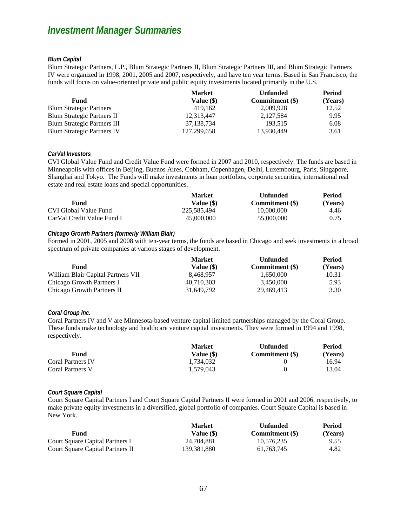#### *Blum Capital*

Blum Strategic Partners, L.P., Blum Strategic Partners II, Blum Strategic Partners III, and Blum Strategic Partners IV were organized in 1998, 2001, 2005 and 2007, respectively, and have ten year terms. Based in San Francisco, the funds will focus on value-oriented private and public equity investments located primarily in the U.S.

|                                   | <b>Market</b> | <b>Unfunded</b> | Period  |
|-----------------------------------|---------------|-----------------|---------|
| Fund                              | Value $(\$)$  | Commitment (\$) | (Years) |
| <b>Blum Strategic Partners</b>    | 419.162       | 2,009,928       | 12.52   |
| <b>Blum Strategic Partners II</b> | 12.313.447    | 2,127,584       | 9.95    |
| Blum Strategic Partners III       | 37, 138, 734  | 193.515         | 6.08    |
| <b>Blum Strategic Partners IV</b> | 127,299,658   | 13,930,449      | 3.61    |

#### *CarVal Investors*

CVI Global Value Fund and Credit Value Fund were formed in 2007 and 2010, respectively. The funds are based in Minneapolis with offices in Beijing, Buenos Aires, Cobham, Copenhagen, Delhi, Luxembourg, Paris, Singapore, Shanghai and Tokyo. The Funds will make investments in loan portfolios, corporate securities, international real estate and real estate loans and special opportunities.

| Fund                       | <b>Market</b><br>Value (\$) | <b>Unfunded</b><br>Commitment (\$) | Period<br>(Years) |
|----------------------------|-----------------------------|------------------------------------|-------------------|
|                            |                             |                                    |                   |
| CarVal Credit Value Fund I | 45,000,000                  | 55,000,000                         | 0.75              |

#### *Chicago Growth Partners (formerly William Blair)*

Formed in 2001, 2005 and 2008 with ten-year terms, the funds are based in Chicago and seek investments in a broad spectrum of private companies at various stages of development.

|                                    | <b>Market</b> | <b>Unfunded</b> | <b>Period</b> |
|------------------------------------|---------------|-----------------|---------------|
| Fund                               | Value (\$)    | Commitment (\$) | (Years)       |
| William Blair Capital Partners VII | 8.468.957     | 1.650.000       | 10.31         |
| Chicago Growth Partners I          | 40.710.303    | 3.450,000       | 5.93          |
| Chicago Growth Partners II         | 31.649.792    | 29.469.413      | 3.30          |

#### *Coral Group Inc.*

Coral Partners IV and V are Minnesota-based venture capital limited partnerships managed by the Coral Group. These funds make technology and healthcare venture capital investments. They were formed in 1994 and 1998, respectively.

|                          | <b>Market</b> | <b>Unfunded</b> | Period  |
|--------------------------|---------------|-----------------|---------|
| Fund                     | Value (\$)    | Commitment (\$) | (Years) |
| <b>Coral Partners IV</b> | 1.734.032     |                 | 16.94   |
| Coral Partners V         | 1.579.043     |                 | 13.04   |

#### *Court Square Capital*

Court Square Capital Partners I and Court Square Capital Partners II were formed in 2001 and 2006, respectively, to make private equity investments in a diversified, global portfolio of companies. Court Square Capital is based in New York.

|                                  | <b>Market</b> | <b>Unfunded</b> | <b>Period</b> |
|----------------------------------|---------------|-----------------|---------------|
| Fund                             | Value (\$)    | Commitment (\$) | (Years)       |
| Court Square Capital Partners I  | 24.704.881    | 10.576.235      | 9.55          |
| Court Square Capital Partners II | 139.381.880   | 61,763,745      | 4.82          |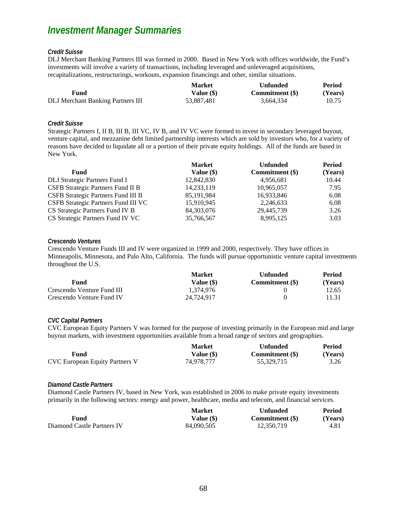#### *Credit Suisse*

DLJ Merchant Banking Partners III was formed in 2000. Based in New York with offices worldwide, the Fund's investments will involve a variety of transactions, including leveraged and unleveraged acquisitions, recapitalizations, restructurings, workouts, expansion financings and other, similar situations.

|                                          | <b>Market</b> | <b>Unfunded</b> | Period  |
|------------------------------------------|---------------|-----------------|---------|
| Fund                                     | Value (\$)    | Commitment (\$) | (Years) |
| <b>DLJ Merchant Banking Partners III</b> | 53.887.481    | 3.664.334       | 10.75   |

#### *Credit Suisse*

Strategic Partners I, II B, III B, III VC, IV B, and IV VC were formed to invest in secondary leveraged buyout, venture capital, and mezzanine debt limited partnership interests which are sold by investors who, for a variety of reasons have decided to liquidate all or a portion of their private equity holdings. All of the funds are based in New York.

|                                           | <b>Market</b> | <b>Unfunded</b> | Period  |
|-------------------------------------------|---------------|-----------------|---------|
| <b>Fund</b>                               | Value $(\$)$  | Commitment (\$) | (Years) |
| DLJ Strategic Partners Fund I             | 12,842,830    | 4,956,681       | 10.44   |
| CSFB Strategic Partners Fund II B         | 14,233,119    | 10,965,057      | 7.95    |
| <b>CSFB Strategic Partners Fund III B</b> | 85, 191, 984  | 16,933,846      | 6.08    |
| CSFB Strategic Partners Fund III VC       | 15,910,945    | 2,246,633       | 6.08    |
| CS Strategic Partners Fund IV B           | 84,303,076    | 29,445,739      | 3.26    |
| CS Strategic Partners Fund IV VC          | 35,766,567    | 8,995,125       | 3.03    |

#### *Crescendo Ventures*

Crescendo Venture Funds III and IV were organized in 1999 and 2000, respectively. They have offices in Minneapolis, Minnesota, and Palo Alto, California. The funds will pursue opportunistic venture capital investments throughout the U.S.

|                            | <b>Market</b> | <b>Unfunded</b> | Period  |
|----------------------------|---------------|-----------------|---------|
| Fund                       | Value (\$)    | Commitment (\$) | (Years) |
| Crescendo Venture Fund III | 1.374.976     |                 | 12.65   |
| Crescendo Venture Fund IV  | 24.724.917    |                 | 11.31   |

#### *CVC Capital Partners*

CVC European Equity Partners V was formed for the purpose of investing primarily in the European mid and large buyout markets, with investment opportunities available from a broad range of sectors and geographies.

|                                       | <b>Market</b> | <b>Unfunded</b> | Period  |
|---------------------------------------|---------------|-----------------|---------|
| Fund                                  | Value (\$)    | Commitment (\$) | (Years) |
| <b>CVC European Equity Partners V</b> | 74.978.777    | 55.329.715      | 3.26    |

#### *Diamond Castle Partners*

Diamond Castle Partners IV, based in New York, was established in 2006 to make private equity investments primarily in the following sectors: energy and power, healthcare, media and telecom, and financial services.

|                            | <b>Market</b>     | <b>Unfunded</b> | <b>Period</b> |
|----------------------------|-------------------|-----------------|---------------|
| Fund                       | <b>Value</b> (\$) | Commitment (\$) | (Years)       |
| Diamond Castle Partners IV | 84,090,505        | 12,350,719      | 4.81          |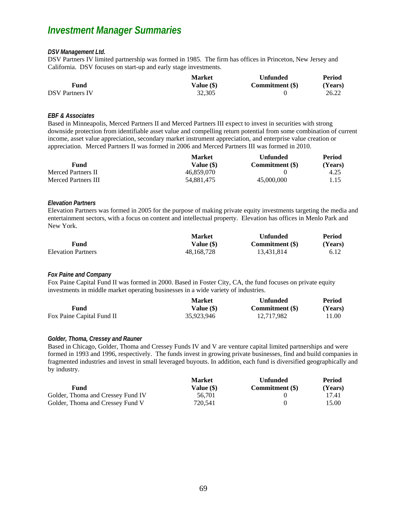#### *DSV Management Ltd.*

DSV Partners IV limited partnership was formed in 1985. The firm has offices in Princeton, New Jersey and California. DSV focuses on start-up and early stage investments.

|                        | <b>Market</b> | <b>Unfunded</b> | Period  |
|------------------------|---------------|-----------------|---------|
| Fund                   | Value (\$)    | Commitment (\$) | (Years) |
| <b>DSV</b> Partners IV | 32,305        |                 | 26.22   |

#### *EBF & Associates*

Based in Minneapolis, Merced Partners II and Merced Partners III expect to invest in securities with strong downside protection from identifiable asset value and compelling return potential from some combination of current income, asset value appreciation, secondary market instrument appreciation, and enterprise value creation or appreciation. Merced Partners II was formed in 2006 and Merced Partners III was formed in 2010.

|                     | <b>Market</b> | <b>Unfunded</b> | Period  |
|---------------------|---------------|-----------------|---------|
| Fund                | Value (\$)    | Commitment (\$) | (Years) |
| Merced Partners II  | 46.859.070    |                 | 4.25    |
| Merced Partners III | 54.881.475    | 45,000,000      | 1.15    |

#### *Elevation Partners*

Elevation Partners was formed in 2005 for the purpose of making private equity investments targeting the media and entertainment sectors, with a focus on content and intellectual property. Elevation has offices in Menlo Park and New York.

|                           | <b>Market</b> | <b>Unfunded</b> | Period  |
|---------------------------|---------------|-----------------|---------|
| Fund                      | Value (\$)    | Commitment (\$) | (Years) |
| <b>Elevation Partners</b> | 48.168.728    | 13.431.814      | 6.12    |

#### *Fox Paine and Company*

Fox Paine Capital Fund II was formed in 2000. Based in Foster City, CA, the fund focuses on private equity investments in middle market operating businesses in a wide variety of industries.

|                           | Market     | <b>Unfunded</b> | Period  |
|---------------------------|------------|-----------------|---------|
| Fund                      | Value (\$) | Commitment (\$) | (Years) |
| Fox Paine Capital Fund II | 35.923.946 | 12.717.982      | 11.00   |

#### *Golder, Thoma, Cressey and Rauner*

Based in Chicago, Golder, Thoma and Cressey Funds IV and V are venture capital limited partnerships and were formed in 1993 and 1996, respectively. The funds invest in growing private businesses, find and build companies in fragmented industries and invest in small leveraged buyouts. In addition, each fund is diversified geographically and by industry.

|                                   | <b>Market</b> | <b>Unfunded</b> | Period  |
|-----------------------------------|---------------|-----------------|---------|
| Fund                              | Value (\$)    | Commitment (\$) | (Years) |
| Golder, Thoma and Cressey Fund IV | 56.701        |                 | 17.41   |
| Golder, Thoma and Cressey Fund V  | 720.541       |                 | 15.00   |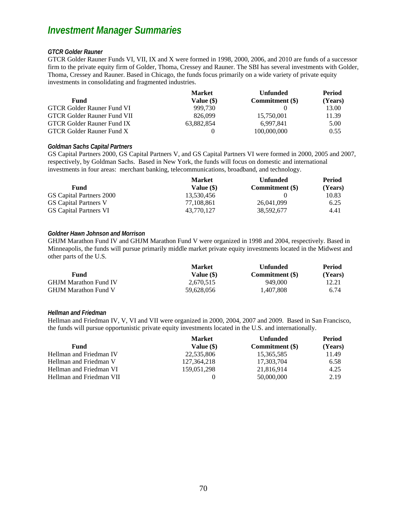#### *GTCR Golder Rauner*

GTCR Golder Rauner Funds VI, VII, IX and X were formed in 1998, 2000, 2006, and 2010 are funds of a successor firm to the private equity firm of Golder, Thoma, Cressey and Rauner. The SBI has several investments with Golder, Thoma, Cressey and Rauner. Based in Chicago, the funds focus primarily on a wide variety of private equity investments in consolidating and fragmented industries.

|                                    | <b>Market</b> | <b>Unfunded</b> | Period  |
|------------------------------------|---------------|-----------------|---------|
| <b>Fund</b>                        | Value $(\$)$  | Commitment (\$) | (Years) |
| <b>GTCR Golder Rauner Fund VI</b>  | 999.730       |                 | 13.00   |
| <b>GTCR Golder Rauner Fund VII</b> | 826,099       | 15.750.001      | 11.39   |
| <b>GTCR Golder Rauner Fund IX</b>  | 63.882.854    | 6.997.841       | 5.00    |
| GTCR Golder Rauner Fund X          |               | 100,000,000     | 0.55    |

#### *Goldman Sachs Capital Partners*

GS Capital Partners 2000, GS Capital Partners V, and GS Capital Partners VI were formed in 2000, 2005 and 2007, respectively, by Goldman Sachs. Based in New York, the funds will focus on domestic and international investments in four areas: merchant banking, telecommunications, broadband, and technology.

|                               | <b>Market</b> | <b>Unfunded</b> | Period  |
|-------------------------------|---------------|-----------------|---------|
| Fund                          | Value (\$)    | Commitment (\$) | (Years) |
| GS Capital Partners 2000      | 13.530.456    |                 | 10.83   |
| <b>GS Capital Partners V</b>  | 77.108.861    | 26,041,099      | 6.25    |
| <b>GS Capital Partners VI</b> | 43.770.127    | 38,592,677      | 4.41    |

#### *Goldner Hawn Johnson and Morrison*

GHJM Marathon Fund IV and GHJM Marathon Fund V were organized in 1998 and 2004, respectively. Based in Minneapolis, the funds will pursue primarily middle market private equity investments located in the Midwest and other parts of the U.S.

|                              | <b>Market</b> | <b>Unfunded</b> | <b>Period</b> |
|------------------------------|---------------|-----------------|---------------|
| Fund                         | Value (\$)    | Commitment (\$) | (Years)       |
| <b>GHJM Marathon Fund IV</b> | 2.670.515     | 949,000         | 12.21         |
| <b>GHJM Marathon Fund V</b>  | 59.628.056    | 1.407.808       | 6.74          |

#### *Hellman and Friedman*

Hellman and Friedman IV, V, VI and VII were organized in 2000, 2004, 2007 and 2009. Based in San Francisco, the funds will pursue opportunistic private equity investments located in the U.S. and internationally.

| <b>Fund</b>              | <b>Market</b><br>Value (\$) | <b>Unfunded</b><br>Commitment (\$) | Period<br>(Years) |
|--------------------------|-----------------------------|------------------------------------|-------------------|
|                          |                             |                                    |                   |
| Hellman and Friedman V   | 127.364.218                 | 17.303.704                         | 6.58              |
| Hellman and Friedman VI  | 159.051.298                 | 21.816.914                         | 4.25              |
| Hellman and Friedman VII |                             | 50,000,000                         | 2.19              |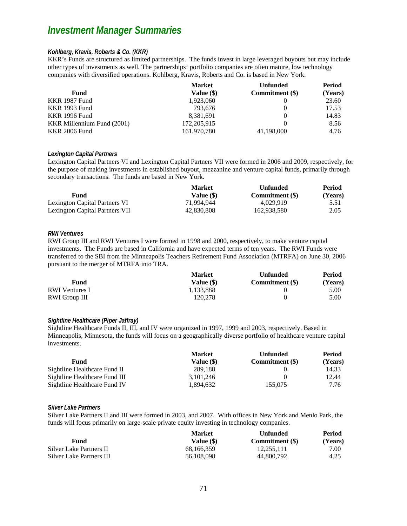#### *Kohlberg, Kravis, Roberts & Co. (KKR)*

KKR's Funds are structured as limited partnerships. The funds invest in large leveraged buyouts but may include other types of investments as well. The partnerships' portfolio companies are often mature, low technology companies with diversified operations. Kohlberg, Kravis, Roberts and Co. is based in New York.

|                            | <b>Market</b> | <b>Unfunded</b> | Period  |
|----------------------------|---------------|-----------------|---------|
| <b>Fund</b>                | Value $(\$)$  | Commitment (\$) | (Years) |
| <b>KKR 1987 Fund</b>       | 1,923,060     |                 | 23.60   |
| <b>KKR 1993 Fund</b>       | 793.676       |                 | 17.53   |
| <b>KKR 1996 Fund</b>       | 8,381,691     | $\theta$        | 14.83   |
| KKR Millennium Fund (2001) | 172, 205, 915 |                 | 8.56    |
| <b>KKR 2006 Fund</b>       | 161,970,780   | 41,198,000      | 4.76    |

#### *Lexington Capital Partners*

Lexington Capital Partners VI and Lexington Capital Partners VII were formed in 2006 and 2009, respectively, for the purpose of making investments in established buyout, mezzanine and venture capital funds, primarily through secondary transactions. The funds are based in New York.

|                                | <b>Market</b> | <b>Unfunded</b> | Period  |
|--------------------------------|---------------|-----------------|---------|
| Fund                           | Value (\$)    | Commitment (\$) | (Years) |
| Lexington Capital Partners VI  | 71.994.944    | 4.029.919       | 5.51    |
| Lexington Capital Partners VII | 42.830.808    | 162,938,580     | 2.05    |

#### *RWI Ventures*

RWI Group III and RWI Ventures I were formed in 1998 and 2000, respectively, to make venture capital investments. The Funds are based in California and have expected terms of ten years. The RWI Funds were transferred to the SBI from the Minneapolis Teachers Retirement Fund Association (MTRFA) on June 30, 2006 pursuant to the merger of MTRFA into TRA.

|                       | <b>Market</b> | <b>Unfunded</b> | Period  |
|-----------------------|---------------|-----------------|---------|
| Fund                  | Value (\$)    | Commitment (\$) | (Years) |
| <b>RWI</b> Ventures I | 1.133.888     |                 | 5.00    |
| RWI Group III         | 120.278       |                 | 5.00    |

#### *Sightline Healthcare (Piper Jaffray)*

Sightline Healthcare Funds II, III, and IV were organized in 1997, 1999 and 2003, respectively. Based in Minneapolis, Minnesota, the funds will focus on a geographically diverse portfolio of healthcare venture capital investments.

|                               | <b>Market</b> | <b>Unfunded</b> | <b>Period</b> |
|-------------------------------|---------------|-----------------|---------------|
| Fund                          | Value (\$)    | Commitment (\$) | (Years)       |
| Sightline Healthcare Fund II  | 289.188       |                 | 14.33         |
| Sightline Healthcare Fund III | 3.101.246     |                 | 12.44         |
| Sightline Healthcare Fund IV  | 1.894.632     | 155,075         | 7.76          |

#### *Silver Lake Partners*

Silver Lake Partners II and III were formed in 2003, and 2007. With offices in New York and Menlo Park, the funds will focus primarily on large-scale private equity investing in technology companies.

|                          | <b>Market</b> | Unfunded        | <b>Period</b> |
|--------------------------|---------------|-----------------|---------------|
| Fund                     | Value (\$)    | Commitment (\$) | (Years)       |
| Silver Lake Partners II  | 68.166.359    | 12.255.111      | 7.00          |
| Silver Lake Partners III | 56,108,098    | 44,800,792      | 4.25          |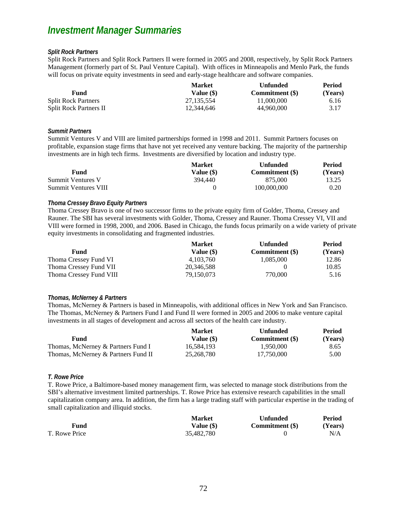#### *Split Rock Partners*

Split Rock Partners and Split Rock Partners II were formed in 2005 and 2008, respectively, by Split Rock Partners Management (formerly part of St. Paul Venture Capital). With offices in Minneapolis and Menlo Park, the funds will focus on private equity investments in seed and early-stage healthcare and software companies.

|                               | <b>Market</b> | <b>Unfunded</b> | Period  |
|-------------------------------|---------------|-----------------|---------|
| Fund                          | Value (\$)    | Commitment (\$) | (Years) |
| <b>Split Rock Partners</b>    | 27.135.554    | 11,000,000      | 6.16    |
| <b>Split Rock Partners II</b> | 12.344.646    | 44.960.000      | 3.17    |

#### *Summit Partners*

Summit Ventures V and VIII are limited partnerships formed in 1998 and 2011. Summit Partners focuses on profitable, expansion stage firms that have not yet received any venture backing. The majority of the partnership investments are in high tech firms. Investments are diversified by location and industry type.

|                      | Market     | Unfunded        | Period  |
|----------------------|------------|-----------------|---------|
| Fund                 | Value (\$) | Commitment (\$) | (Years) |
| Summit Ventures V    | 394,440    | 875,000         | 13.25   |
| Summit Ventures VIII |            | 100,000,000     | 0.20    |

#### *Thoma Cressey Bravo Equity Partners*

Thoma Cressey Bravo is one of two successor firms to the private equity firm of Golder, Thoma, Cressey and Rauner. The SBI has several investments with Golder, Thoma, Cressey and Rauner. Thoma Cressey VI, VII and VIII were formed in 1998, 2000, and 2006. Based in Chicago, the funds focus primarily on a wide variety of private equity investments in consolidating and fragmented industries.

|                         | <b>Market</b> | <b>Unfunded</b> | Period  |
|-------------------------|---------------|-----------------|---------|
| Fund                    | Value (\$)    | Commitment (\$) | (Years) |
| Thoma Cressey Fund VI   | 4.103.760     | 1.085.000       | 12.86   |
| Thoma Cressey Fund VII  | 20,346,588    |                 | 10.85   |
| Thoma Cressey Fund VIII | 79,150,073    | 770,000         | 5.16    |

#### *Thomas, McNerney & Partners*

Thomas, McNerney & Partners is based in Minneapolis, with additional offices in New York and San Francisco. The Thomas, McNerney & Partners Fund I and Fund II were formed in 2005 and 2006 to make venture capital investments in all stages of development and across all sectors of the health care industry.

|                                     | <b>Market</b> | <b>Unfunded</b> | <b>Period</b> |
|-------------------------------------|---------------|-----------------|---------------|
| Fund                                | Value (\$)    | Commitment (\$) | (Years)       |
| Thomas, McNerney & Partners Fund I  | 16.584.193    | 1.950.000       | 8.65          |
| Thomas, McNerney & Partners Fund II | 25, 268, 780  | 17.750,000      | 5.00          |

#### *T. Rowe Price*

T. Rowe Price, a Baltimore-based money management firm, was selected to manage stock distributions from the SBI's alternative investment limited partnerships. T. Rowe Price has extensive research capabilities in the small capitalization company area. In addition, the firm has a large trading staff with particular expertise in the trading of small capitalization and illiquid stocks.

|               | <b>Market</b>     | <b>Unfunded</b> | Period  |
|---------------|-------------------|-----------------|---------|
| Fund          | <b>Value</b> (\$) | Commitment (\$) | (Years) |
| T. Rowe Price | 35,482,780        |                 | N/A     |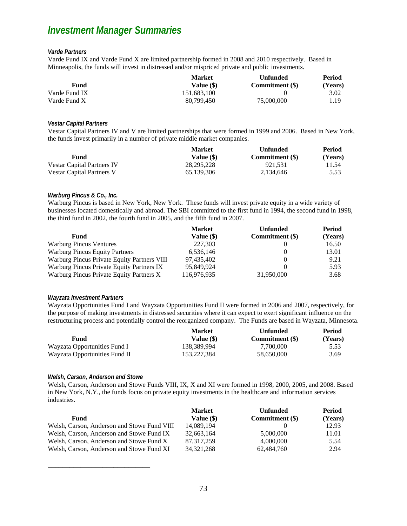#### *Varde Partners*

Varde Fund IX and Varde Fund X are limited partnership formed in 2008 and 2010 respectively. Based in Minneapolis, the funds will invest in distressed and/or mispriced private and public investments.

|               | Market            | Unfunded        | Period  |
|---------------|-------------------|-----------------|---------|
| Fund          | <b>Value (\$)</b> | Commitment (\$) | (Years) |
| Varde Fund IX | 151,683,100       |                 | 3.02    |
| Varde Fund X  | 80,799,450        | 75,000,000      | 1.19    |

#### *Vestar Capital Partners*

Vestar Capital Partners IV and V are limited partnerships that were formed in 1999 and 2006. Based in New York, the funds invest primarily in a number of private middle market companies.

|                                   | <b>Market</b> | <b>Unfunded</b> | Period  |
|-----------------------------------|---------------|-----------------|---------|
| Fund                              | Value (\$)    | Commitment (\$) | (Years) |
| <b>Vestar Capital Partners IV</b> | 28.295.228    | 921.531         | 11.54   |
| <b>Vestar Capital Partners V</b>  | 65.139.306    | 2,134,646       | 5.53    |

#### *Warburg Pincus & Co., Inc.*

Warburg Pincus is based in New York, New York. These funds will invest private equity in a wide variety of businesses located domestically and abroad. The SBI committed to the first fund in 1994, the second fund in 1998, the third fund in 2002, the fourth fund in 2005, and the fifth fund in 2007.

|                                             | <b>Market</b> | <b>Unfunded</b> | <b>Period</b> |
|---------------------------------------------|---------------|-----------------|---------------|
| Fund                                        | Value $(\$)$  | Commitment (\$) | (Years)       |
| <b>Warburg Pincus Ventures</b>              | 227,303       |                 | 16.50         |
| <b>Warburg Pincus Equity Partners</b>       | 6,536,146     |                 | 13.01         |
| Warburg Pincus Private Equity Partners VIII | 97.435.402    |                 | 9.21          |
| Warburg Pincus Private Equity Partners IX   | 95.849.924    |                 | 5.93          |
| Warburg Pincus Private Equity Partners X    | 116,976,935   | 31,950,000      | 3.68          |

#### *Wayzata Investment Partners*

Wayzata Opportunities Fund I and Wayzata Opportunities Fund II were formed in 2006 and 2007, respectively, for the purpose of making investments in distressed securities where it can expect to exert significant influence on the restructuring process and potentially control the reorganized company. The Funds are based in Wayzata, Minnesota.

|                               | <b>Market</b> | Unfunded        | Period  |
|-------------------------------|---------------|-----------------|---------|
| Fund                          | Value (\$)    | Commitment (\$) | (Years) |
| Wayzata Opportunities Fund I  | 138,389,994   | 7.700.000       | 5.53    |
| Wayzata Opportunities Fund II | 153,227,384   | 58.650,000      | 3.69    |

#### *Welsh, Carson, Anderson and Stowe*

\_\_\_\_\_\_\_\_\_\_\_\_\_\_\_\_\_\_\_\_\_\_\_\_\_\_\_\_

Welsh, Carson, Anderson and Stowe Funds VIII, IX, X and XI were formed in 1998, 2000, 2005, and 2008. Based in New York, N.Y., the funds focus on private equity investments in the healthcare and information services industries.

|                                             | <b>Market</b> | <b>Unfunded</b> | Period  |
|---------------------------------------------|---------------|-----------------|---------|
| <b>Fund</b>                                 | Value $(\$)$  | Commitment (\$) | (Years) |
| Welsh, Carson, Anderson and Stowe Fund VIII | 14,089,194    |                 | 12.93   |
| Welsh, Carson, Anderson and Stowe Fund IX   | 32.663.164    | 5,000,000       | 11.01   |
| Welsh, Carson, Anderson and Stowe Fund X    | 87.317.259    | 4.000.000       | 5.54    |
| Welsh, Carson, Anderson and Stowe Fund XI   | 34, 321, 268  | 62,484,760      | 2.94    |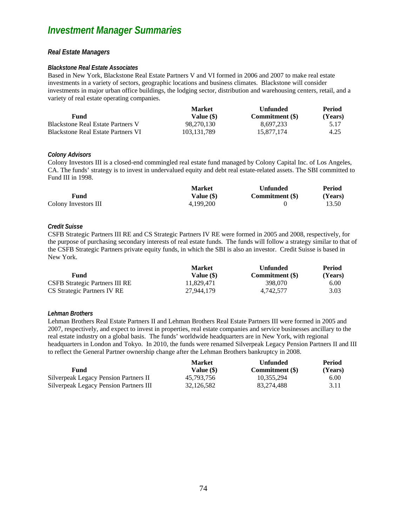### *Real Estate Managers*

#### *Blackstone Real Estate Associates*

Based in New York, Blackstone Real Estate Partners V and VI formed in 2006 and 2007 to make real estate investments in a variety of sectors, geographic locations and business climates. Blackstone will consider investments in major urban office buildings, the lodging sector, distribution and warehousing centers, retail, and a variety of real estate operating companies.

|                                           | <b>Market</b> | <b>Unfunded</b> | Period  |
|-------------------------------------------|---------------|-----------------|---------|
| Fund                                      | Value (\$)    | Commitment (\$) | (Years) |
| <b>Blackstone Real Estate Partners V</b>  | 98.270.130    | 8.697.233       | 5.17    |
| <b>Blackstone Real Estate Partners VI</b> | 103.131.789   | 15.877.174      | 4.25    |

#### *Colony Advisors*

Colony Investors III is a closed-end commingled real estate fund managed by Colony Capital Inc. of Los Angeles, CA. The funds' strategy is to invest in undervalued equity and debt real estate-related assets. The SBI committed to Fund III in 1998.

|                      | <b>Market</b>     | <b>Unfunded</b> | Period  |
|----------------------|-------------------|-----------------|---------|
| Fund                 | <b>Value</b> (\$) | Commitment (\$) | (Years) |
| Colony Investors III | 4.199.200         |                 | 13.50   |

#### *Credit Suisse*

CSFB Strategic Partners III RE and CS Strategic Partners IV RE were formed in 2005 and 2008, respectively, for the purpose of purchasing secondary interests of real estate funds. The funds will follow a strategy similar to that of the CSFB Strategic Partners private equity funds, in which the SBI is also an investor. Credit Suisse is based in New York.

|                                       | <b>Market</b> | <b>Unfunded</b>        | Period  |
|---------------------------------------|---------------|------------------------|---------|
| Fund                                  | Value (\$)    | <b>Commitment</b> (\$) | (Years) |
| <b>CSFB</b> Strategic Partners III RE | 11.829.471    | 398,070                | 6.00    |
| CS Strategic Partners IV RE           | 27.944.179    | 4.742.577              | 3.03    |

#### *Lehman Brothers*

Lehman Brothers Real Estate Partners II and Lehman Brothers Real Estate Partners III were formed in 2005 and 2007, respectively, and expect to invest in properties, real estate companies and service businesses ancillary to the real estate industry on a global basis. The funds' worldwide headquarters are in New York, with regional headquarters in London and Tokyo. In 2010, the funds were renamed Silverpeak Legacy Pension Partners II and III to reflect the General Partner ownership change after the Lehman Brothers bankruptcy in 2008.

|                                        | <b>Market</b> | <b>Unfunded</b> | Period  |
|----------------------------------------|---------------|-----------------|---------|
| Fund                                   | Value (\$)    | Commitment (\$) | (Years) |
| Silverpeak Legacy Pension Partners II  | 45.793.756    | 10.355.294      | 6.00    |
| Silverpeak Legacy Pension Partners III | 32.126.582    | 83.274.488      | 3.11    |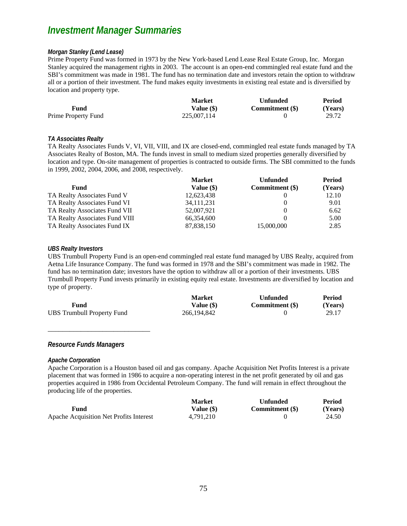#### *Morgan Stanley (Lend Lease)*

Prime Property Fund was formed in 1973 by the New York-based Lend Lease Real Estate Group, Inc. Morgan Stanley acquired the management rights in 2003. The account is an open-end commingled real estate fund and the SBI's commitment was made in 1981. The fund has no termination date and investors retain the option to withdraw all or a portion of their investment. The fund makes equity investments in existing real estate and is diversified by location and property type.

|                     | Market            | <b>Unfunded</b> | Period  |
|---------------------|-------------------|-----------------|---------|
| Fund                | <b>Value (\$)</b> | Commitment (\$) | (Years) |
| Prime Property Fund | 225,007,114       |                 | 29.72   |

#### *TA Associates Realty*

TA Realty Associates Funds V, VI, VII, VIII, and IX are closed-end, commingled real estate funds managed by TA Associates Realty of Boston, MA. The funds invest in small to medium sized properties generally diversified by location and type. On-site management of properties is contracted to outside firms. The SBI committed to the funds in 1999, 2002, 2004, 2006, and 2008, respectively.

|                                | <b>Market</b> | <b>Unfunded</b> | Period  |
|--------------------------------|---------------|-----------------|---------|
| <b>Fund</b>                    | Value $(\$)$  | Commitment (\$) | (Years) |
| TA Realty Associates Fund V    | 12,623,438    |                 | 12.10   |
| TA Realty Associates Fund VI   | 34, 111, 231  |                 | 9.01    |
| TA Realty Associates Fund VII  | 52,007,921    |                 | 6.62    |
| TA Realty Associates Fund VIII | 66.354,600    |                 | 5.00    |
| TA Realty Associates Fund IX   | 87,838,150    | 15,000,000      | 2.85    |

#### *UBS Realty Investors*

UBS Trumbull Property Fund is an open-end commingled real estate fund managed by UBS Realty, acquired from Aetna Life Insurance Company. The fund was formed in 1978 and the SBI's commitment was made in 1982. The fund has no termination date; investors have the option to withdraw all or a portion of their investments. UBS Trumbull Property Fund invests primarily in existing equity real estate. Investments are diversified by location and type of property.

|                            | <b>Market</b>     | <b>Unfunded</b> | Period  |
|----------------------------|-------------------|-----------------|---------|
| Fund                       | <b>Value</b> (\$) | Commitment (\$) | (Years) |
| UBS Trumbull Property Fund | 266.194.842       |                 | 29.17   |

#### *Resource Funds Managers*

\_\_\_\_\_\_\_\_\_\_\_\_\_\_\_\_\_\_\_\_\_\_\_\_\_\_\_\_

#### *Apache Corporation*

Apache Corporation is a Houston based oil and gas company. Apache Acquisition Net Profits Interest is a private placement that was formed in 1986 to acquire a non-operating interest in the net profit generated by oil and gas properties acquired in 1986 from Occidental Petroleum Company. The fund will remain in effect throughout the producing life of the properties.

|                                         | <b>Market</b> | <b>Unfunded</b> | Period  |
|-----------------------------------------|---------------|-----------------|---------|
| Fund                                    | Value (\$)    | Commitment (\$) | (Years) |
| Apache Acquisition Net Profits Interest | 4.791.210     |                 | 24.50   |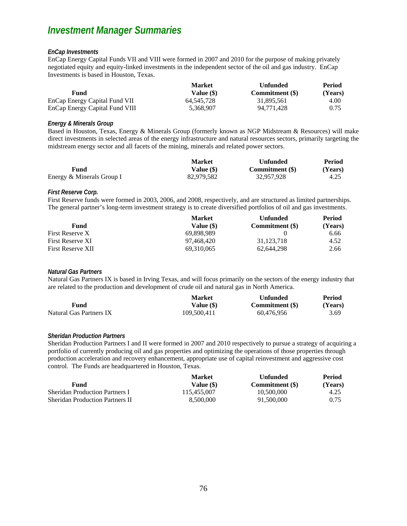#### *EnCap Investments*

EnCap Energy Capital Funds VII and VIII were formed in 2007 and 2010 for the purpose of making privately negotiated equity and equity-linked investments in the independent sector of the oil and gas industry. EnCap Investments is based in Houston, Texas.

|                                | <b>Market</b> | Unfunded        | Period  |
|--------------------------------|---------------|-----------------|---------|
| Fund                           | Value (\$)    | Commitment (\$) | (Years) |
| EnCap Energy Capital Fund VII  | 64.545.728    | 31,895,561      | 4.00    |
| EnCap Energy Capital Fund VIII | 5,368,907     | 94.771.428      | 0.75    |

#### *Energy & Minerals Group*

Based in Houston, Texas, Energy & Minerals Group (formerly known as NGP Midstream & Resources) will make direct investments in selected areas of the energy infrastructure and natural resources sectors, primarily targeting the midstream energy sector and all facets of the mining, minerals and related power sectors.

|                           | <b>Market</b> | <b>Unfunded</b> | Period  |
|---------------------------|---------------|-----------------|---------|
| Fund                      | Value (\$)    | Commitment (\$) | (Years) |
| Energy & Minerals Group I | 82,979,582    | 32.957.928      | 4.25    |

#### *First Reserve Corp.*

First Reserve funds were formed in 2003, 2006, and 2008, respectively, and are structured as limited partnerships. The general partner's long-term investment strategy is to create diversified portfolios of oil and gas investments.

|                          | <b>Market</b> | <b>Unfunded</b> | <b>Period</b> |
|--------------------------|---------------|-----------------|---------------|
| Fund                     | Value (\$)    | Commitment (\$) | (Years)       |
| <b>First Reserve X</b>   | 69.898.989    |                 | 6.66          |
| <b>First Reserve XI</b>  | 97.468.420    | 31,123,718      | 4.52          |
| <b>First Reserve XII</b> | 69.310.065    | 62.644.298      | 2.66          |

#### *Natural Gas Partners*

Natural Gas Partners IX is based in Irving Texas, and will focus primarily on the sectors of the energy industry that are related to the production and development of crude oil and natural gas in North America.

|                         | Market            | <b>Unfunded</b> | Period  |
|-------------------------|-------------------|-----------------|---------|
| Fund                    | <b>Value (\$)</b> | Commitment (\$) | (Years) |
| Natural Gas Partners IX | 109.500.411       | 60.476.956      | 3.69    |

#### *Sheridan Production Partners*

Sheridan Production Partners I and II were formed in 2007 and 2010 respectively to pursue a strategy of acquiring a portfolio of currently producing oil and gas properties and optimizing the operations of those properties through production acceleration and recovery enhancement, appropriate use of capital reinvestment and aggressive cost control. The Funds are headquartered in Houston, Texas.

|                                        | <b>Market</b> | <b>Unfunded</b> | <b>Period</b> |
|----------------------------------------|---------------|-----------------|---------------|
| Fund                                   | Value (\$)    | Commitment (\$) | (Years)       |
| <b>Sheridan Production Partners I</b>  | 115.455.007   | 10.500,000      | 4.25          |
| <b>Sheridan Production Partners II</b> | 8.500,000     | 91,500,000      | 0.75          |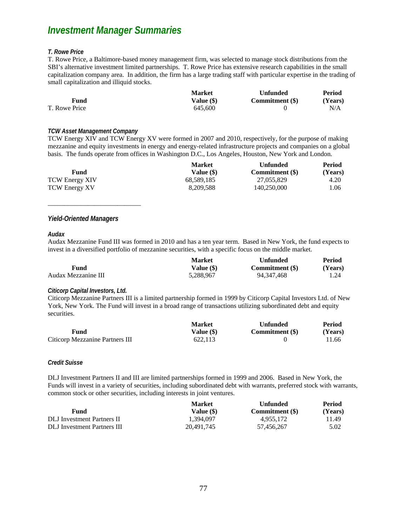#### *T. Rowe Price*

T. Rowe Price, a Baltimore-based money management firm, was selected to manage stock distributions from the SBI's alternative investment limited partnerships. T. Rowe Price has extensive research capabilities in the small capitalization company area. In addition, the firm has a large trading staff with particular expertise in the trading of small capitalization and illiquid stocks.

|               | <b>Market</b>     | Unfunded        | Period  |
|---------------|-------------------|-----------------|---------|
| Fund          | <b>Value (\$)</b> | Commitment (\$) | (Years) |
| T. Rowe Price | 645,600           |                 | N/A     |

#### *TCW Asset Management Company*

TCW Energy XIV and TCW Energy XV were formed in 2007 and 2010, respectively, for the purpose of making mezzanine and equity investments in energy and energy-related infrastructure projects and companies on a global basis. The funds operate from offices in Washington D.C., Los Angeles, Houston, New York and London.

|                       | <b>Market</b> | <b>Unfunded</b> | Period  |
|-----------------------|---------------|-----------------|---------|
| Fund                  | Value (\$)    | Commitment (\$) | (Years) |
| <b>TCW Energy XIV</b> | 68.589.185    | 27.055.829      | 4.20    |
| <b>TCW Energy XV</b>  | 8.209.588     | 140,250,000     | 1.06    |

#### *Yield-Oriented Managers*

\_\_\_\_\_\_\_\_\_\_\_\_\_\_\_\_\_\_\_\_\_\_\_\_\_\_\_\_

#### *Audax*

Audax Mezzanine Fund III was formed in 2010 and has a ten year term. Based in New York, the fund expects to invest in a diversified portfolio of mezzanine securities, with a specific focus on the middle market.

|                     | Market     | <b>Unfunded</b> | Period  |
|---------------------|------------|-----------------|---------|
| Fund                | Value (\$) | Commitment (\$) | (Years) |
| Audax Mezzanine III | 5.288.967  | 94.347.468      | 1.24    |

#### *Citicorp Capital Investors, Ltd.*

Citicorp Mezzanine Partners III is a limited partnership formed in 1999 by Citicorp Capital Investors Ltd. of New York, New York. The Fund will invest in a broad range of transactions utilizing subordinated debt and equity securities.

|                                 | Market     | Unfunded        | Period  |
|---------------------------------|------------|-----------------|---------|
| Fund                            | Value (\$) | Commitment (\$) | (Years) |
| Citicorp Mezzanine Partners III | 622.113    |                 | 11.66   |

#### *Credit Suisse*

DLJ Investment Partners II and III are limited partnerships formed in 1999 and 2006. Based in New York, the Funds will invest in a variety of securities, including subordinated debt with warrants, preferred stock with warrants, common stock or other securities, including interests in joint ventures.

|                                    | <b>Market</b> | <b>Unfunded</b> | Period  |
|------------------------------------|---------------|-----------------|---------|
| Fund                               | Value (\$)    | Commitment (\$) | (Years) |
| DLJ Investment Partners II         | 1.394.097     | 4.955.172       | 11.49   |
| <b>DLJ</b> Investment Partners III | 20.491.745    | 57.456.267      | 5.02    |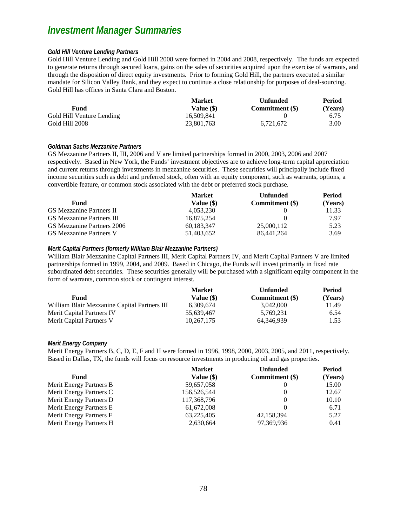#### *Gold Hill Venture Lending Partners*

Gold Hill Venture Lending and Gold Hill 2008 were formed in 2004 and 2008, respectively. The funds are expected to generate returns through secured loans, gains on the sales of securities acquired upon the exercise of warrants, and through the disposition of direct equity investments. Prior to forming Gold Hill, the partners executed a similar mandate for Silicon Valley Bank, and they expect to continue a close relationship for purposes of deal-sourcing. Gold Hill has offices in Santa Clara and Boston.

|                           | <b>Market</b> | <b>Unfunded</b> | Period  |
|---------------------------|---------------|-----------------|---------|
| Fund                      | Value (\$)    | Commitment (\$) | (Years) |
| Gold Hill Venture Lending | 16.509.841    |                 | 6.75    |
| Gold Hill 2008            | 23,801,763    | 6.721.672       | 3.00    |

#### *Goldman Sachs Mezzanine Partners*

GS Mezzanine Partners II, III, 2006 and V are limited partnerships formed in 2000, 2003, 2006 and 2007 respectively. Based in New York, the Funds' investment objectives are to achieve long-term capital appreciation and current returns through investments in mezzanine securities. These securities will principally include fixed income securities such as debt and preferred stock, often with an equity component, such as warrants, options, a convertible feature, or common stock associated with the debt or preferred stock purchase.

| Fund                             | <b>Market</b><br>Value $(\$)$ | <b>Unfunded</b><br>Commitment (\$) | Period<br>(Years) |
|----------------------------------|-------------------------------|------------------------------------|-------------------|
|                                  |                               |                                    |                   |
| <b>GS Mezzanine Partners III</b> | 16.875.254                    |                                    | 7.97              |
| GS Mezzanine Partners 2006       | 60,183,347                    | 25,000,112                         | 5.23              |
| <b>GS Mezzanine Partners V</b>   | 51,403,652                    | 86,441,264                         | 3.69              |

#### *Merit Capital Partners (formerly William Blair Mezzanine Partners)*

William Blair Mezzanine Capital Partners III, Merit Capital Partners IV, and Merit Capital Partners V are limited partnerships formed in 1999, 2004, and 2009. Based in Chicago, the Funds will invest primarily in fixed rate subordinated debt securities. These securities generally will be purchased with a significant equity component in the form of warrants, common stock or contingent interest.

|                                              | <b>Market</b> | <b>Unfunded</b> | Period  |
|----------------------------------------------|---------------|-----------------|---------|
| Fund                                         | Value (\$)    | Commitment (\$) | (Years) |
| William Blair Mezzanine Capital Partners III | 6.309.674     | 3.042.000       | 11.49   |
| Merit Capital Partners IV                    | 55.639.467    | 5.769.231       | 6.54    |
| Merit Capital Partners V                     | 10.267.175    | 64,346,939      | 1.53    |

#### *Merit Energy Company*

Merit Energy Partners B, C, D, E, F and H were formed in 1996, 1998, 2000, 2003, 2005, and 2011, respectively. Based in Dallas, TX, the funds will focus on resource investments in producing oil and gas properties.

|                         | <b>Market</b> | <b>Unfunded</b> | Period  |
|-------------------------|---------------|-----------------|---------|
| Fund                    | Value $(\$)$  | Commitment (\$) | (Years) |
| Merit Energy Partners B | 59,657,058    | $\theta$        | 15.00   |
| Merit Energy Partners C | 156,526,544   | $\theta$        | 12.67   |
| Merit Energy Partners D | 117,368,796   | $\Omega$        | 10.10   |
| Merit Energy Partners E | 61,672,008    | $\Omega$        | 6.71    |
| Merit Energy Partners F | 63,225,405    | 42,158,394      | 5.27    |
| Merit Energy Partners H | 2,630,664     | 97,369,936      | 0.41    |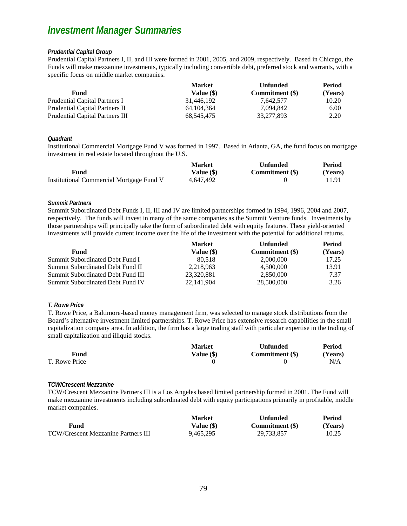#### *Prudential Capital Group*

Prudential Capital Partners I, II, and III were formed in 2001, 2005, and 2009, respectively. Based in Chicago, the Funds will make mezzanine investments, typically including convertible debt, preferred stock and warrants, with a specific focus on middle market companies.

|                                 | <b>Market</b> | <b>Unfunded</b> | <b>Period</b> |
|---------------------------------|---------------|-----------------|---------------|
| Fund                            | Value (\$)    | Commitment (\$) | (Years)       |
| Prudential Capital Partners I   | 31.446.192    | 7.642.577       | 10.20         |
| Prudential Capital Partners II  | 64.104.364    | 7.094.842       | 6.00          |
| Prudential Capital Partners III | 68.545.475    | 33.277.893      | 2.20          |

#### *Quadrant*

Institutional Commercial Mortgage Fund V was formed in 1997. Based in Atlanta, GA, the fund focus on mortgage investment in real estate located throughout the U.S.

|                                                 | <b>Market</b> | <b>Unfunded</b> | Period  |
|-------------------------------------------------|---------------|-----------------|---------|
| Fund                                            | Value (\$)    | Commitment (\$) | (Years) |
| <b>Institutional Commercial Mortgage Fund V</b> | 4.647.492     |                 | 11.91   |

#### *Summit Partners*

Summit Subordinated Debt Funds I, II, III and IV are limited partnerships formed in 1994, 1996, 2004 and 2007, respectively. The funds will invest in many of the same companies as the Summit Venture funds. Investments by those partnerships will principally take the form of subordinated debt with equity features. These yield-oriented investments will provide current income over the life of the investment with the potential for additional returns.

|                                         | <b>Market</b> | <b>Unfunded</b> | Period  |
|-----------------------------------------|---------------|-----------------|---------|
| Fund                                    | Value $(\$)$  | Commitment (\$) | (Years) |
| Summit Subordinated Debt Fund I         | 80.518        | 2,000,000       | 17.25   |
| Summit Subordinated Debt Fund II        | 2.218.963     | 4.500,000       | 13.91   |
| Summit Subordinated Debt Fund III       | 23.320.881    | 2.850,000       | 7.37    |
| <b>Summit Subordinated Debt Fund IV</b> | 22,141,904    | 28,500,000      | 3.26    |

#### *T. Rowe Price*

T. Rowe Price, a Baltimore-based money management firm, was selected to manage stock distributions from the Board's alternative investment limited partnerships. T. Rowe Price has extensive research capabilities in the small capitalization company area. In addition, the firm has a large trading staff with particular expertise in the trading of small capitalization and illiquid stocks.

|               | <b>Market</b> | <b>Unfunded</b> | Period  |  |
|---------------|---------------|-----------------|---------|--|
| Fund          | Value (\$)    | Commitment (\$) | (Years) |  |
| T. Rowe Price |               |                 | N/A     |  |

#### *TCW/Crescent Mezzanine*

TCW/Crescent Mezzanine Partners III is a Los Angeles based limited partnership formed in 2001. The Fund will make mezzanine investments including subordinated debt with equity participations primarily in profitable, middle market companies.

|                                            | Market     | <b>Unfunded</b> | Period  |
|--------------------------------------------|------------|-----------------|---------|
| Fund                                       | Value (\$) | Commitment (\$) | (Years) |
| <b>TCW/Crescent Mezzanine Partners III</b> | 9.465.295  | 29.733.857      | 10.25   |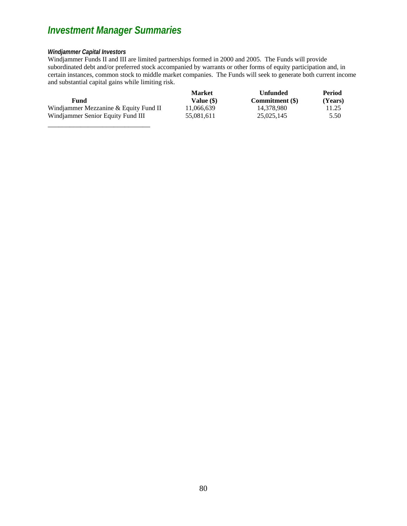#### *Windjammer Capital Investors*

Windjammer Funds II and III are limited partnerships formed in 2000 and 2005. The Funds will provide subordinated debt and/or preferred stock accompanied by warrants or other forms of equity participation and, in certain instances, common stock to middle market companies. The Funds will seek to generate both current income and substantial capital gains while limiting risk.

|                                       | <b>Market</b> | <b>Unfunded</b> | <b>Period</b> |
|---------------------------------------|---------------|-----------------|---------------|
| Fund                                  | Value (\$)    | Commitment (\$) | (Years)       |
| Windjammer Mezzanine & Equity Fund II | 11,066,639    | 14.378.980      | 11.25         |
| Windiammer Senior Equity Fund III     | 55,081,611    | 25,025,145      | 5.50          |
|                                       |               |                 |               |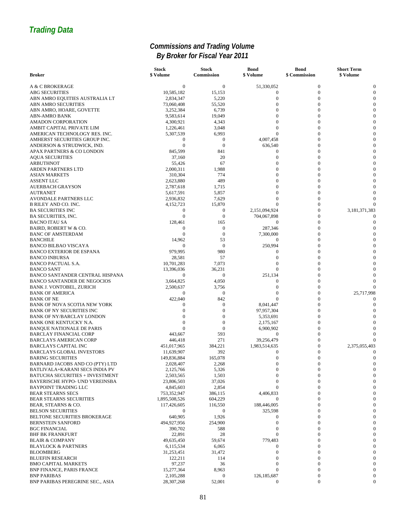# *Trading Data*

| <b>Broker</b>                                                     | <b>Stock</b><br>\$ Volume | <b>Stock</b><br>Commission | <b>Bond</b><br>\$ Volume        | <b>Bond</b><br>\$ Commission | <b>Short Term</b><br>\$ Volume |
|-------------------------------------------------------------------|---------------------------|----------------------------|---------------------------------|------------------------------|--------------------------------|
| A & C BROKERAGE                                                   | $\mathbf{0}$              | $\boldsymbol{0}$           | 51,330,052                      | $\boldsymbol{0}$             |                                |
| <b>ABG SECURITIES</b>                                             | 10,585,182                | 15,153                     | $\mathbf 0$                     | $\mathbf{0}$                 |                                |
| ABN AMRO EQUITIES AUSTRALIA LT                                    | 2,834,347                 | 5,220                      | $\overline{0}$                  | $\Omega$                     |                                |
| ABN AMRO SECURITIES                                               | 73,060,408                | 55,520                     | $\Omega$                        | $\Omega$                     |                                |
| ABN AMRO, HOARE, GOVETTE                                          | 3,252,384                 | 6,739                      | $\Omega$                        |                              |                                |
| <b>ABN-AMRO BANK</b>                                              | 9,583,614                 | 19,049                     | $\Omega$                        |                              |                                |
| <b>AMADON CORPORATION</b>                                         | 4,300,921                 | 4,343                      | $\Omega$                        |                              |                                |
| AMBIT CAPITAL PRIVATE LIM                                         | 1,226,461                 | 3,048                      | $\Omega$                        |                              |                                |
| AMERICAN TECHNOLOGY RES. INC.                                     | 5,307,539                 | 6,993                      | $\Omega$                        |                              |                                |
| AMHERST SECURITIES GROUP INC.                                     | $\mathbf{0}$              | $\mathbf{0}$               | 4,007,458                       | $\Omega$                     |                                |
| ANDERSON & STRUDWICK, IND.                                        | $\theta$                  | $\theta$                   | 636,540                         | $\Omega$                     |                                |
| APAX PARTNERS & CO LONDON                                         | 845,599                   | 841<br>20                  | $\boldsymbol{0}$<br>$\mathbf 0$ | $\Omega$<br>$\Omega$         |                                |
| <b>AQUA SECURITIES</b><br><b>ARBUTHNOT</b>                        | 37,160<br>55,426          | 67                         | 0                               | $\Omega$                     |                                |
| ARDEN PARTNERS LTD                                                | 2,000,311                 | 1,988                      | $\overline{0}$                  | $\Omega$                     |                                |
| <b>ASIAN MARKETS</b>                                              | 310,304                   | 774                        | $\Omega$                        | $\Omega$                     |                                |
| ASSENT LLC                                                        | 2,623,880                 | 489                        | $\Omega$                        | $\Omega$                     |                                |
| <b>AUERBACH GRAYSON</b>                                           | 2,787,618                 | 1,715                      | $\Omega$                        | $\Omega$                     |                                |
| <b>AUTRANET</b>                                                   | 5,617,591                 | 5,857                      | $\Omega$                        | $\Omega$                     |                                |
| <b>AVONDALE PARTNERS LLC</b>                                      | 2,936,832                 | 7,629                      | $\Omega$                        | $\Omega$                     |                                |
| <b>B RILEY AND CO. INC.</b>                                       | 4,152,723                 | 15,870                     | $\Omega$                        | $\Omega$                     |                                |
| <b>BA SECURITIES INC</b>                                          | $\mathbf{0}$              | $\theta$                   | 2,151,094,924                   | $\Omega$                     | 3,181,371,383                  |
| BA SECURITIES, INC.                                               | $\mathbf{0}$              | $\mathbf{0}$               | 704,067,898                     | $\mathbf{0}$                 |                                |
| <b>BACNO ITAU SA</b>                                              | 128,461                   | 165                        | $\mathbf{0}$                    | $\Omega$                     |                                |
| BAIRD, ROBERT W & CO.                                             | $\mathbf{0}$              | $\theta$                   | 287,346                         | $\Omega$                     |                                |
| <b>BANC OF AMSTERDAM</b>                                          | $\mathbf{0}$              | $\theta$                   | 7,300,000                       | $\Omega$                     |                                |
| <b>BANCHILE</b>                                                   | 14,962                    | 53                         | $\mathbf{0}$                    | $\Omega$                     |                                |
| <b>BANCO BILBAO VISCAYA</b>                                       | $\mathbf{0}$              | $\mathbf{0}$               | 250,994                         |                              |                                |
| <b>BANCO EXTERIOR DE ESPANA</b>                                   | 979,995                   | 980                        | 0                               |                              |                                |
| <b>BANCO INBURSA</b>                                              | 28,581                    | 57                         | $\Omega$                        |                              |                                |
| <b>BANCO PACTUAL S.A.</b>                                         | 10,701,283                | 7,073                      | $\Omega$                        |                              |                                |
| <b>BANCO SANT</b>                                                 | 13,396,036                | 36,231                     | $\Omega$                        |                              |                                |
| BANCO SANTANDER CENTRAL HISPANA                                   | $\mathbf{0}$              | $\mathbf{0}$               | 251,134                         |                              |                                |
| <b>BANCO SANTANDER DE NEGOCIOS</b>                                | 3,664,825                 | 4,050                      | $\overline{0}$                  | $\Omega$                     |                                |
| <b>BANK J. VONTOBEL, ZURICH</b>                                   | 2,500,637                 | 3,756                      | $\overline{0}$                  | 0                            |                                |
| <b>BANK OF AMERICA</b>                                            | $\mathbf{0}$              | $\mathbf{0}$               | 0                               | $\Omega$                     | 25,717,998                     |
| <b>BANK OF NE</b>                                                 | 422,040                   | 842                        | 0                               | $\Omega$                     | 0                              |
| BANK OF NOVA SCOTIA NEW YORK                                      | $\boldsymbol{0}$          | 0                          | 8,041,447                       | $\Omega$                     |                                |
| <b>BANK OF NY SECURITIES INC</b>                                  | $\mathbf{0}$              | $\mathbf{0}$               | 97,957,304                      | $\Omega$                     |                                |
| BANK OF NY/BARCLAY LONDON                                         | $\mathbf{0}$              | $\theta$                   | 5,353,691                       | $\Omega$                     |                                |
| <b>BANK ONE KENTUCKY N.A.</b>                                     | $\Omega$                  | $\mathbf{0}$               | 2,175,167                       | $\Omega$                     |                                |
| <b>BANQUE NATIONALE DE PARIS</b><br><b>BARCLAY FINANCIAL CORP</b> | $\Omega$                  | $\theta$                   | 6,900,902<br>$\overline{0}$     | $\Omega$<br>$\Omega$         |                                |
| <b>BARCLAYS AMERICAN CORP</b>                                     | 443,667<br>446,418        | 593<br>271                 | 39,256,479                      | $\Omega$                     |                                |
| <b>BARCLAYS CAPITAL INC</b>                                       | 451,017,965               | 384,221                    | 1,983,514,635                   | $\Omega$                     | 2,375,055,403                  |
| <b>BARCLAYS GLOBAL INVESTORS</b>                                  | 11,639,907                | 392                        | $\mathbf{0}$                    | $\mathbf{0}$                 |                                |
| <b>BARING SECURITIES</b>                                          | 149,836,884               | 165,078                    | $\Omega$                        | $\Omega$                     |                                |
| BARNARD JACOBS AND CO (PTY) LTD                                   | 2,028,407                 | 2,268                      | 0                               | $\boldsymbol{0}$             |                                |
| BATLIVALA+KARANI SECS INDIA PV                                    | 2,125,766                 | 5,326                      | $\Omega$                        | $\mathbf{0}$                 |                                |
| <b>BATUCHA SECURITIES + INVESTMENT</b>                            | 2,503,565                 | 1,503                      | 0                               | $\Omega$                     |                                |
| BAYERISCHE HYPO- UND VEREINSBA                                    | 23,806,503                | 37,026                     | 0                               | 0                            |                                |
| BAYPOINT TRADING LLC                                              | 4,845,603                 | 2,854                      | 0                               | $\Omega$                     |                                |
| <b>BEAR STEARNS SECS</b>                                          | 753,352,947               | 386,115                    | 4,406,833                       | $\Omega$                     |                                |
| <b>BEAR STEARNS SECURITIES</b>                                    | 1,895,508,526             | 604,229                    | $\mathbf{0}$                    |                              |                                |
| BEAR, STEARNS & CO.                                               | 117,426,605               | 116,550                    | 188,446,005                     |                              |                                |
| <b>BELSON SECURITIES</b>                                          | $\mathbf 0$               | $\boldsymbol{0}$           | 325,598                         |                              |                                |
| BELTONE SECURITIES BROKERAGE                                      | 640,905                   | 1,926                      | $\mathbf{0}$                    |                              |                                |
| <b>BERNSTEIN SANFORD</b>                                          | 494,927,956               | 254,900                    | $\overline{0}$                  |                              |                                |
| <b>BGC FINANCIAL</b>                                              | 390,702                   | 588                        | 0                               |                              |                                |
| <b>BHF BK FRANKFURT</b>                                           | 22,891                    | 28                         | $\overline{0}$                  | $\Omega$                     |                                |
| <b>BLAIR &amp; COMPANY</b>                                        | 49,635,450                | 59,674                     | 779,483                         |                              |                                |
| <b>BLAYLOCK &amp; PARTNERS</b>                                    | 6,115,534                 | 6,065                      | 0                               |                              |                                |
| <b>BLOOMBERG</b>                                                  | 31,253,451                | 31,472                     | 0                               | $\Omega$                     |                                |
| <b>BLUEFIN RESEARCH</b>                                           | 122,211                   | 114                        | 0                               | $\Omega$                     |                                |
| <b>BMO CAPITAL MARKETS</b>                                        | 97,237                    | 36                         | 0                               | $\Omega$                     |                                |
| BNP FINANCE, PARIS FRANCE                                         | 15,277,364                | 8,963                      | $\overline{0}$                  | 0                            |                                |
| <b>BNP PARIBAS</b>                                                | 2,105,288                 | $\boldsymbol{0}$           | 126, 185, 687                   | $\boldsymbol{0}$             |                                |
| BNP PARIBAS PEREGRINE SEC., ASIA                                  | 28, 307, 268              | 52,001                     | $\theta$                        | $\boldsymbol{0}$             |                                |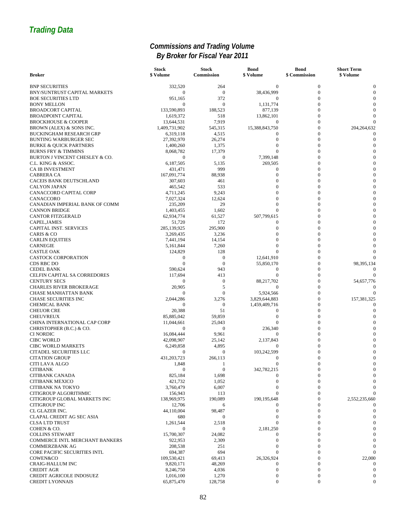# *Trading Data*

| <b>Broker</b>                                                     | <b>Stock</b><br>\$ Volume   | <b>Stock</b><br>Commission | Bond<br>\$ Volume              | <b>Bond</b><br>\$ Commission         | <b>Short Term</b><br>\$ Volume |
|-------------------------------------------------------------------|-----------------------------|----------------------------|--------------------------------|--------------------------------------|--------------------------------|
| <b>BNP SECURITIES</b>                                             | 332,520                     | 264                        | $\mathbf{0}$                   | $\boldsymbol{0}$                     |                                |
| BNY/SUNTRUST CAPITAL MARKETS                                      | 0                           | $\mathbf{0}$               | 38,436,999                     | $\boldsymbol{0}$                     | $\theta$                       |
| <b>BOE SECURITIES LTD</b>                                         | 951,165                     | 372                        | $\mathbf{0}$                   | $\mathbf{0}$                         |                                |
| <b>BONY MELLON</b>                                                | $\mathbf{0}$<br>133,590,893 | $\theta$<br>188,523        | 1,131,774                      | $\mathbf{0}$<br>$\mathbf{0}$         |                                |
| <b>BROADCORT CAPITAL</b><br><b>BROADPOINT CAPITAL</b>             | 1,619,372                   | 518                        | 877,139<br>13,862,101          | $\mathbf{0}$                         |                                |
| <b>BROCKHOUSE &amp; COOPER</b>                                    | 13,644,531                  | 7,919                      | $\theta$                       | $\mathbf{0}$                         |                                |
| BROWN (ALEX) & SONS INC.                                          | 1,409,731,902               | 545,315                    | 15,388,843,750                 | $\theta$                             | 204, 264, 632                  |
| <b>BUCKINGHAM RESEARCH GRP</b>                                    | 6,319,118                   | 4,515                      | $\mathbf{0}$                   | $\mathbf{0}$                         | $\Omega$                       |
| <b>BUNTING WARBURGER SEC</b><br><b>BURKE &amp; QUICK PARTNERS</b> | 27,392,970<br>1,400,260     | 26.274<br>1,375            | $\mathbf{0}$<br>$\mathbf{0}$   | $\mathbf{0}$<br>$\mathbf{0}$         | $\theta$                       |
| <b>BURNS FRY &amp; TIMMINS</b>                                    | 8,068,782                   | 17,379                     | $\mathbf{0}$                   | $\theta$                             |                                |
| BURTON J VINCENT CHESLEY & CO.                                    | $\mathbf{0}$                | $\mathbf 0$                | 7,399,148                      | $\theta$                             |                                |
| C.L. KING & ASSOC.                                                | 6,187,505                   | 5,135                      | 269,505                        | $\theta$                             |                                |
| CA IB INVESTMENT                                                  | 431,471                     | 999                        | $\mathbf{0}$                   | $\mathbf{0}$                         |                                |
| CABRERA CA                                                        | 167,091,774                 | 88,938                     | $\mathbf{0}$<br>$\overline{0}$ | $\theta$<br>$\theta$                 |                                |
| CACEIS BANK DEUTSCHLAND<br><b>CALYON JAPAN</b>                    | 307,603<br>465,542          | 461<br>533                 | $\theta$                       | $\theta$                             |                                |
| CANACCORD CAPITAL CORP                                            | 4,711,245                   | 9,243                      | $\overline{0}$                 | $\mathbf{0}$                         |                                |
| CANACCORO                                                         | 7,027,324                   | 12,624                     | $\overline{0}$                 | $\theta$                             |                                |
| CANADIAN IMPERIAL BANK OF COMM                                    | 235,209                     | 29                         | $\overline{0}$                 | $\theta$                             |                                |
| <b>CANNON BRIDGE</b>                                              | 1,403,455                   | 1,602                      | $\overline{0}$                 | $\theta$                             |                                |
| <b>CANTOR FITZGERALD</b>                                          | 62,934,774                  | 61,527                     | 507,799,615                    | $\mathbf{0}$                         |                                |
| CAPEL, JAMES<br>CAPITAL INST. SERVICES                            | 51,720<br>285,139,925       | 172<br>295,900             | $\mathbf{0}$<br>$\overline{0}$ | $\mathbf{0}$<br>$\mathbf{0}$         |                                |
| <b>CARIS &amp; CO</b>                                             | 3,269,435                   | 3,236                      | $\mathbf{0}$                   | $\mathbf{0}$                         |                                |
| <b>CARLIN EQUITIES</b>                                            | 7,441,194                   | 14,154                     | $\overline{0}$                 | $\mathbf{0}$                         |                                |
| CARNEGIE                                                          | 5,161,844                   | 7,260                      | $\overline{0}$                 | $\mathbf{0}$                         |                                |
| CASTLE OAK                                                        | 124,829                     | 128                        | $\Omega$                       | $\mathbf{0}$                         |                                |
| CASTOCK CORPORATION                                               | $\mathbf{0}$                | $\theta$                   | 12,641,910                     | $\mathbf{0}$                         |                                |
| CDS RBC DO<br><b>CEDEL BANK</b>                                   | $\mathbf{0}$<br>590,624     | $\theta$<br>943            | 55,850,170<br>$\mathbf{0}$     | $\overline{0}$<br>$\mathbf{0}$       | 98,395,134<br>0                |
| CELFIN CAPITAL SA CORREDORES                                      | 117,694                     | 413                        | $\theta$                       | $\mathbf{0}$                         | $\Omega$                       |
| <b>CENTURY SECS</b>                                               | $\mathbf{0}$                | $\mathbf{0}$               | 88,217,702                     | $\mathbf{0}$                         | 54,657,776                     |
| <b>CHARLES RIVER BROKERAGE</b>                                    | 20,905                      | 5                          | $\mathbf{0}$                   | $\mathbf{0}$                         | $\mathbf{0}$                   |
| <b>CHASE MANHATTAN BANK</b>                                       | $\mathbf{0}$                | $\theta$                   | 5,924,566                      | $\mathbf{0}$                         |                                |
| <b>CHASE SECURITIES INC</b><br><b>CHEMICAL BANK</b>               | 2,044,286<br>$\mathbf{0}$   | 3,276<br>$\mathbf{0}$      | 3,829,644,883<br>1,459,409,716 | $\mathbf{0}$<br>$\mathbf{0}$         | 157,381,325<br>0               |
| <b>CHEUOR CRE</b>                                                 | 20,388                      | 51                         | $\mathbf{0}$                   | $\theta$                             |                                |
| <b>CHEUVREUX</b>                                                  | 85,885,042                  | 59,859                     | 0                              | $\theta$                             |                                |
| CHINA INTERNATIONAL CAP CORP                                      | 11,044,661                  | 25,043                     | $\Omega$                       | $\theta$                             |                                |
| CHRISTOPHER (B.C.) & CO.                                          | $\mathbf{0}$                | $\mathbf{0}$               | 236,340                        | $\theta$                             |                                |
| <b>CI NORDIC</b>                                                  | 16,084,444                  | 9,961                      | 0                              | $\Omega$                             |                                |
| <b>CIBC WORLD</b><br><b>CIBC WORLD MARKETS</b>                    | 42,098,907<br>6,249,858     | 25,142<br>4,895            | 2,137,843<br>0                 | $\theta$<br>$\theta$                 |                                |
| <b>CITADEL SECURITIES LLC</b>                                     | $\mathbf{0}$                | $\theta$                   | 103,242,599                    | $\mathbf{0}$                         |                                |
| <b>CITATION GROUP</b>                                             | 431,203,723                 | 266,113                    | $\theta$                       | $\theta$                             | $\theta$                       |
| CITI LAVA ALGO                                                    | 1,848                       | $\mathbf{1}$               | $\boldsymbol{0}$               | $\mathbf{0}$                         | $\theta$                       |
| <b>CITIBANK</b>                                                   | $\mathbf{0}$                | $\boldsymbol{0}$           | 342,782,215                    | $\boldsymbol{0}$                     |                                |
| <b>CITIBANK CANADA</b>                                            | 825,184                     | 1,698                      | $\bf{0}$                       | $\mathbf{0}$                         |                                |
| CITIBANK MEXICO<br>CITIBANK NA TOKYO                              | 421,732<br>3,760,479        | 1,052<br>6,007             | $\mathbf{0}$<br>$\mathbf{0}$   | $\boldsymbol{0}$<br>$\boldsymbol{0}$ | 0                              |
| <b>CITIGROUP ALGORITHMIC</b>                                      | 156,943                     | 113                        | $\Omega$                       | $\mathbf{0}$                         |                                |
| CITIGROUP GLOBAL MARKETS INC                                      | 138,969,975                 | 190,089                    | 190,195,648                    | $\mathbf{0}$                         | 2,552,235,660                  |
| <b>CITIGROUP INC</b>                                              | 12,706                      | 6                          | $\mathbf{0}$                   | $\boldsymbol{0}$                     |                                |
| CL GLAZER INC.                                                    | 44,110,004                  | 98,487                     | $\mathbf{0}$                   | $\mathbf{0}$                         | $\theta$                       |
| CLAPAL CREDIT AG SEC ASIA                                         | 680                         | $\mathbf 0$                | $\mathbf{0}$<br>$\mathbf{0}$   | $\mathbf{0}$<br>$\overline{0}$       | $\Omega$<br>$\theta$           |
| <b>CLSA LTD TRUST</b><br>COHEN & CO.                              | 1,261,544<br>$\mathbf{0}$   | 2,518<br>$\mathbf{0}$      | 2,181,250                      | $\mathbf{0}$                         |                                |
| <b>COLLINS STEWART</b>                                            | 15,700,307                  | 24,082                     | $\mathbf{0}$                   | $\overline{0}$                       |                                |
| COMMERCE INTL MERCHANT BANKERS                                    | 922,953                     | 2,309                      | $\mathbf{0}$                   | $\mathbf{0}$                         |                                |
| <b>COMMERZBANK AG</b>                                             | 208,538                     | 251                        | $\mathbf{0}$                   | $\overline{0}$                       | 0                              |
| CORE PACIFIC SECURITIES INTL                                      | 694,387                     | 694                        | $\Omega$                       | $\overline{0}$                       |                                |
| COWEN&CO<br><b>CRAIG-HALLUM INC</b>                               | 109,530,421<br>9,820,171    | 69,413<br>48,269           | 26,326,924<br>$\bf{0}$         | $\theta$<br>$\mathbf{0}$             | 22,000<br>$\Omega$             |
| <b>CREDIT AGR</b>                                                 | 8,246,750                   | 4,036                      | $\mathbf{0}$                   | $\overline{0}$                       | 0                              |
| CREDIT AGRICOLE INDOSUEZ                                          | 1,016,100                   | 1,270                      | $\mathbf{0}$                   | $\boldsymbol{0}$                     |                                |
| <b>CREDIT LYONNAIS</b>                                            | 65,875,470                  | 128,758                    | $\mathbf{0}$                   | $\mathbf{0}$                         | $\theta$                       |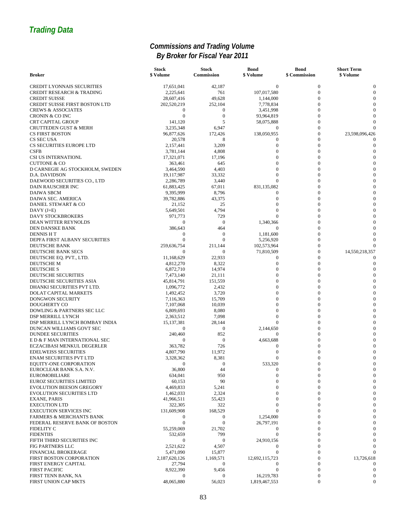| <b>Broker</b>                                                             | <b>Stock</b><br>\$ Volume     | <b>Stock</b><br>Commission   | Bond<br>\$ Volume            | <b>Bond</b><br>\$ Commission     | <b>Short Term</b><br>\$ Volume |
|---------------------------------------------------------------------------|-------------------------------|------------------------------|------------------------------|----------------------------------|--------------------------------|
|                                                                           |                               |                              |                              |                                  |                                |
| <b>CREDIT LYONNAIS SECURITIES</b><br><b>CREDIT RESEARCH &amp; TRADING</b> | 17,651,041<br>2,225,641       | 42,187<br>761                | $\mathbf{0}$<br>107,017,580  | $\mathbf{0}$<br>$\mathbf{0}$     |                                |
| <b>CREDIT SUISSE</b>                                                      | 28,607,416                    | 49,628                       | 1,144,000                    | $\mathbf{0}$                     |                                |
| CREDIT SUISSE FIRST BOSTON LTD                                            | 202,520,219                   | 252,104                      | 7,778,834                    | $\overline{0}$                   |                                |
| <b>CREWS &amp; ASSOCIATES</b>                                             | $\mathbf{0}$                  | 0                            | 3,451,998                    | $\mathbf{0}$                     |                                |
| <b>CRONIN &amp; CO INC</b>                                                | $\mathbf{0}$                  | $\boldsymbol{0}$             | 93,964,819                   | $\mathbf{0}$                     |                                |
| <b>CRT CAPITAL GROUP</b>                                                  | 141,120                       | 5                            | 58,075,888                   | $\mathbf{0}$                     |                                |
| <b>CRUTTEDEN GUST &amp; MERH</b>                                          | 3.235.348                     | 6,947                        | $\bf{0}$                     | $\mathbf{0}$                     |                                |
| <b>CS FIRST BOSTON</b><br>CS SEC USA                                      | 96,877,626<br>20,578          | 172,426<br>8                 | 138,050,955<br>$\mathbf{0}$  | $\boldsymbol{0}$<br>$\mathbf{0}$ | 23,598,096,426                 |
| <b>CS SECURITIES EUROPE LTD</b>                                           | 2,157,441                     | 3,209                        | $\mathbf{0}$                 | $\mathbf{0}$                     |                                |
| <b>CSFB</b>                                                               | 3,781,144                     | 4,808                        | $\mathbf{0}$                 | $\Omega$                         |                                |
| <b>CSI US INTERNATIONL</b>                                                | 17,321,071                    | 17,196                       | $\theta$                     | $\Omega$                         |                                |
| <b>CUTTONE &amp; CO</b>                                                   | 363,461                       | 645                          | $\theta$                     | $\theta$                         |                                |
| D CARNEGIE AG STOCKHOLM, SWEDEN                                           | 3,464,590                     | 4,403                        | $\mathbf{0}$                 | $\Omega$                         |                                |
| D.A. DAVIDSON                                                             | 19,117,987                    | 33,332                       | $\theta$                     | $\Omega$                         |                                |
| DAEWOOD SECURITIES CO., LTD<br>DAIN RAUSCHER INC                          | 2,286,789<br>61,883,425       | 3,440<br>67,011              | $\Omega$<br>831,135,082      | 0<br>0                           |                                |
| <b>DAIWA SBCM</b>                                                         | 9.395.999                     | 8,796                        | 0                            | $\theta$                         |                                |
| DAIWA SEC. AMERICA                                                        | 39,782,886                    | 43,375                       | $\mathbf{0}$                 | $\theta$                         |                                |
| DANIEL STEWART & CO                                                       | 21,152                        | 25                           | $\theta$                     | 0                                |                                |
| $DAVY(J+E)$                                                               | 5,649,501                     | 4,794                        | $\mathbf{0}$                 | $\theta$                         |                                |
| <b>DAVY STOCKBROKERS</b>                                                  | 971,773                       | 729                          | $\mathbf{0}$                 | $\mathbf{0}$                     |                                |
| DEAN WITTER REYNOLDS                                                      | $\mathbf{0}$                  | $\mathbf{0}$                 | 1,340,366                    | $\theta$                         |                                |
| <b>DEN DANSKE BANK</b>                                                    | 386,643                       | 464                          | $\mathbf{0}$                 | $\Omega$                         |                                |
| <b>DENNIS HT</b><br>DEPFA FIRST ALBANY SECURITIES                         | $\mathbf{0}$<br>$\mathbf{0}$  | $\mathbf{0}$<br>$\mathbf{0}$ | 1,181,600<br>5,256,920       | 0<br>$\overline{0}$              |                                |
| <b>DEUTSCHE BANK</b>                                                      | 259,636,754                   | 211,144                      | 102,573,964                  | $\mathbf{0}$                     |                                |
| <b>DEUTSCHE BANK SECS</b>                                                 | $\Omega$                      | $\mathbf{0}$                 | 71,810,509                   | $\mathbf{0}$                     | 14,550,218,357                 |
| DEUTSCHE EQ. PVT., LTD.                                                   | 11,168,629                    | 22,933                       | $\bf{0}$                     | $\mathbf{0}$                     |                                |
| <b>DEUTSCHE M</b>                                                         | 4,812,270                     | 8,322                        | $\mathbf{0}$                 | $\mathbf{0}$                     |                                |
| <b>DEUTSCHES</b>                                                          | 6,872,710                     | 14,974                       | $\mathbf{0}$                 | $\mathbf{0}$                     |                                |
| <b>DEUTSCHE SECURITIES</b>                                                | 7,473,140                     | 21,111                       | $\mathbf{0}$                 | $\Omega$                         |                                |
| DEUTSCHE SECURITIES ASIA                                                  | 45,814,791                    | 151,559                      | $\mathbf{0}$                 | $\mathbf{0}$                     |                                |
| DHANKI SECURITIES PVT LTD.<br>DOLAT CAPITAL MARKETS                       | 1,096,772<br>1,492,452        | 2,432<br>3,720               | $\theta$<br>$\overline{0}$   | $\Omega$<br>$\mathbf{0}$         |                                |
| <b>DONGWON SECURITY</b>                                                   | 7,116,363                     | 15,709                       | $\theta$                     | $\Omega$                         |                                |
| <b>DOUGHERTY CO</b>                                                       | 7,107,068                     | 10,039                       | $\mathbf{0}$                 | $\Omega$                         |                                |
| DOWLING & PARTNERS SEC LLC                                                | 6,809,693                     | 8,080                        | $\theta$                     | $\theta$                         |                                |
| <b>DSP MERRILL LYNCH</b>                                                  | 2,363,512                     | 7,098                        | $\mathbf{0}$                 | $\Omega$                         |                                |
| DSP MERRILL LYNCH BOMBAY INDIA                                            | 15, 137, 381                  | 28,144                       | $\Omega$                     | O                                |                                |
| DUNCAN WILLIAMS GOVT SEC                                                  | $\mathbf{0}$                  | $\mathbf{0}$                 | 2,144,650                    | 0                                |                                |
| <b>DUNDEE SECURITIES</b><br>E D & F MAN INTERNATIONAL SEC                 | 240,460<br>$\mathbf{0}$       | 852<br>$\mathbf{0}$          | $\mathbf{0}$                 | 0                                |                                |
| <b>ECZACIBASI MENKUL DEGERLER</b>                                         | 363,782                       | 726                          | 4,663,688<br>$\mathbf{0}$    | 0                                |                                |
| <b>EDELWEISS SECURITIES</b>                                               | 4,807,790                     | 11,972                       | $\boldsymbol{0}$             | 0                                |                                |
| ENAM SECURITIES PVT LTD                                                   | 3,328,362                     | 8,381                        | $\Omega$                     | $\Omega$                         | $\Omega$                       |
| EQUITY-ONE CORPORATION                                                    | $\boldsymbol{0}$              | $\boldsymbol{0}$             | 533,320                      | $\mathbf{0}$                     | $\Omega$                       |
| EUROCLEAR BANK S.A. N.V.                                                  | 36,800                        | 44                           | $\mathbf{0}$                 | $\boldsymbol{0}$                 |                                |
| <b>EUROMOBILIARE</b>                                                      | 634,041                       | 950                          | $\boldsymbol{0}$             | $\boldsymbol{0}$                 |                                |
| <b>EUROZ SECURITIES LIMITED</b>                                           | 60,153                        | 90                           | $\boldsymbol{0}$             | $\mathbf{0}$                     |                                |
| <b>EVOLUTION BEESON GREGORY</b><br><b>EVOLUTION SECURITIES LTD</b>        | 4,469,833<br>1,462,033        | 5,241<br>2,324               | $\mathbf{0}$<br>$\mathbf{0}$ | $\boldsymbol{0}$<br>$\mathbf{0}$ |                                |
| <b>EXANE, PARIS</b>                                                       | 41,966,511                    | 55,423                       | $\Omega$                     | $\mathbf{0}$                     |                                |
| <b>EXECUTION LTD</b>                                                      | 322,305                       | 322                          | $\Omega$                     | $\mathbf{0}$                     |                                |
| <b>EXECUTION SERVICES INC</b>                                             | 131,609,908                   | 168,529                      | $\Omega$                     | $\mathbf{0}$                     |                                |
| <b>FARMERS &amp; MERCHANTS BANK</b>                                       | $\mathbf{0}$                  | $\boldsymbol{0}$             | 1,254,000                    | $\mathbf{0}$                     |                                |
| FEDERAL RESERVE BANK OF BOSTON                                            | $\mathbf{0}$                  | $\boldsymbol{0}$             | 26,797,191                   | $\mathbf{0}$                     |                                |
| <b>FIDELITY C</b>                                                         | 55,259,069                    | 21,702                       | $\mathbf{0}$                 | $\mathbf{0}$                     |                                |
| <b>FIDENTIIS</b>                                                          | 532,659                       | 799                          | $\mathbf{0}$                 | $\mathbf{0}$                     |                                |
| FIFTH THIRD SECURITIES INC<br>FIG PARTNERS LLC                            | $\boldsymbol{0}$<br>2,521,622 | $\boldsymbol{0}$<br>4,507    | 24,910,156<br>$\mathbf{0}$   | $\mathbf{0}$<br>$\mathbf{0}$     |                                |
| FINANCIAL BROKERAGE                                                       | 5,471,090                     | 15,877                       | $\mathbf{0}$                 | $\mathbf{0}$                     |                                |
| FIRST BOSTON CORPORATION                                                  | 2,187,620,126                 | 1,169,571                    | 12,692,115,723               | $\mathbf{0}$                     | 13,726,618                     |
| FIRST ENERGY CAPITAL                                                      | 27,794                        | 0                            | $\mathbf{0}$                 | $\boldsymbol{0}$                 |                                |
| <b>FIRST PACIFIC</b>                                                      | 8,922,390                     | 9,456                        | $\mathbf{0}$                 | $\mathbf{0}$                     | $\Omega$                       |
| FIRST TENN BANK, NA                                                       | $\mathbf{0}$                  | $\mathbf{0}$                 | 16,219,783                   | $\boldsymbol{0}$                 | $\Omega$                       |
| FIRST UNION CAP MKTS                                                      | 48,065,880                    | 56,023                       | 1,819,467,553                | $\mathbf{0}$                     | $\theta$                       |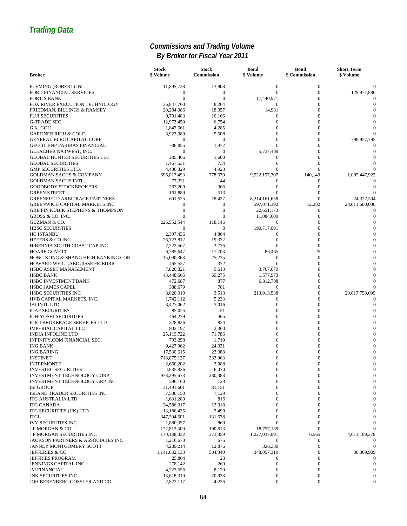| <b>Broker</b>                                                           | <b>Stock</b><br>\$ Volume | <b>Stock</b><br>Commission | Bond<br>\$ Volume                | <b>Bond</b><br>\$ Commission | <b>Short Term</b><br>\$ Volume |
|-------------------------------------------------------------------------|---------------------------|----------------------------|----------------------------------|------------------------------|--------------------------------|
| FLEMING (ROBERT) INC                                                    | 11,895,728                | 13,808                     | $\mathbf{0}$                     | $\boldsymbol{0}$             |                                |
| FORD FINANCIAL SERVICES                                                 | $\mathbf{0}$              | 0                          | $\mathbf{0}$                     | $\overline{0}$               | 129,971,886                    |
| <b>FORTIS BANK</b>                                                      | $\theta$                  | $\mathbf{0}$               | 17,440,921                       | $\theta$                     |                                |
| FOX RIVER EXECUTION TECHNOLOGY                                          | 36,847,760                | 8,264                      | $\theta$                         | $\theta$                     |                                |
| FRIEDMAN, BILLINGS & RAMSEY                                             | 20,284,086                | 18,057                     | 14,981                           | $\Omega$                     |                                |
| <b>FUJI SECURITIES</b>                                                  | 9,701,483                 | 10,166                     | $\mathbf{0}$                     | $\Omega$<br>$\Omega$         |                                |
| <b>G-TRADE SEC</b><br>G.K. GOH                                          | 12,973,450<br>1,847,661   | 6,754<br>4,285             | $\overline{0}$<br>$\Omega$       | $\Omega$                     |                                |
| <b>GARDNER RICH &amp; COLE</b>                                          | 3,923,089                 | 5,508                      | $\Omega$                         | $\Omega$                     |                                |
| <b>GENERAL ELEC CAPITAL CORP</b>                                        | $\mathbf{0}$              | $\mathbf{0}$               | $\Omega$                         | $\theta$                     | 798,957,795                    |
| <b>GEOJIT BNP PARIBAS FINANCIAL</b>                                     | 788,855                   | 1,972                      | $\Omega$                         | $\theta$                     |                                |
| <b>GLEACHER NATWEST, INC.</b>                                           | $\mathbf{0}$              | $\mathbf{0}$               | 5,737,489                        | $\Omega$                     |                                |
| <b>GLOBAL HUNTER SECURITIES LLC</b>                                     | 285,466                   | 1,600                      | $\boldsymbol{0}$                 | $\Omega$                     |                                |
| <b>GLOBAL SECURITIES</b>                                                | 1,467,531                 | 734                        | $\overline{0}$                   | $\Omega$                     |                                |
| <b>GMP SECURITIES LTD.</b>                                              | 4,436,329                 | 4,923                      | 0                                | $\Omega$                     |                                |
| <b>GOLDMAN SACHS &amp; COMPANY</b>                                      | 696,017,493               | 778,679                    | 9,522,157,307                    | 140,149                      | 1,085,447,922                  |
| <b>GOLDMAN SACHS INTL.</b>                                              | 73,331                    | 44                         | 0<br>$\overline{0}$              | $\theta$<br>$\theta$         |                                |
| <b>GOODBODY STOCKBROKERS</b><br><b>GREEN STREET</b>                     | 267,200<br>161,889        | 366<br>513                 | $\Omega$                         | $\Omega$                     |                                |
| <b>GREENFIELD ARBITRAGE PARTNERS</b>                                    | 601,525                   | 18,427                     | 8,214,161,658                    | $\Omega$                     | 24.322.504                     |
| <b>GREENWICH CAPITAL MARKETS INC</b>                                    | $\mathbf{0}$              | $\theta$                   | 597,071,392                      | 12,282                       | 23,011,600,000                 |
| <b>GRIFFIN KUBIK STEPHENS &amp; THOMPSON</b>                            | $\mathbf{0}$              | $\mathbf{0}$               | 22,651,173                       | $\Omega$                     |                                |
| GROSS & CO. INC.                                                        | $\mathbf{0}$              | $\mathbf{0}$               | 11,084,609                       | $\mathbf{0}$                 |                                |
| <b>GUZMAN &amp; CO.</b>                                                 | 226,552,544               | 118,146                    | $\theta$                         | $\mathbf{0}$                 |                                |
| <b>HBSC SECURITIES</b>                                                  | $\mathbf{0}$              | $\mathbf{0}$               | 190,717,091                      | $\Omega$                     |                                |
| <b>HC ISTANBU</b>                                                       | 2,397,436                 | 4,804                      | $\mathbf{0}$                     | $\Omega$                     |                                |
| HEEERS & CO INC.                                                        | 26,723,812                | 19,372                     | $\overline{0}$                   | $\Omega$                     |                                |
| HIBERNIA SOUTH COAST CAP INC                                            | 2,222,567                 | 3,776                      | $\Omega$                         | $\mathbf{0}$                 |                                |
| <b>HOARE GOVETT</b>                                                     | 6,785,647                 | 17,703<br>25,235           | 86,465<br>$\theta$               | 25<br>$\overline{0}$         |                                |
| HONG KONG & SHANG HIGH BANKING COR<br>HOWARD WEIL LABOUISSE FRIEDRIC    | 15,090,363<br>465,527     | 372                        | $\overline{0}$                   | $\Omega$                     |                                |
| HSBC ASSET MANAGEMENT                                                   | 7,820,821                 | 9,613                      | 3,707,079                        | $\Omega$                     |                                |
| <b>HSBC BANK</b>                                                        | 43,448,666                | 69,275                     | 1,577,973                        | $\Omega$                     |                                |
| HSBC INVESTMENT BANK                                                    | 472,687                   | 877                        | 6,812,708                        | $\Omega$                     |                                |
| <b>HSBC JAMES CAPEL</b>                                                 | 388,679                   | 781                        | $\mathbf{0}$                     | $\theta$                     |                                |
| <b>HSBC SECURITIES INC</b>                                              | 3,020,919                 | 3,513                      | 213,913,538                      | $\mathbf{0}$                 | 29,617,758,099                 |
| HVB CAPITAL MARKETS, INC.                                               | 1,742,112                 | 5,233                      | 0                                | $\theta$                     |                                |
| <b>IBJ INTL LTD</b>                                                     | 3,427,062                 | 3,016                      | $\overline{0}$                   | $\Omega$                     |                                |
| <b>ICAP SECURITIES</b>                                                  | 85,025                    | 51                         | $\Omega$                         | $\Omega$                     |                                |
| <b>ICHIYOSHI SECURITIES</b><br><b>ICICI BROKERAGE SERVICES LTD</b>      | 464,279<br>328,826        | 465<br>824                 | 0<br>$\Omega$                    |                              |                                |
| IMPERIAL CAPITAL LLC                                                    | 802,197                   | 2,360                      | $\Omega$                         |                              |                                |
| <b>INDIA INFOLINE LTD</b>                                               | 25,119,722                | 71,786                     | $\Omega$                         |                              |                                |
| INFINITY.COM FINANCIAL SEC.                                             | 793,258                   | 1,719                      | $\Omega$                         |                              |                                |
| <b>ING BANK</b>                                                         | 9,427,962                 | 24,031                     | $\Omega$                         |                              |                                |
| <b>ING BARING</b>                                                       | 17,530,615                | 23,388                     | $\Omega$                         |                              |                                |
| <b>INSTINET</b>                                                         | 718,075,127               | 333,963                    | $\Omega$                         | $\Omega$                     |                                |
| <b>INTERMONTE</b>                                                       | 2,660,202                 | 3,988                      | $\mathbf{0}$                     | $\boldsymbol{0}$             |                                |
| <b>INVESTEC SECURITIES</b>                                              | 4,635,836                 | 6,070                      | $\overline{0}$                   | $\mathbf{0}$                 |                                |
| <b>INVESTMENT TECHNOLOGY CORP</b><br>INVESTMENT TECHNOLOGY GRP INC      | 978,295,673<br>396,160    | 230,383<br>123             | $\overline{0}$<br>$\overline{0}$ | $\mathbf{0}$<br>$\mathbf{0}$ |                                |
| <b>ISI GROUP</b>                                                        | 31,491,601                | 31,151                     | $\overline{0}$                   | $\mathbf{0}$                 |                                |
| ISLAND TRADER SECURITIES INC.                                           | 7,500,150                 | 7,129                      | $\overline{0}$                   | $\mathbf{0}$                 |                                |
| <b>ITG AUSTRALIA LTD</b>                                                | 1,631,289                 | 816                        | $\Omega$                         | $\mathbf{0}$                 |                                |
| <b>ITG CANADA</b>                                                       | 24,586,317                | 13,918                     | $\Omega$                         | $\mathbf{0}$                 |                                |
| ITG SECURITIES (HK) LTD                                                 | 13,186,435                | 7,490                      | $\theta$                         | $\mathbf{0}$                 |                                |
| ITGL                                                                    | 347,204,501               | 131,678                    | $\Omega$                         | $\mathbf{0}$                 |                                |
| <b>IVY SECURITIES INC.</b>                                              | 1,880,357                 | 860                        | $\Omega$                         | $\mathbf{0}$                 |                                |
| <b>JPMORGAN &amp; CO</b>                                                | 172,812,509               | 190,813                    | 18,757,139                       | $\mathbf{0}$                 |                                |
| <b>JP MORGAN SECURITIES INC</b>                                         | 170,138,032               | 373,859                    | 1,227,037,091                    | 6,565                        | 4,011,189,278                  |
| <b>JACKSON PARTNERS &amp; ASSOCIATES INC</b><br>JANNEY MONTGOMERY SCOTT | 1,216,670<br>4,289,214    | 675<br>12,876              | $\mathbf{0}$<br>326,339          | $\mathbf{0}$<br>$\mathbf{0}$ |                                |
| <b>JEFFERIES &amp; CO</b>                                               | 1,141,632,133             | 584,340                    | 348,057,319                      | $\mathbf{0}$                 | 38,369,909                     |
| <b>JEFFRIES PROGRAM</b>                                                 | 25,804                    | 23                         | $\bf{0}$                         | $\theta$                     |                                |
| JENNINGS CAPITAL INC                                                    | 278,142                   | 269                        | 0                                | $\mathbf{0}$                 |                                |
| <b>JM FINANCIAL</b>                                                     | 4,223,556                 | 8,120                      | $\overline{0}$                   | $\Omega$                     |                                |
| <b>JNK SECURITIES INC</b>                                               | 13,618,319                | 20,928                     | $\boldsymbol{0}$                 | $\boldsymbol{0}$             |                                |
| JOH BERENBERG GOSSLER AND CO                                            | 2,823,117                 | 4,236                      | $\overline{0}$                   | $\mathbf{0}$                 |                                |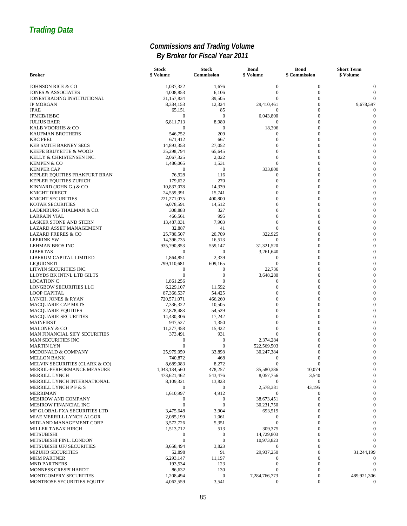# *Trading Data*

|                                                              | <b>Stock</b>                | <b>Stock</b>            | Bond                          | <b>Bond</b>                      | <b>Short Term</b>    |
|--------------------------------------------------------------|-----------------------------|-------------------------|-------------------------------|----------------------------------|----------------------|
| <b>Broker</b>                                                | \$ Volume                   | Commission              | \$ Volume                     | \$ Commission                    | \$ Volume            |
| JOHNSON RICE & CO                                            | 1,037,322                   | 1,676                   | $\mathbf{0}$                  | $\boldsymbol{0}$                 |                      |
| <b>JONES &amp; ASSOCIATES</b>                                | 4,008,853                   | 6,106                   | $\mathbf{0}$                  | $\boldsymbol{0}$                 | $\theta$             |
| JONESTRADING INSTITUTIONAL                                   | 31,157,834                  | 39,505                  | $\Omega$                      | $\mathbf{0}$                     | $\Omega$             |
| <b>JP MORGAN</b>                                             | 8,334,153                   | 12,324                  | 29,410,461                    | $\mathbf{0}$                     | 9,678,597            |
| JPAE<br><b>JPMCB/HSBC</b>                                    | 65,151<br>$\mathbf 0$       | 85<br>$\theta$          | $\mathbf{0}$<br>6,043,800     | $\mathbf{0}$<br>$\mathbf{0}$     | $\Omega$<br>$\Omega$ |
| <b>JULIUS BAER</b>                                           | 6,811,713                   | 8,980                   | $\theta$                      | $\mathbf{0}$                     |                      |
| KALB VOORHIS & CO                                            | $\boldsymbol{0}$            | $\theta$                | 18,306                        | $\theta$                         |                      |
| <b>KAUFMAN BROTHERS</b>                                      | 546,752                     | 209                     | $\boldsymbol{0}$              | $\mathbf{0}$                     |                      |
| <b>KBC PEEL</b>                                              | 671,412                     | 667                     | $\mathbf{0}$                  | $\theta$                         |                      |
| KEB SMITH BARNEY SECS                                        | 14,893,353                  | 27,052                  | $\mathbf{0}$                  | $\mathbf{0}$                     |                      |
| <b>KEEFE BRUYETTE &amp; WOOD</b>                             | 35,298,794                  | 65,645                  | $\mathbf{0}$                  | $\theta$                         |                      |
| KELLY & CHRISTENSEN INC.<br><b>KEMPEN &amp; CO</b>           | 2,067,325<br>1,486,065      | 2,022<br>1,531          | $\mathbf{0}$<br>$\Omega$      | $\Omega$<br>0                    |                      |
| <b>KEMPER CAP</b>                                            | $\mathbf{0}$                | $\mathbf{0}$            | 333,800                       | 0                                |                      |
| KEPLER EQUITIES FRAKFURT BRAN                                | 76,928                      | 116                     | $\mathbf{0}$                  | $\theta$                         |                      |
| <b>KEPLER EQUITIES ZURICH</b>                                | 179,622                     | 270                     | $\mathbf{0}$                  | $\theta$                         |                      |
| KINNARD (JOHN G.) & CO                                       | 10,837,078                  | 14,339                  | $\Omega$                      | $\theta$                         |                      |
| KNIGHT DIRECT                                                | 24,559,391                  | 15,741                  | $\mathbf{0}$                  | $\mathbf{0}$                     |                      |
| <b>KNIGHT SECURITIES</b>                                     | 221, 271, 075               | 400,800                 | $\theta$                      | $\theta$                         |                      |
| KOTAK SECURITIES                                             | 6,078,591                   | 14,512                  | $\theta$                      | $\theta$                         |                      |
| LADENBURG THALMAN & CO.<br><b>LARRAIN VIAL</b>               | 308,883<br>466,561          | 327<br>995              | $\mathbf{0}$<br>$\mathbf{0}$  | $\theta$<br>$\mathbf{0}$         |                      |
| <b>LASKER STONE AND STERN</b>                                | 13,487,031                  | 7,903                   | $\mathbf{0}$                  | $\mathbf{0}$                     |                      |
| <b>LAZARD ASSET MANAGEMENT</b>                               | 32,887                      | 41                      | $\mathbf{0}$                  | $\mathbf{0}$                     |                      |
| <b>LAZARD FRERES &amp; CO</b>                                | 25,780,507                  | 20,709                  | 322,925                       | $\mathbf{0}$                     |                      |
| <b>LEERINK SW</b>                                            | 14,396,735                  | 16,513                  | $\mathbf{0}$                  | $\mathbf{0}$                     |                      |
| <b>LEHMAN BROS INC</b>                                       | 935,790,853                 | 559,147                 | 31,321,520                    | $\mathbf{0}$                     |                      |
| <b>LIBERTAS</b>                                              | $\mathbf{0}$                | $\mathbf{0}$            | 3,261,640                     | $\mathbf{0}$                     |                      |
| LIBERUM CAPITAL LIMITED                                      | 1,864,851                   | 2,339                   | $\mathbf 0$                   | $\mathbf{0}$                     |                      |
| LIQUIDNETI<br>LITWIN SECURITIES INC.                         | 799,110,681<br>$\mathbf{0}$ | 609,165<br>$\mathbf{0}$ | $\theta$<br>22,736            | $\mathbf{0}$<br>$\mathbf{0}$     |                      |
| LLOYDS BK INTNL LTD GILTS                                    | $\overline{0}$              | $\mathbf{0}$            | 3,648,280                     | $\theta$                         |                      |
| <b>LOCATION C</b>                                            | 1,861,256                   | $\mathbf{0}$            | $\boldsymbol{0}$              | $\mathbf{0}$                     |                      |
| <b>LONGBOW SECURITIES LLC</b>                                | 6,229,107                   | 11,592                  | $\mathbf{0}$                  | $\theta$                         |                      |
| <b>LOOP CAPITAL</b>                                          | 87,366,537                  | 54,425                  | $\mathbf{0}$                  | $\mathbf{0}$                     |                      |
| LYNCH, JONES & RYAN                                          | 720,571,071                 | 466,260                 | $\mathbf{0}$                  | $\theta$                         |                      |
| <b>MACQUARIE CAP MKTS</b>                                    | 7,336,322                   | 10,505                  | $\mathbf{0}$                  | 0                                |                      |
| <b>MACQUARIE EQUITIES</b>                                    | 32,878,483                  | 54,529                  | $\theta$                      | $\Omega$                         |                      |
| <b>MACQUARIE SECURITIES</b><br><b>MAINFIRST</b>              | 14,430,306<br>947,527       | 17,242<br>1,350         | $\mathbf{0}$<br>$\theta$      | $\Omega$<br>$\theta$             |                      |
| <b>MALONEY &amp; CO</b>                                      | 11,277,458                  | 15,422                  | $\mathbf{0}$                  | $\theta$                         |                      |
| <b>MAN FINANCIAL SIFY SECURITIES</b>                         | 373,491                     | 931                     | $\Omega$                      | 0                                |                      |
| MAN SECURITIES INC                                           | $\boldsymbol{0}$            | $\mathbf{0}$            | 2,374,284                     | 0                                |                      |
| <b>MARTIN LYN</b>                                            | $\Omega$                    | $\mathbf{0}$            | 522,569,503                   | $\theta$                         |                      |
| MCDONALD & COMPANY                                           | 25,979,059                  | 33,898                  | 30,247,384                    | $\mathbf{0}$                     |                      |
| <b>MELLON BANK</b>                                           | 740,872                     | 468                     | $\mathbf{0}$                  | $\Omega$                         | $\theta$             |
| MELVIN SECURITIES (CLARK & CO)<br>MERRIL-PERFORMANCE MEASURE | 8,689,083<br>1,043,134,560  | 8,272<br>478,257        | $\mathbf{0}$<br>35,580,386    | $\mathbf{0}$<br>10,074           | $\theta$             |
| <b>MERRILL LYNCH</b>                                         | 473,621,462                 | 543,476                 | 8,057,756                     | 3,540                            |                      |
| MERRILL LYNCH INTERNATIONAL                                  | 8,109,321                   | 13,823                  | $\mathbf 0$                   | $\boldsymbol{0}$                 |                      |
| MERRILL LYNCH P F & S                                        | $\bf{0}$                    | $\boldsymbol{0}$        | 2,578,381                     | 43,195                           |                      |
| <b>MERRIMAN</b>                                              | 1,610,997                   | 4,912                   | $\mathbf{0}$                  | $\boldsymbol{0}$                 |                      |
| MESIROW AND COMPANY                                          | $\mathbf{0}$                | $\mathbf{0}$            | 38,673,451                    | $\mathbf{0}$                     |                      |
| MESIROW FINANCIAL INC                                        | $\boldsymbol{0}$            | $\boldsymbol{0}$        | 30,231,750                    | $\boldsymbol{0}$                 |                      |
| MF GLOBAL FXA SECURITIES LTD<br>MIAE MERRILL LYNCH ALGOR     | 3,475,648                   | 3,904                   | 693,519<br>$\mathbf{0}$       | $\boldsymbol{0}$<br>$\mathbf{0}$ |                      |
| MIDLAND MANAGEMENT CORP                                      | 2,085,199<br>3,572,726      | 1,061<br>5,351          | $\boldsymbol{0}$              | $\overline{0}$                   |                      |
| MILLER TABAK HIRCH                                           | 1,513,712                   | 513                     | 309,375                       | $\mathbf{0}$                     |                      |
| <b>MITSUBISHI</b>                                            | $\boldsymbol{0}$            | $\boldsymbol{0}$        | 14,729,803                    | $\mathbf{0}$                     |                      |
| MITSUBISHI FINL. LONDON                                      | $\mathbf{0}$                | $\boldsymbol{0}$        | 10,973,823                    | $\mathbf{0}$                     |                      |
| MITSUBISHI UFJ SECURITIES                                    | 3,658,494                   | 3,823                   | $\mathbf{0}$                  | $\mathbf{0}$                     | 0                    |
| <b>MIZUHO SECURITIES</b>                                     | 52,898                      | 91                      | 29,937,250                    | $\mathbf{0}$                     | 31,244,199           |
| <b>MKM PARTNER</b>                                           | 6,293,147                   | 11,197                  | $\mathbf{0}$                  | $\theta$                         |                      |
| <b>MND PARTNERS</b>                                          | 193,534                     | 123                     | $\boldsymbol{0}$              | $\mathbf{0}$<br>$\mathbf{0}$     |                      |
| MONNESS CRESPI HARDT<br>MONTGOMERY SECURITIES                | 86,632<br>1,208,494         | 130<br>$\boldsymbol{0}$ | $\mathbf{0}$<br>7,284,766,773 | $\boldsymbol{0}$                 | 489,921,306          |
| MONTROSE SECURITIES EQUITY                                   | 4,062,559                   | 3,541                   | $\boldsymbol{0}$              | $\boldsymbol{0}$                 | $\theta$             |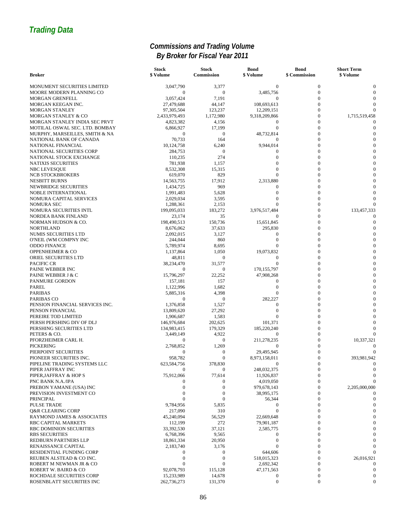# *Trading Data*

| <b>Broker</b>                                             | <b>Stock</b><br>Stock<br>\$ Volume<br>Commission |                           | Bond<br>\$ Volume                | <b>Short Term</b><br><b>Bond</b><br>\$ Commission |                |
|-----------------------------------------------------------|--------------------------------------------------|---------------------------|----------------------------------|---------------------------------------------------|----------------|
| MONUMENT SECURITIES LIMITED                               | 3,047,790                                        | 3,377                     | $\mathbf 0$                      | $\boldsymbol{0}$                                  |                |
| MOORE MODERN PLANNING CO                                  | 0                                                | $\boldsymbol{0}$          | 3,485,756                        | $\mathbf{0}$                                      |                |
| <b>MORGAN GRENFELL</b>                                    | 3,057,424                                        | 7,191                     | $\theta$                         | $\mathbf{0}$                                      |                |
| MORGAN KEEGAN INC.                                        | 27,479,688                                       | 44,147                    | 108,693,613                      | $\theta$<br>$\Omega$                              |                |
| <b>MORGAN STANLEY</b><br><b>MORGAN STANLEY &amp; CO</b>   | 97, 305, 504<br>2,433,979,493                    | 123,237<br>1,172,980      | 12,209,151<br>9,318,209,866      | $\theta$                                          | 1,715,519,458  |
| MORGAN STANLEY INDIA SEC PRVT                             | 4,823,382                                        | 4,156                     | $\mathbf{0}$                     | $\mathbf{0}$                                      |                |
| MOTILAL OSWAL SEC. LTD. BOMBAY                            | 6,866,927                                        | 17,199                    | $\overline{0}$                   | $\theta$                                          |                |
| MURPHY, MARSEILLES, SMITH & NA                            | $\mathbf{0}$                                     | $\theta$                  | 48,732,814                       | $\theta$                                          |                |
| NATIONAL BANK OF CANADA                                   | 70,733                                           | 164                       | $\theta$                         | $\theta$                                          |                |
| NATIONAL FINANCIAL<br>NATIONAL SECURITIES CORP            | 10,124,758<br>284,753                            | 6,240<br>$\boldsymbol{0}$ | 9,944,014<br>$\theta$            | $\theta$<br>$\theta$                              |                |
| NATIONAL STOCK EXCHANGE                                   | 110,235                                          | 274                       | $\theta$                         | $\Omega$                                          |                |
| <b>NATIXIS SECURITIES</b>                                 | 781,938                                          | 1,157                     | 0                                | $\Omega$                                          |                |
| <b>NBC LEVESQUE</b>                                       | 8,532,308                                        | 15,315                    | $\overline{0}$                   | $\Omega$                                          |                |
| NCB STOCKBROKERS                                          | 619,070                                          | 829                       | $\Omega$                         |                                                   |                |
| <b>NESBITT BURNS</b>                                      | 14,563,755                                       | 17,912                    | 2,313,880                        |                                                   |                |
| <b>NEWBRIDGE SECURITIES</b><br><b>NOBLE INTERNATIONAL</b> | 1,434,725<br>1,991,483                           | 969<br>5,628              | $\overline{0}$<br>$\overline{0}$ | $\Omega$                                          |                |
| NOMURA CAPITAL SERVICES                                   | 2,029,034                                        | 3,595                     | $\Omega$                         | $\Omega$                                          |                |
| <b>NOMURA SEC</b>                                         | 1,288,361                                        | 2,153                     | $\theta$                         | $\Omega$                                          |                |
| NOMURA SECURITIES INTL                                    | 199,095,033                                      | 183,272                   | 3,976,517,484                    | $\theta$                                          | 133,457,333    |
| NORDEA BANK FINLAND                                       | 23,174                                           | 35                        | $\theta$                         | $\mathbf{0}$                                      |                |
| NORMAN HUDSON & CO.                                       | 198,490,513<br>8.676.062                         | 150,736                   | 15,651,845                       | $\theta$<br>$\mathbf{0}$                          |                |
| <b>NORTHLAND</b><br>NUMIS SECURITIES LTD                  | 2,092,015                                        | 37,633<br>3,127           | 295,830<br>0                     | $\theta$                                          |                |
| O'NEIL (WM COMPNY INC                                     | 244,044                                          | 860                       | $\mathbf{0}$                     | $\theta$                                          |                |
| <b>ODDO FINANCE</b>                                       | 5,789,974                                        | 8,695                     | $\theta$                         | $\Omega$                                          |                |
| <b>OPPENHEIMER &amp; CO</b>                               | 1,137,864                                        | 1,050                     | 19,073,832                       | $\Omega$                                          |                |
| ORIEL SECURITIES LTD                                      | 48,811                                           | $\mathbf{0}$              | $\boldsymbol{0}$                 | $\Omega$                                          |                |
| PACIFIC CR<br>PAINE WEBBER INC                            | 38,234,470<br>$\mathbf{0}$                       | 31,577<br>$\theta$        | $\overline{0}$<br>170, 155, 797  | $\Omega$<br>$\theta$                              |                |
| PAINE WEBBER J & C                                        | 15,796,297                                       | 22,252                    | 47,908,268                       | $\theta$                                          |                |
| <b>PANMURE GORDON</b>                                     | 157,181                                          | 157                       | $\theta$                         | $\theta$                                          |                |
| <b>PAREL</b>                                              | 1,122,996                                        | 1,682                     | $\overline{0}$                   | $\theta$                                          |                |
| <b>PARIBAS</b>                                            | 5,885,316                                        | 4,398                     | 0                                | $\theta$                                          |                |
| PARIBAS CO                                                | $\mathbf{0}$                                     | $\theta$                  | 282,227                          | $\theta$                                          |                |
| PENSION FINANCIAL SERVICES INC.<br>PENSON FINANCIAL       | 1,376,858<br>13,809,620                          | 1,527<br>27,292           | 0<br>$\overline{0}$              | $\Omega$<br>$\Omega$                              |                |
| PEREIRE TOD LIMITED                                       | 1,906,687                                        | 1,583                     | 0                                | $\Omega$                                          |                |
| PERSH PERSHING DIV OF DLJ                                 | 146,976,684                                      | 202,625                   | 101,371                          |                                                   |                |
| PERSHING SECURITIES LTD                                   | 134,983,415                                      | 179,329                   | 185,220,240                      |                                                   |                |
| PETERS & CO.                                              | 3,449,149                                        | 4,922                     | $\overline{0}$                   |                                                   |                |
| PFORZHEIMER CARL H.<br><b>PICKERING</b>                   | $\mathbf{0}$<br>2,768,852                        | $\theta$<br>1,269         | 211,278,235<br>$\Omega$          | $\Omega$<br>$\Omega$                              | 10,337,321     |
| PIERPOINT SECURITIES                                      | $\boldsymbol{0}$                                 | $\overline{0}$            | 29.495.945                       | $\Omega$                                          | $\overline{0}$ |
| PIONEER SECURITIES INC.                                   | 958,782                                          | $\theta$                  | 8,973,158,011                    | $\Omega$                                          | 393,981,942    |
| PIPELINE TRADING SYSTEMS LLC                              | 623,584,756                                      | 378,830                   | $\mathbf{0}$                     | $\boldsymbol{0}$                                  |                |
| PIPER JAFFRAY INC                                         | $\mathbf{0}$                                     | $\mathbf{0}$              | 248,032,375                      | $\mathbf{0}$                                      |                |
| PIPER, JAFFRAY & HOP S<br>PNC BANK N.A./IPA               | 75,912,066<br>0                                  | 77,614<br>0               | 11,926,837<br>4,019,050          | 0<br>$\mathbf{0}$                                 |                |
| PREBON YAMANE (USA) INC                                   | $\boldsymbol{0}$                                 | $\boldsymbol{0}$          | 979,678,143                      | $\overline{0}$                                    | 2,205,000,000  |
| PREVISION INVESTMENT CO                                   | $\boldsymbol{0}$                                 | $\boldsymbol{0}$          | 38,995,175                       | $\overline{0}$                                    |                |
| PRINCIPAL                                                 | $\Omega$                                         | $\boldsymbol{0}$          | 56,344                           | $\overline{0}$                                    |                |
| <b>PULSE TRADE</b>                                        | 9,784,956                                        | 5,835                     | $\mathbf{0}$                     | $\overline{0}$                                    |                |
| Q&R CLEARING CORP<br>RAYMOND JAMES & ASSOCIATES           | 217,090                                          | 310<br>56,529             | $\mathbf{0}$<br>22,669,648       | $\Omega$<br>$\overline{0}$                        |                |
| RBC CAPITAL MARKETS                                       | 45,240,094<br>112,199                            | 272                       | 79,901,187                       | $\overline{0}$                                    |                |
| <b>RBC DOMINION SECURITIES</b>                            | 33,392,530                                       | 37,121                    | 2,585,775                        | $\overline{0}$                                    |                |
| <b>RBS SECURITIES</b>                                     | 6,768,396                                        | 9,565                     | $\mathbf 0$                      | $\mathbf{0}$                                      |                |
| REDBURN PARTNERS LLP                                      | 18,861,334                                       | 20,950                    | $\mathbf{0}$                     | $\mathbf{0}$                                      |                |
| RENAISSANCE CAPITAL                                       | 2,183,740                                        | 3,176                     | $\Omega$                         | $\Omega$                                          |                |
| RESIDENTIAL FUNDING CORP<br>REUBEN ALSTEAD & CO INC.      | 0<br>$\boldsymbol{0}$                            | 0<br>$\boldsymbol{0}$     | 644,606<br>518,015,323           | $\mathbf{0}$<br>$\theta$                          | 26,016,921     |
| ROBERT M NEWMAN JR & CO                                   | $\mathbf{0}$                                     | $\mathbf{0}$              | 2,692,342                        | $\mathbf{0}$                                      |                |
| ROBERT W. BAIRD & CO                                      | 92,078,793                                       | 115,128                   | 47,171,563                       | $\theta$                                          |                |
| ROCHDALE SECURITIES CORP                                  | 15,233,989                                       | 14,678                    | $\mathbf 0$                      | $\boldsymbol{0}$                                  |                |
| ROSENBLATT SECURITIES INC                                 | 262,736,273                                      | 131,370                   | $\mathbf{0}$                     | $\overline{0}$                                    | $\overline{0}$ |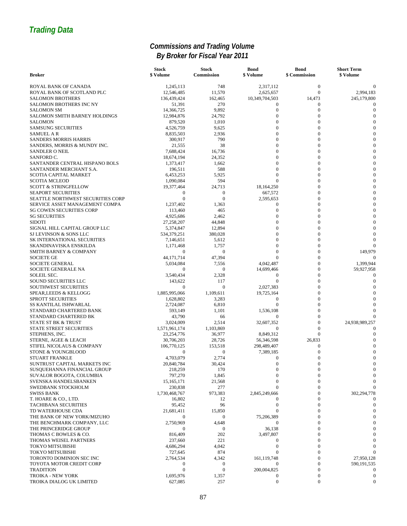| <b>Broker</b>                                              | <b>Stock</b><br><b>Stock</b><br>\$ Volume<br>Commission |                           | <b>Bond</b><br>\$ Volume  | <b>Bond</b><br>\$ Commission | <b>Short Term</b><br>\$ Volume |
|------------------------------------------------------------|---------------------------------------------------------|---------------------------|---------------------------|------------------------------|--------------------------------|
| ROYAL BANK OF CANADA                                       | 1,245,113                                               | 748                       | 2,317,112                 | $\mathbf{0}$                 |                                |
| ROYAL BANK OF SCOTLAND PLC                                 | 12,546,485                                              | 11,570                    | 2,625,657                 | $\mathbf{0}$                 | 2,994,183                      |
| <b>SALOMON BROTHERS</b>                                    | 136,439,424                                             | 162,465                   | 10,349,704,503            | 14,473                       | 245,179,800                    |
| SALOMON BROTHERS INC NY                                    | 51,391                                                  | 270                       | 0                         | 0                            |                                |
| <b>SALOMON SM</b>                                          | 14,366,725                                              | 9,892                     | $\mathbf{0}$              | $\mathbf{0}$                 |                                |
| SALOMON SMITH BARNEY HOLDINGS                              | 12,984,876                                              | 24,792                    | $\mathbf{0}$              | $\overline{0}$               |                                |
| <b>SALOMON</b>                                             | 879,520                                                 | 1,010                     | $\theta$                  | $\overline{0}$               |                                |
| <b>SAMSUNG SECURITIES</b>                                  | 4,526,759                                               | 9,625                     | $\theta$                  | $\overline{0}$               |                                |
| <b>SAMUEL A R</b>                                          | 8,835,503                                               | 2,936                     | $\theta$                  | $\theta$                     |                                |
| <b>SANDERS MORRIS HARRIS</b>                               | 300,917                                                 | 790                       | $\theta$                  | $\Omega$                     |                                |
| SANDERS, MORRIS & MUNDY INC.                               | 21,555                                                  | 38                        | $\theta$                  | $\theta$                     |                                |
| <b>SANDLER O NEIL</b>                                      | 7,688,424                                               | 16,736                    | $\theta$                  | $\Omega$                     |                                |
| SANFORD C.                                                 | 18,674,194                                              | 24,352                    | $\theta$                  | $\theta$                     |                                |
| SANTANDER CENTRAL HISPANO BOLS                             | 1,373,417                                               | 1,662                     | $\theta$                  | $\Omega$                     |                                |
| SANTANDER MERCHANT S.A.                                    | 196,511                                                 | 588                       | $\theta$<br>$\theta$      | $\theta$<br>$\Omega$         |                                |
| <b>SCOTIA CAPITAL MARKET</b><br><b>SCOTIA MCLEOD</b>       | 6,453,253<br>1,090,084                                  | 5,925<br>594              | $\Omega$                  | $\Omega$                     |                                |
| <b>SCOTT &amp; STRINGFELLOW</b>                            | 19,377,464                                              | 24,713                    | 18, 164, 250              | $\Omega$                     |                                |
| <b>SEAPORT SECURITIES</b>                                  | $\boldsymbol{0}$                                        | $\boldsymbol{0}$          | 667,572                   | 0                            |                                |
| <b>SEATTLE NORTHWEST SECURITIES CORP</b>                   | $\mathbf{0}$                                            | $\theta$                  | 2,595,653                 | O                            |                                |
| SERVICE ASSET MANAGEMENT COMPA                             | 1,237,402                                               | 1,363                     | 0                         | 0                            |                                |
| <b>SG COWEN SECURITIES CORP</b>                            | 113,460                                                 | 465                       | $\mathbf{0}$              | O                            |                                |
| <b>SG SECURITIES</b>                                       | 4,925,686                                               | 2,462                     | $\mathbf{0}$              | 0                            |                                |
| <b>SIDOTI</b>                                              | 27,258,207                                              | 44,848                    | $\theta$                  |                              |                                |
| SIGNAL HILL CAPITAL GROUP LLC                              | 5,374,847                                               | 12,894                    | $\theta$                  | 0                            |                                |
| SJ LEVINSON & SONS LLC                                     | 534,379,251                                             | 380,028                   | $\theta$                  | $\Omega$                     |                                |
| SK INTERNATIONAL SECURITIES                                | 7,146,651                                               | 5,612                     | $\theta$                  | $\Omega$                     |                                |
| SKANDINAVISKA ENSKILDA                                     | 1,171,468                                               | 1,757                     | $\theta$                  | $\Omega$                     |                                |
| <b>SMITH BARNEY &amp; COMPANY</b>                          | $\boldsymbol{0}$                                        | $\mathbf{0}$              | $\mathbf{0}$              | $\overline{0}$               | 149,979                        |
| <b>SOCIETE GE</b>                                          | 44, 171, 714                                            | 47,394                    | $\theta$                  | $\overline{0}$               |                                |
| <b>SOCIETE GENERAL</b>                                     | 5,034,084                                               | 7,556                     | 4,042,487                 | $\overline{0}$               | 1,399,944                      |
| SOCIETE GENERALE NA                                        | $\boldsymbol{0}$                                        | $\mathbf 0$               | 14,699,466                | $\mathbf{0}$                 | 59,927,958                     |
| <b>SOLEIL SEC.</b>                                         | 3,540,434                                               | 2,328                     | $\mathbf 0$               | $\overline{0}$               | 0                              |
| SOUND SECURITIES LLC                                       | 143,622                                                 | 117                       | $\mathbf{0}$              | $\overline{0}$               |                                |
| <b>SOUTHWEST SECURITIES</b>                                | $\mathbf{0}$                                            | $\theta$                  | 2,027,383                 | $\Omega$                     |                                |
| SPEAR, LEEDS & KELLOGG                                     | 1,885,995,066                                           | 1,109,611                 | 19,725,164                | $\Omega$                     |                                |
| <b>SPROTT SECURITIES</b>                                   | 1,628,802                                               | 3,283                     | $\mathbf 0$               | $\Omega$                     |                                |
| SS KANTILAL ISHWARLAL                                      | 2,724,087                                               | 6,810                     | $\mathbf{0}$              | $\theta$                     |                                |
| STANDARD CHARTERED BANK                                    | 593,149                                                 | 1,101                     | 1,536,108                 | $\Omega$                     |                                |
| STANDARD CHARTERED BK                                      | 43,790                                                  | 66                        | $\theta$                  | $\mathbf{0}$                 |                                |
| <b>STATE ST BK &amp; TRUST</b>                             | 3,024,009                                               | 2,514                     | 32,607,352                | $\mathbf{0}$                 | 24,938,989,257                 |
| STATE STREET SECURITIES                                    | 1,571,961,174                                           | 1,103,869                 | $\overline{0}$            | $\overline{0}$               |                                |
| STEPHENS, INC.                                             | 23,254,776                                              | 36.977                    | 8,849,312                 | $\mathbf{0}$                 |                                |
| STERNE, AGEE & LEACH                                       | 30,706,203<br>106,770,125                               | 28,726<br>153.518         | 56,346,598                | 26,833                       |                                |
| STIFEL NICOLAUS & COMPANY<br><b>STONE &amp; YOUNGBLOOD</b> |                                                         |                           | 298,489,407               | $\theta$<br>$\boldsymbol{0}$ |                                |
| <b>STUART FRANKLE</b>                                      | 0<br>4,703,079                                          | $\boldsymbol{0}$<br>2,774 | 7,389,185<br>$\mathbf{0}$ | $\Omega$                     |                                |
| SUNTRUST CAPITAL MARKETS INC                               | 20,840,784                                              | 30,424                    | $\boldsymbol{0}$          | $\boldsymbol{0}$             |                                |
| SUSQUEHANNA FINANCIAL GROUP                                | 218,259                                                 | 170                       | $\theta$                  | $\overline{0}$               |                                |
| SUVALOR BOGOTA, COLUMBIA                                   | 797,270                                                 | 1,845                     | $\mathbf{0}$              | $\mathbf{0}$                 |                                |
| SVENSKA HANDELSBANKEN                                      | 15, 165, 171                                            | 21,568                    | $\theta$                  | $\overline{0}$               |                                |
| SWEDBANK STOCKHOLM                                         | 230,838                                                 | 277                       | $\theta$                  | $\overline{0}$               |                                |
| <b>SWISS BANK</b>                                          | 1,730,468,767                                           | 973,383                   | 2,845,249,666             | $\overline{0}$               | 302,294,778                    |
| T. HOARE & CO., LTD.                                       | 16,802                                                  | 12                        | $\mathbf{0}$              | $\mathbf{0}$                 |                                |
| <b>TACHIBANA SECURITIES</b>                                | 95,452                                                  | 96                        | $\mathbf{0}$              | $\mathbf{0}$                 | $\boldsymbol{0}$               |
| TD WATERHOUSE CDA                                          | 21,681,411                                              | 15,850                    | $\mathbf{0}$              | $\overline{0}$               |                                |
| THE BANK OF NEW YORK/MIZUHO                                | 0                                                       | $\boldsymbol{0}$          | 75,206,389                | $\mathbf{0}$                 |                                |
| THE BENCHMARK COMPANY, LLC                                 | 2,750,969                                               | 4,648                     | $\mathbf{0}$              | $\overline{0}$               |                                |
| THE PRINCERIDGE GROUP                                      | 0                                                       | $\boldsymbol{0}$          | 36,138                    | $\overline{0}$               |                                |
| THOMAS C BOWLES & CO.                                      | 816,409                                                 | 202                       | 3,497,807                 | $\overline{0}$               |                                |
| THOMAS WEISEL PARTNERS                                     | 237,660                                                 | 221                       | $\mathbf{0}$              | $\overline{0}$               |                                |
| TOKYO MITSUBISHI                                           | 4,686,294                                               | 4,042                     | $\mathbf{0}$              | $\mathbf{0}$                 | 0                              |
| TOKYO MITSUBISHI                                           | 727,645                                                 | 874                       | $\mathbf{0}$              | $\mathbf{0}$                 | $\Omega$                       |
| TORONTO DOMINION SEC INC                                   | 2,764,534                                               | 4,342                     | 161,119,748               | $\mathbf{0}$                 | 27,950,128                     |
| <b>TOYOTA MOTOR CREDIT CORP</b>                            | $\boldsymbol{0}$                                        | $\mathbf{0}$              | $\theta$                  | $\mathbf{0}$                 | 590,191,535                    |
| <b>TRADITION</b>                                           | $\boldsymbol{0}$                                        | $\boldsymbol{0}$          | 200,004,825               | $\mathbf{0}$                 | $\theta$                       |
| TROIKA - NEW YORK                                          | 1,695,976                                               | 1,357                     | $\mathbf{0}$              | $\boldsymbol{0}$             | $\boldsymbol{0}$               |
| TROIKA DIALOG UK LIMITED                                   | 627,085                                                 | 257                       | $\mathbf{0}$              | $\mathbf{0}$                 | $\overline{0}$                 |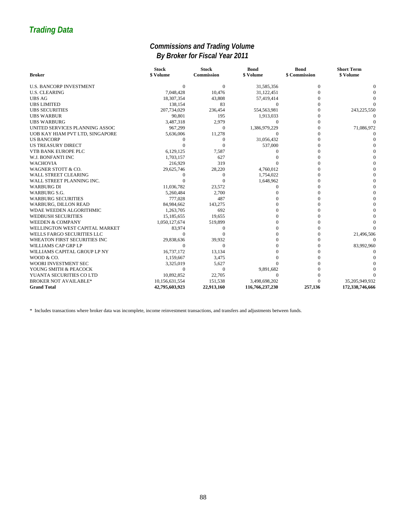## *By Broker for Fiscal Year 2011 Commissions and Trading Volume*

|                                     | <b>Stock</b>   | <b>Stock</b> | <b>Bond</b>     | <b>Bond</b>   | <b>Short Term</b> |
|-------------------------------------|----------------|--------------|-----------------|---------------|-------------------|
| <b>Broker</b>                       | \$ Volume      | Commission   | \$ Volume       | \$ Commission | \$ Volume         |
| <b>U.S. BANCORP INVESTMENT</b>      | $\Omega$       | $\Omega$     | 31,585,356      | 0             |                   |
| <b>U.S. CLEARING</b>                | 7,048,428      | 10,476       | 31,122,451      |               |                   |
| <b>UBS AG</b>                       | 18,307,354     | 43,808       | 57,419,414      |               |                   |
| <b>UBS LIMITED</b>                  | 138,154        | 83           | 0               |               |                   |
| <b>UBS SECURITIES</b>               | 207,734,029    | 236,454      | 554,563,981     |               | 243,225,550       |
| <b>UBS WARBUR</b>                   | 90,801         | 195          | 1,913,033       |               |                   |
| <b>UBS WARBURG</b>                  | 3,487,318      | 2,979        | 0               |               |                   |
| UNITED SERVICES PLANNING ASSOC      | 967,299        | $\Omega$     | 1,386,979,229   |               | 71,086,972        |
| UOB KAY HIAM PVT LTD, SINGAPORE     | 5,636,006      | 11,278       | $\Omega$        |               |                   |
| <b>US BANCORP</b>                   | 0              | $\Omega$     | 31,056,432      |               |                   |
| <b>US TREASURY DIRECT</b>           |                |              | 537,000         |               |                   |
| VTB BANK EUROPE PLC                 | 6,129,125      | 7,587        | 0               |               |                   |
| W.J. BONFANTI INC                   | 1,703,157      | 627          |                 |               |                   |
| <b>WACHOVIA</b>                     | 216,929        | 319          |                 |               |                   |
| <b>WAGNER STOTT &amp; CO.</b>       | 29,625,746     | 28,220       | 4,760,012       |               |                   |
| WALL STREET CLEARING                | O              | $\Omega$     | 1,754,022       |               |                   |
| WALL STREET PLANNING INC.           |                |              | 1,648,962       |               |                   |
| <b>WARBURG DI</b>                   | 11,036,782     | 23,572       | $\Omega$        |               |                   |
| WARBURG S.G.                        | 5,260,484      | 2,700        |                 |               |                   |
| <b>WARBURG SECURITIES</b>           | 777,028        | 487          |                 |               |                   |
| WARBURG, DILLON READ                | 84,984,662     | 143,275      |                 |               |                   |
| WDAE WEEDEN ALGORITHMIC             | 1,263,705      | 692          |                 |               |                   |
| <b>WEDBUSH SECURITIES</b>           | 15,185,655     | 19,655       |                 |               |                   |
| <b>WEEDEN &amp; COMPANY</b>         | 1,050,127,674  | 519,899      |                 |               |                   |
| WELLINGTON WEST CAPITAL MARKET      | 83,974         | $\Omega$     |                 |               |                   |
| <b>WELLS FARGO SECURITIES LLC</b>   | 0              |              |                 |               | 21,496,506        |
| <b>WHEATON FIRST SECURITIES INC</b> | 29,838,636     | 39,932       |                 |               |                   |
| WILLIAMS CAP GRP LP                 | $\Omega$       | $\Omega$     |                 |               | 83,992,960        |
| WILLIAMS CAPITAL GROUP LP NY        | 16,737,172     | 13,134       |                 |               |                   |
| WOOD & CO.                          | 1,159,667      | 3,475        |                 |               |                   |
| WOORI INVESTMENT SEC                | 3,325,019      | 5,627        |                 |               |                   |
| YOUNG SMITH & PEACOCK               | $\mathbf{0}$   | $\mathbf{0}$ | 9,891,682       |               |                   |
| YUANTA SECURITIES CO LTD            | 10,892,852     | 22,705       | $\Omega$        |               |                   |
| <b>BROKER NOT AVAILABLE*</b>        | 10,156,631,554 | 151,538      | 3,498,698,202   |               | 35,205,949,932    |
| <b>Grand Total</b>                  | 42,795,603,923 | 22,913,160   | 116,766,237,230 | 257,136       | 172,338,746,666   |

\* Includes transactions where broker data was incomplete, income reinvestment transactions, and transfers and adjustments between funds.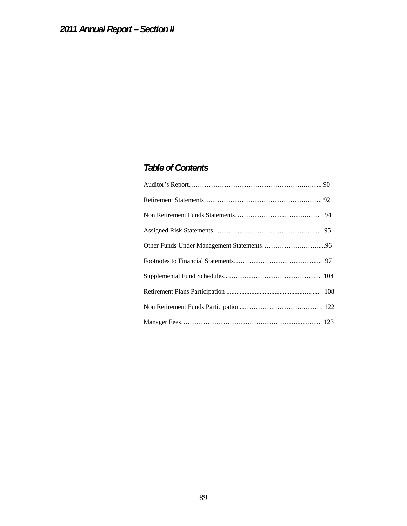# *2011 Annual Report – Section II*

# *Table of Contents*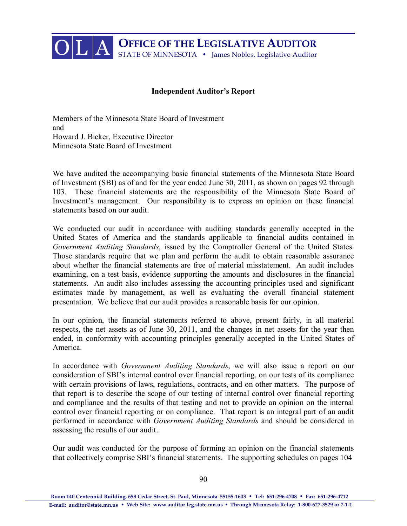

### **Independent Auditor's Report**

Members of the Minnesota State Board of Investment and Howard J. Bicker, Executive Director Minnesota State Board of Investment

We have audited the accompanying basic financial statements of the Minnesota State Board of Investment (SBI) as of and for the year ended June 30, 2011, as shown on pages 92 through 103. These financial statements are the responsibility of the Minnesota State Board of Investment's management. Our responsibility is to express an opinion on these financial statements based on our audit.

We conducted our audit in accordance with auditing standards generally accepted in the United States of America and the standards applicable to financial audits contained in *Government Auditing Standards*, issued by the Comptroller General of the United States. Those standards require that we plan and perform the audit to obtain reasonable assurance about whether the financial statements are free of material misstatement. An audit includes examining, on a test basis, evidence supporting the amounts and disclosures in the financial statements. An audit also includes assessing the accounting principles used and significant estimates made by management, as well as evaluating the overall financial statement presentation. We believe that our audit provides a reasonable basis for our opinion.

In our opinion, the financial statements referred to above, present fairly, in all material respects, the net assets as of June 30, 2011, and the changes in net assets for the year then ended, in conformity with accounting principles generally accepted in the United States of America.

In accordance with *Government Auditing Standards*, we will also issue a report on our consideration of SBI's internal control over financial reporting, on our tests of its compliance with certain provisions of laws, regulations, contracts, and on other matters. The purpose of that report is to describe the scope of our testing of internal control over financial reporting and compliance and the results of that testing and not to provide an opinion on the internal control over financial reporting or on compliance. That report is an integral part of an audit performed in accordance with *Government Auditing Standards* and should be considered in assessing the results of our audit.

Our audit was conducted for the purpose of forming an opinion on the financial statements that collectively comprise SBI's financial statements. The supporting schedules on pages 104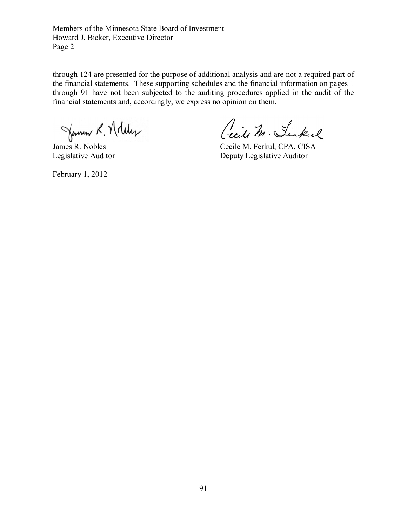Members of the Minnesota State Board of Investment Howard J. Bicker, Executive Director Page 2

through 124 are presented for the purpose of additional analysis and are not a required part of the financial statements. These supporting schedules and the financial information on pages 1 through 91 have not been subjected to the auditing procedures applied in the audit of the financial statements and, accordingly, we express no opinion on them.

Jann R. Nolder

February 1, 2012

Cecile M. Surkel

James R. Nobles Cecile M. Ferkul, CPA, CISA Legislative Auditor Deputy Legislative Auditor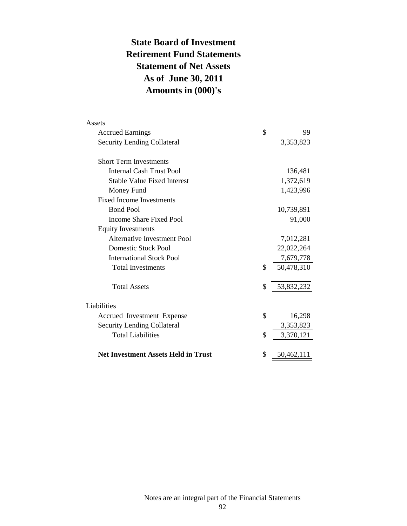# **State Board of Investment Retirement Fund Statements Statement of Net Assets As of June 30, 2011 Amounts in (000)'s**

| Assets                                     |                  |
|--------------------------------------------|------------------|
| <b>Accrued Earnings</b>                    | \$<br>99         |
| <b>Security Lending Collateral</b>         | 3,353,823        |
|                                            |                  |
| <b>Short Term Investments</b>              |                  |
| <b>Internal Cash Trust Pool</b>            | 136,481          |
| <b>Stable Value Fixed Interest</b>         | 1,372,619        |
| Money Fund                                 | 1,423,996        |
| <b>Fixed Income Investments</b>            |                  |
| <b>Bond Pool</b>                           | 10,739,891       |
| Income Share Fixed Pool                    | 91,000           |
| <b>Equity Investments</b>                  |                  |
| Alternative Investment Pool                | 7,012,281        |
| <b>Domestic Stock Pool</b>                 | 22,022,264       |
| <b>International Stock Pool</b>            | 7,679,778        |
| <b>Total Investments</b>                   | \$<br>50,478,310 |
|                                            |                  |
| <b>Total Assets</b>                        | \$<br>53,832,232 |
| Liabilities                                |                  |
| Accrued Investment Expense                 | \$<br>16,298     |
| <b>Security Lending Collateral</b>         | 3,353,823        |
| <b>Total Liabilities</b>                   | \$<br>3,370,121  |
|                                            |                  |
| <b>Net Investment Assets Held in Trust</b> | \$<br>50,462,111 |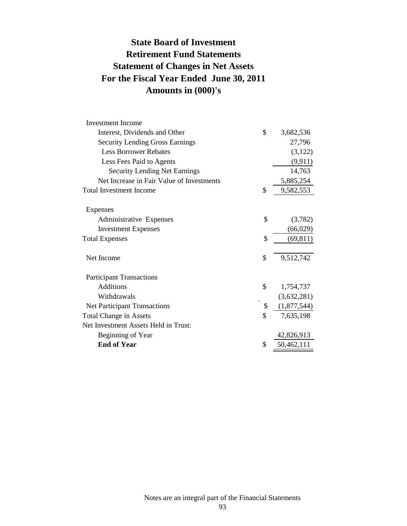# **State Board of Investment Retirement Fund Statements Statement of Changes in Net Assets For the Fiscal Year Ended June 30, 2011 Amounts in (000)'s**

| <b>Investment Income</b>                  |                   |
|-------------------------------------------|-------------------|
| Interest, Dividends and Other             | \$<br>3,682,536   |
| <b>Security Lending Gross Earnings</b>    | 27,796            |
| <b>Less Borrower Rebates</b>              | (3,122)           |
| Less Fees Paid to Agents                  | (9, 911)          |
| <b>Security Lending Net Earnings</b>      | 14,763            |
| Net Increase in Fair Value of Investments | 5,885,254         |
| <b>Total Investment Income</b>            | \$<br>9,582,553   |
| <b>Expenses</b>                           |                   |
| Administrative Expenses                   | \$<br>(3,782)     |
| <b>Investment Expenses</b>                | (66, 029)         |
| <b>Total Expenses</b>                     | \$<br>(69, 811)   |
| Net Income                                | \$<br>9,512,742   |
| <b>Participant Transactions</b>           |                   |
| Additions                                 | \$<br>1,754,737   |
| Withdrawals                               | (3,632,281)       |
| <b>Net Participant Transactions</b>       | \$<br>(1,877,544) |
| <b>Total Change in Assets</b>             | \$<br>7,635,198   |
| Net Investment Assets Held in Trust:      |                   |
| Beginning of Year                         | 42,826,913        |
| <b>End of Year</b>                        | \$<br>50,462,111  |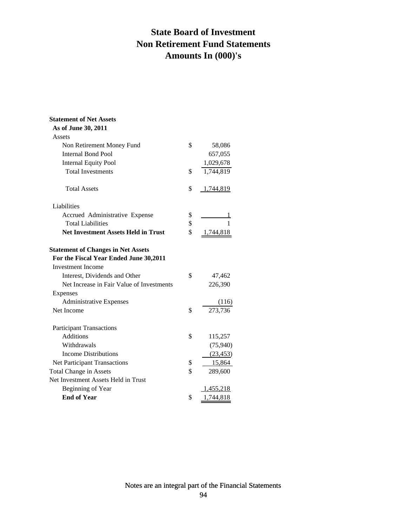# **State Board of Investment Non Retirement Fund Statements Amounts In (000)'s**

| <b>Statement of Net Assets</b>                                                      |                  |
|-------------------------------------------------------------------------------------|------------------|
| As of June 30, 2011                                                                 |                  |
| Assets                                                                              |                  |
| Non Retirement Money Fund                                                           | \$<br>58,086     |
| <b>Internal Bond Pool</b>                                                           | 657,055          |
| <b>Internal Equity Pool</b>                                                         | 1,029,678        |
| <b>Total Investments</b>                                                            | \$<br>1,744,819  |
| <b>Total Assets</b>                                                                 | \$<br>1,744,819  |
| Liabilities                                                                         |                  |
| Accrued Administrative Expense                                                      | \$               |
| <b>Total Liabilities</b>                                                            | \$<br>1          |
| <b>Net Investment Assets Held in Trust</b>                                          | \$<br>1,744,818  |
| <b>Statement of Changes in Net Assets</b><br>For the Fiscal Year Ended June 30,2011 |                  |
| <b>Investment Income</b>                                                            |                  |
| Interest, Dividends and Other                                                       | \$<br>47,462     |
| Net Increase in Fair Value of Investments                                           | 226,390          |
| Expenses                                                                            |                  |
| <b>Administrative Expenses</b>                                                      | (116)            |
| Net Income                                                                          | \$<br>273,736    |
| <b>Participant Transactions</b>                                                     |                  |
| <b>Additions</b>                                                                    | \$<br>115,257    |
| Withdrawals                                                                         | (75, 940)        |
| <b>Income Distributions</b>                                                         | (23, 453)        |
| Net Participant Transactions                                                        | \$<br>15,864     |
| <b>Total Change in Assets</b>                                                       | \$<br>289,600    |
| Net Investment Assets Held in Trust                                                 |                  |
| Beginning of Year                                                                   | <u>1,455,218</u> |
| <b>End of Year</b>                                                                  | \$<br>1,744,818  |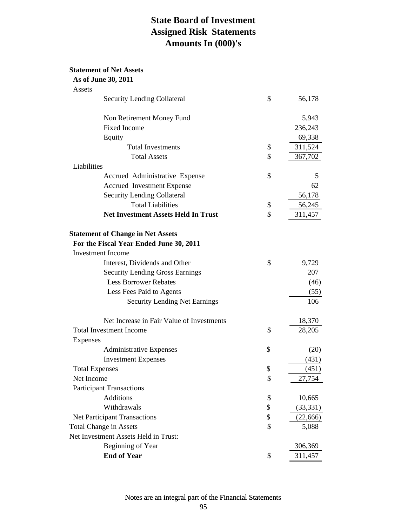## **State Board of Investment Assigned Risk Statements Amounts In (000)'s**

### **Statement of Net Assets**

 **As of June 30, 2011**

| Assets                        |                                            |                 |
|-------------------------------|--------------------------------------------|-----------------|
|                               | <b>Security Lending Collateral</b>         | \$<br>56,178    |
|                               | Non Retirement Money Fund                  | 5,943           |
|                               | <b>Fixed Income</b>                        | 236,243         |
|                               | Equity                                     | 69,338          |
|                               | <b>Total Investments</b>                   | \$<br>311,524   |
|                               | <b>Total Assets</b>                        | \$<br>367,702   |
| Liabilities                   |                                            |                 |
|                               | Accrued Administrative Expense             | \$<br>5         |
|                               | <b>Accrued Investment Expense</b>          | 62              |
|                               | <b>Security Lending Collateral</b>         | 56,178          |
|                               | <b>Total Liabilities</b>                   | \$<br>56,245    |
|                               | <b>Net Investment Assets Held In Trust</b> | \$<br>311,457   |
|                               | <b>Statement of Change in Net Assets</b>   |                 |
|                               | For the Fiscal Year Ended June 30, 2011    |                 |
| <b>Investment Income</b>      |                                            |                 |
|                               | Interest, Dividends and Other              | \$<br>9,729     |
|                               | <b>Security Lending Gross Earnings</b>     | 207             |
|                               | <b>Less Borrower Rebates</b>               | (46)            |
|                               | Less Fees Paid to Agents                   | (55)            |
|                               | <b>Security Lending Net Earnings</b>       | 106             |
|                               | Net Increase in Fair Value of Investments  | 18,370          |
|                               | <b>Total Investment Income</b>             | \$<br>28,205    |
| Expenses                      |                                            |                 |
|                               | <b>Administrative Expenses</b>             | \$<br>(20)      |
|                               | <b>Investment Expenses</b>                 | (431)           |
| <b>Total Expenses</b>         |                                            | \$<br>(451)     |
| Net Income                    |                                            | \$<br>27,754    |
|                               | <b>Participant Transactions</b>            |                 |
|                               | <b>Additions</b>                           | \$<br>10,665    |
|                               | Withdrawals                                | \$<br>(33, 331) |
|                               | <b>Net Participant Transactions</b>        | \$<br>(22, 666) |
| <b>Total Change in Assets</b> |                                            | \$<br>5,088     |
|                               | Net Investment Assets Held in Trust:       |                 |
|                               | Beginning of Year                          | 306,369         |
|                               | <b>End of Year</b>                         | \$<br>311,457   |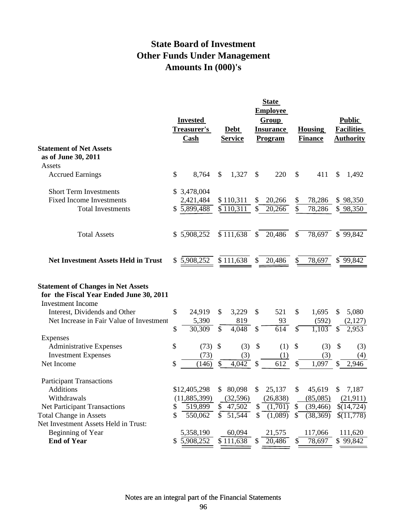# **State Board of Investment Other Funds Under Management Amounts In (000)'s**

|                                                                                                                  |                    |                |               | <b>State</b>         |    |                |     |                   |
|------------------------------------------------------------------------------------------------------------------|--------------------|----------------|---------------|----------------------|----|----------------|-----|-------------------|
|                                                                                                                  |                    |                |               | <b>Employee</b>      |    |                |     |                   |
|                                                                                                                  | <b>Invested</b>    |                |               | Group                |    |                |     | <b>Public</b>     |
|                                                                                                                  | <b>Treasurer's</b> | Debt           |               | <b>Insurance</b>     |    | <b>Housing</b> |     | <b>Facilities</b> |
|                                                                                                                  | $\cosh$            | <b>Service</b> |               | <b>Program</b>       |    | <b>Finance</b> |     | <b>Authority</b>  |
| <b>Statement of Net Assets</b>                                                                                   |                    |                |               |                      |    |                |     |                   |
| as of June 30, 2011                                                                                              |                    |                |               |                      |    |                |     |                   |
| Assets                                                                                                           |                    |                |               |                      |    |                |     |                   |
| <b>Accrued Earnings</b>                                                                                          | \$<br>8,764        | \$<br>1,327    | \$            | 220                  | \$ | 411            | \$. | 1,492             |
|                                                                                                                  |                    |                |               |                      |    |                |     |                   |
| <b>Short Term Investments</b>                                                                                    | \$3,478,004        |                |               |                      |    |                |     |                   |
| <b>Fixed Income Investments</b>                                                                                  | 2,421,484          | \$110,311      | \$            | 20,266               | \$ | 78,286         |     | \$98,350          |
| <b>Total Investments</b>                                                                                         | \$5,899,488        | \$110,311      | \$            | 20,266               | \$ | 78,286         |     | \$98,350          |
|                                                                                                                  |                    |                |               |                      |    |                |     |                   |
| <b>Total Assets</b>                                                                                              | \$5,908,252        | \$111,638      | $\mathcal{S}$ | 20,486               | \$ | 78,697         |     | \$99,842          |
|                                                                                                                  |                    |                |               |                      |    |                |     |                   |
| <b>Net Investment Assets Held in Trust</b>                                                                       | \$<br>5,908,252    | \$111,638      | \$            | 20,486               | S  | 78,697         |     | \$99,842          |
| <b>Statement of Changes in Net Assets</b><br>for the Fiscal Year Ended June 30, 2011<br><b>Investment Income</b> |                    |                |               |                      |    |                |     |                   |
| Interest, Dividends and Other                                                                                    | \$<br>24,919       | \$<br>3,229    | $\mathcal{S}$ | 521                  | \$ | 1,695          | \$  | 5,080             |
| Net Increase in Fair Value of Investment                                                                         | 5,390              | 819            |               | 93                   |    | (592)          |     | (2,127)           |
|                                                                                                                  | \$<br>30,309       | \$<br>4,048    | \$            | $\overline{614}$     | \$ | 1,103          | \$  | 2,953             |
| <b>Expenses</b>                                                                                                  |                    |                |               |                      |    |                |     |                   |
| <b>Administrative Expenses</b>                                                                                   | \$<br>(73)         | \$<br>(3)      | \$            | (1)                  | \$ | (3)            | \$  | (3)               |
| <b>Investment Expenses</b>                                                                                       | (73)               | (3)            |               | (1)                  |    | (3)            |     | (4)               |
| Net Income                                                                                                       | \$<br>(146)        | \$<br>4,042    | \$            | 612                  | \$ | 1,097          | \$  | 2,946             |
| <b>Participant Transactions</b>                                                                                  |                    |                |               |                      |    |                |     |                   |
| <b>Additions</b>                                                                                                 | \$12,405,298       | \$80,098       | \$            | 25,137               | \$ | 45,619         | \$  | 7,187             |
| Withdrawals                                                                                                      | (11, 885, 399)     | (32,596)       |               | (26, 838)            |    | (85,085)       |     | (21,911)          |
| <b>Net Participant Transactions</b>                                                                              | \$<br>519,899      | \$<br>47,502   | \$            | (1,701)              | \$ | (39, 466)      |     | \$(14,724)        |
| <b>Total Change in Assets</b>                                                                                    | \$<br>550,062      | \$<br>51,544   | \$            | $(1,\overline{089)}$ | \$ | (38, 369)      |     | $\sqrt{11,778}$   |
| Net Investment Assets Held in Trust:                                                                             |                    |                |               |                      |    |                |     |                   |
| Beginning of Year                                                                                                | 5,358,190          | 60,094         |               | 21,575               |    | 117,066        |     | 111,620           |
| <b>End of Year</b>                                                                                               | \$5,908,252        | \$111,638      | S             | 20,486               | \$ | 78,697         |     | \$99,842          |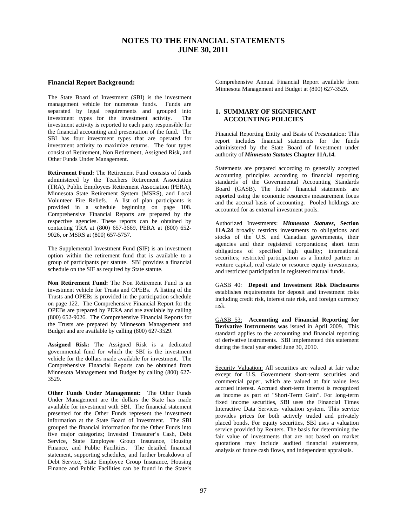#### **Financial Report Background:**

The State Board of Investment (SBI) is the investment management vehicle for numerous funds. Funds are separated by legal requirements and grouped into investment types for the investment activity. The investment activity is reported to each party responsible for the financial accounting and presentation of the fund. The SBI has four investment types that are operated for investment activity to maximize returns. The four types consist of Retirement, Non Retirement, Assigned Risk, and Other Funds Under Management.

**Retirement Fund:** The Retirement Fund consists of funds administered by the Teachers Retirement Association (TRA), Public Employees Retirement Association (PERA), Minnesota State Retirement System (MSRS), and Local Volunteer Fire Reliefs. A list of plan participants is provided in a schedule beginning on page 108. Comprehensive Financial Reports are prepared by the respective agencies. These reports can be obtained by contacting TRA at (800) 657-3669, PERA at (800) 652- 9026, or MSRS at (800) 657-5757.

The Supplemental Investment Fund (SIF) is an investment option within the retirement fund that is available to a group of participants per statute. SBI provides a financial schedule on the SIF as required by State statute.

**Non Retirement Fund:** The Non Retirement Fund is an investment vehicle for Trusts and OPEBs. A listing of the Trusts and OPEBs is provided in the participation schedule on page 122. The Comprehensive Financial Report for the OPEBs are prepared by PERA and are available by calling (800) 652-9026. The Comprehensive Financial Reports for the Trusts are prepared by Minnesota Management and Budget and are available by calling (800) 627-3529.

**Assigned Risk:** The Assigned Risk is a dedicated governmental fund for which the SBI is the investment vehicle for the dollars made available for investment. The Comprehensive Financial Reports can be obtained from Minnesota Management and Budget by calling (800) 627- 3529.

**Other Funds Under Management:** The Other Funds Under Management are the dollars the State has made available for investment with SBI. The financial statement presented for the Other Funds represent the investment information at the State Board of Investment. The SBI grouped the financial information for the Other Funds into five major categories; Invested Treasurer's Cash, Debt Service, State Employee Group Insurance, Housing Finance, and Public Facilities. The detailed financial statement, supporting schedules, and further breakdown of Debt Service, State Employee Group Insurance, Housing Finance and Public Facilities can be found in the State's

Comprehensive Annual Financial Report available from Minnesota Management and Budget at (800) 627-3529.

#### **1. SUMMARY OF SIGNIFICANT ACCOUNTING POLICIES**

Financial Reporting Entity and Basis of Presentation: This report includes financial statements for the funds administered by the State Board of Investment under authority of *Minnesota Statutes* **Chapter 11A.14.**

Statements are prepared according to generally accepted accounting principles according to financial reporting standards of the Governmental Accounting Standards Board (GASB). The funds' financial statements are reported using the economic resources measurement focus and the accrual basis of accounting. Pooled holdings are accounted for as external investment pools.

Authorized Investments: *Minnesota Statutes***, Section 11A.24** broadly restricts investments to obligations and stocks of the U.S. and Canadian governments, their agencies and their registered corporations; short term obligations of specified high quality; international securities; restricted participation as a limited partner in venture capital, real estate or resource equity investments; and restricted participation in registered mutual funds.

GASB 40: **Deposit and Investment Risk Disclosures**  establishes requirements for deposit and investment risks including credit risk, interest rate risk, and foreign currency risk.

GASB 53: **Accounting and Financial Reporting for Derivative Instruments was** issued in April 2009. This standard applies to the accounting and financial reporting of derivative instruments. SBI implemented this statement during the fiscal year ended June 30, 2010.

Security Valuation: All securities are valued at fair value except for U.S. Government short-term securities and commercial paper, which are valued at fair value less accrued interest. Accrued short-term interest is recognized as income as part of "Short-Term Gain". For long-term fixed income securities, SBI uses the Financial Times Interactive Data Services valuation system. This service provides prices for both actively traded and privately placed bonds. For equity securities, SBI uses a valuation service provided by Reuters. The basis for determining the fair value of investments that are not based on market quotations may include audited financial statements, analysis of future cash flows, and independent appraisals.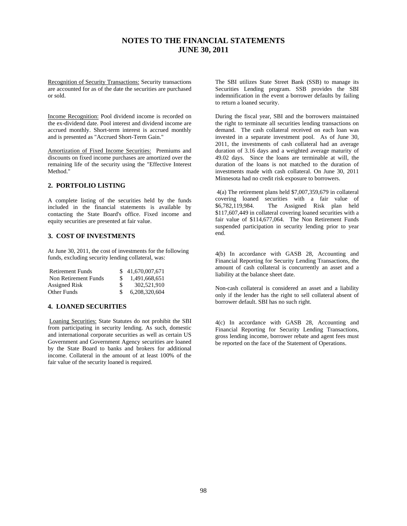Recognition of Security Transactions: Security transactions are accounted for as of the date the securities are purchased or sold.

Income Recognition: Pool dividend income is recorded on the ex-dividend date. Pool interest and dividend income are accrued monthly. Short-term interest is accrued monthly and is presented as "Accrued Short-Term Gain."

Amortization of Fixed Income Securities: Premiums and discounts on fixed income purchases are amortized over the remaining life of the security using the "Effective Interest Method."

#### **2. PORTFOLIO LISTING**

A complete listing of the securities held by the funds included in the financial statements is available by contacting the State Board's office. Fixed income and equity securities are presented at fair value.

#### **3. COST OF INVESTMENTS**

At June 30, 2011, the cost of investments for the following funds, excluding security lending collateral, was:

| <b>Retirement Funds</b> |    | \$41,670,007,671 |
|-------------------------|----|------------------|
| Non Retirement Funds    |    | 1,491,668,651    |
| Assigned Risk           | S. | 302,521,910      |
| Other Funds             |    | 6,208,320,604    |

#### **4. LOANED SECURITIES**

 Loaning Securities: State Statutes do not prohibit the SBI from participating in security lending. As such, domestic and international corporate securities as well as certain US Government and Government Agency securities are loaned by the State Board to banks and brokers for additional income. Collateral in the amount of at least 100% of the fair value of the security loaned is required.

The SBI utilizes State Street Bank (SSB) to manage its Securities Lending program. SSB provides the SBI indemnification in the event a borrower defaults by failing to return a loaned security.

During the fiscal year, SBI and the borrowers maintained the right to terminate all securities lending transactions on demand. The cash collateral received on each loan was invested in a separate investment pool. As of June 30, 2011, the investments of cash collateral had an average duration of 3.16 days and a weighted average maturity of 49.02 days. Since the loans are terminable at will, the duration of the loans is not matched to the duration of investments made with cash collateral. On June 30, 2011 Minnesota had no credit risk exposure to borrowers.

 4(a) The retirement plans held \$7,007,359,679 in collateral covering loaned securities with a fair value of \$6,782,119,984. The Assigned Risk plan held \$117,607,449 in collateral covering loaned securities with a fair value of \$114,677,064. The Non Retirement Funds suspended participation in security lending prior to year end.

4(b) In accordance with GASB 28, Accounting and Financial Reporting for Security Lending Transactions, the amount of cash collateral is concurrently an asset and a liability at the balance sheet date.

Non-cash collateral is considered an asset and a liability only if the lender has the right to sell collateral absent of borrower default. SBI has no such right.

4(c) In accordance with GASB 28, Accounting and Financial Reporting for Security Lending Transactions, gross lending income, borrower rebate and agent fees must be reported on the face of the Statement of Operations.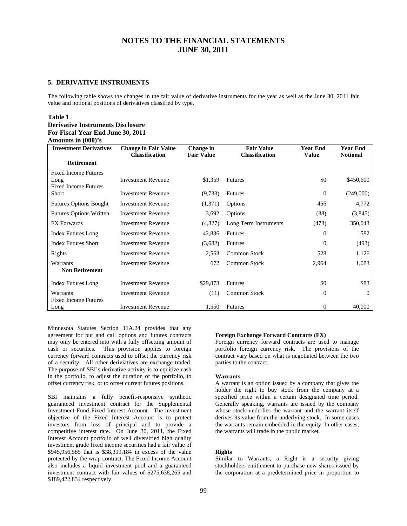#### **5. DERIVATIVE INSTRUMENTS**

The following table shows the changes in the fair value of derivative instruments for the year as well as the June 30, 2011 fair value and notional positions of derivatives classified by type.

#### **Table 1**

#### **Derivative Instruments Disclosure For Fiscal Year End June 30, 2011 Amounts in (000)'s**

| лшоишь ш (vvv) э<br><b>Investment Derivatives</b>                  | <b>Change in Fair Value</b><br><b>Classification</b> | Change in<br><b>Fair Value</b> | <b>Fair Value</b><br><b>Classification</b> | <b>Year End</b><br><b>Value</b> | <b>Year End</b><br><b>Notional</b> |
|--------------------------------------------------------------------|------------------------------------------------------|--------------------------------|--------------------------------------------|---------------------------------|------------------------------------|
| <b>Retirement</b>                                                  |                                                      |                                |                                            |                                 |                                    |
| <b>Fixed Income Futures</b><br>Long<br><b>Fixed Income Futures</b> | <b>Investment Revenue</b>                            | \$1,359                        | <b>Futures</b>                             | \$0                             | \$450,600                          |
| Short                                                              | <b>Investment Revenue</b>                            | (9,733)                        | <b>Futures</b>                             | $\Omega$                        | (249,000)                          |
| <b>Futures Options Bought</b>                                      | <b>Investment Revenue</b>                            | (1,371)                        | Options                                    | 456                             | 4,772                              |
| <b>Futures Options Written</b>                                     | <b>Investment Revenue</b>                            | 3,692                          | Options                                    | (38)                            | (3,845)                            |
| <b>FX</b> Forwards                                                 | <b>Investment Revenue</b>                            | (4,327)                        | Long Term Instruments                      | (473)                           | 350,043                            |
| <b>Index Futures Long</b>                                          | <b>Investment Revenue</b>                            | 42,836                         | Futures                                    | $\Omega$                        | 582                                |
| <b>Index Futures Short</b>                                         | <b>Investment Revenue</b>                            | (3,682)                        | <b>Futures</b>                             | $\Omega$                        | (493)                              |
| Rights                                                             | <b>Investment Revenue</b>                            | 2,563                          | Common Stock                               | 528                             | 1,126                              |
| Warrants<br><b>Non Retirement</b>                                  | <b>Investment Revenue</b>                            | 672                            | Common Stock                               | 2,964                           | 1,083                              |
| <b>Index Futures Long</b>                                          | <b>Investment Revenue</b>                            | \$29,873                       | <b>Futures</b>                             | \$0                             | \$83                               |
| Warrants<br><b>Fixed Income Futures</b>                            | <b>Investment Revenue</b>                            | (11)                           | Common Stock                               | $\Omega$                        | $\theta$                           |
| Long                                                               | <b>Investment Revenue</b>                            | 1,550                          | <b>Futures</b>                             | $\theta$                        | 40,000                             |

Minnesota Statutes Section 11A.24 provides that any agreement for put and call options and futures contracts may only be entered into with a fully offsetting amount of cash or securities. This provision applies to foreign currency forward contracts used to offset the currency risk of a security. All other deriviatives are exchange traded. The purpose of SBI's derivative activity is to equitize cash in the portfolio, to adjust the duration of the portfolio, to offset currency risk, or to offset current futures positions.

SBI maintains a fully benefit-responsive synthetic guaranteed investment contract for the Supplemental Investment Fund Fixed Interest Account. The investment objective of the Fixed Interest Account is to protect investors from loss of principal and to provide a competitive interest rate. On June 30, 2011, the Fixed Interest Account portfolio of well diversified high quality investment grade fixed income securities had a fair value of \$945,956,585 that is \$38,399,184 in excess of the value protected by the wrap contract. The Fixed Income Account also includes a liquid investment pool and a guaranteed investment contract with fair values of \$275,638,265 and \$189,422,834 respectively.

#### **Foreign Exchange Forward Contracts (FX)**

Foreign currency forward contracts are used to manage portfolio foreign currency risk. The provisions of the contract vary based on what is negotiated between the two parties to the contract.

#### **Warrants**

A warrant is an option issued by a company that gives the holder the right to buy stock from the company at a specified price within a certain designated time period. Generally speaking, warrants are issued by the company whose stock underlies the warrant and the warrant itself derives its value from the underlying stock. In some cases the warrants remain embedded in the equity. In other cases, the warrants will trade in the public market.

#### **Rights**

Similar to Warrants, a Right is a security giving stockholders entitlement to purchase new shares issued by the corporation at a predetermined price in proportion to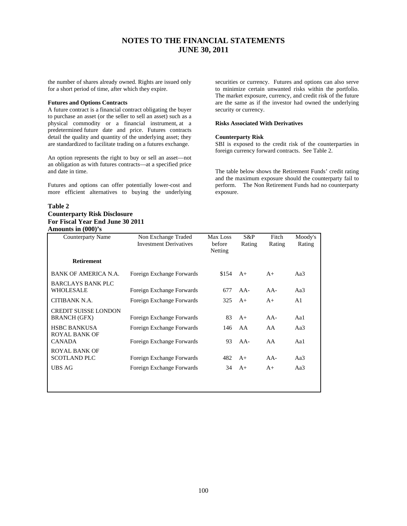the number of shares already owned. Rights are issued only for a short period of time, after which they expire.

#### **Futures and Options Contracts**

A future contract is a financial contract obligating the buyer to purchase an asset (or the seller to sell an asset) such as a physical commodity or a financial instrument, at a predetermined future date and price. Futures contracts detail the quality and quantity of the underlying asset; they are standardized to facilitate trading on a futures exchange.

An option represents the right to buy or sell an asset—not an obligation as with futures contracts—at a specified price and date in time.

Futures and options can offer potentially lower-cost and more efficient alternatives to buying the underlying

#### **Table 2 Counterparty Risk Disclosure For Fiscal Year End June 30 2011 Amounts in (000)'s**

securities or currency. Futures and options can also serve to minimize certain unwanted risks within the portfolio. The market exposure, currency, and credit risk of the future are the same as if the investor had owned the underlying security or currency.

#### **Risks Associated With Derivatives**

#### **Counterparty Risk**

SBI is exposed to the credit risk of the counterparties in foreign currency forward contracts. See Table 2.

The table below shows the Retirement Funds' credit rating and the maximum exposure should the counterparty fail to perform. The Non Retirement Funds had no counterparty exposure.

| Ашчинь ш (vvv) э                                   |                                                      |                               |                  |                 |                   |
|----------------------------------------------------|------------------------------------------------------|-------------------------------|------------------|-----------------|-------------------|
| <b>Counterparty Name</b>                           | Non Exchange Traded<br><b>Investment Derivatives</b> | Max Loss<br>before<br>Netting | $S\&P$<br>Rating | Fitch<br>Rating | Moody's<br>Rating |
| <b>Retirement</b>                                  |                                                      |                               |                  |                 |                   |
| BANK OF AMERICA N.A.                               | Foreign Exchange Forwards                            | \$154                         | $A+$             | $A+$            | Aa3               |
| <b>BARCLAYS BANK PLC</b><br><b>WHOLESALE</b>       | Foreign Exchange Forwards                            | 677                           | $AA-$            | $AA-$           | Aa3               |
| CITIBANK N.A.                                      | Foreign Exchange Forwards                            | 325                           | $A+$             | $A+$            | A <sub>1</sub>    |
| <b>CREDIT SUISSE LONDON</b><br><b>BRANCH</b> (GFX) | Foreign Exchange Forwards                            | 83                            | $A+$             | $AA-$           | Aal               |
| <b>HSBC BANKUSA</b><br><b>ROYAL BANK OF</b>        | Foreign Exchange Forwards                            | 146                           | AA               | AA              | Aa3               |
| <b>CANADA</b>                                      | Foreign Exchange Forwards                            | 93                            | $AA-$            | AA              | Aa1               |
| ROYAL BANK OF<br><b>SCOTLAND PLC</b>               | Foreign Exchange Forwards                            | 482                           | $A+$             | $AA-$           | Aa3               |
| UBS AG                                             | Foreign Exchange Forwards                            | 34                            | $A+$             | $A+$            | Aa3               |
|                                                    |                                                      |                               |                  |                 |                   |
|                                                    |                                                      |                               |                  |                 |                   |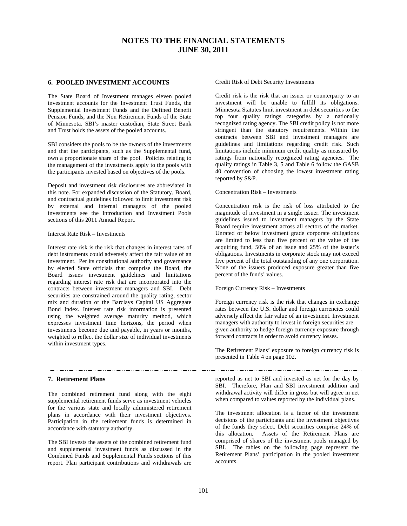### **NOTES TO THE FINANCIAL STATEMENTS JUNE 30, 2011**

#### **6. POOLED INVESTMENT ACCOUNTS**

The State Board of Investment manages eleven pooled investment accounts for the Investment Trust Funds, the Supplemental Investment Funds and the Defined Benefit Pension Funds, and the Non Retirement Funds of the State of Minnesota. SBI's master custodian, State Street Bank and Trust holds the assets of the pooled accounts.

SBI considers the pools to be the owners of the investments and that the participants, such as the Supplemental fund, own a proportionate share of the pool. Policies relating to the management of the investments apply to the pools with the participants invested based on objectives of the pools.

Deposit and investment risk disclosures are abbreviated in this note. For expanded discussion of the Statutory, Board, and contractual guidelines followed to limit investment risk by external and internal managers of the pooled investments see the Introduction and Investment Pools sections of this 2011 Annual Report.

#### Interest Rate Risk – Investments

Interest rate risk is the risk that changes in interest rates of debt instruments could adversely affect the fair value of an investment. Per its constitutional authority and governance by elected State officials that comprise the Board, the Board issues investment guidelines and limitations regarding interest rate risk that are incorporated into the contracts between investment managers and SBI. Debt securities are constrained around the quality rating, sector mix and duration of the Barclays Capital US Aggregate Bond Index. Interest rate risk information is presented using the weighted average maturity method, which expresses investment time horizons, the period when investments become due and payable, in years or months, weighted to reflect the dollar size of individual investments within investment types.

### **7. Retirement Plans**

The combined retirement fund along with the eight supplemental retirement funds serve as investment vehicles for the various state and locally administered retirement plans in accordance with their investment objectives. Participation in the retirement funds is determined in accordance with statutory authority.

\_ . . \_\_ . . \_\_ . . \_\_ . . \_\_ . . \_\_ . . \_\_ . . \_\_ . . \_\_ . . \_

The SBI invests the assets of the combined retirement fund and supplemental investment funds as discussed in the Combined Funds and Supplemental Funds sections of this report. Plan participant contributions and withdrawals are

#### Credit Risk of Debt Security Investments

Credit risk is the risk that an issuer or counterparty to an investment will be unable to fulfill its obligations. Minnesota Statutes limit investment in debt securities to the top four quality ratings categories by a nationally recognized rating agency. The SBI credit policy is not more stringent than the statutory requirements. Within the contracts between SBI and investment managers are guidelines and limitations regarding credit risk. Such limitations include minimum credit quality as measured by ratings from nationally recognized rating agencies. The quality ratings in Table 3, 5 and Table 6 follow the GASB 40 convention of choosing the lowest investment rating reported by S&P.

#### Concentration Risk – Investments

Concentration risk is the risk of loss attributed to the magnitude of investment in a single issuer. The investment guidelines issued to investment managers by the State Board require investment across all sectors of the market. Unrated or below investment grade corporate obligations are limited to less than five percent of the value of the acquiring fund, 50% of an issue and 25% of the issuer's obligations. Investments in corporate stock may not exceed five percent of the total outstanding of any one corporation. None of the issuers produced exposure greater than five percent of the funds' values.

#### Foreign Currency Risk – Investments

Foreign currency risk is the risk that changes in exchange rates between the U.S. dollar and foreign currencies could adversely affect the fair value of an investment. Investment managers with authority to invest in foreign securities are given authority to hedge foreign currency exposure through forward contracts in order to avoid currency losses.

The Retirement Plans' exposure to foreign currency risk is presented in Table 4 on page 102.

\_ , , \_\_ , , \_ , , \_ , , \_ , , \_ , , \_ , , \_ , \_ , \_ , \_ , \_ , \_ , \_ , \_ , \_ , \_ ,

reported as net to SBI and invested as net for the day by SBI. Therefore, Plan and SBI investment addition and withdrawal activity will differ in gross but will agree in net when compared to values reported by the individual plans.

The investment allocation is a factor of the investment decisions of the participants and the investment objectives of the funds they select. Debt securities comprise 24% of this allocation. Assets of the Retirement Plans are comprised of shares of the investment pools managed by SBI. The tables on the following page represent the Retirement Plans' participation in the pooled investment accounts.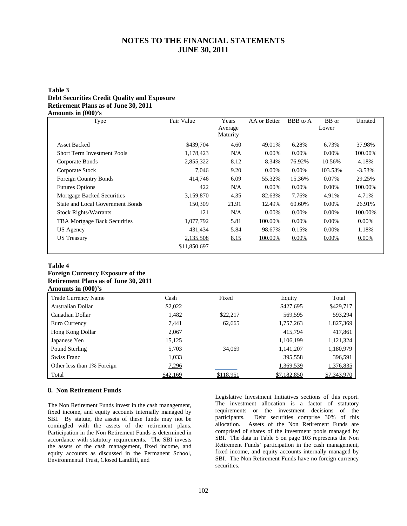### **NOTES TO THE FINANCIAL STATEMENTS JUNE 30, 2011**

#### **Table 3 Debt Securities Credit Quality and Exposure Retirement Plans as of June 30, 2011 Amounts in (000)'s**

| Type                                    | Fair Value   | Years    | AA or Better | BBB to A | BB or    | Unrated  |
|-----------------------------------------|--------------|----------|--------------|----------|----------|----------|
|                                         |              | Average  |              |          | Lower    |          |
|                                         |              | Maturity |              |          |          |          |
| <b>Asset Backed</b>                     | \$439,704    | 4.60     | 49.01%       | 6.28%    | 6.73%    | 37.98%   |
| <b>Short Term Investment Pools</b>      | 1,178,423    | N/A      | 0.00%        | 0.00%    | $0.00\%$ | 100.00%  |
| Corporate Bonds                         | 2,855,322    | 8.12     | 8.34%        | 76.92%   | 10.56%   | 4.18%    |
| Corporate Stock                         | 7,046        | 9.20     | $0.00\%$     | $0.00\%$ | 103.53%  | $-3.53%$ |
| Foreign Country Bonds                   | 414,746      | 6.09     | 55.32%       | 15.36%   | 0.07%    | 29.25%   |
| <b>Futures Options</b>                  | 422          | N/A      | $0.00\%$     | $0.00\%$ | $0.00\%$ | 100.00%  |
| Mortgage Backed Securities              | 3,159,870    | 4.35     | 82.63%       | 7.76%    | 4.91%    | 4.71%    |
| <b>State and Local Government Bonds</b> | 150,309      | 21.91    | 12.49%       | 60.60%   | $0.00\%$ | 26.91%   |
| <b>Stock Rights/Warrants</b>            | 121          | N/A      | $0.00\%$     | $0.00\%$ | $0.00\%$ | 100.00%  |
| TBA Mortgage Back Securities            | 1,077,792    | 5.81     | 100.00%      | 0.00%    | 0.00%    | 0.00%    |
| US Agency                               | 431,434      | 5.84     | 98.67%       | 0.15%    | 0.00%    | 1.18%    |
| <b>US</b> Treasury                      | 2,135,508    | 8.15     | 100.00%      | 0.00%    | 0.00%    | 0.00%    |
|                                         | \$11,850,697 |          |              |          |          |          |
|                                         |              |          |              |          |          |          |

### **Table 4**

#### **Foreign Currency Exposure of the Retirement Plans as of June 30, 2011 Amounts in (000)'s**

| Ашоннь III (vvv) э         |          |           |             |             |
|----------------------------|----------|-----------|-------------|-------------|
| <b>Trade Currency Name</b> | Cash     | Fixed     | Equity      | Total       |
| Australian Dollar          | \$2,022  |           | \$427,695   | \$429,717   |
| Canadian Dollar            | 1,482    | \$22,217  | 569,595     | 593,294     |
| Euro Currency              | 7.441    | 62,665    | 1,757,263   | 1,827,369   |
| Hong Kong Dollar           | 2,067    |           | 415,794     | 417,861     |
| Japanese Yen               | 15,125   |           | 1,106,199   | 1,121,324   |
| Pound Sterling             | 5,703    | 34,069    | 1,141,207   | 1,180,979   |
| Swiss Franc                | 1,033    |           | 395,558     | 396,591     |
| Other less than 1% Foreign | 7,296    |           | 1,369,539   | 1,376,835   |
| Total                      | \$42,169 | \$118,951 | \$7,182,850 | \$7,343,970 |
|                            |          |           |             |             |

### **8. Non Retirement Funds**

The Non Retirement Funds invest in the cash management, fixed income, and equity accounts internally managed by SBI. By statute, the assets of these funds may not be comingled with the assets of the retirement plans. Participation in the Non Retirement Funds is determined in accordance with statutory requirements. The SBI invests the assets of the cash management, fixed income, and equity accounts as discussed in the Permanent School, Environmental Trust, Closed Landfill, and

Legislative Investment Initiatives sections of this report. The investment allocation is a factor of statutory requirements or the investment decisions of the participants. Debt securities comprise 30% of this allocation. Assets of the Non Retirement Funds are comprised of shares of the investment pools managed by SBI. The data in Table 5 on page 103 represents the Non Retirement Funds' participation in the cash management, fixed income, and equity accounts internally managed by SBI. The Non Retirement Funds have no foreign currency securities.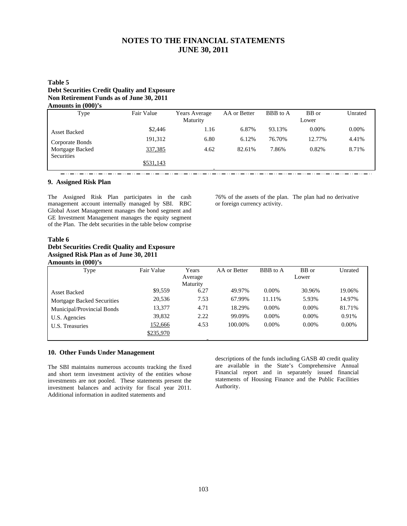### **NOTES TO THE FINANCIAL STATEMENTS JUNE 30, 2011**

### **Table 5 Debt Securities Credit Quality and Exposure Non Retirement Funds as of June 30, 2011 Amounts in (000)'s**

| Type                          | Fair Value | Years Average<br>Maturity | AA or Better | <b>BBB</b> to A | BB or<br>Lower | Unrated  |
|-------------------------------|------------|---------------------------|--------------|-----------------|----------------|----------|
| <b>Asset Backed</b>           | \$2,446    | 1.16                      | 6.87%        | 93.13%          | $0.00\%$       | $0.00\%$ |
| Corporate Bonds               | 191,312    | 6.80                      | 6.12%        | 76.70%          | 12.77%         | 4.41%    |
| Mortgage Backed<br>Securities | 337,385    | 4.62                      | 82.61%       | 7.86%           | 0.82%          | 8.71%    |
|                               | \$531,143  |                           |              |                 |                |          |

#### **9. Assigned Risk Plan**

The Assigned Risk Plan participates in the cash management account internally managed by SBI. RBC Global Asset Management manages the bond segment and GE Investment Management manages the equity segment of the Plan. The debt securities in the table below comprise

#### **Table 6 Debt Securities Credit Quality and Exposure Assigned Risk Plan as of June 30, 2011**

**Amounts in (000)'s**

76% of the assets of the plan. The plan had no derivative or foreign currency activity.

| Type                       | Fair Value | Years    | AA or Better | <b>BBB</b> to A | BB or    | Unrated  |
|----------------------------|------------|----------|--------------|-----------------|----------|----------|
|                            |            | Average  |              |                 | Lower    |          |
|                            |            | Maturity |              |                 |          |          |
| <b>Asset Backed</b>        | \$9,559    | 6.27     | 49.97%       | $0.00\%$        | 30.96%   | 19.06%   |
| Mortgage Backed Securities | 20,536     | 7.53     | 67.99%       | 11.11%          | 5.93%    | 14.97%   |
| Municipal/Provincial Bonds | 13,377     | 4.71     | 18.29%       | $0.00\%$        | $0.00\%$ | 81.71%   |
| U.S. Agencies              | 39,832     | 2.22     | 99.09%       | $0.00\%$        | $0.00\%$ | 0.91%    |
| U.S. Treasuries            | 152,666    | 4.53     | 100.00%      | $0.00\%$        | $0.00\%$ | $0.00\%$ |
|                            | \$235,970  |          |              |                 |          |          |
|                            |            |          |              |                 |          |          |

#### **10. Other Funds Under Management**

The SBI maintains numerous accounts tracking the fixed and short term investment activity of the entities whose investments are not pooled. These statements present the investment balances and activity for fiscal year 2011. Additional information in audited statements and

descriptions of the funds including GASB 40 credit quality are available in the State's Comprehensive Annual Financial report and in separately issued financial statements of Housing Finance and the Public Facilities Authority.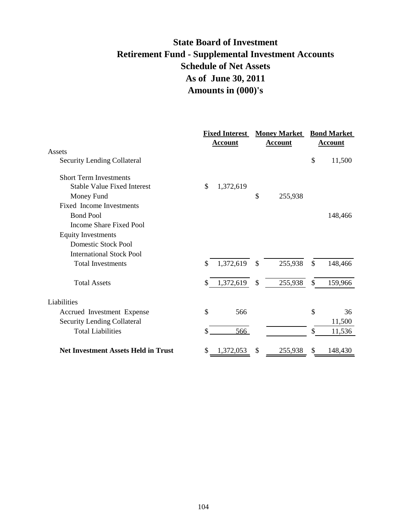# **State Board of Investment Retirement Fund - Supplemental Investment Accounts Schedule of Net Assets As of June 30, 2011 Amounts in (000)'s**

|                                            | <b>Fixed Interest</b> |                | <b>Money Market</b> | <b>Bond Market</b> |                |  |
|--------------------------------------------|-----------------------|----------------|---------------------|--------------------|----------------|--|
|                                            |                       | <b>Account</b> | <b>Account</b>      |                    | <u>Account</u> |  |
| Assets                                     |                       |                |                     |                    |                |  |
| <b>Security Lending Collateral</b>         |                       |                |                     | \$                 | 11,500         |  |
| <b>Short Term Investments</b>              |                       |                |                     |                    |                |  |
| <b>Stable Value Fixed Interest</b>         | \$                    | 1,372,619      |                     |                    |                |  |
| Money Fund                                 |                       |                | \$<br>255,938       |                    |                |  |
| Fixed Income Investments                   |                       |                |                     |                    |                |  |
| <b>Bond Pool</b>                           |                       |                |                     |                    | 148,466        |  |
| Income Share Fixed Pool                    |                       |                |                     |                    |                |  |
| <b>Equity Investments</b>                  |                       |                |                     |                    |                |  |
| <b>Domestic Stock Pool</b>                 |                       |                |                     |                    |                |  |
| <b>International Stock Pool</b>            |                       |                |                     |                    |                |  |
| <b>Total Investments</b>                   | \$                    | 1,372,619      | \$<br>255,938       | $\mathcal{S}$      | 148,466        |  |
| <b>Total Assets</b>                        | \$                    | 1,372,619      | \$<br>255,938       | \$                 | 159,966        |  |
|                                            |                       |                |                     |                    |                |  |
| Liabilities                                |                       |                |                     |                    |                |  |
| Accrued Investment Expense                 | \$                    | 566            |                     | \$                 | 36             |  |
| <b>Security Lending Collateral</b>         |                       |                |                     |                    | 11,500         |  |
| <b>Total Liabilities</b>                   | \$                    | 566            |                     | \$                 | 11,536         |  |
| <b>Net Investment Assets Held in Trust</b> | \$                    | 1,372,053      | \$<br>255,938       | S                  | 148,430        |  |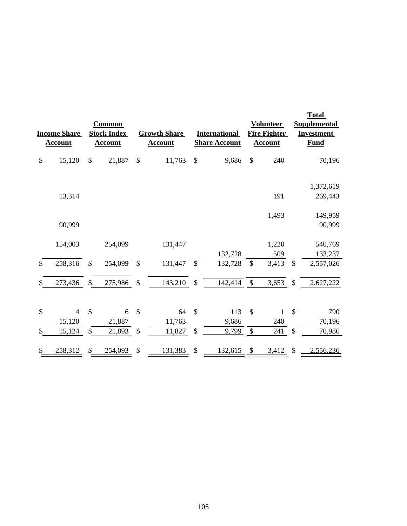|              | <b>Income Share</b><br><b>Account</b> |               | <b>Common</b><br><b>Stock Index</b><br><b>Account</b> |               | <b>Growth Share</b><br><b>Account</b> |               | <b>International</b><br><b>Share Account</b> |                           | <b>Volunteer</b><br><b>Fire Fighter</b><br><b>Account</b> |               | <b>Total</b><br><b>Supplemental</b><br><b>Investment</b><br><b>Fund</b> |
|--------------|---------------------------------------|---------------|-------------------------------------------------------|---------------|---------------------------------------|---------------|----------------------------------------------|---------------------------|-----------------------------------------------------------|---------------|-------------------------------------------------------------------------|
| \$           | 15,120                                | $\mathcal{S}$ | 21,887                                                | $\mathcal{S}$ | 11,763                                | \$            | 9,686                                        | \$                        | 240                                                       |               | 70,196                                                                  |
|              |                                       |               |                                                       |               |                                       |               |                                              |                           |                                                           |               |                                                                         |
|              |                                       |               |                                                       |               |                                       |               |                                              |                           |                                                           |               | 1,372,619                                                               |
|              | 13,314                                |               |                                                       |               |                                       |               |                                              |                           | 191                                                       |               | 269,443                                                                 |
|              |                                       |               |                                                       |               |                                       |               |                                              |                           | 1,493                                                     |               | 149,959                                                                 |
|              | 90,999                                |               |                                                       |               |                                       |               |                                              |                           |                                                           |               | 90,999                                                                  |
|              | 154,003                               |               | 254,099                                               |               | 131,447                               |               |                                              |                           | 1,220                                                     |               | 540,769                                                                 |
|              |                                       |               |                                                       |               |                                       |               | 132,728                                      |                           | 509                                                       |               | 133,237                                                                 |
| \$           | 258,316                               | $\mathcal{S}$ | 254,099                                               | $\mathcal{S}$ | 131,447                               | $\mathcal{S}$ | 132,728                                      | $\mathcal{S}$             | 3,413                                                     | $\mathcal{S}$ | 2,557,026                                                               |
| \$           | 273,436                               | $\mathbb{S}$  | 275,986                                               | \$            | 143,210                               | $\mathbb{S}$  | 142,414                                      | $\mathcal{S}$             | 3,653                                                     | \$            | 2,627,222                                                               |
|              |                                       |               |                                                       |               |                                       |               |                                              |                           |                                                           |               |                                                                         |
| $\mathbb{S}$ | $\overline{4}$                        | $\mathcal{S}$ | 6                                                     | $\mathcal{S}$ | 64                                    | $\mathcal{S}$ | 113                                          | $\mathcal{S}$             | $\mathbf{1}$                                              | $\mathcal{S}$ | 790                                                                     |
|              | 15,120                                |               | 21,887                                                |               | 11,763                                |               | 9,686                                        |                           | 240                                                       |               | 70,196                                                                  |
| \$           | 15,124                                | \$            | 21,893                                                | \$            | 11,827                                | \$            | 9,799                                        | $\boldsymbol{\mathsf{S}}$ | 241                                                       | \$            | 70,986                                                                  |
| S            | 258,312                               | \$            | 254,093                                               | \$            | 131,383                               | \$            | 132,615                                      | \$                        | 3,412                                                     | \$            | 2,556,236                                                               |
|              |                                       |               |                                                       |               |                                       |               |                                              |                           |                                                           |               |                                                                         |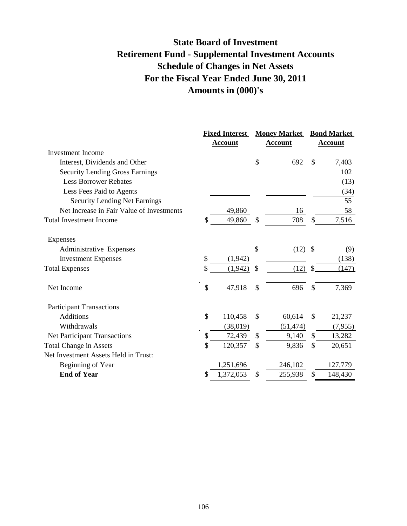# **State Board of Investment Retirement Fund - Supplemental Investment Accounts Schedule of Changes in Net Assets For the Fiscal Year Ended June 30, 2011 Amounts in (000)'s**

|                                           | <b>Fixed Interest</b> |                |               | <b>Money Market</b> | <b>Bond Market</b> |                |
|-------------------------------------------|-----------------------|----------------|---------------|---------------------|--------------------|----------------|
|                                           |                       | <b>Account</b> |               | <b>Account</b>      |                    | <b>Account</b> |
| <b>Investment Income</b>                  |                       |                |               |                     |                    |                |
| Interest, Dividends and Other             |                       |                | \$            | 692                 | $\mathcal{S}$      | 7,403          |
| <b>Security Lending Gross Earnings</b>    |                       |                |               |                     |                    | 102            |
| <b>Less Borrower Rebates</b>              |                       |                |               |                     |                    | (13)           |
| Less Fees Paid to Agents                  |                       |                |               |                     |                    | (34)           |
| <b>Security Lending Net Earnings</b>      |                       |                |               |                     |                    | 55             |
| Net Increase in Fair Value of Investments |                       | 49,860         |               | 16                  |                    | 58             |
| <b>Total Investment Income</b>            | \$.                   | 49,860         | \$            | 708                 | $\mathsf{\$}$      | 7,516          |
| Expenses                                  |                       |                |               |                     |                    |                |
| Administrative Expenses                   |                       |                | \$            | $(12)$ \$           |                    | (9)            |
| <b>Investment Expenses</b>                | \$                    | (1, 942)       |               |                     |                    | (138)          |
| <b>Total Expenses</b>                     | \$                    | (1, 942)       | \$            | $(12)$ \$           |                    | (147)          |
| Net Income                                | \$                    | 47,918         | $\mathsf{\$}$ | 696                 | $\mathcal{S}$      | 7,369          |
| <b>Participant Transactions</b>           |                       |                |               |                     |                    |                |
| <b>Additions</b>                          | $\mathcal{S}$         | 110,458        | \$            | 60,614              | $\mathcal{S}$      | 21,237         |
| Withdrawals                               |                       | (38,019)       |               | (51, 474)           |                    | (7,955)        |
| Net Participant Transactions              | S                     | 72,439         | \$            | 9,140               | \$                 | 13,282         |
| <b>Total Change in Assets</b>             | \$                    | 120,357        | \$            | 9,836               | \$                 | 20,651         |
| Net Investment Assets Held in Trust:      |                       |                |               |                     |                    |                |
| Beginning of Year                         |                       | 1,251,696      |               | 246,102             |                    | 127,779        |
| <b>End of Year</b>                        | S                     | 1,372,053      | \$            | 255,938             | \$                 | 148,430        |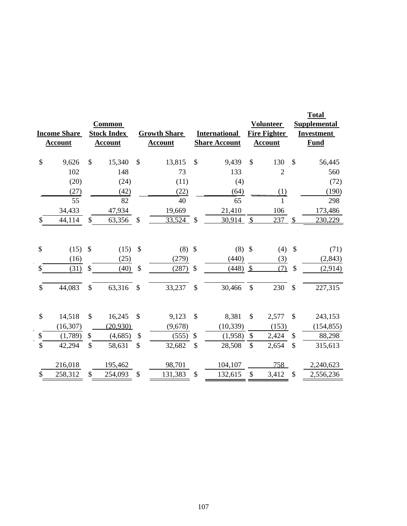|                | <b>Income Share</b><br><b>Account</b> |                           | <b>Common</b><br><b>Stock Index</b><br><b>Account</b> |                           | <b>Growth Share</b><br><b>Account</b> |                           | <b>International</b><br><b>Share Account</b> |                                     | <b>Volunteer</b><br><b>Fire Fighter</b><br><b>Account</b> |                                                  | <b>Total</b><br><b>Supplemental</b><br><b>Investment</b><br><b>Fund</b> |
|----------------|---------------------------------------|---------------------------|-------------------------------------------------------|---------------------------|---------------------------------------|---------------------------|----------------------------------------------|-------------------------------------|-----------------------------------------------------------|--------------------------------------------------|-------------------------------------------------------------------------|
| $\mathcal{S}$  | 9,626                                 | $\mathcal{S}$             | 15,340                                                | $\mathcal{S}$             | 13,815                                | \$                        | 9,439                                        | $\mathcal{S}$                       | 130                                                       | $\mathcal{S}$                                    | 56,445                                                                  |
|                | 102                                   |                           | 148                                                   |                           | 73                                    |                           | 133                                          |                                     | $\overline{2}$                                            |                                                  | 560                                                                     |
|                | (20)                                  |                           | (24)                                                  |                           | (11)                                  |                           | (4)                                          |                                     |                                                           |                                                  | (72)                                                                    |
|                | (27)                                  |                           | (42)                                                  |                           | (22)                                  |                           | (64)                                         |                                     | (1)                                                       |                                                  | (190)                                                                   |
|                | 55                                    |                           | 82                                                    |                           | 40                                    |                           | 65                                           |                                     |                                                           |                                                  | 298                                                                     |
|                | 34,433                                |                           | 47,934                                                |                           | 19,669                                |                           | 21,410                                       |                                     | 106                                                       |                                                  | 173,486                                                                 |
| \$             | 44,114                                | \$                        | 63,356                                                | \$                        | 33,524                                | \$                        | $30.914$ \$                                  |                                     | 237                                                       | $\mathcal{S}$                                    | 230,229                                                                 |
| \$<br>\$<br>\$ | (15)<br>(16)<br>(31)<br>44,083        | $\mathcal{S}$<br>\$<br>\$ | (15)<br>(25)<br>(40)<br>63,316                        | \$<br>\$<br>$\mathcal{S}$ | (8)<br>(279)<br>(287)<br>33,237       | $\mathcal{S}$<br>\$<br>\$ | $(8)$ \$<br>(440)<br>(448)<br>30,466         | $\mathbf{\hat{s}}$<br>$\mathcal{S}$ | (4)<br>(3)<br>(7)<br>230                                  | $\mathcal{S}$<br>$\boldsymbol{\mathsf{S}}$<br>\$ | (71)<br>(2, 843)<br>(2,914)<br>227,315                                  |
| \$<br>\$       | 14,518<br>(16, 307)<br>(1,789)        | $\mathcal{S}$<br>\$       | 16,245<br>(20.930)<br>(4,685)                         | $\mathcal{S}$<br>\$       | 9,123<br>(9,678)<br>(555)             | \$<br>\$                  | 8,381<br>(10, 339)<br>(1,958)                | $\mathcal{S}$<br>\$                 | 2,577<br>(153)<br>2,424                                   | $\mathcal{S}$<br>\$                              | 243,153<br>(154, 855)<br>88,298                                         |
| \$             | 42,294                                | \$                        | 58,631                                                | $\mathcal{S}$             | 32,682                                | \$                        | 28,508                                       | $\mathcal{S}$                       | 2,654                                                     | $\mathcal{S}$                                    | 315,613                                                                 |
| \$             | 216,018<br>258,312                    | \$                        | 195,462<br>254,093                                    | \$                        | 98,701<br>131,383                     | \$                        | 104,107<br>132,615                           | \$                                  | 758<br>3,412                                              | \$                                               | 2,240,623<br>2,556,236                                                  |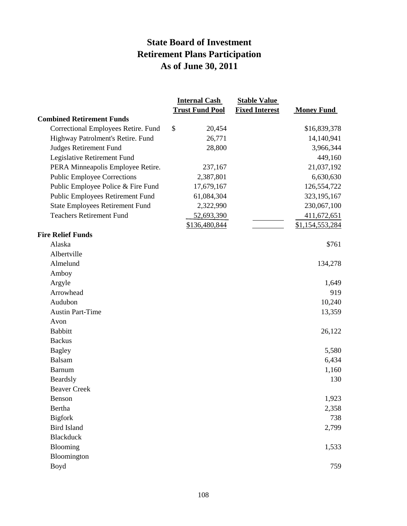|                                        | <b>Internal Cash</b>   | <b>Stable Value</b>   |                   |
|----------------------------------------|------------------------|-----------------------|-------------------|
|                                        | <b>Trust Fund Pool</b> | <b>Fixed Interest</b> | <b>Money Fund</b> |
| <b>Combined Retirement Funds</b>       |                        |                       |                   |
| Correctional Employees Retire. Fund    | \$<br>20,454           |                       | \$16,839,378      |
| Highway Patrolment's Retire. Fund      | 26,771                 |                       | 14,140,941        |
| <b>Judges Retirement Fund</b>          | 28,800                 |                       | 3,966,344         |
| Legislative Retirement Fund            |                        |                       | 449,160           |
| PERA Minneapolis Employee Retire.      | 237,167                |                       | 21,037,192        |
| <b>Public Employee Corrections</b>     | 2,387,801              |                       | 6,630,630         |
| Public Employee Police & Fire Fund     | 17,679,167             |                       | 126,554,722       |
| Public Employees Retirement Fund       | 61,084,304             |                       | 323,195,167       |
| <b>State Employees Retirement Fund</b> | 2,322,990              |                       | 230,067,100       |
| <b>Teachers Retirement Fund</b>        | 52,693,390             |                       | 411,672,651       |
|                                        | \$136,480,844          |                       | \$1,154,553,284   |
| <b>Fire Relief Funds</b>               |                        |                       |                   |
| Alaska                                 |                        |                       | \$761             |
| Albertville                            |                        |                       |                   |
| Almelund                               |                        |                       | 134,278           |
| Amboy                                  |                        |                       |                   |
| Argyle                                 |                        |                       | 1,649             |
| Arrowhead                              |                        |                       | 919               |
| Audubon                                |                        |                       | 10,240            |
| <b>Austin Part-Time</b>                |                        |                       | 13,359            |
| Avon                                   |                        |                       |                   |
| <b>Babbitt</b>                         |                        |                       | 26,122            |
| <b>Backus</b>                          |                        |                       |                   |
| <b>Bagley</b>                          |                        |                       | 5,580             |
| <b>Balsam</b>                          |                        |                       | 6,434             |
| <b>Barnum</b>                          |                        |                       | 1,160             |
| Beardsly                               |                        |                       | 130               |
| <b>Beaver Creek</b>                    |                        |                       |                   |
| Benson                                 |                        |                       | 1,923             |
| Bertha                                 |                        |                       | 2,358             |
| <b>Bigfork</b>                         |                        |                       | 738               |
| <b>Bird Island</b>                     |                        |                       | 2,799             |
| <b>Blackduck</b>                       |                        |                       |                   |
| Blooming                               |                        |                       | 1,533             |
| Bloomington                            |                        |                       |                   |
| Boyd                                   |                        |                       | 759               |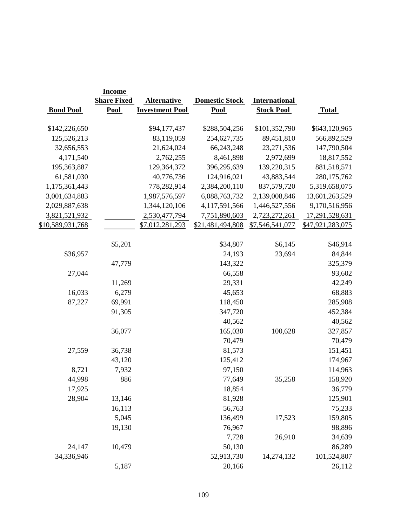|                         | <b>Income</b>      |                        |                       |                      |                  |
|-------------------------|--------------------|------------------------|-----------------------|----------------------|------------------|
|                         | <b>Share Fixed</b> | <b>Alternative</b>     | <b>Domestic Stock</b> | <b>International</b> |                  |
| <b>Bond Pool</b>        | <b>Pool</b>        | <b>Investment Pool</b> | <b>Pool</b>           | <b>Stock Pool</b>    | <b>Total</b>     |
| \$142,226,650           |                    | \$94,177,437           | \$288,504,256         | \$101,352,790        | \$643,120,965    |
| 125,526,213             |                    | 83,119,059             | 254,627,735           | 89,451,810           | 566,892,529      |
| 32,656,553              |                    | 21,624,024             | 66,243,248            | 23,271,536           | 147,790,504      |
| 4,171,540               |                    | 2,762,255              | 8,461,898             | 2,972,699            | 18,817,552       |
| 195,363,887             |                    | 129,364,372            | 396,295,639           | 139,220,315          | 881,518,571      |
| 61,581,030              |                    | 40,776,736             | 124,916,021           | 43,883,544           | 280,175,762      |
| 1,175,361,443           |                    | 778,282,914            | 2,384,200,110         | 837,579,720          | 5,319,658,075    |
| 3,001,634,883           |                    | 1,987,576,597          | 6,088,763,732         | 2,139,008,846        | 13,601,263,529   |
| 2,029,887,638           |                    | 1,344,120,106          | 4,117,591,566         | 1,446,527,556        | 9,170,516,956    |
| 3,821,521,932           |                    | 2,530,477,794          | 7,751,890,603         | 2,723,272,261        | 17,291,528,631   |
| <u>\$10,589,931,768</u> |                    | \$7,012,281,293        | \$21,481,494,808      | \$7,546,541,077      | \$47,921,283,075 |
|                         |                    |                        |                       |                      |                  |
|                         | \$5,201            |                        | \$34,807              | \$6,145              | \$46,914         |
| \$36,957                |                    |                        | 24,193                | 23,694               | 84,844           |
|                         | 47,779             |                        | 143,322               |                      | 325,379          |
| 27,044                  |                    |                        | 66,558                |                      | 93,602           |
|                         | 11,269             |                        | 29,331                |                      | 42,249           |
| 16,033                  | 6,279              |                        | 45,653                |                      | 68,883           |
| 87,227                  | 69,991             |                        | 118,450               |                      | 285,908          |
|                         | 91,305             |                        | 347,720               |                      | 452,384          |
|                         |                    |                        | 40,562                |                      | 40,562           |
|                         | 36,077             |                        | 165,030               | 100,628              | 327,857          |
|                         |                    |                        | 70,479                |                      | 70,479           |
| 27,559                  | 36,738             |                        | 81,573                |                      | 151,451          |
|                         | 43,120             |                        | 125,412               |                      | 174,967          |
| 8,721                   | 7,932              |                        | 97,150                |                      | 114,963          |
| 44,998                  | 886                |                        | 77,649                | 35,258               | 158,920          |
| 17,925                  |                    |                        | 18,854                |                      | 36,779           |
| 28,904                  | 13,146             |                        | 81,928                |                      | 125,901          |
|                         | 16,113             |                        | 56,763                |                      | 75,233           |
|                         | 5,045              |                        | 136,499               | 17,523               | 159,805          |
|                         | 19,130             |                        | 76,967                |                      | 98,896           |
|                         |                    |                        | 7,728                 | 26,910               | 34,639           |
| 24,147                  | 10,479             |                        | 50,130                |                      | 86,289           |
| 34,336,946              |                    |                        | 52,913,730            | 14,274,132           | 101,524,807      |
|                         | 5,187              |                        | 20,166                |                      | 26,112           |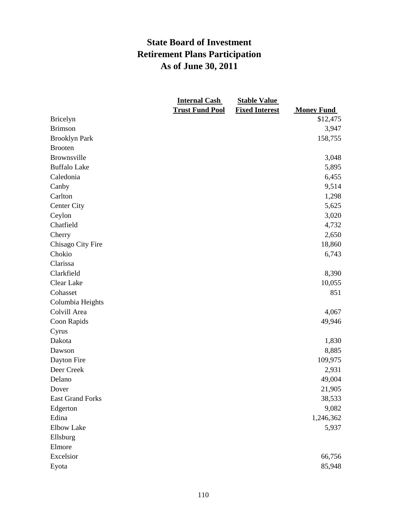|                         | <b>Internal Cash</b>   | <b>Stable Value</b>   |                   |
|-------------------------|------------------------|-----------------------|-------------------|
|                         | <b>Trust Fund Pool</b> | <b>Fixed Interest</b> | <b>Money Fund</b> |
| <b>Bricelyn</b>         |                        |                       | \$12,475          |
| <b>Brimson</b>          |                        |                       | 3,947             |
| <b>Brooklyn Park</b>    |                        |                       | 158,755           |
| <b>Brooten</b>          |                        |                       |                   |
| Brownsville             |                        |                       | 3,048             |
| <b>Buffalo</b> Lake     |                        |                       | 5,895             |
| Caledonia               |                        |                       | 6,455             |
| Canby                   |                        |                       | 9,514             |
| Carlton                 |                        |                       | 1,298             |
| Center City             |                        |                       | 5,625             |
| Ceylon                  |                        |                       | 3,020             |
| Chatfield               |                        |                       | 4,732             |
| Cherry                  |                        |                       | 2,650             |
| Chisago City Fire       |                        |                       | 18,860            |
| Chokio                  |                        |                       | 6,743             |
| Clarissa                |                        |                       |                   |
| Clarkfield              |                        |                       | 8,390             |
| <b>Clear Lake</b>       |                        |                       | 10,055            |
| Cohasset                |                        |                       | 851               |
| Columbia Heights        |                        |                       |                   |
| Colvill Area            |                        |                       | 4,067             |
| Coon Rapids             |                        |                       | 49,946            |
| Cyrus                   |                        |                       |                   |
| Dakota                  |                        |                       | 1,830             |
| Dawson                  |                        |                       | 8,885             |
| Dayton Fire             |                        |                       | 109,975           |
| Deer Creek              |                        |                       | 2,931             |
| Delano                  |                        |                       | 49,004            |
| Dover                   |                        |                       | 21,905            |
| <b>East Grand Forks</b> |                        |                       | 38,533            |
| Edgerton                |                        |                       | 9,082             |
| Edina                   |                        |                       | 1,246,362         |
| <b>Elbow Lake</b>       |                        |                       | 5,937             |
| Ellsburg                |                        |                       |                   |
| Elmore                  |                        |                       |                   |
| Excelsior               |                        |                       | 66,756            |
| Eyota                   |                        |                       | 85,948            |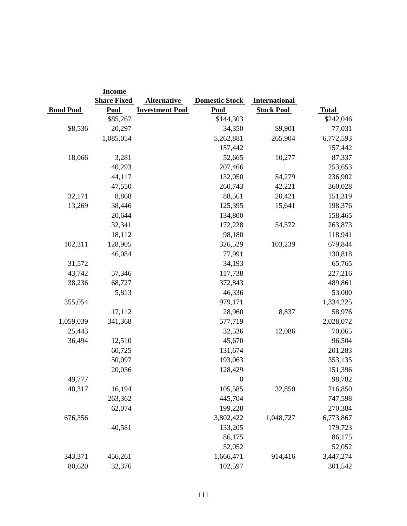|                  | <b>Income</b>      |                        |                       |                      |              |
|------------------|--------------------|------------------------|-----------------------|----------------------|--------------|
|                  | <b>Share Fixed</b> | <b>Alternative</b>     | <b>Domestic Stock</b> | <b>International</b> |              |
| <b>Bond Pool</b> | Pool               | <b>Investment Pool</b> | Pool                  | <b>Stock Pool</b>    | <b>Total</b> |
|                  | \$85,267           |                        | \$144,303             |                      | \$242,046    |
| \$8,536          | 20,297             |                        | 34,350                | \$9,901              | 77,031       |
|                  | 1,085,054          |                        | 5,262,881             | 265,904              | 6,772,593    |
|                  |                    |                        | 157,442               |                      | 157,442      |
| 18,066           | 3,281              |                        | 52,665                | 10,277               | 87,337       |
|                  | 40,293             |                        | 207,466               |                      | 253,653      |
|                  | 44,117             |                        | 132,050               | 54,279               | 236,902      |
|                  | 47,550             |                        | 260,743               | 42,221               | 360,028      |
| 32,171           | 8,868              |                        | 88,561                | 20,421               | 151,319      |
| 13,269           | 38,446             |                        | 125,395               | 15,641               | 198,376      |
|                  | 20,644             |                        | 134,800               |                      | 158,465      |
|                  | 32,341             |                        | 172,228               | 54,572               | 263,873      |
|                  | 18,112             |                        | 98,180                |                      | 118,941      |
| 102,311          | 128,905            |                        | 326,529               | 103,239              | 679,844      |
|                  | 46,084             |                        | 77,991                |                      | 130,818      |
| 31,572           |                    |                        | 34,193                |                      | 65,765       |
| 43,742           | 57,346             |                        | 117,738               |                      | 227,216      |
| 38,236           | 68,727             |                        | 372,843               |                      | 489,861      |
|                  | 5,813              |                        | 46,336                |                      | 53,000       |
| 355,054          |                    |                        | 979,171               |                      | 1,334,225    |
|                  | 17,112             |                        | 28,960                | 8,837                | 58,976       |
| 1,059,039        | 341,368            |                        | 577,719               |                      | 2,028,072    |
| 25,443           |                    |                        | 32,536                | 12,086               | 70,065       |
| 36,494           | 12,510             |                        | 45,670                |                      | 96,504       |
|                  | 60,725             |                        | 131,674               |                      | 201,283      |
|                  | 50,097             |                        | 193,063               |                      | 353,135      |
|                  | 20,036             |                        | 128,429               |                      | 151,396      |
| 49,777           |                    |                        | $\boldsymbol{0}$      |                      | 98,782       |
| 40,317           | 16,194             |                        | 105,585               | 32,850               | 216,850      |
|                  | 263,362            |                        | 445,704               |                      | 747,598      |
|                  | 62,074             |                        | 199,228               |                      | 270,384      |
| 676,356          |                    |                        | 3,802,422             | 1,048,727            | 6,773,867    |
|                  | 40,581             |                        | 133,205               |                      | 179,723      |
|                  |                    |                        | 86,175                |                      | 86,175       |
|                  |                    |                        | 52,052                |                      | 52,052       |
| 343,371          | 456,261            |                        | 1,666,471             | 914,416              | 3,447,274    |
| 80,620           | 32,376             |                        | 102,597               |                      | 301,542      |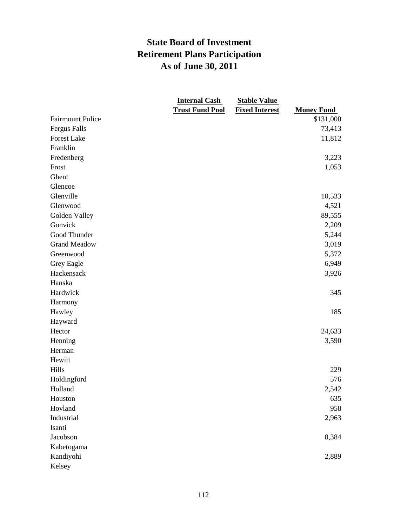|                         | <b>Internal Cash</b>   | <b>Stable Value</b>   |                   |
|-------------------------|------------------------|-----------------------|-------------------|
|                         | <b>Trust Fund Pool</b> | <b>Fixed Interest</b> | <b>Money Fund</b> |
| <b>Fairmount Police</b> |                        |                       | \$131,000         |
| <b>Fergus Falls</b>     |                        |                       | 73,413            |
| <b>Forest Lake</b>      |                        |                       | 11,812            |
| Franklin                |                        |                       |                   |
| Fredenberg              |                        |                       | 3,223             |
| Frost                   |                        |                       | 1,053             |
| Ghent                   |                        |                       |                   |
| Glencoe                 |                        |                       |                   |
| Glenville               |                        |                       | 10,533            |
| Glenwood                |                        |                       | 4,521             |
| Golden Valley           |                        |                       | 89,555            |
| Gonvick                 |                        |                       | 2,209             |
| Good Thunder            |                        |                       | 5,244             |
| <b>Grand Meadow</b>     |                        |                       | 3,019             |
| Greenwood               |                        |                       | 5,372             |
| Grey Eagle              |                        |                       | 6,949             |
| Hackensack              |                        |                       | 3,926             |
| Hanska                  |                        |                       |                   |
| Hardwick                |                        |                       | 345               |
| Harmony                 |                        |                       |                   |
| Hawley                  |                        |                       | 185               |
| Hayward                 |                        |                       |                   |
| Hector                  |                        |                       | 24,633            |
| Henning                 |                        |                       | 3,590             |
| Herman                  |                        |                       |                   |
| Hewitt                  |                        |                       |                   |
| Hills                   |                        |                       | 229               |
| Holdingford             |                        |                       | 576               |
| Holland                 |                        |                       | 2,542             |
| Houston                 |                        |                       | 635               |
| Hovland                 |                        |                       | 958               |
| Industrial              |                        |                       | 2,963             |
| Isanti                  |                        |                       |                   |
| Jacobson                |                        |                       | 8,384             |
| Kabetogama              |                        |                       |                   |
| Kandiyohi               |                        |                       | 2,889             |
| Kelsey                  |                        |                       |                   |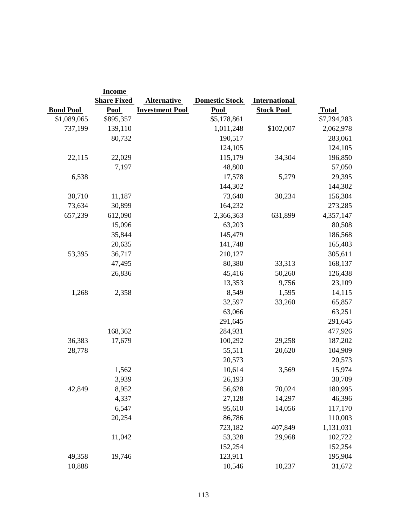| <b>Bond Pool</b><br>Pool<br><b>Investment Pool</b><br><b>Stock Pool</b><br><b>Total</b><br>Pool<br>\$5,178,861<br>\$895,357<br>\$7,294,283<br>\$1,089,065<br>737,199<br>\$102,007<br>139,110<br>1,011,248<br>2,062,978<br>80,732<br>190,517<br>283,061<br>124,105<br>124,105<br>115,179<br>196,850<br>22,115<br>22,029<br>34,304<br>7,197<br>48,800<br>57,050<br>5,279<br>6,538<br>17,578<br>144,302<br>144,302<br>73,640<br>30,710<br>11,187<br>30,234<br>73,634<br>30,899<br>164,232<br>657,239<br>612,090<br>2,366,363<br>631,899<br>15,096<br>63,203<br>35,844<br>145,479<br>20,635<br>141,748<br>36,717<br>210,127<br>53,395 | <b>Income</b>      |             |                       |                      |           |
|-----------------------------------------------------------------------------------------------------------------------------------------------------------------------------------------------------------------------------------------------------------------------------------------------------------------------------------------------------------------------------------------------------------------------------------------------------------------------------------------------------------------------------------------------------------------------------------------------------------------------------------|--------------------|-------------|-----------------------|----------------------|-----------|
|                                                                                                                                                                                                                                                                                                                                                                                                                                                                                                                                                                                                                                   | <b>Share Fixed</b> | Alternative | <b>Domestic Stock</b> | <b>International</b> |           |
|                                                                                                                                                                                                                                                                                                                                                                                                                                                                                                                                                                                                                                   |                    |             |                       |                      |           |
|                                                                                                                                                                                                                                                                                                                                                                                                                                                                                                                                                                                                                                   |                    |             |                       |                      |           |
|                                                                                                                                                                                                                                                                                                                                                                                                                                                                                                                                                                                                                                   |                    |             |                       |                      |           |
|                                                                                                                                                                                                                                                                                                                                                                                                                                                                                                                                                                                                                                   |                    |             |                       |                      |           |
|                                                                                                                                                                                                                                                                                                                                                                                                                                                                                                                                                                                                                                   |                    |             |                       |                      |           |
|                                                                                                                                                                                                                                                                                                                                                                                                                                                                                                                                                                                                                                   |                    |             |                       |                      |           |
|                                                                                                                                                                                                                                                                                                                                                                                                                                                                                                                                                                                                                                   |                    |             |                       |                      |           |
|                                                                                                                                                                                                                                                                                                                                                                                                                                                                                                                                                                                                                                   |                    |             |                       |                      | 29,395    |
|                                                                                                                                                                                                                                                                                                                                                                                                                                                                                                                                                                                                                                   |                    |             |                       |                      |           |
|                                                                                                                                                                                                                                                                                                                                                                                                                                                                                                                                                                                                                                   |                    |             |                       |                      | 156,304   |
|                                                                                                                                                                                                                                                                                                                                                                                                                                                                                                                                                                                                                                   |                    |             |                       |                      | 273,285   |
|                                                                                                                                                                                                                                                                                                                                                                                                                                                                                                                                                                                                                                   |                    |             |                       |                      | 4,357,147 |
|                                                                                                                                                                                                                                                                                                                                                                                                                                                                                                                                                                                                                                   |                    |             |                       |                      | 80,508    |
|                                                                                                                                                                                                                                                                                                                                                                                                                                                                                                                                                                                                                                   |                    |             |                       |                      | 186,568   |
|                                                                                                                                                                                                                                                                                                                                                                                                                                                                                                                                                                                                                                   |                    |             |                       |                      | 165,403   |
|                                                                                                                                                                                                                                                                                                                                                                                                                                                                                                                                                                                                                                   |                    |             |                       |                      | 305,611   |
| 80,380<br>33,313<br>47,495                                                                                                                                                                                                                                                                                                                                                                                                                                                                                                                                                                                                        |                    |             |                       |                      | 168,137   |
| 26,836<br>50,260<br>45,416                                                                                                                                                                                                                                                                                                                                                                                                                                                                                                                                                                                                        |                    |             |                       |                      | 126,438   |
| 13,353<br>9,756                                                                                                                                                                                                                                                                                                                                                                                                                                                                                                                                                                                                                   |                    |             |                       |                      | 23,109    |
| 2,358<br>8,549<br>1,595<br>1,268                                                                                                                                                                                                                                                                                                                                                                                                                                                                                                                                                                                                  |                    |             |                       |                      | 14,115    |
| 32,597<br>33,260                                                                                                                                                                                                                                                                                                                                                                                                                                                                                                                                                                                                                  |                    |             |                       |                      | 65,857    |
| 63,066                                                                                                                                                                                                                                                                                                                                                                                                                                                                                                                                                                                                                            |                    |             |                       |                      | 63,251    |
| 291,645                                                                                                                                                                                                                                                                                                                                                                                                                                                                                                                                                                                                                           |                    |             |                       |                      | 291,645   |
| 168,362<br>284,931                                                                                                                                                                                                                                                                                                                                                                                                                                                                                                                                                                                                                |                    |             |                       |                      | 477,926   |
| 100,292<br>29,258<br>36,383<br>17,679                                                                                                                                                                                                                                                                                                                                                                                                                                                                                                                                                                                             |                    |             |                       |                      | 187,202   |
| 55,511<br>28,778<br>20,620                                                                                                                                                                                                                                                                                                                                                                                                                                                                                                                                                                                                        |                    |             |                       |                      | 104,909   |
| 20,573                                                                                                                                                                                                                                                                                                                                                                                                                                                                                                                                                                                                                            |                    |             |                       |                      | 20,573    |
| 1,562<br>10,614<br>3,569                                                                                                                                                                                                                                                                                                                                                                                                                                                                                                                                                                                                          |                    |             |                       |                      | 15,974    |
| 26,193<br>3,939                                                                                                                                                                                                                                                                                                                                                                                                                                                                                                                                                                                                                   |                    |             |                       |                      | 30,709    |
| 42,849<br>8,952<br>56,628<br>70,024                                                                                                                                                                                                                                                                                                                                                                                                                                                                                                                                                                                               |                    |             |                       |                      | 180,995   |
| 4,337<br>27,128<br>14,297                                                                                                                                                                                                                                                                                                                                                                                                                                                                                                                                                                                                         |                    |             |                       |                      | 46,396    |
| 6,547<br>95,610<br>14,056                                                                                                                                                                                                                                                                                                                                                                                                                                                                                                                                                                                                         |                    |             |                       |                      | 117,170   |
| 20,254<br>86,786                                                                                                                                                                                                                                                                                                                                                                                                                                                                                                                                                                                                                  |                    |             |                       |                      | 110,003   |
| 723,182<br>407,849                                                                                                                                                                                                                                                                                                                                                                                                                                                                                                                                                                                                                |                    |             |                       |                      | 1,131,031 |
| 11,042<br>53,328<br>29,968                                                                                                                                                                                                                                                                                                                                                                                                                                                                                                                                                                                                        |                    |             |                       |                      | 102,722   |
| 152,254                                                                                                                                                                                                                                                                                                                                                                                                                                                                                                                                                                                                                           |                    |             |                       |                      | 152,254   |
| 123,911<br>49,358<br>19,746                                                                                                                                                                                                                                                                                                                                                                                                                                                                                                                                                                                                       |                    |             |                       |                      | 195,904   |
| 10,546<br>10,237<br>10,888                                                                                                                                                                                                                                                                                                                                                                                                                                                                                                                                                                                                        |                    |             |                       |                      | 31,672    |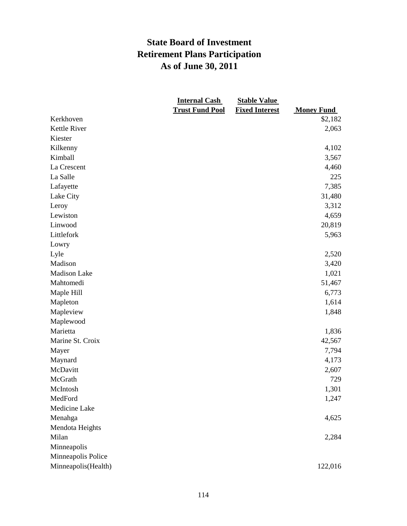|                     | <b>Internal Cash</b>   | <b>Stable Value</b>   |                   |
|---------------------|------------------------|-----------------------|-------------------|
|                     | <b>Trust Fund Pool</b> | <b>Fixed Interest</b> | <b>Money Fund</b> |
| Kerkhoven           |                        |                       | \$2,182           |
| Kettle River        |                        |                       | 2,063             |
| Kiester             |                        |                       |                   |
| Kilkenny            |                        |                       | 4,102             |
| Kimball             |                        |                       | 3,567             |
| La Crescent         |                        |                       | 4,460             |
| La Salle            |                        |                       | 225               |
| Lafayette           |                        |                       | 7,385             |
| Lake City           |                        |                       | 31,480            |
| Leroy               |                        |                       | 3,312             |
| Lewiston            |                        |                       | 4,659             |
| Linwood             |                        |                       | 20,819            |
| Littlefork          |                        |                       | 5,963             |
| Lowry               |                        |                       |                   |
| Lyle                |                        |                       | 2,520             |
| Madison             |                        |                       | 3,420             |
| <b>Madison Lake</b> |                        |                       | 1,021             |
| Mahtomedi           |                        |                       | 51,467            |
| Maple Hill          |                        |                       | 6,773             |
| Mapleton            |                        |                       | 1,614             |
| Mapleview           |                        |                       | 1,848             |
| Maplewood           |                        |                       |                   |
| Marietta            |                        |                       | 1,836             |
| Marine St. Croix    |                        |                       | 42,567            |
| Mayer               |                        |                       | 7,794             |
| Maynard             |                        |                       | 4,173             |
| McDavitt            |                        |                       | 2,607             |
| McGrath             |                        |                       | 729               |
| McIntosh            |                        |                       | 1,301             |
| MedFord             |                        |                       | 1,247             |
| Medicine Lake       |                        |                       |                   |
| Menahga             |                        |                       | 4,625             |
| Mendota Heights     |                        |                       |                   |
| Milan               |                        |                       | 2,284             |
| Minneapolis         |                        |                       |                   |
| Minneapolis Police  |                        |                       |                   |
| Minneapolis(Health) |                        |                       | 122,016           |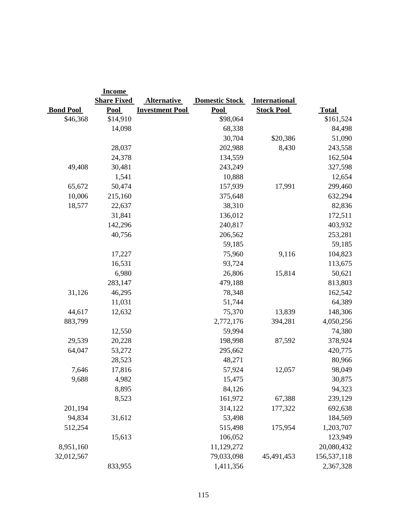|                  | <b>Income</b>      |                        |                       |                      |              |
|------------------|--------------------|------------------------|-----------------------|----------------------|--------------|
|                  | <b>Share Fixed</b> | <b>Alternative</b>     | <b>Domestic Stock</b> | <b>International</b> |              |
| <b>Bond Pool</b> | <b>Pool</b>        | <b>Investment Pool</b> | Pool                  | <b>Stock Pool</b>    | <b>Total</b> |
| \$46,368         | \$14,910           |                        | \$98,064              |                      | \$161,524    |
|                  | 14,098             |                        | 68,338                |                      | 84,498       |
|                  |                    |                        | 30,704                | \$20,386             | 51,090       |
|                  | 28,037             |                        | 202,988               | 8,430                | 243,558      |
|                  | 24,378             |                        | 134,559               |                      | 162,504      |
| 49,408           | 30,481             |                        | 243,249               |                      | 327,598      |
|                  | 1,541              |                        | 10,888                |                      | 12,654       |
| 65,672           | 50,474             |                        | 157,939               | 17,991               | 299,460      |
| 10,006           | 215,160            |                        | 375,648               |                      | 632,294      |
| 18,577           | 22,637             |                        | 38,310                |                      | 82,836       |
|                  | 31,841             |                        | 136,012               |                      | 172,511      |
|                  | 142,296            |                        | 240,817               |                      | 403,932      |
|                  | 40,756             |                        | 206,562               |                      | 253,281      |
|                  |                    |                        | 59,185                |                      | 59,185       |
|                  | 17,227             |                        | 75,960                | 9,116                | 104,823      |
|                  | 16,531             |                        | 93,724                |                      | 113,675      |
|                  | 6,980              |                        | 26,806                | 15,814               | 50,621       |
|                  | 283,147            |                        | 479,188               |                      | 813,803      |
| 31,126           | 46,295             |                        | 78,348                |                      | 162,542      |
|                  | 11,031             |                        | 51,744                |                      | 64,389       |
| 44,617           | 12,632             |                        | 75,370                | 13,839               | 148,306      |
| 883,799          |                    |                        | 2,772,176             | 394,281              | 4,050,256    |
|                  | 12,550             |                        | 59,994                |                      | 74,380       |
| 29,539           | 20,228             |                        | 198,998               | 87,592               | 378,924      |
| 64,047           | 53,272             |                        | 295,662               |                      | 420,775      |
|                  | 28,523             |                        | 48,271                |                      | 80,966       |
| 7,646            | 17,816             |                        | 57,924                | 12,057               | 98,049       |
| 9,688            | 4,982              |                        | 15,475                |                      | 30,875       |
|                  | 8,895              |                        | 84,126                |                      | 94,323       |
|                  | 8,523              |                        | 161,972               | 67,388               | 239,129      |
| 201,194          |                    |                        | 314,122               | 177,322              | 692,638      |
| 94,834           | 31,612             |                        | 53,498                |                      | 184,569      |
| 512,254          |                    |                        | 515,498               | 175,954              | 1,203,707    |
|                  | 15,613             |                        | 106,052               |                      | 123,949      |
| 8,951,160        |                    |                        | 11,129,272            |                      | 20,080,432   |
| 32,012,567       |                    |                        | 79,033,098            | 45,491,453           | 156,537,118  |
|                  | 833,955            |                        | 1,411,356             |                      | 2,367,328    |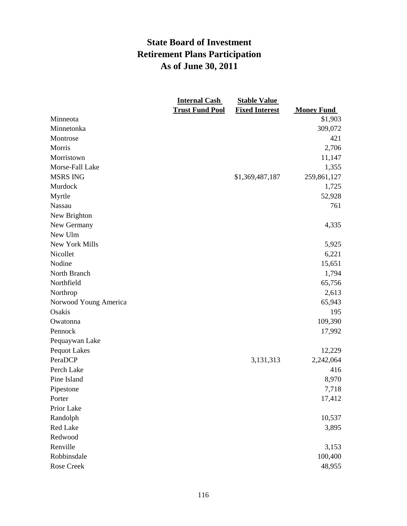|                       | <b>Internal Cash</b>   | <b>Stable Value</b>   |                   |
|-----------------------|------------------------|-----------------------|-------------------|
|                       | <b>Trust Fund Pool</b> | <b>Fixed Interest</b> | <b>Money Fund</b> |
| Minneota              |                        |                       | \$1,903           |
| Minnetonka            |                        |                       | 309,072           |
| Montrose              |                        |                       | 421               |
| Morris                |                        |                       | 2,706             |
| Morristown            |                        |                       | 11,147            |
| Morse-Fall Lake       |                        |                       | 1,355             |
| <b>MSRS ING</b>       |                        | \$1,369,487,187       | 259,861,127       |
| Murdock               |                        |                       | 1,725             |
| Myrtle                |                        |                       | 52,928            |
| Nassau                |                        |                       | 761               |
| New Brighton          |                        |                       |                   |
| New Germany           |                        |                       | 4,335             |
| New Ulm               |                        |                       |                   |
| New York Mills        |                        |                       | 5,925             |
| Nicollet              |                        |                       | 6,221             |
| Nodine                |                        |                       | 15,651            |
| North Branch          |                        |                       | 1,794             |
| Northfield            |                        |                       | 65,756            |
| Northrop              |                        |                       | 2,613             |
| Norwood Young America |                        |                       | 65,943            |
| Osakis                |                        |                       | 195               |
| Owatonna              |                        |                       | 109,390           |
| Pennock               |                        |                       | 17,992            |
| Pequaywan Lake        |                        |                       |                   |
| <b>Pequot Lakes</b>   |                        |                       | 12,229            |
| PeraDCP               |                        | 3,131,313             | 2,242,064         |
| Perch Lake            |                        |                       | 416               |
| Pine Island           |                        |                       | 8,970             |
| Pipestone             |                        |                       | 7,718             |
| Porter                |                        |                       | 17,412            |
| Prior Lake            |                        |                       |                   |
| Randolph              |                        |                       | 10,537            |
| <b>Red Lake</b>       |                        |                       | 3,895             |
| Redwood               |                        |                       |                   |
| Renville              |                        |                       | 3,153             |
| Robbinsdale           |                        |                       | 100,400           |
| <b>Rose Creek</b>     |                        |                       | 48,955            |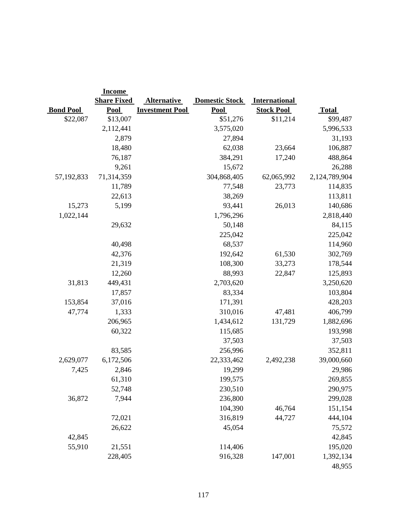|                  | <b>Income</b>      |                        |                       |                      |               |
|------------------|--------------------|------------------------|-----------------------|----------------------|---------------|
|                  | <b>Share Fixed</b> | <b>Alternative</b>     | <b>Domestic Stock</b> | <b>International</b> |               |
| <b>Bond Pool</b> | Pool               | <b>Investment Pool</b> | <b>Pool</b>           | <b>Stock Pool</b>    | <b>Total</b>  |
| \$22,087         | \$13,007           |                        | \$51,276              | \$11,214             | \$99,487      |
|                  | 2,112,441          |                        | 3,575,020             |                      | 5,996,533     |
|                  | 2,879              |                        | 27,894                |                      | 31,193        |
|                  | 18,480             |                        | 62,038                | 23,664               | 106,887       |
|                  | 76,187             |                        | 384,291               | 17,240               | 488,864       |
|                  | 9,261              |                        | 15,672                |                      | 26,288        |
| 57,192,833       | 71,314,359         |                        | 304,868,405           | 62,065,992           | 2,124,789,904 |
|                  | 11,789             |                        | 77,548                | 23,773               | 114,835       |
|                  | 22,613             |                        | 38,269                |                      | 113,811       |
| 15,273           | 5,199              |                        | 93,441                | 26,013               | 140,686       |
| 1,022,144        |                    |                        | 1,796,296             |                      | 2,818,440     |
|                  | 29,632             |                        | 50,148                |                      | 84,115        |
|                  |                    |                        | 225,042               |                      | 225,042       |
|                  | 40,498             |                        | 68,537                |                      | 114,960       |
|                  | 42,376             |                        | 192,642               | 61,530               | 302,769       |
|                  | 21,319             |                        | 108,300               | 33,273               | 178,544       |
|                  | 12,260             |                        | 88,993                | 22,847               | 125,893       |
| 31,813           | 449,431            |                        | 2,703,620             |                      | 3,250,620     |
|                  | 17,857             |                        | 83,334                |                      | 103,804       |
| 153,854          | 37,016             |                        | 171,391               |                      | 428,203       |
| 47,774           | 1,333              |                        | 310,016               | 47,481               | 406,799       |
|                  | 206,965            |                        | 1,434,612             | 131,729              | 1,882,696     |
|                  | 60,322             |                        | 115,685               |                      | 193,998       |
|                  |                    |                        | 37,503                |                      | 37,503        |
|                  | 83,585             |                        | 256,996               |                      | 352,811       |
| 2,629,077        | 6,172,506          |                        | 22,333,462            | 2,492,238            | 39,000,660    |
| 7,425            | 2,846              |                        | 19,299                |                      | 29,986        |
|                  | 61,310             |                        | 199,575               |                      | 269,855       |
|                  | 52,748             |                        | 230,510               |                      | 290,975       |
| 36,872           | 7,944              |                        | 236,800               |                      | 299,028       |
|                  |                    |                        | 104,390               | 46,764               | 151,154       |
|                  | 72,021             |                        | 316,819               | 44,727               | 444,104       |
|                  | 26,622             |                        | 45,054                |                      | 75,572        |
| 42,845           |                    |                        |                       |                      | 42,845        |
| 55,910           | 21,551             |                        | 114,406               |                      | 195,020       |
|                  | 228,405            |                        | 916,328               | 147,001              | 1,392,134     |
|                  |                    |                        |                       |                      | 48,955        |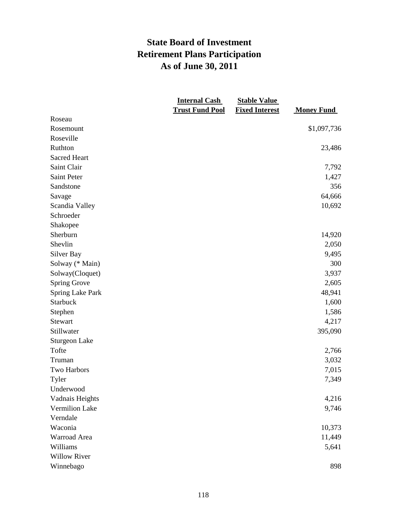|                          | <b>Internal Cash</b>   | <b>Stable Value</b>   |                   |
|--------------------------|------------------------|-----------------------|-------------------|
| Roseau                   | <b>Trust Fund Pool</b> | <b>Fixed Interest</b> | <b>Money Fund</b> |
| Rosemount                |                        |                       | \$1,097,736       |
| Roseville                |                        |                       |                   |
| Ruthton                  |                        |                       | 23,486            |
| <b>Sacred Heart</b>      |                        |                       |                   |
| Saint Clair              |                        |                       | 7,792             |
| Saint Peter              |                        |                       | 1,427             |
| Sandstone                |                        |                       | 356               |
|                          |                        |                       | 64,666            |
| Savage<br>Scandia Valley |                        |                       | 10,692            |
| Schroeder                |                        |                       |                   |
| Shakopee                 |                        |                       |                   |
| Sherburn                 |                        |                       | 14,920            |
| Shevlin                  |                        |                       |                   |
|                          |                        |                       | 2,050             |
| Silver Bay               |                        |                       | 9,495<br>300      |
| Solway (* Main)          |                        |                       |                   |
| Solway(Cloquet)          |                        |                       | 3,937             |
| <b>Spring Grove</b>      |                        |                       | 2,605             |
| Spring Lake Park         |                        |                       | 48,941            |
| Starbuck                 |                        |                       | 1,600             |
| Stephen                  |                        |                       | 1,586             |
| Stewart                  |                        |                       | 4,217             |
| Stillwater               |                        |                       | 395,090           |
| Sturgeon Lake            |                        |                       |                   |
| Tofte                    |                        |                       | 2,766             |
| Truman                   |                        |                       | 3,032             |
| Two Harbors              |                        |                       | 7,015             |
| Tyler                    |                        |                       | 7,349             |
| Underwood                |                        |                       |                   |
| Vadnais Heights          |                        |                       | 4,216             |
| Vermilion Lake           |                        |                       | 9,746             |
| Verndale                 |                        |                       |                   |
| Waconia                  |                        |                       | 10,373            |
| Warroad Area             |                        |                       | 11,449            |
| Williams                 |                        |                       | 5,641             |
| <b>Willow River</b>      |                        |                       |                   |
| Winnebago                |                        |                       | 898               |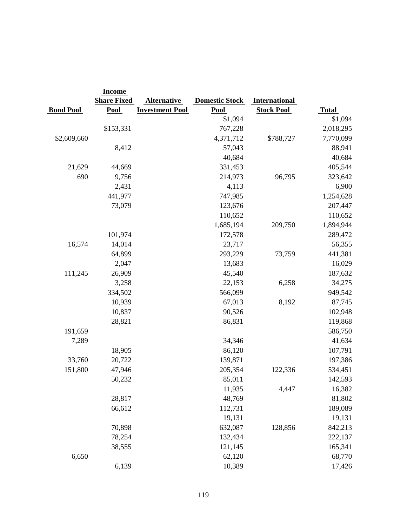|                  | <b>Income</b>      |                        |                       |                      |              |
|------------------|--------------------|------------------------|-----------------------|----------------------|--------------|
|                  | <b>Share Fixed</b> | <b>Alternative</b>     | <b>Domestic Stock</b> | <b>International</b> |              |
| <b>Bond Pool</b> | <b>Pool</b>        | <b>Investment Pool</b> | Pool                  | <b>Stock Pool</b>    | <b>Total</b> |
|                  |                    |                        | \$1,094               |                      | \$1,094      |
|                  | \$153,331          |                        | 767,228               |                      | 2,018,295    |
| \$2,609,660      |                    |                        | 4,371,712             | \$788,727            | 7,770,099    |
|                  | 8,412              |                        | 57,043                |                      | 88,941       |
|                  |                    |                        | 40,684                |                      | 40,684       |
| 21,629           | 44,669             |                        | 331,453               |                      | 405,544      |
| 690              | 9,756              |                        | 214,973               | 96,795               | 323,642      |
|                  | 2,431              |                        | 4,113                 |                      | 6,900        |
|                  | 441,977            |                        | 747,985               |                      | 1,254,628    |
|                  | 73,079             |                        | 123,676               |                      | 207,447      |
|                  |                    |                        | 110,652               |                      | 110,652      |
|                  |                    |                        | 1,685,194             | 209,750              | 1,894,944    |
|                  | 101,974            |                        | 172,578               |                      | 289,472      |
| 16,574           | 14,014             |                        | 23,717                |                      | 56,355       |
|                  | 64,899             |                        | 293,229               | 73,759               | 441,381      |
|                  | 2,047              |                        | 13,683                |                      | 16,029       |
| 111,245          | 26,909             |                        | 45,540                |                      | 187,632      |
|                  | 3,258              |                        | 22,153                | 6,258                | 34,275       |
|                  | 334,502            |                        | 566,099               |                      | 949,542      |
|                  | 10,939             |                        | 67,013                | 8,192                | 87,745       |
|                  | 10,837             |                        | 90,526                |                      | 102,948      |
|                  | 28,821             |                        | 86,831                |                      | 119,868      |
| 191,659          |                    |                        |                       |                      | 586,750      |
| 7,289            |                    |                        | 34,346                |                      | 41,634       |
|                  | 18,905             |                        | 86,120                |                      | 107,791      |
| 33,760           | 20,722             |                        | 139,871               |                      | 197,386      |
| 151,800          | 47,946             |                        | 205,354               | 122,336              | 534,451      |
|                  | 50,232             |                        | 85,011                |                      | 142,593      |
|                  |                    |                        | 11,935                | 4,447                | 16,382       |
|                  | 28,817             |                        | 48,769                |                      | 81,802       |
|                  | 66,612             |                        | 112,731               |                      | 189,089      |
|                  |                    |                        | 19,131                |                      | 19,131       |
|                  | 70,898             |                        | 632,087               | 128,856              | 842,213      |
|                  | 78,254             |                        | 132,434               |                      | 222,137      |
|                  | 38,555             |                        | 121,145               |                      | 165,341      |
| 6,650            |                    |                        | 62,120                |                      | 68,770       |
|                  | 6,139              |                        | 10,389                |                      | 17,426       |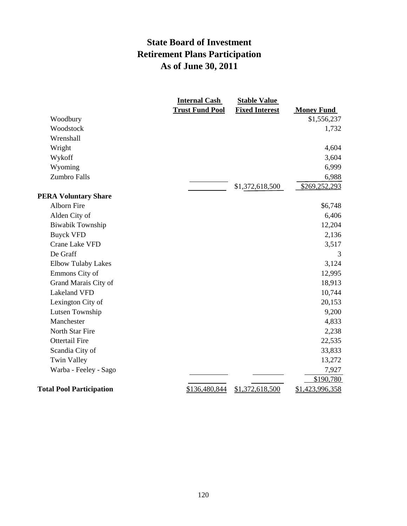|                                 | <b>Internal Cash</b>   | <b>Stable Value</b>   |                   |
|---------------------------------|------------------------|-----------------------|-------------------|
|                                 | <b>Trust Fund Pool</b> | <b>Fixed Interest</b> | <b>Money Fund</b> |
| Woodbury                        |                        |                       | \$1,556,237       |
| Woodstock                       |                        |                       | 1,732             |
| Wrenshall                       |                        |                       |                   |
| Wright                          |                        |                       | 4,604             |
| Wykoff                          |                        |                       | 3,604             |
| Wyoming                         |                        |                       | 6,999             |
| <b>Zumbro Falls</b>             |                        |                       | 6,988             |
|                                 |                        | \$1,372,618,500       | \$269,252,293     |
| <b>PERA Voluntary Share</b>     |                        |                       |                   |
| <b>Alborn Fire</b>              |                        |                       | \$6,748           |
| Alden City of                   |                        |                       | 6,406             |
| <b>Biwabik Township</b>         |                        |                       | 12,204            |
| <b>Buyck VFD</b>                |                        |                       | 2,136             |
| Crane Lake VFD                  |                        |                       | 3,517             |
| De Graff                        |                        |                       | 3                 |
| <b>Elbow Tulaby Lakes</b>       |                        |                       | 3,124             |
| Emmons City of                  |                        |                       | 12,995            |
| Grand Marais City of            |                        |                       | 18,913            |
| <b>Lakeland VFD</b>             |                        |                       | 10,744            |
| Lexington City of               |                        |                       | 20,153            |
| Lutsen Township                 |                        |                       | 9,200             |
| Manchester                      |                        |                       | 4,833             |
| North Star Fire                 |                        |                       | 2,238             |
| <b>Ottertail Fire</b>           |                        |                       | 22,535            |
| Scandia City of                 |                        |                       | 33,833            |
| <b>Twin Valley</b>              |                        |                       | 13,272            |
| Warba - Feeley - Sago           |                        |                       | 7,927             |
|                                 |                        |                       | \$190,780         |
| <b>Total Pool Participation</b> | \$136,480,844          | \$1,372,618,500       | \$1,423,996,358   |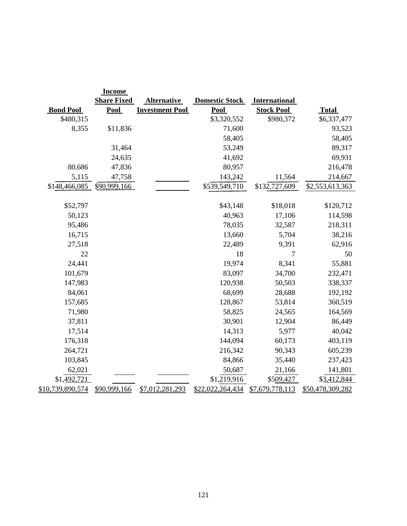|                  | <b>Income</b>      |                        |                       |                      |                  |
|------------------|--------------------|------------------------|-----------------------|----------------------|------------------|
|                  | <b>Share Fixed</b> | <b>Alternative</b>     | <b>Domestic Stock</b> | <b>International</b> |                  |
| <b>Bond Pool</b> | <b>Pool</b>        | <b>Investment Pool</b> | Pool                  | <b>Stock Pool</b>    | <b>Total</b>     |
| \$480,315        |                    |                        | \$3,320,552           | \$980,372            | \$6,337,477      |
| 8,355            | \$11,836           |                        | 71,600                |                      | 93,523           |
|                  |                    |                        | 58,405                |                      | 58,405           |
|                  | 31,464             |                        | 53,249                |                      | 89,317           |
|                  | 24,635             |                        | 41,692                |                      | 69,931           |
| 80,686           | 47,836             |                        | 80,957                |                      | 216,478          |
| 5,115            | 47,758             |                        | 143,242               | 11,564               | 214,667          |
| \$148,466,085    | \$90,999,166       |                        | \$539,549,710         | \$132,727,609        | \$2,553,613,363  |
|                  |                    |                        |                       |                      |                  |
| \$52,797         |                    |                        | \$43,148              | \$18,018             | \$120,712        |
| 50,123           |                    |                        | 40,963                | 17,106               | 114,598          |
| 95,486           |                    |                        | 78,035                | 32,587               | 218,311          |
| 16,715           |                    |                        | 13,660                | 5,704                | 38,216           |
| 27,518           |                    |                        | 22,489                | 9,391                | 62,916           |
| 22               |                    |                        | 18                    | 7                    | 50               |
| 24,441           |                    |                        | 19,974                | 8,341                | 55,881           |
| 101,679          |                    |                        | 83,097                | 34,700               | 232,471          |
| 147,983          |                    |                        | 120,938               | 50,503               | 338,337          |
| 84,061           |                    |                        | 68,699                | 28,688               | 192,192          |
| 157,685          |                    |                        | 128,867               | 53,814               | 360,519          |
| 71,980           |                    |                        | 58,825                | 24,565               | 164,569          |
| 37,811           |                    |                        | 30,901                | 12,904               | 86,449           |
| 17,514           |                    |                        | 14,313                | 5,977                | 40,042           |
| 176,318          |                    |                        | 144,094               | 60,173               | 403,119          |
| 264,721          |                    |                        | 216,342               | 90,343               | 605,239          |
| 103,845          |                    |                        | 84,866                | 35,440               | 237,423          |
| 62,021           |                    |                        | 50,687                | 21,166               | 141,801          |
| \$1,492,721      |                    |                        | \$1,219,916           | \$509,427            | \$3,412,844      |
| \$10,739,890,574 | \$90,999,166       | \$7,012,281,293        | \$22,022,264,434      | \$7,679,778,113      | \$50,478,309,282 |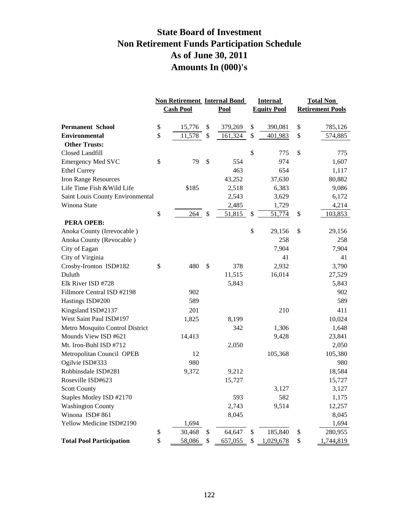## **State Board of Investment Non Retirement Funds Participation Schedule As of June 30, 2011 Amounts In (000)'s**

|                                  | <b>Non Retirement Internal Bond</b> |                  | <b>Internal</b> |             | <b>Total Non</b> |                    |                         |           |
|----------------------------------|-------------------------------------|------------------|-----------------|-------------|------------------|--------------------|-------------------------|-----------|
|                                  |                                     | <b>Cash Pool</b> |                 | <u>Pool</u> |                  | <b>Equity Pool</b> | <b>Retirement Pools</b> |           |
| <b>Permanent School</b>          | \$                                  | 15,776           | \$              | 379,269     | \$               | 390,081            | \$                      | 785,126   |
| <b>Environmental</b>             | \$                                  | 11,578           | \$              | 161,324     | \$               | 401,983            | \$                      | 574,885   |
| <b>Other Trusts:</b>             |                                     |                  |                 |             |                  |                    |                         |           |
| Closed Landfill                  |                                     |                  |                 |             | \$               | 775                | $\mathbb{S}$            | 775       |
| <b>Emergency Med SVC</b>         | \$                                  | 79               | $\mathcal{S}$   | 554         |                  | 974                |                         | 1,607     |
| <b>Ethel Currey</b>              |                                     |                  |                 | 463         |                  | 654                |                         | 1,117     |
| <b>Iron Range Resources</b>      |                                     |                  |                 | 43,252      |                  | 37,630             |                         | 80,882    |
| Life Time Fish & Wild Life       |                                     | \$185            |                 | 2,518       |                  | 6,383              |                         | 9,086     |
| Saint Louis County Environmental |                                     |                  |                 | 2,543       |                  | 3,629              |                         | 6,172     |
| Winona State                     |                                     |                  |                 | 2,485       |                  | 1,729              |                         | 4,214     |
|                                  | \$                                  | 264              | \$              | 51,815      | \$               | 51,774             | \$                      | 103,853   |
| <b>PERA OPEB:</b>                |                                     |                  |                 |             |                  |                    |                         |           |
| Anoka County (Irrevocable)       |                                     |                  |                 |             | \$               | 29,156             | \$                      | 29,156    |
| Anoka County (Revocable)         |                                     |                  |                 |             |                  | 258                |                         | 258       |
| City of Eagan                    |                                     |                  |                 |             |                  | 7,904              |                         | 7,904     |
| City of Virginia                 |                                     |                  |                 |             |                  | 41                 |                         | 41        |
| Crosby-Ironton ISD#182           | \$                                  | 480              | \$              | 378         |                  | 2,932              |                         | 3,790     |
| Duluth                           |                                     |                  |                 | 11,515      |                  | 16,014             |                         | 27,529    |
| Elk River ISD #728               |                                     |                  |                 | 5,843       |                  |                    |                         | 5,843     |
| Fillmore Central ISD #2198       |                                     | 902              |                 |             |                  |                    |                         | 902       |
| Hastings ISD#200                 |                                     | 589              |                 |             |                  |                    |                         | 589       |
| Kingsland ISD#2137               |                                     | 201              |                 |             |                  | 210                |                         | 411       |
| West Saint Paul ISD#197          |                                     | 1,825            |                 | 8,199       |                  |                    |                         | 10,024    |
| Metro Mosquito Control District  |                                     |                  |                 | 342         |                  | 1,306              |                         | 1,648     |
| Mounds View ISD #621             |                                     | 14,413           |                 |             |                  | 9,428              |                         | 23,841    |
| Mt. Iron-Buhl ISD #712           |                                     |                  |                 | 2,050       |                  |                    |                         | 2,050     |
| Metropolitan Council OPEB        |                                     | 12               |                 |             |                  | 105,368            |                         | 105,380   |
| Ogilvie ISD#333                  |                                     | 980              |                 |             |                  |                    |                         | 980       |
| Robbinsdale ISD#281              |                                     | 9,372            |                 | 9,212       |                  |                    |                         | 18,584    |
| Roseville ISD#623                |                                     |                  |                 | 15,727      |                  |                    |                         | 15,727    |
| <b>Scott County</b>              |                                     |                  |                 |             |                  | 3,127              |                         | 3,127     |
| Staples Motley ISD #2170         |                                     |                  |                 | 593         |                  | 582                |                         | 1,175     |
| <b>Washington County</b>         |                                     |                  |                 | 2,743       |                  | 9,514              |                         | 12,257    |
| Winona ISD#861                   |                                     |                  |                 | 8,045       |                  |                    |                         | 8,045     |
| Yellow Medicine ISD#2190         |                                     | 1,694            |                 |             |                  |                    |                         | 1,694     |
|                                  | \$                                  | 30,468           | \$              | 64,647      | \$               | 185,840            | \$                      | 280,955   |
| <b>Total Pool Participation</b>  | \$                                  | 58,086           | \$              | 657,055     | \$               | 1,029,678          | \$                      | 1,744,819 |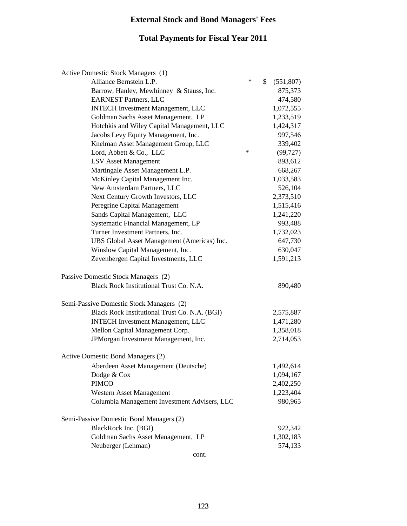### **External Stock and Bond Managers' Fees**

### **Total Payments for Fiscal Year 2011**

| Active Domestic Stock Managers (1)            |        |                 |
|-----------------------------------------------|--------|-----------------|
| Alliance Bernstein L.P.                       | $\ast$ | \$<br>(551,807) |
| Barrow, Hanley, Mewhinney & Stauss, Inc.      |        | 875,373         |
| <b>EARNEST Partners, LLC</b>                  |        | 474,580         |
| <b>INTECH Investment Management, LLC</b>      |        | 1,072,555       |
| Goldman Sachs Asset Management, LP            |        | 1,233,519       |
| Hotchkis and Wiley Capital Management, LLC    |        | 1,424,317       |
| Jacobs Levy Equity Management, Inc.           |        | 997,546         |
| Knelman Asset Management Group, LLC           |        | 339,402         |
| Lord, Abbett & Co., LLC                       | $\ast$ | (99, 727)       |
| <b>LSV</b> Asset Management                   |        | 893,612         |
| Martingale Asset Management L.P.              |        | 668,267         |
| McKinley Capital Management Inc.              |        | 1,033,583       |
| New Amsterdam Partners, LLC                   |        | 526,104         |
| Next Century Growth Investors, LLC            |        | 2,373,510       |
| Peregrine Capital Management                  |        | 1,515,416       |
| Sands Capital Management, LLC                 |        | 1,241,220       |
| Systematic Financial Management, LP           |        | 993,488         |
| Turner Investment Partners, Inc.              |        | 1,732,023       |
| UBS Global Asset Management (Americas) Inc.   |        | 647,730         |
| Winslow Capital Management, Inc.              |        | 630,047         |
| Zevenbergen Capital Investments, LLC          |        | 1,591,213       |
| Passive Domestic Stock Managers (2)           |        |                 |
| Black Rock Institutional Trust Co. N.A.       |        | 890,480         |
| Semi-Passive Domestic Stock Managers (2)      |        |                 |
| Black Rock Institutional Trust Co. N.A. (BGI) |        | 2,575,887       |
| <b>INTECH Investment Management, LLC</b>      |        | 1,471,280       |
| Mellon Capital Management Corp.               |        | 1,358,018       |
| JPMorgan Investment Management, Inc.          |        | 2,714,053       |
| Active Domestic Bond Managers (2)             |        |                 |
| Aberdeen Asset Management (Deutsche)          |        | 1,492,614       |
| Dodge & Cox                                   |        | 1,094,167       |
| <b>PIMCO</b>                                  |        | 2,402,250       |
| Western Asset Management                      |        | 1,223,404       |
| Columbia Management Investment Advisers, LLC  |        | 980,965         |
|                                               |        |                 |
| Semi-Passive Domestic Bond Managers (2)       |        |                 |
| BlackRock Inc. (BGI)                          |        | 922,342         |
| Goldman Sachs Asset Management, LP            |        | 1,302,183       |
| Neuberger (Lehman)                            |        | 574,133         |
| cont.                                         |        |                 |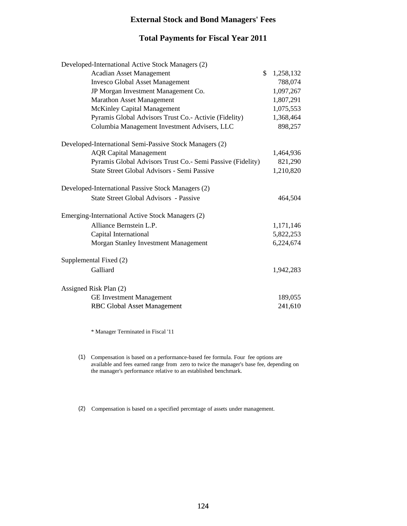### **External Stock and Bond Managers' Fees**

### **Total Payments for Fiscal Year 2011**

| Developed-International Active Stock Managers (2)          |                 |
|------------------------------------------------------------|-----------------|
| <b>Acadian Asset Management</b>                            | \$<br>1,258,132 |
| <b>Invesco Global Asset Management</b>                     | 788,074         |
| JP Morgan Investment Management Co.                        | 1,097,267       |
| <b>Marathon Asset Management</b>                           | 1,807,291       |
| McKinley Capital Management                                | 1,075,553       |
| Pyramis Global Advisors Trust Co.- Activie (Fidelity)      | 1,368,464       |
| Columbia Management Investment Advisers, LLC               | 898,257         |
| Developed-International Semi-Passive Stock Managers (2)    |                 |
| <b>AQR</b> Capital Management                              | 1,464,936       |
| Pyramis Global Advisors Trust Co.- Semi Passive (Fidelity) | 821,290         |
| State Street Global Advisors - Semi Passive                | 1,210,820       |
| Developed-International Passive Stock Managers (2)         |                 |
| <b>State Street Global Advisors - Passive</b>              | 464,504         |
| Emerging-International Active Stock Managers (2)           |                 |
| Alliance Bernstein L.P.                                    | 1,171,146       |
| Capital International                                      | 5,822,253       |
| Morgan Stanley Investment Management                       | 6,224,674       |
| Supplemental Fixed (2)                                     |                 |
| Galliard                                                   | 1,942,283       |
| Assigned Risk Plan (2)                                     |                 |
| <b>GE Investment Management</b>                            | 189,055         |
| <b>RBC Global Asset Management</b>                         | 241,610         |
| * Manager Terminated in Fiscal '11                         |                 |

Compensation is based on a performance-based fee formula. Four fee options are (1) available and fees earned range from zero to twice the manager's base fee, depending on the manager's performance relative to an established benchmark.

(2) Compensation is based on a specified percentage of assets under management.